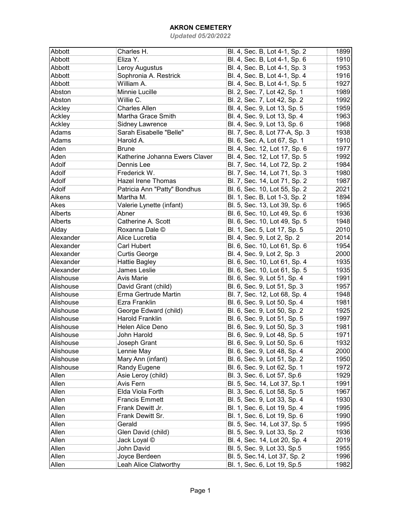| Abbott         | Charles H.                     | Bl. 4, Sec. B, Lot 4-1, Sp. 2  | 1899 |
|----------------|--------------------------------|--------------------------------|------|
| Abbott         | Eliza Y.                       | Bl. 4, Sec. B, Lot 4-1, Sp. 6  | 1910 |
| Abbott         | Leroy Augustus                 | Bl. 4, Sec. B, Lot 4-1, Sp. 3  | 1953 |
| Abbott         | Sophronia A. Restrick          | Bl. 4, Sec. B, Lot 4-1, Sp. 4  | 1916 |
| Abbott         | William A.                     | Bl. 4, Sec. B, Lot 4-1, Sp. 5  | 1927 |
| Abston         | Minnie Lucille                 | Bl. 2, Sec. 7, Lot 42, Sp. 1   | 1989 |
| Abston         | Willie C.                      | Bl. 2, Sec. 7, Lot 42, Sp. 2   | 1992 |
| Ackley         | <b>Charles Allen</b>           | Bl. 4, Sec. 9, Lot 13, Sp. 5   | 1959 |
| Ackley         | Martha Grace Smith             | Bl. 4, Sec. 9, Lot 13, Sp. 4   | 1963 |
| Ackley         | Sidney Lawrence                | Bl. 4, Sec. 9, Lot 13, Sp. 6   | 1968 |
| Adams          | Sarah Eisabelle "Belle"        | Bl. 7, Sec. 8, Lot 77-A, Sp. 3 | 1938 |
| Adams          | Harold A.                      | Bl. 6, Sec. A, Lot 67, Sp. 1   | 1910 |
| Aden           | <b>Brune</b>                   | Bl. 4, Sec. 12, Lot 17, Sp. 6  | 1977 |
| Aden           | Katherine Johanna Ewers Claver | Bl. 4, Sec. 12, Lot 17, Sp. 5  | 1992 |
| Adolf          | Dennis Lee                     | Bl. 7, Sec. 14, Lot 72, Sp. 2  | 1984 |
| Adolf          | Frederick W.                   | Bl. 7, Sec. 14, Lot 71, Sp. 3  | 1980 |
| Adolf          | <b>Hazel Irene Thomas</b>      | Bl. 7, Sec. 14, Lot 71, Sp. 2  | 1987 |
| Adolf          | Patricia Ann "Patty" Bondhus   | Bl. 6, Sec. 10, Lot 55, Sp. 2  | 2021 |
| Aikens         | Martha M.                      | Bl. 1, Sec. B, Lot 1-3, Sp. 2  | 1894 |
| Akes           | Valerie Lynette (infant)       | Bl. 5, Sec. 13, Lot 39, Sp. 6  | 1965 |
| <b>Alberts</b> | Abner                          | Bl. 6, Sec. 10, Lot 49, Sp. 6  | 1936 |
| Alberts        | Catherine A. Scott             | Bl. 6, Sec. 10, Lot 49, Sp. 5  | 1948 |
| Alday          | Roxanna Dale ©                 | Bl. 1, Sec. 5, Lot 17, Sp. 5   | 2010 |
| Alexander      | Alice Lucretia                 | Bl. 4, Sec. 9, Lot 2, Sp. 2    | 2014 |
| Alexander      | <b>Carl Hubert</b>             | Bl. 6, Sec. 10, Lot 61, Sp. 6  | 1954 |
| Alexander      | <b>Curtis George</b>           | Bl. 4, Sec. 9, Lot 2, Sp. 3    | 2000 |
| Alexander      | <b>Hattie Bagley</b>           | Bl. 6, Sec. 10, Lot 61, Sp. 4  | 1935 |
| Alexander      | James Leslie                   | Bl. 6, Sec. 10, Lot 61, Sp. 5  | 1935 |
| Alishouse      | Avis Marie                     | Bl. 6, Sec. 9, Lot 51, Sp. 4   | 1991 |
| Alishouse      | David Grant (child)            | Bl. 6, Sec. 9, Lot 51, Sp. 3   | 1957 |
| Alishouse      | Erma Gertrude Martin           | Bl. 7, Sec. 12, Lot 68, Sp. 4  | 1948 |
| Alishouse      | Ezra Franklin                  | Bl. 6, Sec. 9, Lot 50, Sp. 4   | 1981 |
| Alishouse      | George Edward (child)          | Bl. 6, Sec. 9, Lot 50, Sp. 2   | 1925 |
| Alishouse      | <b>Harold Franklin</b>         | Bl. 6, Sec. 9, Lot 51, Sp. 5   | 1997 |
| Alishouse      | <b>Helen Alice Deno</b>        | Bl. 6, Sec. 9, Lot 50, Sp. 3   | 1981 |
| Alishouse      | John Harold                    | Bl. 6, Sec. 9, Lot 48, Sp. 5   | 1971 |
| Alishouse      | Joseph Grant                   | Bl. 6, Sec. 9, Lot 50, Sp. 6   | 1932 |
| Alishouse      | Lennie May                     | Bl. 6, Sec. 9, Lot 48, Sp. 4   | 2000 |
| Alishouse      | Mary Ann (infant)              | Bl. 6, Sec. 9, Lot 51, Sp. 2   | 1950 |
| Alishouse      | Randy Eugene                   | Bl. 6, Sec. 9, Lot 62, Sp. 1   | 1972 |
| Allen          | Asie Leroy (child)             | Bl. 3, Sec. 6, Lot 57, Sp.6    | 1929 |
| Allen          | Avis Fern                      | Bl. 5, Sec. 14, Lot 37, Sp.1   | 1991 |
| Allen          | Elda Viola Forth               | Bl. 3, Sec. 6, Lot 58, Sp. 5   | 1967 |
| Allen          | <b>Francis Emmett</b>          | Bl. 5, Sec. 9, Lot 33, Sp. 4   | 1930 |
| Allen          | Frank Dewitt Jr.               | Bl. 1, Sec. 6, Lot 19, Sp. 4   | 1995 |
| Allen          | Frank Dewitt Sr.               | Bl. 1, Sec. 6, Lot 19, Sp. 6   | 1990 |
| Allen          | Gerald                         | Bl. 5, Sec. 14, Lot 37, Sp. 5  | 1995 |
| Allen          | Glen David (child)             | Bl. 5, Sec. 9, Lot 33, Sp. 2   | 1936 |
| Allen          | Jack Loyal ©                   | Bl. 4, Sec. 14, Lot 20, Sp. 4  | 2019 |
| Allen          | John David                     | Bl. 5, Sec. 9, Lot 33, Sp.5    | 1955 |
| Allen          | Joyce Berdeen                  | Bl. 5, Sec. 14, Lot 37, Sp. 2  | 1996 |
| Allen          | Leah Alice Clatworthy          | Bl. 1, Sec. 6, Lot 19, Sp.5    | 1982 |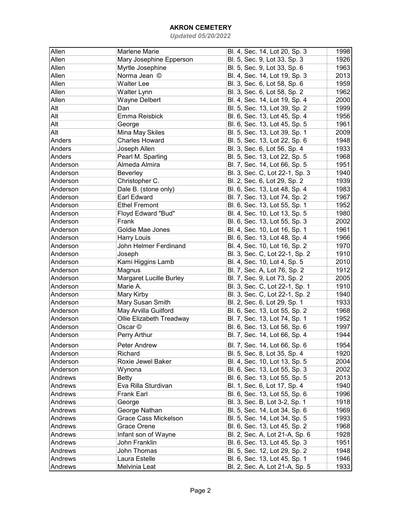| Allen    | Marlene Marie                  | Bl. 4, Sec. 14, Lot 20, Sp. 3  | 1998 |
|----------|--------------------------------|--------------------------------|------|
| Allen    | Mary Josephine Epperson        | Bl. 5, Sec. 9, Lot 33, Sp. 3   | 1926 |
| Allen    | Myrtle Josephine               | Bl. 5, Sec. 9, Lot 33, Sp. 6   | 1963 |
| Allen    | Norma Jean ©                   | Bl. 4, Sec. 14, Lot 19, Sp. 3  | 2013 |
| Allen    | <b>Walter Lee</b>              | Bl. 3, Sec. 6, Lot 58, Sp. 6   | 1959 |
| Allen    | <b>Walter Lynn</b>             | Bl. 3, Sec. 6, Lot 58, Sp. 2   | 1962 |
| Allen    | <b>Wayne Delbert</b>           | Bl. 4, Sec. 14, Lot 19, Sp. 4  | 2000 |
| Alt      | Dan                            | Bl. 5, Sec. 13, Lot 39, Sp. 2  | 1999 |
| Alt      | Emma Reisbick                  | Bl. 6, Sec. 13, Lot 45, Sp. 4  | 1956 |
| Alt      | George                         | Bl. 6, Sec. 13, Lot 45, Sp. 5  | 1961 |
| Alt      | Mina May Skiles                | Bl. 5, Sec. 13, Lot 39, Sp. 1  | 2009 |
| Anders   | <b>Charles Howard</b>          | Bl. 5, Sec. 13, Lot 22, Sp. 6  | 1948 |
| Anders   | Joseph Allen                   | Bl. 3, Sec. 6, Lot 56, Sp. 4   | 1933 |
| Anders   | Pearl M. Sparling              | Bl. 5, Sec. 13, Lot 22, Sp. 5  | 1968 |
| Anderson | Almeda Almira                  | Bl. 7, Sec. 14, Lot 66, Sp. 5  | 1951 |
| Anderson |                                |                                | 1940 |
| Anderson | Beverley                       | Bl. 3, Sec. C, Lot 22-1, Sp. 3 | 1939 |
|          | Christopher C.                 | Bl. 2, Sec. 6, Lot 29, Sp. 2   |      |
| Anderson | Dale B. (stone only)           | Bl. 6, Sec. 13, Lot 48, Sp. 4  | 1983 |
| Anderson | <b>Earl Edward</b>             | Bl. 7, Sec. 13, Lot 74, Sp. 2  | 1967 |
| Anderson | <b>Ethel Fremont</b>           | Bl. 6, Sec. 13, Lot 55, Sp. 1  | 1952 |
| Anderson | Floyd Edward "Bud"             | Bl. 4, Sec. 10, Lot 13, Sp. 5  | 1980 |
| Anderson | Frank                          | Bl. 6, Sec. 13, Lot 55, Sp. 3  | 2002 |
| Anderson | Goldie Mae Jones               | Bl. 4, Sec. 10, Lot 16, Sp. 1  | 1961 |
| Anderson | Harry Louis                    | Bl. 6, Sec. 13, Lot 48, Sp. 4  | 1966 |
| Anderson | John Helmer Ferdinand          | Bl. 4, Sec. 10, Lot 16, Sp. 2  | 1970 |
| Anderson | Joseph                         | Bl. 3, Sec. C, Lot 22-1, Sp. 2 | 1910 |
| Anderson | Kami Higgins Lamb              | Bl. 4, Sec. 10, Lot 4, Sp. 5   | 2010 |
| Anderson | Magnus                         | Bl. 7, Sec. A, Lot 76, Sp. 2   | 1912 |
| Anderson | <b>Margaret Lucille Burley</b> | Bl. 7, Sec. 9, Lot 73, Sp. 2   | 2005 |
| Anderson | Marie A.                       | Bl. 3, Sec. C, Lot 22-1, Sp. 1 | 1910 |
| Anderson | Mary Kirby                     | Bl. 3, Sec. C, Lot 22-1, Sp. 2 | 1940 |
| Anderson | Mary Susan Smith               | Bl. 2, Sec. 6, Lot 29, Sp. 1   | 1933 |
| Anderson | May Arvilla Guilford           | Bl. 6, Sec. 13, Lot 55, Sp. 2  | 1968 |
| Anderson | Ollie Elizabeth Treadway       | Bl. 7, Sec. 13, Lot 74, Sp. 1  | 1952 |
| Anderson | Oscar ©                        | Bl. 6, Sec. 13, Lot 56, Sp. 6  | 1997 |
| Anderson | Perry Arthur                   | Bl. 7, Sec. 14, Lot 66, Sp. 4  | 1944 |
| Anderson | Peter Andrew                   | Bl. 7, Sec. 14, Lot 66, Sp. 6  | 1954 |
| Anderson | Richard                        | Bl. 5, Sec. 8, Lot 35, Sp. 4   | 1920 |
| Anderson | Roxie Jewel Baker              | Bl. 4, Sec. 10, Lot 13, Sp. 5  | 2004 |
| Anderson | Wynona                         | Bl. 6, Sec. 13, Lot 55, Sp. 3  | 2002 |
| Andrews  | <b>Betty</b>                   | Bl. 6, Sec. 13, Lot 55, Sp. 5  | 2013 |
| Andrews  | Eva Rilla Sturdivan            | Bl. 1, Sec. 6, Lot 17, Sp. 4   | 1940 |
| Andrews  | Frank Earl                     | Bl. 6, Sec. 13, Lot 55, Sp. 6  | 1996 |
| Andrews  | George                         | Bl. 3, Sec. B, Lot 3-2, Sp. 1  | 1918 |
| Andrews  | George Nathan                  | Bl. 5, Sec. 14, Lot 34, Sp. 6  | 1969 |
| Andrews  | Grace Cass Mickelson           | Bl. 5, Sec. 14, Lot 34, Sp. 5  | 1993 |
| Andrews  | Grace Orene                    | Bl. 6, Sec. 13, Lot 45, Sp. 2  | 1968 |
| Andrews  | Infant son of Wayne            | Bl. 2, Sec. A, Lot 21-A, Sp. 6 | 1928 |
| Andrews  | John Franklin                  | Bl. 6, Sec. 13, Lot 45, Sp. 3  | 1951 |
|          | John Thomas                    |                                |      |
| Andrews  |                                | Bl. 5, Sec. 12, Lot 29, Sp. 2  | 1948 |
| Andrews  | Laura Estelle                  | Bl. 6, Sec. 13, Lot 45, Sp. 1  | 1946 |
| Andrews  | Melvinia Leat                  | Bl. 2, Sec. A, Lot 21-A, Sp. 5 | 1933 |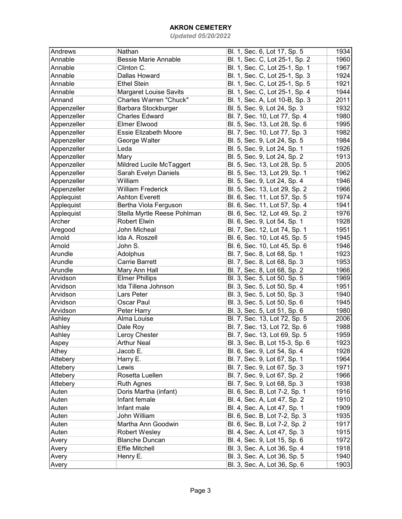| Andrews     | Nathan                                       | Bl. 1, Sec. 6, Lot 17, Sp. 5   | 1934 |
|-------------|----------------------------------------------|--------------------------------|------|
| Annable     | <b>Bessie Marie Annable</b>                  | Bl. 1, Sec. C, Lot 25-1, Sp. 2 | 1960 |
| Annable     | Clinton C.                                   | Bl. 1, Sec. C, Lot 25-1, Sp. 1 | 1967 |
| Annable     | Dallas Howard                                | Bl. 1, Sec. C, Lot 25-1, Sp. 3 | 1924 |
| Annable     | <b>Ethel Stein</b>                           | Bl. 1, Sec. C, Lot 25-1, Sp. 5 | 1921 |
| Annable     | <b>Margaret Louise Savits</b>                | Bl. 1, Sec. C, Lot 25-1, Sp. 4 | 1944 |
| Annand      | Charles Warren "Chuck"                       | Bl. 1, Sec. A, Lot 10-B, Sp. 3 | 2011 |
| Appenzeller | Barbara Stockburger                          | Bl. 5, Sec. 9, Lot 24, Sp. 3   | 1932 |
| Appenzeller | <b>Charles Edward</b>                        | Bl. 7, Sec. 10, Lot 77, Sp. 4  | 1980 |
| Appenzeller | <b>Elmer Elwood</b>                          | Bl. 5, Sec. 13, Lot 28, Sp. 6  | 1995 |
| Appenzeller | <b>Essie Elizabeth Moore</b>                 | Bl. 7, Sec. 10, Lot 77, Sp. 3  | 1982 |
| Appenzeller | George Walter                                | Bl. 5, Sec. 9, Lot 24, Sp. 5   | 1984 |
| Appenzeller | Leda                                         | Bl. 5, Sec. 9, Lot 24, Sp. 1   | 1926 |
| Appenzeller | Mary                                         | Bl. 5, Sec. 9, Lot 24, Sp. 2   | 1913 |
| Appenzeller | Mildred Lucile McTaggert                     | Bl. 5, Sec. 13, Lot 28, Sp. 5  | 2005 |
| Appenzeller | Sarah Evelyn Daniels                         | Bl. 5, Sec. 13, Lot 29, Sp. 1  | 1962 |
| Appenzeller | William                                      | Bl. 5, Sec. 9, Lot 24, Sp. 4   | 1946 |
| Appenzeller | <b>William Frederick</b>                     | Bl. 5, Sec. 13, Lot 29, Sp. 2  | 1966 |
| Applequist  | <b>Ashton Everett</b>                        | Bl. 6, Sec. 11, Lot 57, Sp. 5  | 1974 |
| Applequist  | Bertha Viola Ferguson                        | Bl. 6, Sec. 11, Lot 57, Sp. 4  | 1941 |
| Applequist  | Stella Myrtle Reese Pohlman                  | Bl. 6, Sec. 12, Lot 49, Sp. 2  | 1976 |
| Archer      | <b>Robert Elwin</b>                          | Bl. 6, Sec. 9, Lot 54, Sp. 1   | 1928 |
| Aregood     | John Micheal                                 | Bl. 7, Sec. 12, Lot 74, Sp. 1  | 1951 |
| Arnold      | Ida A. Roszell                               | Bl. 6, Sec. 10, Lot 45, Sp. 5  | 1945 |
| Arnold      | John S.                                      | Bl. 6, Sec. 10, Lot 45, Sp. 6  | 1946 |
| Arundle     | Adolphus                                     | Bl. 7, Sec. 8, Lot 68, Sp. 1   | 1923 |
| Arundle     | <b>Carrie Barrett</b>                        | Bl. 7, Sec. 8, Lot 68, Sp. 3   | 1953 |
| Arundle     |                                              |                                | 1966 |
| Arvidson    | Mary Ann Hall                                | Bl. 7, Sec. 8, Lot 68, Sp. 2   | 1969 |
| Arvidson    | <b>Elmer Phillips</b><br>Ida Tillena Johnson | Bl. 3, Sec. 5, Lot 50, Sp. 5   | 1951 |
|             |                                              | Bl. 3, Sec. 5, Lot 50, Sp. 4   |      |
| Arvidson    | Lars Peter                                   | Bl. 3, Sec. 5, Lot 50, Sp. 3   | 1940 |
| Arvidson    | Oscar Paul                                   | Bl. 3, Sec. 5, Lot 50, Sp. 6   | 1945 |
| Arvidson    | Peter Harry                                  | Bl. 3, Sec. 5, Lot 51, Sp. 6   | 1980 |
| Ashley      | Alma Louise                                  | Bl. 7, Sec. 13, Lot 72, Sp. 5  | 2006 |
| Ashley      | Dale Roy                                     | Bl. 7, Sec. 13, Lot 72, Sp. 6  | 1988 |
| Ashley      | Leroy Chester                                | Bl. 7, Sec. 13, Lot 69, Sp. 5  | 1959 |
| Aspey       | <b>Arthur Neal</b>                           | Bl. 3, Sec. B, Lot 15-3, Sp. 6 | 1923 |
| Athey       | Jacob E.                                     | Bl. 6, Sec. 9, Lot 54, Sp. 4   | 1928 |
| Attebery    | Harry E.                                     | Bl. 7, Sec. 9, Lot 67, Sp. 1   | 1964 |
| Attebery    | Lewis                                        | Bl. 7, Sec. 9, Lot 67, Sp. 3   | 1971 |
| Attebery    | Rosetta Luellen                              | Bl. 7, Sec. 9, Lot 67, Sp. 2   | 1966 |
| Attebery    | <b>Ruth Agnes</b>                            | Bl. 7, Sec. 9, Lot 68, Sp. 3   | 1938 |
| Auten       | Doris Martha (infant)                        | Bl. 6, Sec. B, Lot 7-2, Sp. 1  | 1916 |
| Auten       | Infant female                                | Bl. 4, Sec. A, Lot 47, Sp. 2   | 1910 |
| Auten       | Infant male                                  | Bl. 4, Sec. A, Lot 47, Sp. 1   | 1909 |
| Auten       | John William                                 | Bl. 6, Sec. B, Lot 7-2, Sp. 3  | 1935 |
| Auten       | Martha Ann Goodwin                           | Bl. 6, Sec. B, Lot 7-2, Sp. 2  | 1917 |
| Auten       | Robert Wesley                                | Bl. 4, Sec. A, Lot 47, Sp. 3   | 1915 |
| Avery       | <b>Blanche Duncan</b>                        | Bl. 4, Sec. 9, Lot 15, Sp. 6   | 1972 |
| Avery       | <b>Effie Mitchell</b>                        | Bl. 3, Sec. A, Lot 36, Sp. 4   | 1918 |
| Avery       | Henry E.                                     | Bl. 3, Sec. A, Lot 36, Sp. 5   | 1940 |
| Avery       |                                              | Bl. 3, Sec. A, Lot 36, Sp. 6   | 1903 |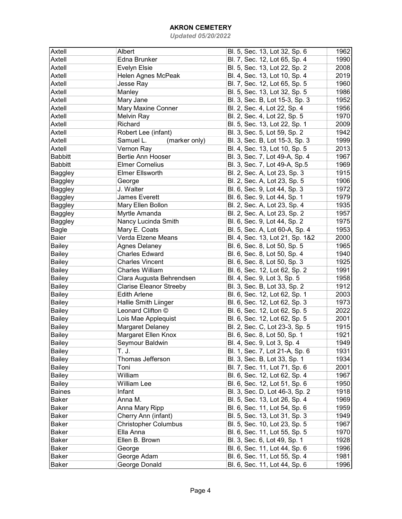| Axtell         | Albert                         | Bl. 5, Sec. 13, Lot 32, Sp. 6   | 1962 |
|----------------|--------------------------------|---------------------------------|------|
| Axtell         | Edna Brunker                   | Bl. 7, Sec. 12, Lot 65, Sp. 4   | 1990 |
| Axtell         | Evelyn Elsie                   | Bl. 5, Sec. 13, Lot 22, Sp. 2   | 2008 |
| Axtell         | Helen Agnes McPeak             | Bl. 4, Sec. 13, Lot 10, Sp. 4   | 2019 |
| Axtell         | Jesse Ray                      | Bl. 7, Sec. 12, Lot 65, Sp. 5   | 1960 |
| Axtell         | Manley                         | Bl. 5, Sec. 13, Lot 32, Sp. 5   | 1986 |
| Axtell         |                                | Bl. 3, Sec. B, Lot 15-3, Sp. 3  | 1952 |
|                | Mary Jane                      |                                 |      |
| Axtell         | Mary Maxine Conner             | Bl. 2, Sec. 4, Lot 22, Sp. 4    | 1956 |
| Axtell         | <b>Melvin Ray</b>              | Bl. 2, Sec. 4, Lot 22, Sp. 5    | 1970 |
| Axtell         | Richard                        | Bl. 5, Sec. 13, Lot 22, Sp. 1   | 2009 |
| Axtell         | Robert Lee (infant)            | Bl. 3, Sec. 5, Lot 59, Sp. 2    | 1942 |
| Axtell         | Samuel L.<br>(marker only)     | Bl. 3, Sec. B, Lot 15-3, Sp. 3  | 1999 |
| Axtell         | Vernon Ray                     | Bl. 4, Sec. 13, Lot 10, Sp. 5   | 2013 |
| <b>Babbitt</b> | Bertie Ann Hooser              | Bl. 3, Sec. 7, Lot 49-A, Sp. 4  | 1967 |
| <b>Babbitt</b> | <b>Elmer Cornelius</b>         | Bl. 3, Sec. 7, Lot 49-A, Sp.5   | 1969 |
| Baggley        | <b>Elmer Ellsworth</b>         | Bl. 2, Sec. A, Lot 23, Sp. 3    | 1915 |
| Baggley        | George                         | Bl. 2, Sec. A, Lot 23, Sp. 5    | 1906 |
| Baggley        | J. Walter                      | Bl. 6, Sec. 9, Lot 44, Sp. 3    | 1972 |
| Baggley        | <b>James Everett</b>           | Bl. 6, Sec. 9, Lot 44, Sp. 1    | 1979 |
| Baggley        | Mary Ellen Bollon              | Bl. 2, Sec. A, Lot 23, Sp. 4    | 1935 |
| Baggley        | Myrtle Amanda                  | Bl. 2, Sec. A, Lot 23, Sp. 2    | 1957 |
| <b>Baggley</b> | Nancy Lucinda Smith            | Bl. 6, Sec. 9, Lot 44, Sp. 2    | 1975 |
| <b>Bagle</b>   | Mary E. Coats                  | Bl. 5, Sec. A, Lot 60-A, Sp. 4  | 1953 |
| Baier          | Verda Elzene Means             | Bl. 4, Sec. 13, Lot 21, Sp. 1&2 | 2000 |
| <b>Bailey</b>  | Agnes Delaney                  | Bl. 6, Sec. 8, Lot 50, Sp. 5    | 1965 |
| <b>Bailey</b>  | <b>Charles Edward</b>          | Bl. 6, Sec. 8, Lot 50, Sp. 4    | 1940 |
| <b>Bailey</b>  | <b>Charles Vincent</b>         | Bl. 6, Sec. 8, Lot 50, Sp. 3    | 1925 |
| <b>Bailey</b>  | <b>Charles William</b>         | Bl. 6, Sec. 12, Lot 62, Sp. 2   | 1991 |
| <b>Bailey</b>  | Clara Augusta Behrendsen       | Bl. 4, Sec. 9, Lot 3, Sp. 5     | 1958 |
| <b>Bailey</b>  | <b>Clarise Eleanor Streeby</b> | Bl. 3, Sec. B, Lot 33, Sp. 2    | 1912 |
| <b>Bailey</b>  | <b>Edith Arlene</b>            | Bl. 6, Sec. 12, Lot 62, Sp. 1   | 2003 |
| <b>Bailey</b>  | Hallie Smith Liinger           | Bl. 6, Sec. 12, Lot 62, Sp. 3   | 1973 |
|                | Leonard Clifton ©              |                                 |      |
| <b>Bailey</b>  |                                | Bl. 6, Sec. 12, Lot 62, Sp. 5   | 2022 |
| <b>Bailey</b>  | Lois Mae Applequist            | Bl. 6, Sec. 12, Lot 62, Sp. 5   | 2001 |
| Bailey         | Margaret Delaney               | Bl. 2, Sec. C, Lot 23-3, Sp. 5  | 1915 |
| <b>Bailey</b>  | Margaret Ellen Knox            | Bl. 6, Sec. 8, Lot 50, Sp. 1    | 1921 |
| Bailey         | Seymour Baldwin                | Bl. 4, Sec. 9, Lot 3, Sp. 4     | 1949 |
| <b>Bailey</b>  | T. J.                          | Bl. 1, Sec. 7, Lot 21-A, Sp. 6  | 1931 |
| Bailey         | Thomas Jefferson               | Bl. 3, Sec. B, Lot 33, Sp. 1    | 1934 |
| Bailey         | Toni                           | Bl. 7, Sec. 11, Lot 71, Sp. 6   | 2001 |
| <b>Bailey</b>  | William                        | Bl. 6, Sec. 12, Lot 62, Sp. 4   | 1967 |
| <b>Bailey</b>  | <b>William Lee</b>             | Bl. 6, Sec. 12, Lot 51, Sp. 6   | 1950 |
| <b>Baines</b>  | Infant                         | Bl. 3, Sec. D, Lot 46-3, Sp. 2  | 1918 |
| Baker          | Anna M.                        | Bl. 5, Sec. 13, Lot 26, Sp. 4   | 1969 |
| Baker          | Anna Mary Ripp                 | Bl. 6, Sec. 11, Lot 54, Sp. 6   | 1959 |
| <b>Baker</b>   | Cherry Ann (infant)            | Bl. 5, Sec. 13, Lot 31, Sp. 3   | 1949 |
| <b>Baker</b>   | <b>Christopher Columbus</b>    | Bl. 5, Sec. 10, Lot 23, Sp. 5   | 1967 |
| Baker          | Ella Anna                      | Bl. 6, Sec. 11, Lot 55, Sp. 5   | 1970 |
| Baker          | Ellen B. Brown                 | Bl. 3, Sec. 6, Lot 49, Sp. 1    | 1928 |
| Baker          | George                         | Bl. 6, Sec. 11, Lot 44, Sp. 6   | 1996 |
| Baker          | George Adam                    | Bl. 6, Sec. 11, Lot 55, Sp. 4   | 1981 |
| <b>Baker</b>   | George Donald                  | Bl. 6, Sec. 11, Lot 44, Sp. 6   | 1996 |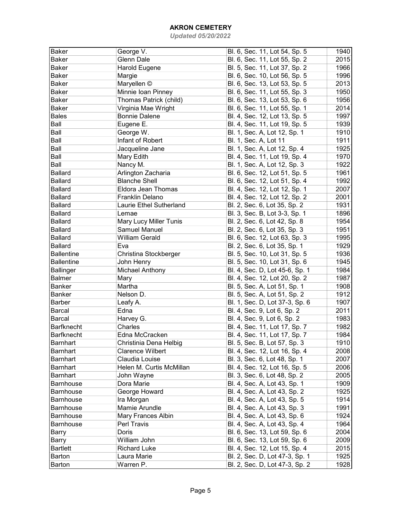| Baker             | George V.                 | Bl. 6, Sec. 11, Lot 54, Sp. 5  | 1940 |
|-------------------|---------------------------|--------------------------------|------|
| Baker             | Glenn Dale                | Bl. 6, Sec. 11, Lot 55, Sp. 2  | 2015 |
| Baker             | <b>Harold Eugene</b>      | Bl. 5, Sec. 11, Lot 37, Sp. 2  | 1966 |
| Baker             | Margie                    | Bl. 6, Sec. 10, Lot 56, Sp. 5  | 1996 |
| <b>Baker</b>      |                           |                                | 2013 |
|                   | Maryellen ©               | Bl. 6, Sec. 13, Lot 53, Sp. 5  |      |
| <b>Baker</b>      | Minnie Ioan Pinney        | Bl. 6, Sec. 11, Lot 55, Sp. 3  | 1950 |
| <b>Baker</b>      | Thomas Patrick (child)    | Bl. 6, Sec. 13, Lot 53, Sp. 6  | 1956 |
| <b>Baker</b>      | Virginia Mae Wright       | Bl. 6, Sec. 11, Lot 55, Sp. 1  | 2014 |
| <b>Bales</b>      | <b>Bonnie Dalene</b>      | Bl. 4, Sec. 12, Lot 13, Sp. 5  | 1997 |
| Ball              | Eugene E.                 | Bl. 4, Sec. 11, Lot 19, Sp. 5  | 1939 |
| Ball              | George W.                 | Bl. 1, Sec. A, Lot 12, Sp. 1   | 1910 |
| Ball              | Infant of Robert          | Bl. 1, Sec. A, Lot 11          | 1911 |
| Ball              | Jacqueline Jane           | Bl. 1, Sec. A, Lot 12, Sp. 4   | 1925 |
| Ball              | Mary Edith                | Bl. 4, Sec. 11, Lot 19, Sp. 4  | 1970 |
| Ball              | Nancy M.                  | Bl. 1, Sec. A, Lot 12, Sp. 3   | 1922 |
| <b>Ballard</b>    | Arlington Zacharia        | Bl. 6, Sec. 12, Lot 51, Sp. 5  | 1961 |
| <b>Ballard</b>    | <b>Blanche Shell</b>      | Bl. 6, Sec. 12, Lot 51, Sp. 4  | 1992 |
| <b>Ballard</b>    | <b>Eldora Jean Thomas</b> | Bl. 4, Sec. 12, Lot 12, Sp. 1  | 2007 |
| <b>Ballard</b>    | Franklin Delano           | Bl. 4, Sec. 12, Lot 12, Sp. 2  | 2001 |
| <b>Ballard</b>    | Laurie Ethel Sutherland   | Bl. 2, Sec. 6, Lot 35, Sp. 2   | 1931 |
| <b>Ballard</b>    | Lemae                     | Bl. 3, Sec. B, Lot 3-3, Sp. 1  | 1896 |
| <b>Ballard</b>    | Mary Lucy Miller Tunis    | Bl. 2, Sec. 6, Lot 42, Sp. 8   | 1954 |
| <b>Ballard</b>    | Samuel Manuel             | Bl. 2, Sec. 6, Lot 35, Sp. 3   | 1951 |
| <b>Ballard</b>    | <b>William Gerald</b>     | Bl. 6, Sec. 12, Lot 63, Sp. 3  | 1995 |
| <b>Ballard</b>    | Eva                       |                                |      |
|                   |                           | Bl. 2, Sec. 6, Lot 35, Sp. 1   | 1929 |
| <b>Ballentine</b> | Christina Stockberger     | Bl. 5, Sec. 10, Lot 31, Sp. 5  | 1936 |
| <b>Ballentine</b> | John Henry                | Bl. 5, Sec. 10, Lot 31, Sp. 6  | 1945 |
| <b>Ballinger</b>  | Michael Anthony           | Bl. 4, Sec. D, Lot 45-6, Sp. 1 | 1984 |
| <b>Balmer</b>     | Mary                      | Bl. 4, Sec. 12, Lot 20, Sp. 2  | 1987 |
| <b>Banker</b>     | Martha                    | Bl. 5, Sec. A, Lot 51, Sp. 1   | 1908 |
| <b>Banker</b>     | Nelson D.                 | Bl. 5, Sec. A, Lot 51, Sp. 2   | 1912 |
| Barber            | Leafy A.                  | Bl. 1, Sec. D, Lot 37-3, Sp. 6 | 1907 |
| Barcal            | Edna                      | Bl. 4, Sec. 9, Lot 6, Sp. 2    | 2011 |
| Barcal            | Harvey G.                 | Bl. 4, Sec. 9, Lot 6, Sp. 2    | 1983 |
| <b>Barfknecht</b> | Charles                   | Bl. 4, Sec. 11, Lot 17, Sp. 7  | 1982 |
| Barfknecht        | Edna McCracken            | Bl. 4, Sec. 11, Lot 17, Sp. 7  | 1984 |
| Barnhart          | Christinia Dena Helbig    | Bl. 5, Sec. B, Lot 57, Sp. 3   | 1910 |
| Barnhart          | <b>Clarence Wilbert</b>   | Bl. 4, Sec. 12, Lot 16, Sp. 4  | 2008 |
| <b>Barnhart</b>   | Claudia Louise            | Bl. 3, Sec. 6, Lot 48, Sp. 1   | 2007 |
| <b>Barnhart</b>   | Helen M. Curtis McMillan  | Bl. 4, Sec. 12, Lot 16, Sp. 5  | 2006 |
| <b>Barnhart</b>   | John Wayne                | Bl. 3, Sec. 6, Lot 48, Sp. 2   | 2005 |
| Barnhouse         | Dora Marie                | Bl. 4, Sec. A, Lot 43, Sp. 1   | 1909 |
| Barnhouse         | George Howard             | Bl. 4, Sec. A, Lot 43, Sp. 2   | 1925 |
| Barnhouse         | Ira Morgan                | Bl. 4, Sec. A, Lot 43, Sp. 5   | 1914 |
| Barnhouse         | Mamie Arundle             | Bl. 4, Sec. A, Lot 43, Sp. 3   | 1991 |
| Barnhouse         | Mary Frances Albin        | Bl. 4, Sec. A, Lot 43, Sp. 6   | 1924 |
| Barnhouse         | Perl Travis               | Bl. 4, Sec. A, Lot 43, Sp. 4   | 1964 |
| Barry             | Doris                     | Bl. 6, Sec. 13, Lot 59, Sp. 6  | 2004 |
|                   |                           |                                |      |
| Barry             | William John              | Bl. 6, Sec. 13, Lot 59, Sp. 6  | 2009 |
| <b>Bartlett</b>   | <b>Richard Luke</b>       | Bl. 4, Sec. 12, Lot 15, Sp. 4  | 2015 |
| Barton            | Laura Marie               | Bl. 2, Sec. D, Lot 47-3, Sp. 1 | 1925 |
| Barton            | Warren P.                 | Bl. 2, Sec. D, Lot 47-3, Sp. 2 | 1928 |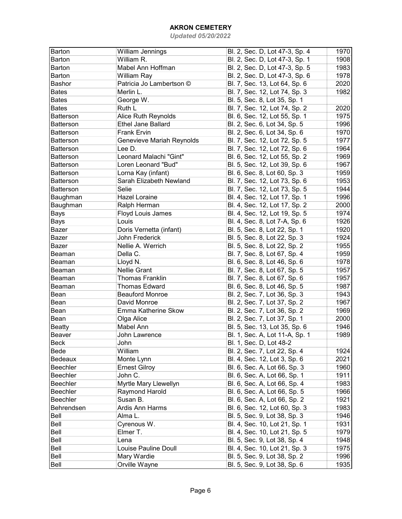| Barton           | William Jennings          | Bl. 2, Sec. D, Lot 47-3, Sp. 4 | 1970 |
|------------------|---------------------------|--------------------------------|------|
| Barton           | William R.                | Bl. 2, Sec. D, Lot 47-3, Sp. 1 | 1908 |
| Barton           | Mabel Ann Hoffman         | Bl. 2, Sec. D, Lot 47-3, Sp. 5 | 1983 |
| <b>Barton</b>    | William Ray               | Bl. 2, Sec. D, Lot 47-3, Sp. 6 | 1978 |
| Bashor           | Patricia Jo Lambertson ©  | Bl. 7, Sec. 13, Lot 64, Sp. 6  | 2020 |
| <b>Bates</b>     | Merlin L.                 | Bl. 7, Sec. 12, Lot 74, Sp. 3  | 1982 |
| <b>Bates</b>     | George W.                 | Bl. 5, Sec. 8, Lot 35, Sp. 1   |      |
| <b>Bates</b>     | Ruth L                    | Bl. 7, Sec. 12, Lot 74, Sp. 2  | 2020 |
| <b>Batterson</b> | Alice Ruth Reynolds       | Bl. 6, Sec. 12, Lot 55, Sp. 1  | 1975 |
| <b>Batterson</b> | Ethel Jane Ballard        | Bl. 2, Sec. 6, Lot 34, Sp. 5   | 1996 |
| <b>Batterson</b> | <b>Frank Ervin</b>        | Bl. 2, Sec. 6, Lot 34, Sp. 6   | 1970 |
| <b>Batterson</b> | Genevieve Mariah Reynolds | Bl. 7, Sec. 12, Lot 72, Sp. 5  | 1977 |
| <b>Batterson</b> | Lee D.                    | Bl. 7, Sec. 12, Lot 72, Sp. 6  | 1964 |
| <b>Batterson</b> | Leonard Malachi "Gint"    | Bl. 6, Sec. 12, Lot 55, Sp. 2  | 1969 |
| <b>Batterson</b> | Loren Leonard "Bud"       | Bl. 5, Sec. 12, Lot 39, Sp. 6  | 1967 |
| <b>Batterson</b> | Lorna Kay (infant)        | Bl. 6, Sec. 8, Lot 60, Sp. 3   | 1959 |
| <b>Batterson</b> | Sarah Elizabeth Newland   | Bl. 7, Sec. 12, Lot 73, Sp. 6  | 1953 |
| Batterson        | Selie                     | Bl. 7, Sec. 12, Lot 73, Sp. 5  | 1944 |
| Baughman         | <b>Hazel Loraine</b>      | Bl. 4, Sec. 12, Lot 17, Sp. 1  | 1996 |
| Baughman         | Ralph Herman              | Bl. 4, Sec. 12, Lot 17, Sp. 2  | 2000 |
| Bays             | Floyd Louis James         | Bl. 4, Sec. 12, Lot 19, Sp. 5  | 1974 |
| Bays             | Louis                     | Bl. 4, Sec. 8, Lot 7-A, Sp. 6  | 1926 |
| Bazer            | Doris Vernetta (infant)   | Bl. 5, Sec. 8, Lot 22, Sp. 1   | 1920 |
| Bazer            | John Frederick            | Bl. 5, Sec. 8, Lot 22, Sp. 3   | 1924 |
| Bazer            | Nellie A. Werrich         | Bl. 5, Sec. 8, Lot 22, Sp. 2   | 1955 |
| Beaman           | Della C.                  | Bl. 7, Sec. 8, Lot 67, Sp. 4   | 1959 |
| Beaman           | Lloyd N.                  | Bl. 6, Sec. 8, Lot 46, Sp. 6   | 1978 |
| Beaman           | <b>Nellie Grant</b>       | Bl. 7, Sec. 8, Lot 67, Sp. 5   | 1957 |
| Beaman           | <b>Thomas Franklin</b>    | Bl. 7, Sec. 8, Lot 67, Sp. 6   | 1957 |
| Beaman           | <b>Thomas Edward</b>      | Bl. 6, Sec. 8, Lot 46, Sp. 5   | 1987 |
| Bean             | <b>Beauford Monroe</b>    | Bl. 2, Sec. 7, Lot 36, Sp. 3   | 1943 |
| Bean             | David Monroe              | Bl. 2, Sec. 7, Lot 37, Sp. 2   | 1967 |
| Bean             | Emma Katherine Skow       | Bl. 2, Sec. 7, Lot 36, Sp. 2   | 1969 |
| Bean             | Olga Alice                | Bl. 2, Sec. 7, Lot 37, Sp. 1   | 2000 |
| <b>Beatty</b>    | Mabel Ann                 | Bl. 5, Sec. 13, Lot 35, Sp. 6  | 1946 |
| Beaver           | John Lawrence             | Bl. 1, Sec. A, Lot 11-A, Sp. 1 | 1989 |
| Beck             | John                      | Bl. 1, Sec. D, Lot 48-2        |      |
| Bede             | William                   | Bl. 2, Sec. 7, Lot 22, Sp. 4   | 1924 |
| Bedeaux          | Monte Lynn                | Bl. 4, Sec. 12, Lot 3, Sp. 6   | 2021 |
| Beechler         | <b>Ernest Gilroy</b>      | Bl. 6, Sec. A, Lot 66, Sp. 3   | 1960 |
| Beechler         | John C.                   | Bl. 6, Sec. A, Lot 66, Sp. 1   | 1911 |
| Beechler         | Myrtle Mary Llewellyn     | Bl. 6, Sec. A, Lot 66, Sp. 4   | 1983 |
| Beechler         | Raymond Harold            | Bl. 6, Sec. A, Lot 66, Sp. 5   | 1966 |
| Beechler         | Susan B.                  | Bl. 6, Sec. A, Lot 66, Sp. 2   | 1921 |
| Behrendsen       | Ardis Ann Harms           | Bl. 6, Sec. 12, Lot 60, Sp. 3  | 1983 |
| Bell             | Alma L.                   | Bl. 5, Sec. 9, Lot 38, Sp. 3   | 1946 |
| Bell             | Cyrenous W.               | Bl. 4, Sec. 10, Lot 21, Sp. 1  | 1931 |
| Bell             | Elmer T.                  | Bl. 4, Sec. 10, Lot 21, Sp. 5  | 1979 |
| Bell             | Lena                      | Bl. 5, Sec. 9, Lot 38, Sp. 4   | 1948 |
| Bell             | Louise Pauline Doull      | Bl. 4, Sec. 10, Lot 21, Sp. 3  | 1975 |
| Bell             | Mary Wardie               | Bl. 5, Sec. 9, Lot 38, Sp. 2   | 1996 |
| Bell             | Orville Wayne             | Bl. 5, Sec. 9, Lot 38, Sp. 6   | 1935 |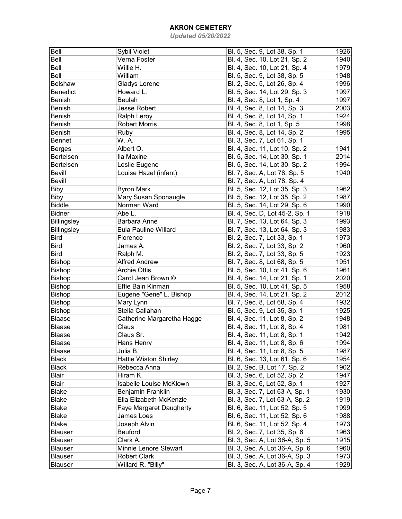| Bell<br>Bl. 5, Sec. 9, Lot 38, Sp. 1<br>Sybil Violet                           | 1926 |
|--------------------------------------------------------------------------------|------|
| Bell<br>Verna Foster<br>Bl. 4, Sec. 10, Lot 21, Sp. 2                          | 1940 |
| Bell<br>Willie H.<br>Bl. 4, Sec. 10, Lot 21, Sp. 4                             | 1979 |
| Bell<br>William<br>Bl. 5, Sec. 9, Lot 38, Sp. 5                                | 1948 |
| Belshaw<br><b>Gladys Lorene</b><br>Bl. 2, Sec. 5, Lot 26, Sp. 4                | 1996 |
| Benedict<br>Howard L.<br>Bl. 5, Sec. 14, Lot 29, Sp. 3                         | 1997 |
| Bl. 4, Sec. 8, Lot 1, Sp. 4<br><b>Benish</b><br>Beulah                         | 1997 |
| Bl. 4, Sec. 8, Lot 14, Sp. 3<br><b>Jesse Robert</b><br><b>Benish</b>           | 2003 |
| Bl. 4, Sec. 8, Lot 14, Sp. 1<br>Ralph Leroy<br><b>Benish</b>                   | 1924 |
| Robert Morris<br>Bl. 4, Sec. 8, Lot 1, Sp. 5<br><b>Benish</b>                  | 1998 |
| Bl. 4, Sec. 8, Lot 14, Sp. 2<br><b>Benish</b><br>Ruby                          | 1995 |
| W.A.<br>Bl. 3, Sec. 7, Lot 61, Sp. 1<br><b>Bennet</b>                          |      |
| Bl. 4, Sec. 11, Lot 10, Sp. 2<br>Albert O.<br><b>Berges</b>                    | 1941 |
| Bertelsen<br>Ila Maxine<br>Bl. 5, Sec. 14, Lot 30, Sp. 1                       | 2014 |
| Bertelsen<br>Leslie Eugene<br>Bl. 5, Sec. 14, Lot 30, Sp. 2                    | 1994 |
| <b>Bevill</b><br>Louise Hazel (infant)<br>Bl. 7, Sec. A, Lot 78, Sp. 5         | 1940 |
| <b>Bevill</b><br>Bl. 7, Sec. A, Lot 78, Sp. 4                                  |      |
| <b>Biby</b><br><b>Byron Mark</b><br>Bl. 5, Sec. 12, Lot 35, Sp. 3              | 1962 |
| Mary Susan Sponaugle<br><b>Biby</b><br>Bl. 5, Sec. 12, Lot 35, Sp. 2           | 1987 |
| <b>Biddle</b><br>Norman Ward<br>Bl. 5, Sec. 14, Lot 29, Sp. 6                  | 1990 |
| <b>Bidner</b><br>Abe L.<br>Bl. 4, Sec. D, Lot 45-2, Sp. 1                      | 1918 |
| <b>Billingsley</b><br>Barbara Anne<br>Bl. 7, Sec. 13, Lot 64, Sp. 3            | 1993 |
| Billingsley<br><b>Eula Pauline Willard</b><br>Bl. 7, Sec. 13, Lot 64, Sp. 3    | 1983 |
| <b>Bird</b><br>Bl. 2, Sec. 7, Lot 33, Sp. 1<br>Florence                        | 1973 |
| Bl. 2, Sec. 7, Lot 33, Sp. 2<br><b>Bird</b><br>James A.                        | 1960 |
| <b>Bird</b><br>Bl. 2, Sec. 7, Lot 33, Sp. 5<br>Ralph M.                        | 1923 |
| Bishop<br><b>Alfred Andrew</b><br>Bl. 7, Sec. 8, Lot 68, Sp. 5                 | 1951 |
| <b>Bishop</b><br><b>Archie Ottis</b><br>Bl. 5, Sec. 10, Lot 41, Sp. 6          | 1961 |
| Bishop<br>Carol Jean Brown ©<br>Bl. 4, Sec. 14, Lot 21, Sp. 1                  | 2020 |
| Bishop<br>Effie Bain Kinman<br>Bl. 5, Sec. 10, Lot 41, Sp. 5                   | 1958 |
| Bishop<br>Eugene "Gene" L. Bishop<br>Bl. 4, Sec. 14, Lot 21, Sp. 2             | 2012 |
| Bishop<br>Mary Lynn<br>Bl. 7, Sec. 8, Lot 68, Sp. 4                            | 1932 |
| Bishop<br>Stella Callahan<br>Bl. 5, Sec. 9, Lot 35, Sp. 1                      | 1925 |
| Blaase<br>Bl. 4, Sec. 11, Lot 8, Sp. 2<br>Catherine Margaretha Hagge           | 1948 |
| <b>Blaase</b><br>Claus<br>Bl. 4, Sec. 11, Lot 8, Sp. 4                         | 1981 |
| Blaase<br>Claus Sr.<br>Bl. 4, Sec. 11, Lot 8, Sp. 1                            | 1942 |
| Hans Henry<br>Bl. 4, Sec. 11, Lot 8, Sp. 6<br>Blaase                           | 1994 |
| Bl. 4, Sec. 11, Lot 8, Sp. 5<br>Julia B.<br>Blaase                             | 1987 |
| Bl. 6, Sec. 13, Lot 61, Sp. 6<br><b>Black</b><br><b>Hattie Wiston Shirley</b>  | 1954 |
| Rebecca Anna<br>Bl. 2, Sec. B, Lot 17, Sp. 2<br><b>Black</b>                   | 1902 |
| <b>Blair</b><br>Bl. 3, Sec. 6, Lot 52, Sp. 2<br>Hiram K.                       | 1947 |
| <b>Blair</b><br><b>Isabelle Louise McKlown</b><br>Bl. 3, Sec. 6, Lot 52, Sp. 1 | 1927 |
| Blake<br><b>Benjamin Franklin</b><br>Bl. 3, Sec. 7, Lot 63-A, Sp. 1            | 1930 |
| Ella Elizabeth McKenzie<br>Bl. 3, Sec. 7, Lot 63-A, Sp. 2<br><b>Blake</b>      | 1919 |
| <b>Blake</b><br>Faye Margaret Daugherty<br>Bl. 6, Sec. 11, Lot 52, Sp. 5       | 1999 |
| James Loes<br>Bl. 6, Sec. 11, Lot 52, Sp. 6<br><b>Blake</b>                    | 1988 |
| <b>Blake</b><br>Joseph Alvin<br>Bl. 6, Sec. 11, Lot 52, Sp. 4                  | 1973 |
| Blauser<br>Beuford<br>Bl. 2, Sec. 7, Lot 35, Sp. 6                             | 1963 |
| Blauser<br>Clark A.<br>Bl. 3, Sec. A, Lot 36-A, Sp. 5                          | 1915 |
| Minnie Lenore Stewart<br>Blauser<br>Bl. 3, Sec. A, Lot 36-A, Sp. 6             | 1960 |
| Blauser<br><b>Robert Clark</b><br>Bl. 3, Sec. A, Lot 36-A, Sp. 3               | 1973 |
| <b>Blauser</b><br>Willard R. "Billy"<br>Bl. 3, Sec. A, Lot 36-A, Sp. 4         | 1929 |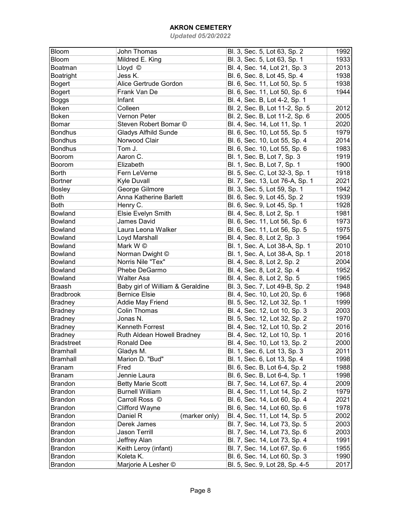| Bloom             | <b>John Thomas</b>               | Bl. 3, Sec. 5, Lot 63, Sp. 2    | 1992 |
|-------------------|----------------------------------|---------------------------------|------|
| Bloom             | Mildred E. King                  | Bl. 3, Sec. 5, Lot 63, Sp. 1    | 1933 |
| Boatman           | Lloyd ©                          | Bl. 4, Sec. 14, Lot 21, Sp. 3   | 2013 |
| Boatright         | Jess K.                          | Bl. 6, Sec. 8, Lot 45, Sp. 4    | 1938 |
| <b>Bogert</b>     | Alice Gertrude Gordon            | Bl. 6, Sec. 11, Lot 50, Sp. 5   | 1938 |
| <b>Bogert</b>     | Frank Van De                     | Bl. 6, Sec. 11, Lot 50, Sp. 6   | 1944 |
| <b>Boggs</b>      | Infant                           | Bl. 4, Sec. B, Lot 4-2, Sp. 1   |      |
| Boken             | Colleen                          | Bl. 2, Sec. B, Lot 11-2, Sp. 5  | 2012 |
| Boken             | Vernon Peter                     | Bl. 2, Sec. B, Lot 11-2, Sp. 6  | 2005 |
| <b>Bomar</b>      | Steven Robert Bomar ©            | Bl. 4, Sec. 14, Lot 11, Sp. 1   | 2020 |
| <b>Bondhus</b>    | <b>Gladys Alfhild Sunde</b>      | Bl. 6, Sec. 10, Lot 55, Sp. 5   | 1979 |
| <b>Bondhus</b>    | Norwood Clair                    | Bl. 6, Sec. 10, Lot 55, Sp. 4   | 2014 |
| <b>Bondhus</b>    | Tom J.                           | Bl. 6, Sec. 10, Lot 55, Sp. 6   | 1983 |
| Boorom            | Aaron C.                         | Bl. 1, Sec. B, Lot 7, Sp. 3     | 1919 |
| Boorom            | Elizabeth                        | Bl. 1, Sec. B, Lot 7, Sp. 1     | 1900 |
| <b>Borth</b>      | Fern LeVerne                     | Bl. 5, Sec. C, Lot 32-3, Sp. 1  | 1918 |
| <b>Bortner</b>    | Kyle Duvall                      | Bl. 7, Sec. 13, Lot 76-A, Sp. 1 | 2021 |
| <b>Bosley</b>     | George Gilmore                   | Bl. 3, Sec. 5, Lot 59, Sp. 1    | 1942 |
| Both              | Anna Katherine Barlett           | Bl. 6, Sec. 9, Lot 45, Sp. 2    | 1939 |
| <b>Both</b>       | Henry C.                         | Bl. 6, Sec. 9, Lot 45, Sp. 1    | 1928 |
| Bowland           | Elsie Evelyn Smith               | Bl. 4, Sec. 8, Lot 2, Sp. 1     | 1981 |
| Bowland           | <b>James David</b>               | Bl. 6, Sec. 11, Lot 56, Sp. 6   | 1973 |
| Bowland           | Laura Leona Walker               | Bl. 6, Sec. 11, Lot 56, Sp. 5   | 1975 |
| Bowland           |                                  |                                 | 1964 |
|                   | Loyd Marshall<br>Mark W ©        | Bl. 4, Sec. 8, Lot 2, Sp. 3     | 2010 |
| Bowland           |                                  | Bl. 1, Sec. A, Lot 38-A, Sp. 1  |      |
| Bowland           | Norman Dwight ©                  | Bl. 1, Sec. A, Lot 38-A, Sp. 1  | 2018 |
| Bowland           | Norris Nile "Tex"                | Bl. 4, Sec. 8, Lot 2, Sp. 2     | 2004 |
| Bowland           | Phebe DeGarmo                    | Bl. 4, Sec. 8, Lot 2, Sp. 4     | 1952 |
| Bowland           | Walter Asa                       | Bl. 4, Sec. 8, Lot 2, Sp. 5     | 1965 |
| <b>Braash</b>     | Baby girl of William & Geraldine | Bl. 3, Sec. 7, Lot 49-B, Sp. 2  | 1948 |
| <b>Bradbrook</b>  | <b>Bernice Elsie</b>             | Bl. 4, Sec. 10, Lot 20, Sp. 6   | 1968 |
| <b>Bradney</b>    | <b>Addie May Friend</b>          | Bl. 5, Sec. 12, Lot 32, Sp. 1   | 1999 |
| <b>Bradney</b>    | <b>Colin Thomas</b>              | Bl. 4, Sec. 12, Lot 10, Sp. 3   | 2003 |
| <b>Bradney</b>    | Jonas N.                         | Bl. 5, Sec. 12, Lot 32, Sp. 2   | 1970 |
| <b>Bradney</b>    | Kenneth Forrest                  | Bl. 4, Sec. 12, Lot 10, Sp. 2   | 2016 |
| <b>Bradney</b>    | Ruth Aldean Howell Bradney       | Bl. 4, Sec. 12, Lot 10, Sp. 1   | 2016 |
| <b>Bradstreet</b> | Ronald Dee                       | Bl. 4, Sec. 10, Lot 13, Sp. 2   | 2000 |
| <b>Bramhall</b>   | Gladys M.                        | Bl. 1, Sec. 6, Lot 13, Sp. 3    | 2011 |
| <b>Bramhall</b>   | Marion D. "Bud"                  | Bl. 1, Sec. 6, Lot 13, Sp. 4    | 1998 |
| Branam            | Fred                             | Bl. 6, Sec. B, Lot 6-4, Sp. 2   | 1988 |
| Branam            | Jennie Laura                     | Bl. 6, Sec. B, Lot 6-4, Sp. 1   | 1998 |
| <b>Brandon</b>    | <b>Betty Marie Scott</b>         | Bl. 7, Sec. 14, Lot 67, Sp. 4   | 2009 |
| <b>Brandon</b>    | <b>Burnell William</b>           | Bl. 4, Sec. 11, Lot 14, Sp. 2   | 1979 |
| <b>Brandon</b>    | Carroll Ross ©                   | Bl. 6, Sec. 14, Lot 60, Sp. 4   | 2021 |
| <b>Brandon</b>    | Clifford Wayne                   | Bl. 6, Sec. 14, Lot 60, Sp. 6   | 1978 |
| <b>Brandon</b>    | Daniel R<br>(marker only)        | Bl. 4, Sec. 11, Lot 14, Sp. 5   | 2002 |
| <b>Brandon</b>    | Derek James                      | Bl. 7, Sec. 14, Lot 73, Sp. 5   | 2003 |
| <b>Brandon</b>    | Jason Terrill                    | Bl. 7, Sec. 14, Lot 73, Sp. 6   | 2003 |
| <b>Brandon</b>    | Jeffrey Alan                     | Bl. 7, Sec. 14, Lot 73, Sp. 4   | 1991 |
| <b>Brandon</b>    | Keith Leroy (infant)             | Bl. 7, Sec. 14, Lot 67, Sp. 6   | 1955 |
| <b>Brandon</b>    | Koleta K.                        | Bl. 6, Sec. 14, Lot 60, Sp. 3   | 1990 |
| <b>Brandon</b>    | Marjorie A Lesher ©              | Bl. 5, Sec. 9, Lot 28, Sp. 4-5  | 2017 |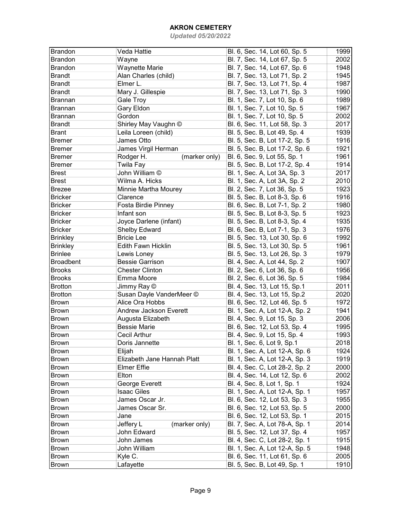| <b>Brandon</b>   | Veda Hattie                   | Bl. 6, Sec. 14, Lot 60, Sp. 5  | 1999 |
|------------------|-------------------------------|--------------------------------|------|
| <b>Brandon</b>   | Wayne                         | Bl. 7, Sec. 14, Lot 67, Sp. 5  | 2002 |
| Brandon          | <b>Waynette Marie</b>         | Bl. 7, Sec. 14, Lot 67, Sp. 6  | 1948 |
| <b>Brandt</b>    | Alan Charles (child)          | Bl. 7, Sec. 13, Lot 71, Sp. 2  | 1945 |
| <b>Brandt</b>    | Elmer L.                      | Bl. 7, Sec. 13, Lot 71, Sp. 4  | 1987 |
| <b>Brandt</b>    | Mary J. Gillespie             | Bl. 7, Sec. 13, Lot 71, Sp. 3  | 1990 |
| <b>Brannan</b>   | Gale Troy                     | Bl. 1, Sec. 7, Lot 10, Sp. 6   | 1989 |
| Brannan          | Gary Eldon                    | Bl. 1, Sec. 7, Lot 10, Sp. 5   | 1967 |
| Brannan          | Gordon                        | Bl. 1, Sec. 7, Lot 10, Sp. 5   | 2002 |
| <b>Brandt</b>    | Shirley May Vaughn ©          | Bl. 6, Sec. 11, Lot 58, Sp. 3  | 2017 |
| <b>Brant</b>     | Leila Loreen (child)          | Bl. 5, Sec. B, Lot 49, Sp. 4   | 1939 |
| <b>Bremer</b>    | James Otto                    | Bl. 5, Sec. B, Lot 17-2, Sp. 5 | 1916 |
| Bremer           | James Virgil Herman           | Bl. 5, Sec. B, Lot 17-2, Sp. 6 | 1921 |
| Bremer           | Rodger H.<br>(marker only)    | Bl. 6, Sec. 9, Lot 55, Sp. 1   | 1961 |
| Bremer           | Twila Fay                     | Bl. 5, Sec. B, Lot 17-2, Sp. 4 | 1914 |
| <b>Brest</b>     | John William ©                | Bl. 1, Sec. A, Lot 3A, Sp. 3   | 2017 |
| <b>Brest</b>     | Wilma A. Hicks                | Bl. 1, Sec. A, Lot 3A, Sp. 2   | 2010 |
| <b>Brezee</b>    | Minnie Martha Mourey          | Bl. 2, Sec. 7, Lot 36, Sp. 5   | 1923 |
| <b>Bricker</b>   | Clarence                      | Bl. 5, Sec. B, Lot 8-3, Sp. 6  | 1916 |
| <b>Bricker</b>   | Fosta Birdie Pinney           | Bl. 6, Sec. B, Lot 7-1, Sp. 2  | 1980 |
| <b>Bricker</b>   | Infant son                    | Bl. 5, Sec. B, Lot 8-3, Sp. 5  | 1923 |
| <b>Bricker</b>   | Joyce Darlene (infant)        | Bl. 5, Sec. B, Lot 8-3, Sp. 4  | 1935 |
| <b>Bricker</b>   | Shelby Edward                 | Bl. 6, Sec. B, Lot 7-1, Sp. 3  | 1976 |
| <b>Brinkley</b>  | <b>Bricie Lee</b>             | Bl. 5, Sec. 13, Lot 30, Sp. 6  | 1992 |
| <b>Brinkley</b>  | <b>Edith Fawn Hicklin</b>     | Bl. 5, Sec. 13, Lot 30, Sp. 5  | 1961 |
| <b>Brinlee</b>   | Lewis Loney                   | Bl. 5, Sec. 13, Lot 26, Sp. 3  | 1979 |
| <b>Broadbent</b> | <b>Bessie Garrison</b>        | Bl. 4, Sec. A, Lot 44, Sp. 2   | 1907 |
| <b>Brooks</b>    | <b>Chester Clinton</b>        | Bl. 2, Sec. 6, Lot 36, Sp. 6   | 1956 |
| <b>Brooks</b>    | Emma Moore                    | Bl. 2, Sec. 6, Lot 36, Sp. 5   | 1984 |
| <b>Brotton</b>   | Jimmy Ray ©                   | Bl. 4, Sec. 13, Lot 15, Sp.1   | 2011 |
| <b>Brotton</b>   | Susan Dayle VanderMeer ©      | Bl. 4, Sec. 13, Lot 15, Sp.2   | 2020 |
| <b>Brown</b>     | Alice Ora Hobbs               | Bl. 6, Sec. 12, Lot 46, Sp. 5  | 1972 |
| <b>Brown</b>     | <b>Andrew Jackson Everett</b> | Bl. 1, Sec. A, Lot 12-A, Sp. 2 | 1941 |
| <b>Brown</b>     | Augusta Elizabeth             | Bl. 4, Sec. 9, Lot 15, Sp. 3   | 2006 |
| <b>Brown</b>     | <b>Bessie Marie</b>           | Bl. 6, Sec. 12, Lot 53, Sp. 4  | 1995 |
| <b>Brown</b>     | <b>Cecil Arthur</b>           | Bl. 4, Sec. 9, Lot 15, Sp. 4   | 1993 |
| <b>Brown</b>     | Doris Jannette                | Bl. 1, Sec. 6, Lot 9, Sp.1     | 2018 |
| Brown            | Elijah                        | Bl. 1, Sec. A, Lot 12-A, Sp. 6 | 1924 |
| <b>Brown</b>     | Elizabeth Jane Hannah Platt   | Bl. 1, Sec. A, Lot 12-A, Sp. 3 | 1919 |
| Brown            | <b>Elmer Effie</b>            | Bl. 4, Sec. C, Lot 28-2, Sp. 2 | 2000 |
| Brown            | Elton                         | Bl. 4, Sec. 14, Lot 12, Sp. 6  | 2002 |
| Brown            | George Everett                | Bl. 4, Sec. 8, Lot 1, Sp. 1    | 1924 |
| <b>Brown</b>     | <b>Isaac Giles</b>            | Bl. 1, Sec. A, Lot 12-A, Sp. 1 | 1957 |
| <b>Brown</b>     | James Oscar Jr.               | Bl. 6, Sec. 12, Lot 53, Sp. 3  | 1955 |
| <b>Brown</b>     | James Oscar Sr.               | Bl. 6, Sec. 12, Lot 53, Sp. 5  | 2000 |
| <b>Brown</b>     | Jane                          | Bl. 6, Sec. 12, Lot 53, Sp. 1  | 2015 |
| <b>Brown</b>     | Jeffery L<br>(marker only)    | Bl. 7, Sec. A, Lot 78-A, Sp. 1 | 2014 |
| Brown            | John Edward                   | Bl. 5, Sec. 12, Lot 37, Sp. 4  | 1957 |
| Brown            | John James                    | Bl. 4, Sec. C, Lot 28-2, Sp. 1 | 1915 |
| Brown            | John William                  | Bl. 1, Sec. A, Lot 12-A, Sp. 5 | 1948 |
| <b>Brown</b>     | Kyle C.                       | Bl. 6, Sec. 11, Lot 61, Sp. 6  | 2005 |
| <b>Brown</b>     | Lafayette                     | Bl. 5, Sec. B, Lot 49, Sp. 1   | 1910 |
|                  |                               |                                |      |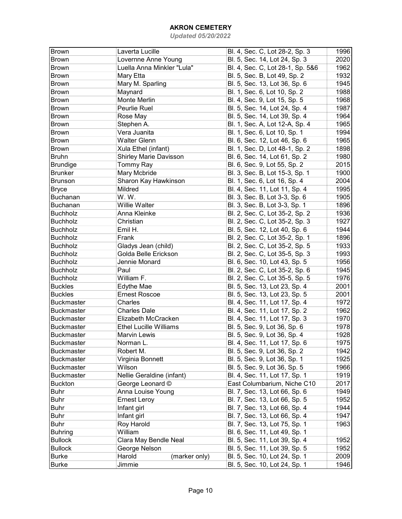| <b>Brown</b>      | Laverta Lucille               | Bl. 4, Sec. C, Lot 28-2, Sp. 3   | 1996 |
|-------------------|-------------------------------|----------------------------------|------|
| <b>Brown</b>      | Lovernne Anne Young           | Bl. 5, Sec. 14, Lot 24, Sp. 3    | 2020 |
| <b>Brown</b>      | Luella Anna Minkler "Lula"    | Bl. 4, Sec. C, Lot 28-1, Sp. 5&6 | 1962 |
| <b>Brown</b>      | Mary Etta                     | Bl. 5, Sec. B, Lot 49, Sp. 2     | 1932 |
| <b>Brown</b>      | Mary M. Sparling              | Bl. 5, Sec. 13, Lot 36, Sp. 6    | 1945 |
| <b>Brown</b>      | Maynard                       | Bl. 1, Sec. 6, Lot 10, Sp. 2     | 1988 |
| <b>Brown</b>      | Monte Merlin                  | Bl. 4, Sec. 9, Lot 15, Sp. 5     | 1968 |
| <b>Brown</b>      | Peurlie Ruel                  | Bl. 5, Sec. 14, Lot 24, Sp. 4    | 1987 |
| <b>Brown</b>      | Rose May                      | Bl. 5, Sec. 14, Lot 39, Sp. 4    | 1964 |
| <b>Brown</b>      | Stephen A.                    | Bl. 1, Sec. A, Lot 12-A, Sp. 4   | 1965 |
| Brown             | Vera Juanita                  | Bl. 1, Sec. 6, Lot 10, Sp. 1     | 1994 |
| <b>Brown</b>      | <b>Walter Glenn</b>           | Bl. 6, Sec. 12, Lot 46, Sp. 6    | 1965 |
| <b>Brown</b>      | Xula Ethel (infant)           | Bl. 1, Sec. D, Lot 48-1, Sp. 2   | 1898 |
| <b>Bruhn</b>      | <b>Shirley Marie Davisson</b> | Bl. 6, Sec. 14, Lot 61, Sp. 2    | 1980 |
| <b>Brundige</b>   | Tommy Ray                     | Bl. 6, Sec. 9, Lot 55, Sp. 2     | 2015 |
| <b>Brunker</b>    | Mary Mcbride                  | Bl. 3, Sec. B, Lot 15-3, Sp. 1   | 1900 |
| <b>Brunson</b>    | Sharon Kay Hawkinson          | Bl. 1, Sec. 6, Lot 16, Sp. 4     | 2004 |
| <b>Bryce</b>      | Mildred                       | Bl. 4, Sec. 11, Lot 11, Sp. 4    | 1995 |
| <b>Buchanan</b>   | W.W.                          | Bl. 3, Sec. B, Lot 3-3, Sp. 6    | 1905 |
| Buchanan          | <b>Willie Walter</b>          | Bl. 3, Sec. B, Lot 3-3, Sp. 1    | 1896 |
| <b>Buchholz</b>   | Anna Kleinke                  | Bl. 2, Sec. C, Lot 35-2, Sp. 2   | 1936 |
| <b>Buchholz</b>   | Christian                     | Bl. 2, Sec. C, Lot 35-2, Sp. 3   | 1927 |
| <b>Buchholz</b>   | Emil H.                       | Bl. 5, Sec. 12, Lot 40, Sp. 6    | 1944 |
| <b>Buchholz</b>   | Frank                         | Bl. 2, Sec. C, Lot 35-2, Sp. 1   | 1896 |
| <b>Buchholz</b>   | Gladys Jean (child)           | Bl. 2, Sec. C, Lot 35-2, Sp. 5   | 1933 |
| <b>Buchholz</b>   | Golda Belle Erickson          | Bl. 2, Sec. C, Lot 35-5, Sp. 3   | 1993 |
| <b>Buchholz</b>   | Jennie Monard                 | Bl. 6, Sec. 10, Lot 43, Sp. 5    | 1956 |
| <b>Buchholz</b>   | Paul                          | Bl. 2, Sec. C, Lot 35-2, Sp. 6   | 1945 |
| <b>Buchholz</b>   | William F.                    | Bl. 2, Sec. C, Lot 35-5, Sp. 5   | 1976 |
| <b>Buckles</b>    | Edythe Mae                    | Bl. 5, Sec. 13, Lot 23, Sp. 4    | 2001 |
| <b>Buckles</b>    | <b>Ernest Roscoe</b>          | Bl. 5, Sec. 13, Lot 23, Sp. 5    | 2001 |
| <b>Buckmaster</b> | Charles                       | Bl. 4, Sec. 11, Lot 17, Sp. 4    | 1972 |
| <b>Buckmaster</b> | <b>Charles Dale</b>           | Bl. 4, Sec. 11, Lot 17, Sp. 2    | 1962 |
| <b>Buckmaster</b> | Elizabeth McCracken           | Bl. 4, Sec. 11, Lot 17, Sp. 3    | 1970 |
| <b>Buckmaster</b> | <b>Ethel Lucille Williams</b> | Bl. 5, Sec. 9, Lot 36, Sp. 6     | 1978 |
| <b>Buckmaster</b> | <b>Marvin Lewis</b>           | Bl. 5, Sec. 9, Lot 36, Sp. 4     | 1928 |
| <b>Buckmaster</b> | Norman L.                     | Bl. 4, Sec. 11, Lot 17, Sp. 6    | 1975 |
| <b>Buckmaster</b> | Robert M.                     | Bl. 5, Sec. 9, Lot 36, Sp. 2     | 1942 |
| <b>Buckmaster</b> | Virginia Bonnett              | Bl. 5, Sec. 9, Lot 36, Sp. 1     | 1925 |
| <b>Buckmaster</b> | Wilson                        | Bl. 5, Sec. 9, Lot 36, Sp. 5     | 1966 |
| <b>Buckmaster</b> | Nellie Geraldine (infant)     | Bl. 4, Sec. 11, Lot 17, Sp. 1    | 1919 |
| <b>Buckton</b>    | George Leonard ©              | East Columbarium, Niche C10      | 2017 |
| <b>Buhr</b>       | Anna Louise Young             | Bl. 7, Sec. 13, Lot 66, Sp. 6    | 1949 |
| Buhr              | <b>Ernest Leroy</b>           | Bl. 7, Sec. 13, Lot 66, Sp. 5    | 1952 |
| <b>Buhr</b>       | Infant girl                   | Bl. 7, Sec. 13, Lot 66, Sp. 4    | 1944 |
| <b>Buhr</b>       | Infant girl                   | Bl. 7, Sec. 13, Lot 66, Sp. 4    | 1947 |
| <b>Buhr</b>       | Roy Harold                    | Bl. 7, Sec. 13, Lot 75, Sp. 1    | 1963 |
| <b>Buhring</b>    | William                       | Bl. 6, Sec. 11, Lot 49, Sp. 1    |      |
| <b>Bullock</b>    | Clara May Bendle Neal         | Bl. 5, Sec. 11, Lot 39, Sp. 4    | 1952 |
| <b>Bullock</b>    | George Nelson                 | Bl. 5, Sec. 11, Lot 39, Sp. 5    | 1952 |
| <b>Burke</b>      | Harold<br>(marker only)       | Bl. 5, Sec. 10, Lot 24, Sp. 1    | 2009 |
| <b>Burke</b>      | Jimmie                        | Bl. 5, Sec. 10, Lot 24, Sp. 1    | 1946 |
|                   |                               |                                  |      |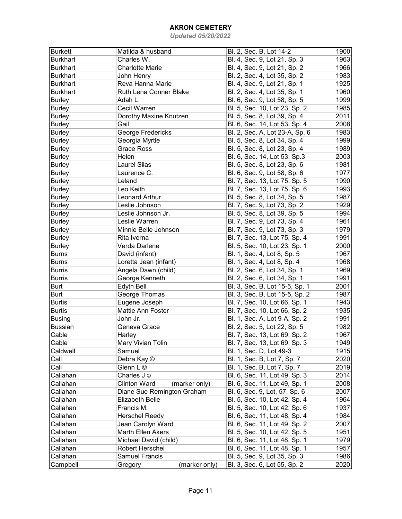| <b>Burkett</b>  | Matilda & husband                        | Bl. 2, Sec. B, Lot 14-2        | 1900 |
|-----------------|------------------------------------------|--------------------------------|------|
| <b>Burkhart</b> | Charles W.                               | Bl. 4, Sec. 9, Lot 21, Sp. 3   | 1963 |
| <b>Burkhart</b> | <b>Charlotte Marie</b>                   | Bl. 4, Sec. 9, Lot 21, Sp. 2   | 1966 |
| <b>Burkhart</b> | John Henry                               | Bl. 2, Sec. 4, Lot 35, Sp. 2   | 1983 |
| <b>Burkhart</b> | Reva Hanna Marie                         | Bl. 4, Sec. 9, Lot 21, Sp. 1   | 1925 |
| <b>Burkhart</b> | Ruth Lena Conner Blake                   | Bl. 2, Sec. 4, Lot 35, Sp. 1   | 1960 |
| <b>Burley</b>   | Adah L.                                  | Bl. 6, Sec. 9, Lot 58, Sp. 5   | 1999 |
| <b>Burley</b>   | Cecil Warren                             | Bl. 5, Sec. 10, Lot 23, Sp. 2  | 1985 |
| <b>Burley</b>   | Dorothy Maxine Knutzen                   | Bl. 5, Sec. 8, Lot 39, Sp. 4   | 2011 |
| <b>Burley</b>   | Gail                                     | Bl. 6, Sec. 14, Lot 53, Sp. 4  | 2008 |
| <b>Burley</b>   | George Fredericks                        | Bl. 2, Sec. A, Lot 23-A, Sp. 6 | 1983 |
| <b>Burley</b>   | Georgia Myrtle                           | Bl. 5, Sec. 8, Lot 34, Sp. 4   | 1999 |
| <b>Burley</b>   | <b>Grace Ross</b>                        | Bl. 5, Sec. 8, Lot 23, Sp. 4   | 1989 |
| <b>Burley</b>   | Helen                                    |                                | 2003 |
|                 | <b>Laurel Silas</b>                      | Bl. 6, Sec. 14, Lot 53, Sp.3   |      |
| <b>Burley</b>   |                                          | Bl. 5, Sec. 8, Lot 23, Sp. 6   | 1981 |
| <b>Burley</b>   | Laurence C.                              | Bl. 6, Sec. 9, Lot 58, Sp. 6   | 1977 |
| <b>Burley</b>   | Leland                                   | Bl. 7, Sec. 13, Lot 75, Sp. 5  | 1990 |
| <b>Burley</b>   | Leo Keith                                | Bl. 7, Sec. 13, Lot 75, Sp. 6  | 1993 |
| <b>Burley</b>   | Leonard Arthur                           | Bl. 5, Sec. 8, Lot 34, Sp. 5   | 1987 |
| <b>Burley</b>   | Leslie Johnson                           | Bl. 7, Sec. 9, Lot 73, Sp. 2   | 1929 |
| <b>Burley</b>   | Leslie Johnson Jr.                       | Bl. 5, Sec. 8, Lot 39, Sp. 5   | 1994 |
| <b>Burley</b>   | Leslie Warren                            | Bl. 7, Sec. 9, Lot 73, Sp. 4   | 1961 |
| <b>Burley</b>   | Minnie Belle Johnson                     | Bl. 7, Sec. 9, Lot 73, Sp. 3   | 1979 |
| <b>Burley</b>   | Rita Iverna                              | Bl. 7, Sec. 13, Lot 75, Sp. 4  | 1991 |
| <b>Burley</b>   | Verda Darlene                            | Bl. 5, Sec. 10, Lot 23, Sp. 1  | 2000 |
| <b>Burns</b>    | David (infant)                           | Bl. 1, Sec. 4, Lot 8, Sp. 5    | 1967 |
| <b>Burns</b>    | Loretta Jean (infant)                    | Bl. 1, Sec. 4, Lot 8, Sp. 4    | 1968 |
| <b>Burris</b>   | Angela Dawn (child)                      | Bl. 2, Sec. 6, Lot 34, Sp. 1   | 1969 |
| <b>Burris</b>   | George Kenneth                           | Bl. 2, Sec. 6, Lot 34, Sp. 1   | 1991 |
| Burt            | Edyth Bell                               | Bl. 3, Sec. B, Lot 15-5, Sp. 1 | 2001 |
| <b>Burt</b>     | George Thomas                            | Bl. 3, Sec. B, Lot 15-5, Sp. 2 | 1987 |
| <b>Burtis</b>   | Eugene Joseph                            | Bl. 7, Sec. 10, Lot 66, Sp. 1  | 1943 |
| <b>Burtis</b>   | Mattie Ann Foster                        | Bl. 7, Sec. 10, Lot 66, Sp. 2  | 1935 |
| <b>Busing</b>   | John Jr.                                 | Bl. 1, Sec. A, Lot 9-A, Sp. 2  | 1991 |
| <b>Bussian</b>  | Geneva Grace                             | Bl. 2, Sec. 5, Lot 22, Sp. 5   | 1982 |
| Cable           | Harley                                   | Bl. 7, Sec. 13, Lot 69, Sp. 2  | 1967 |
| Cable           | Mary Vivian Tolin                        | Bl. 7, Sec. 13, Lot 69, Sp. 3  | 1949 |
| Caldwell        | Samuel                                   | Bl. 1, Sec. D, Lot 49-3        | 1915 |
| Call            | Debra Kay ©                              | Bl. 1, Sec. B, Lot 7, Sp. 7    | 2020 |
| Call            | Glenn L ©                                | Bl. 1, Sec. B, Lot 7, Sp. 7    | 2019 |
| Callahan        | Charles J ©                              | Bl. 6, Sec. 11, Lot 49, Sp. 3  | 2014 |
| Callahan        | <b>Clinton Ward</b><br>(marker only)     | Bl. 6, Sec. 11, Lot 49, Sp. 1  | 2008 |
| Callahan        | Diane Sue Remington Graham               | Bl. 6, Sec. 9, Lot, 57, Sp. 6  | 2007 |
| Callahan        | <b>Elizabeth Belle</b>                   | Bl. 5, Sec. 10, Lot 42, Sp. 4  | 1964 |
| Callahan        | Francis M.                               | Bl. 5, Sec. 10, Lot 42, Sp. 6  | 1937 |
| Callahan        | <b>Herschel Reedy</b>                    | Bl. 6, Sec. 11, Lot 48, Sp. 4  | 1984 |
| Callahan        | Jean Carolyn Ward                        | Bl. 6, Sec. 11, Lot 49, Sp. 2  | 2007 |
| Callahan        | Marth Ellen Akers                        | Bl. 5, Sec. 10, Lot 42, Sp. 5  | 1951 |
| Callahan        |                                          |                                | 1979 |
|                 | Michael David (child)<br>Robert Herschel | Bl. 6, Sec. 11, Lot 48, Sp. 1  |      |
| Callahan        |                                          | Bl. 6, Sec. 11, Lot 48, Sp. 1  | 1957 |
| Callahan        | <b>Samuel Francis</b>                    | Bl. 5, Sec. 9, Lot 35, Sp. 3   | 1986 |
| Campbell        | (marker only)<br>Gregory                 | Bl. 3, Sec. 6, Lot 55, Sp. 2   | 2020 |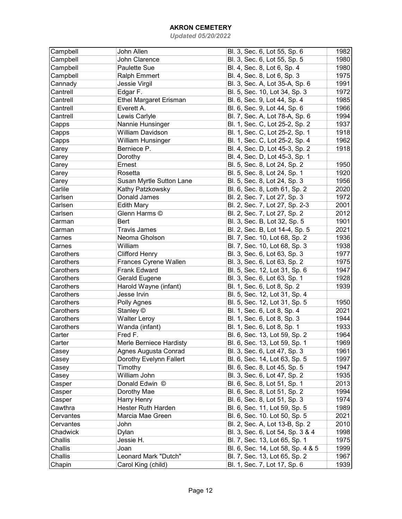| Campbell  | John Allen                    | Bl. 3, Sec. 6, Lot 55, Sp. 6      | 1982 |
|-----------|-------------------------------|-----------------------------------|------|
| Campbell  | John Clarence                 | Bl. 3, Sec. 6, Lot 55, Sp. 5      | 1980 |
| Campbell  | <b>Paulette Sue</b>           | Bl. 4, Sec. 8, Lot 6, Sp. 4       | 1980 |
| Campbell  | <b>Ralph Emmert</b>           | Bl. 4, Sec. 8, Lot 6, Sp. 3       | 1975 |
| Cannady   | Jessie Virgil                 | Bl. 3, Sec. A, Lot 35-A, Sp. 6    | 1991 |
| Cantrell  | Edgar F.                      | Bl. 5, Sec. 10, Lot 34, Sp. 3     | 1972 |
| Cantrell  | <b>Ethel Margaret Erisman</b> | Bl. 6, Sec. 9, Lot 44, Sp. 4      | 1985 |
| Cantrell  | Everett A.                    | Bl. 6, Sec. 9, Lot 44, Sp. 6      | 1966 |
| Cantrell  | Lewis Carlyle                 | Bl. 7, Sec. A, Lot 78-A, Sp. 6    | 1994 |
| Capps     | Nannie Hunsinger              | Bl. 1, Sec. C, Lot 25-2, Sp. 2    | 1937 |
| Capps     | <b>William Davidson</b>       | Bl. 1, Sec. C, Lot 25-2, Sp. 1    | 1918 |
| Capps     | <b>William Hunsinger</b>      | Bl. 1, Sec. C, Lot 25-2, Sp. 4    | 1962 |
| Carey     | Berniece P.                   | Bl. 4, Sec. D, Lot 45-3, Sp. 2    | 1918 |
| Carey     | Dorothy                       | Bl. 4, Sec. D, Lot 45-3, Sp. 1    |      |
| Carey     | Ernest                        | Bl. 5, Sec. 8, Lot 24, Sp. 2      | 1950 |
| Carey     | Rosetta                       | Bl. 5, Sec. 8, Lot 24, Sp. 1      | 1920 |
| Carey     | Susan Myrtle Sutton Lane      | Bl. 5, Sec. 8, Lot 24, Sp. 3      | 1956 |
| Carlile   | Kathy Patzkowsky              | Bl. 6, Sec. 8, Loth 61, Sp. 2     | 2020 |
| Carlsen   | Donald James                  | Bl. 2, Sec. 7, Lot 27, Sp. 3      | 1972 |
| Carlsen   | <b>Edith Mary</b>             | Bl. 2, Sec. 7, Lot 27, Sp. 2-3    | 2001 |
| Carlsen   | Glenn Harms ©                 | Bl. 2, Sec. 7, Lot 27, Sp. 2      | 2012 |
| Carman    | <b>Bert</b>                   | Bl. 3, Sec. B, Lot 32, Sp. 5      | 1901 |
| Carman    | <b>Travis James</b>           | Bl. 2, Sec. B, Lot 14-4, Sp. 5    | 2021 |
| Carnes    | Neoma Gholson                 | Bl. 7, Sec. 10, Lot 68, Sp. 2     | 1936 |
| Carnes    | William                       | Bl. 7, Sec. 10, Lot 68, Sp. 3     | 1938 |
| Carothers | <b>Clifford Henry</b>         | Bl. 3, Sec. 6, Lot 63, Sp. 3      | 1977 |
| Carothers | Frances Cyrene Wallen         | Bl. 3, Sec. 6, Lot 63, Sp. 2      | 1975 |
| Carothers | <b>Frank Edward</b>           | Bl. 5, Sec. 12, Lot 31, Sp. 6     | 1947 |
| Carothers | Gerald Eugene                 | Bl. 3, Sec. 6, Lot 63, Sp. 1      | 1928 |
| Carothers | Harold Wayne (infant)         | Bl. 1, Sec. 6, Lot 8, Sp. 2       | 1939 |
| Carothers | Jesse Irvin                   | Bl. 5, Sec. 12, Lot 31, Sp. 4     |      |
| Carothers | Polly Agnes                   | Bl. 5, Sec. 12, Lot 31, Sp. 5     | 1950 |
| Carothers | Stanley ©                     | Bl. 1, Sec. 6, Lot 8, Sp. 4       | 2021 |
| Carothers | <b>Walter Leroy</b>           | Bl. 1, Sec. 6, Lot 8, Sp. 3       | 1944 |
| Carothers | Wanda (infant)                | Bl. 1, Sec. 6, Lot 8, Sp. 1       | 1933 |
| Carter    | Fred F.                       | Bl. 6, Sec. 13, Lot 59, Sp. 2     | 1964 |
| Carter    | Merle Berniece Hardisty       | Bl. 6, Sec. 13, Lot 59, Sp. 1     | 1969 |
| Casey     | Agnes Augusta Conrad          | Bl. 3, Sec. 6, Lot 47, Sp. 3      | 1961 |
| Casey     | Dorothy Evelynn Fallert       | Bl. 6, Sec. 14, Lot 63, Sp. 5     | 1997 |
| Casey     | Timothy                       | Bl. 6, Sec. 8, Lot 45, Sp. 5      | 1947 |
| Casey     | William John                  | Bl. 3, Sec. 6, Lot 47, Sp. 2      | 1935 |
| Casper    | Donald Edwin ©                | Bl. 6, Sec. 8, Lot 51, Sp. 1      | 2013 |
| Casper    | Dorothy Mae                   | Bl. 6, Sec. 8, Lot 51, Sp. 2      | 1994 |
| Casper    | Harry Henry                   | Bl. 6, Sec. 8, Lot 51, Sp. 3      | 1974 |
| Cawthra   | <b>Hester Ruth Harden</b>     | Bl. 6, Sec. 11, Lot 59, Sp. 5     | 1989 |
| Cervantes | Marcia Mae Green              | Bl. 6, Sec. 10. Lot 50, Sp. 5     | 2021 |
| Cervantes | John                          | Bl. 2, Sec. A, Lot 13-B, Sp. 2    | 2010 |
| Chadwick  | Dylan                         | Bl. 3, Sec. 6, Lot 54, Sp. 3 & 4  | 1998 |
| Challis   | Jessie H.                     | Bl. 7, Sec. 13, Lot 65, Sp. 1     | 1975 |
| Challis   | Joan                          | Bl. 6, Sec. 14, Lot 58, Sp. 4 & 5 | 1999 |
| Challis   | Leonard Mark "Dutch"          | Bl. 7, Sec. 13, Lot 65, Sp. 2     | 1967 |
| Chapin    | Carol King (child)            | Bl. 1, Sec. 7, Lot 17, Sp. 6      | 1939 |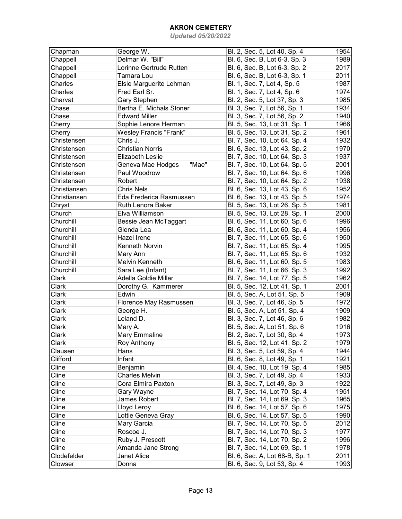| Chapman      | George W.                     | Bl. 2, Sec. 5, Lot 40, Sp. 4   | 1954 |
|--------------|-------------------------------|--------------------------------|------|
| Chappell     | Delmar W. "Bill"              | Bl. 6, Sec. B, Lot 6-3, Sp. 3  | 1989 |
| Chappell     | Lorinne Gertrude Rutten       | Bl. 6, Sec. B, Lot 6-3, Sp. 2  | 2017 |
| Chappell     | Tamara Lou                    | Bl. 6, Sec. B, Lot 6-3, Sp. 1  | 2011 |
| Charles      | Elsie Marguerite Lehman       | Bl. 1, Sec. 7, Lot 4, Sp. 5    | 1987 |
| Charles      | Fred Earl Sr.                 | Bl. 1, Sec. 7, Lot 4, Sp. 6    | 1974 |
| Charvat      | <b>Gary Stephen</b>           | Bl. 2, Sec. 5, Lot 37, Sp. 3   | 1985 |
| Chase        | Bertha E. Michals Stoner      | Bl. 3, Sec. 7, Lot 56, Sp. 1   | 1934 |
| Chase        | <b>Edward Miller</b>          | Bl. 3, Sec. 7, Lot 56, Sp. 2   | 1940 |
| Cherry       | Sophie Lenore Herman          | Bl. 5, Sec. 13, Lot 31, Sp. 1  | 1966 |
| Cherry       | <b>Wesley Francis "Frank"</b> | Bl. 5, Sec. 13, Lot 31, Sp. 2  | 1961 |
| Christensen  | Chris J.                      | Bl. 7, Sec. 10, Lot 64, Sp. 4  | 1932 |
| Christensen  | <b>Christian Norris</b>       | Bl. 6, Sec. 13, Lot 43, Sp. 2  | 1970 |
| Christensen  | <b>Elizabeth Leslie</b>       | Bl. 7, Sec. 10, Lot 64, Sp. 3  | 1937 |
| Christensen  | Geneva Mae Hodges<br>"Mae"    | Bl. 7, Sec. 10, Lot 64, Sp. 5  | 2001 |
| Christensen  | Paul Woodrow                  | Bl. 7, Sec. 10, Lot 64, Sp. 6  | 1996 |
| Christensen  | Robert                        | Bl. 7, Sec. 10, Lot 64, Sp. 2  | 1938 |
| Christiansen | <b>Chris Nels</b>             | Bl. 6, Sec. 13, Lot 43, Sp. 6  | 1952 |
| Christiansen | Eda Frederica Rasmussen       | Bl. 6, Sec. 13, Lot 43, Sp. 5  | 1974 |
| Chryst       | Ruth Lenora Baker             | Bl. 5, Sec. 13, Lot 26, Sp. 5  | 1981 |
| Church       | Elva Williamson               | Bl. 5, Sec. 13, Lot 28, Sp. 1  | 2000 |
| Churchill    | Bessie Jean McTaggart         |                                | 1996 |
|              | Glenda Lea                    | Bl. 6, Sec. 11, Lot 60, Sp. 6  |      |
| Churchill    |                               | Bl. 6, Sec. 11, Lot 60, Sp. 4  | 1956 |
| Churchill    | Hazel Irene                   | Bl. 7, Sec. 11, Lot 65, Sp. 6  | 1950 |
| Churchill    | Kenneth Norvin                | Bl. 7, Sec. 11, Lot 65, Sp. 4  | 1995 |
| Churchill    | Mary Ann                      | Bl. 7, Sec. 11, Lot 65, Sp. 6  | 1932 |
| Churchill    | Melvin Kenneth                | Bl. 6, Sec. 11, Lot 60, Sp. 5  | 1983 |
| Churchill    | Sara Lee (Infant)             | Bl. 7, Sec. 11, Lot 66, Sp. 3  | 1992 |
| Clark        | Adella Goldie Miller          | Bl. 7, Sec. 14, Lot 77, Sp. 5  | 1962 |
| Clark        | Dorothy G. Kammerer           | Bl. 5, Sec. 12, Lot 41, Sp. 1  | 2001 |
| Clark        | Edwin                         | Bl. 5, Sec. A, Lot 51, Sp. 5   | 1909 |
| Clark        | Florence May Rasmussen        | Bl. 3, Sec. 7, Lot 46, Sp. 5   | 1972 |
| Clark        | George H.                     | Bl. 5, Sec. A, Lot 51, Sp. 4   | 1909 |
| Clark        | Leland D.                     | Bl. 3, Sec. 7, Lot 46, Sp. 6   | 1982 |
| Clark        | Mary A.                       | Bl. 5, Sec. A, Lot 51, Sp. 6   | 1916 |
| Clark        | Mary Emmaline                 | Bl. 2, Sec. 7, Lot 30, Sp. 4   | 1973 |
| Clark        | Roy Anthony                   | Bl. 5, Sec. 12, Lot 41, Sp. 2  | 1979 |
| Clausen      | Hans                          | Bl. 3, Sec. 5, Lot 59, Sp. 4   | 1944 |
| Clifford     | Infant                        | Bl. 6, Sec. 8, Lot 49, Sp. 1   | 1921 |
| Cline        | Benjamin                      | Bl. 4, Sec. 10, Lot 19, Sp. 4  | 1985 |
| Cline        | <b>Charles Melvin</b>         | Bl. 3, Sec. 7, Lot 49, Sp. 4   | 1933 |
| Cline        | Cora Elmira Paxton            | Bl. 3, Sec. 7, Lot 49, Sp. 3   | 1922 |
| Cline        | Gary Wayne                    | Bl. 7, Sec. 14, Lot 70, Sp. 4  | 1951 |
| Cline        | James Robert                  | Bl. 7, Sec. 14, Lot 69, Sp. 3  | 1965 |
| Cline        | Lloyd Leroy                   | Bl. 6, Sec. 14, Lot 57, Sp. 6  | 1975 |
| Cline        | Lottie Geneva Gray            | Bl. 6, Sec. 14, Lot 57, Sp. 5  | 1990 |
| Cline        | Mary Garcia                   | Bl. 7, Sec. 14, Lot 70, Sp. 5  | 2012 |
| Cline        | Roscoe J.                     | Bl. 7, Sec. 14, Lot 70, Sp. 3  | 1977 |
| Cline        | Ruby J. Prescott              | Bl. 7, Sec. 14, Lot 70, Sp. 2  | 1996 |
| Cline        | Amanda Jane Strong            | Bl. 7, Sec. 14, Lot 69, Sp. 1  | 1978 |
| Clodefelder  | Janet Alice                   | Bl. 6, Sec. A, Lot 68-B, Sp. 1 | 2011 |
| Clowser      | Donna                         | Bl. 6, Sec. 9, Lot 53, Sp. 4   | 1993 |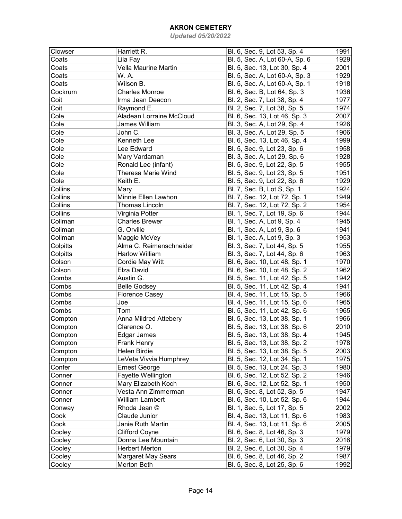| Clowser  | Harriett R.               | Bl. 6, Sec. 9, Lot 53, Sp. 4   | 1991 |
|----------|---------------------------|--------------------------------|------|
| Coats    | Lila Fay                  | Bl. 5, Sec. A, Lot 60-A, Sp. 6 | 1929 |
| Coats    | Vella Maurine Martin      | Bl. 5, Sec. 13, Lot 30, Sp. 4  | 2001 |
| Coats    | W. A.                     | Bl. 5, Sec. A, Lot 60-A, Sp. 3 | 1929 |
| Coats    | Wilson B.                 | Bl. 5, Sec. A, Lot 60-A, Sp. 1 | 1918 |
| Cockrum  | <b>Charles Monroe</b>     | Bl. 6, Sec. B, Lot 64, Sp. 3   | 1936 |
| Coit     | Irma Jean Deacon          | Bl. 2, Sec. 7, Lot 38, Sp. 4   | 1977 |
| Coit     | Raymond E.                | Bl. 2, Sec. 7, Lot 38, Sp. 5   | 1974 |
| Cole     | Aladean Lorraine McCloud  | Bl. 6, Sec. 13, Lot 46, Sp. 3  | 2007 |
| Cole     | James William             | Bl. 3, Sec. A, Lot 29, Sp. 4   | 1926 |
| Cole     | John C.                   | Bl. 3, Sec. A, Lot 29, Sp. 5   | 1906 |
| Cole     | Kenneth Lee               | Bl. 6, Sec. 13, Lot 46, Sp. 4  | 1999 |
| Cole     | Lee Edward                | Bl. 5, Sec. 9, Lot 23, Sp. 6   | 1958 |
| Cole     | Mary Vardaman             | Bl. 3, Sec. A, Lot 29, Sp. 6   | 1928 |
| Cole     | Ronald Lee (infant)       | Bl. 5, Sec. 9, Lot 22, Sp. 5   | 1955 |
| Cole     | Theresa Marie Wind        | Bl. 5, Sec. 9, Lot 23, Sp. 5   | 1951 |
| Cole     | Keith E.                  | Bl. 5, Sec. 9, Lot 22, Sp. 6   | 1929 |
| Collins  | Mary                      | Bl. 7, Sec. B, Lot S, Sp. 1    | 1924 |
| Collins  | Minnie Ellen Lawhon       | Bl. 7, Sec. 12, Lot 72, Sp. 1  | 1949 |
| Collins  | Thomas Lincoln            | Bl. 7, Sec. 12, Lot 72, Sp. 2  | 1954 |
| Collins  | Virginia Potter           | Bl. 1, Sec. 7, Lot 19, Sp. 6   | 1944 |
| Collman  | <b>Charles Brewer</b>     | Bl. 1, Sec. A, Lot 9, Sp. 4    | 1945 |
| Collman  | G. Orville                | Bl. 1, Sec. A, Lot 9, Sp. 6    | 1941 |
| Collman  | Maggie McVey              | Bl. 1, Sec. A, Lot 9, Sp. 3    | 1953 |
| Colpitts | Alma C. Reimenschneider   | Bl. 3, Sec. 7, Lot 44, Sp. 5   | 1955 |
| Colpitts | <b>Harlow William</b>     | Bl. 3, Sec. 7, Lot 44, Sp. 6   | 1963 |
| Colson   | Cordie May Witt           | Bl. 6, Sec. 10, Lot 48, Sp. 1  | 1970 |
| Colson   | Elza David                | Bl. 6, Sec. 10, Lot 48, Sp. 2  | 1962 |
| Combs    | Austin G.                 | Bl. 5, Sec. 11, Lot 42, Sp. 5  | 1942 |
| Combs    | <b>Belle Godsey</b>       | Bl. 5, Sec. 11, Lot 42, Sp. 4  | 1941 |
| Combs    | <b>Florence Casey</b>     | Bl. 4, Sec. 11, Lot 15, Sp. 5  | 1966 |
| Combs    | Joe                       | Bl. 4, Sec. 11, Lot 15, Sp. 6  | 1965 |
| Combs    | Tom                       | Bl. 5, Sec. 11, Lot 42, Sp. 6  | 1965 |
| Compton  | Anna Mildred Attebery     | Bl. 5, Sec. 13, Lot 38, Sp. 1  | 1966 |
| Compton  | Clarence O.               | Bl. 5, Sec. 13, Lot 38, Sp. 6  | 2010 |
| Compton  | Edgar James               | Bl. 5, Sec. 13, Lot 38, Sp. 4  | 1945 |
| Compton  | <b>Frank Henry</b>        | Bl. 5, Sec. 13, Lot 38, Sp. 2  | 1978 |
| Compton  | Helen Birdie              | Bl. 5, Sec. 13, Lot 38, Sp. 5  | 2003 |
| Compton  | LeVeta Vivvia Humphrey    | Bl. 5, Sec. 12, Lot 34, Sp. 1  | 1975 |
| Confer   | <b>Ernest George</b>      | Bl. 5, Sec. 13, Lot 24, Sp. 3  | 1980 |
| Conner   | Fayette Wellington        | Bl. 6, Sec. 12, Lot 52, Sp. 2  | 1946 |
| Conner   | Mary Elizabeth Koch       | Bl. 6, Sec. 12, Lot 52, Sp. 1  | 1950 |
| Conner   | Vesta Ann Zimmerman       | Bl. 6, Sec. 8, Lot 52, Sp. 5   | 1947 |
| Conner   | <b>William Lambert</b>    | Bl. 6, Sec. 10, Lot 52, Sp. 6  | 1944 |
| Conway   | Rhoda Jean ©              | Bl. 1, Sec. 5, Lot 17, Sp. 5   | 2002 |
| Cook     | Claude Junior             | Bl. 4, Sec. 13, Lot 11, Sp. 6  | 1983 |
| Cook     | Janie Ruth Martin         | Bl. 4, Sec. 13, Lot 11, Sp. 6  | 2005 |
| Cooley   | <b>Clifford Coyne</b>     | Bl. 6, Sec. 8, Lot 46, Sp. 3   | 1979 |
| Cooley   | Donna Lee Mountain        | Bl. 2, Sec. 6, Lot 30, Sp. 3   | 2016 |
| Cooley   | <b>Herbert Merton</b>     | Bl. 2, Sec. 6, Lot 30, Sp. 4   | 1979 |
| Cooley   | <b>Margaret May Sears</b> | Bl. 6, Sec. 8, Lot 46, Sp. 2   | 1987 |
| Cooley   | Merton Beth               | Bl. 5, Sec. 8, Lot 25, Sp. 6   | 1992 |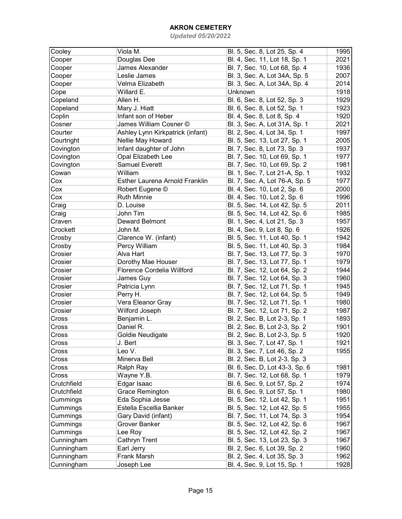| Cooley      | Viola M.                         | Bl. 5, Sec. 8, Lot 25, Sp. 4   | 1995 |
|-------------|----------------------------------|--------------------------------|------|
| Cooper      | Douglas Dee                      | Bl. 4, Sec. 11, Lot 18, Sp. 1  | 2021 |
| Cooper      | James Alexander                  | Bl. 7, Sec. 10, Lot 68, Sp. 4  | 1936 |
| Cooper      | Leslie James                     | Bl. 3, Sec. A, Lot 34A, Sp. 5  | 2007 |
| Cooper      | Velma Elizabeth                  | Bl. 3, Sec. A, Lot 34A, Sp. 4  | 2014 |
| Cope        | Willard E.                       | Unknown                        | 1918 |
| Copeland    | Allen H.                         | Bl. 6, Sec. 8, Lot 52, Sp. 3   | 1929 |
| Copeland    | Mary J. Hiatt                    | Bl. 6, Sec. 8, Lot 52, Sp. 1   | 1923 |
| Coplin      | Infant son of Heber              | Bl. 4, Sec. 8, Lot 8, Sp. 4    | 1920 |
| Cosner      | James William Cosner ©           | Bl. 3, Sec. A, Lot 31A, Sp. 1  | 2021 |
| Courter     | Ashley Lynn Kirkpatrick (infant) | Bl. 2, Sec. 4, Lot 34, Sp. 1   | 1997 |
| Courtright  | Nellie May Howard                | Bl. 5, Sec. 13, Lot 27, Sp. 1  | 2005 |
| Covington   | Infant daughter of John          | Bl. 7, Sec. 8, Lot 73, Sp. 3   | 1937 |
| Covington   | Opal Elizabeth Lee               | Bl. 7, Sec. 10, Lot 69, Sp. 1  | 1977 |
| Covington   | <b>Samuel Everett</b>            | Bl. 7, Sec. 10, Lot 69, Sp. 2  | 1981 |
| Cowan       | William                          | Bl. 1, Sec. 7, Lot 21-A, Sp. 1 | 1932 |
| Cox         | Esther Laurena Arnold Franklin   | Bl. 7, Sec. A, Lot 76-A, Sp. 5 | 1977 |
| Сох         | Robert Eugene ©                  | Bl. 4, Sec. 10, Lot 2, Sp. 6   | 2000 |
| Cox         | <b>Ruth Minnie</b>               | Bl. 4, Sec. 10, Lot 2, Sp. 6   | 1996 |
| Craig       | D. Louise                        | Bl. 5, Sec. 14, Lot 42, Sp. 5  | 2011 |
| Craig       | John Tim                         | Bl. 5, Sec. 14, Lot 42, Sp. 6  | 1985 |
| Craven      | Deward Belmont                   | Bl. 1, Sec. 4, Lot 21, Sp. 3   | 1957 |
| Crockett    | John M.                          | Bl. 4, Sec. 9, Lot 8, Sp. 6    | 1926 |
| Crosby      | Clarence W. (infant)             | Bl. 5, Sec. 11, Lot 40, Sp. 1  | 1942 |
| Crosby      | Percy William                    | Bl. 5, Sec. 11, Lot 40, Sp. 3  | 1984 |
| Crosier     | Alva Hart                        | Bl. 7, Sec. 13, Lot 77, Sp. 3  | 1970 |
| Crosier     | Dorothy Mae Houser               | Bl. 7, Sec. 13, Lot 77, Sp. 1  | 1979 |
| Crosier     | Florence Cordelia Willford       | Bl. 7, Sec. 12, Lot 64, Sp. 2  | 1944 |
| Crosier     | James Guy                        | Bl. 7, Sec. 12, Lot 64, Sp. 3  | 1960 |
| Crosier     | Patricia Lynn                    | Bl. 7, Sec. 12, Lot 71, Sp. 1  | 1945 |
| Crosier     | Perry H.                         | Bl. 7, Sec. 12, Lot 64, Sp. 5  | 1949 |
| Crosier     | Vera Eleanor Gray                | Bl. 7, Sec. 12, Lot 71, Sp. 1  | 1980 |
| Crosier     | Wilford Joseph                   | Bl. 7, Sec. 12, Lot 71, Sp. 2  | 1987 |
| Cross       | Benjamin L.                      | Bl. 2, Sec. B, Lot 2-3, Sp. 1  | 1893 |
| Cross       | Daniel R.                        | Bl. 2, Sec. B, Lot 2-3, Sp. 2  | 1901 |
| Cross       | <b>Goldie Neudigate</b>          | Bl. 2, Sec. B, Lot 2-3, Sp. 5  | 1920 |
| Cross       | J. Bert                          | Bl. 3, Sec. 7, Lot 47, Sp. 1   | 1921 |
| Cross       | Leo V.                           | Bl. 3, Sec. 7, Lot 46, Sp. 2   | 1955 |
| Cross       | Minerva Bell                     | Bl. 2, Sec. B, Lot 2-3, Sp. 3  |      |
| Cross       | Ralph Ray                        | Bl. 6, Sec. D, Lot 43-3, Sp. 6 | 1981 |
| Cross       | Wayne Y.B.                       | Bl. 7, Sec. 12, Lot 68, Sp. 1  | 1979 |
| Crutchfield | Edgar Isaac                      | Bl. 6, Sec. 9, Lot 57, Sp. 2   | 1974 |
| Crutchfield | <b>Grace Remington</b>           | Bl. 6, Sec. 9, Lot 57, Sp. 1   | 1980 |
| Cummings    | Eda Sophia Jesse                 | Bl. 5, Sec. 12, Lot 42, Sp. 1  | 1951 |
| Cummings    | Estella Escellia Banker          | Bl. 5, Sec. 12, Lot 42, Sp. 5  | 1955 |
| Cummings    | Gary David (infant)              | Bl. 7, Sec. 11, Lot 74, Sp. 3  | 1954 |
| Cummings    | Grover Banker                    | Bl. 5, Sec. 12, Lot 42, Sp. 6  | 1967 |
| Cummings    | Lee Roy                          | Bl. 5, Sec. 12, Lot 42, Sp. 2  | 1967 |
| Cunningham  | Cathryn Trent                    | Bl. 5, Sec. 13, Lot 23, Sp. 3  | 1967 |
| Cunningham  | Earl Jerry                       | Bl. 2, Sec. 6, Lot 39, Sp. 2   | 1960 |
| Cunningham  | Frank Marsh                      | Bl. 2, Sec. 4, Lot 35, Sp. 3   | 1962 |
| Cunningham  | Joseph Lee                       | Bl. 4, Sec. 9, Lot 15, Sp. 1   | 1928 |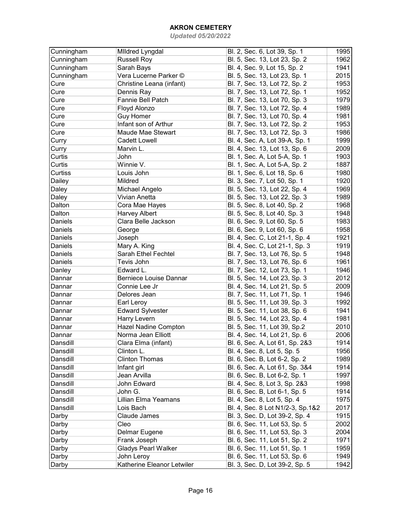| Cunningham | <b>Mildred Lyngdal</b>        | Bl. 2, Sec. 6, Lot 39, Sp. 1     | 1995 |
|------------|-------------------------------|----------------------------------|------|
| Cunningham | <b>Russell Roy</b>            | Bl. 5, Sec. 13, Lot 23, Sp. 2    | 1962 |
| Cunningham | Sarah Bays                    | Bl. 4, Sec. 9, Lot 15, Sp. 2     | 1941 |
| Cunningham | Vera Lucerne Parker ©         | Bl. 5, Sec. 13, Lot 23, Sp. 1    | 2015 |
| Cure       | Christine Leana (infant)      | Bl. 7, Sec. 13, Lot 72, Sp. 2    | 1953 |
| Cure       | Dennis Ray                    | Bl. 7, Sec. 13, Lot 72, Sp. 1    | 1952 |
| Cure       | Fannie Bell Patch             | Bl. 7, Sec. 13, Lot 70, Sp. 3    | 1979 |
| Cure       | Floyd Alonzo                  | Bl. 7, Sec. 13, Lot 72, Sp. 4    | 1989 |
| Cure       | <b>Guy Homer</b>              | Bl. 7, Sec. 13, Lot 70, Sp. 4    | 1981 |
| Cure       | Infant son of Arthur          | Bl. 7, Sec. 13, Lot 72, Sp. 2    | 1953 |
| Cure       | Maude Mae Stewart             | Bl. 7, Sec. 13, Lot 72, Sp. 3    | 1986 |
| Curry      | <b>Cadett Lowell</b>          | Bl. 4, Sec. A, Lot 39-A, Sp. 1   | 1999 |
| Curry      | Marvin L.                     | Bl. 4, Sec. 13, Lot 13, Sp. 6    | 2009 |
| Curtis     | John                          | Bl. 1, Sec. A, Lot 5-A, Sp. 1    | 1903 |
| Curtis     | Winnie V.                     | Bl. 1, Sec. A, Lot 5-A, Sp. 2    | 1887 |
| Curtiss    | Louis John                    | Bl. 1, Sec. 6, Lot 18, Sp. 6     | 1980 |
| Dailey     | Mildred                       | Bl. 3, Sec. 7, Lot 50, Sp. 1     | 1920 |
| Daley      | Michael Angelo                | Bl. 5, Sec. 13, Lot 22, Sp. 4    | 1969 |
| Daley      | Vivian Anetta                 | Bl. 5, Sec. 13, Lot 22, Sp. 3    | 1989 |
| Dalton     | Cora Mae Hayes                | Bl. 5, Sec. 8, Lot 40, Sp. 2     | 1968 |
| Dalton     | <b>Harvey Albert</b>          | Bl. 5, Sec. 8, Lot 40, Sp. 3     | 1948 |
| Daniels    | Clara Belle Jackson           | Bl. 6, Sec. 9, Lot 60, Sp. 5     | 1983 |
| Daniels    | George                        | Bl. 6, Sec. 9, Lot 60, Sp. 6     | 1958 |
| Daniels    | Joseph                        | Bl. 4, Sec. C, Lot 21-1, Sp. 4   | 1921 |
| Daniels    | Mary A. King                  | Bl. 4, Sec. C, Lot 21-1, Sp. 3   | 1919 |
| Daniels    | Sarah Ethel Fechtel           | Bl. 7, Sec. 13, Lot 76, Sp. 5    | 1948 |
| Daniels    | Tevis John                    | Bl. 7, Sec. 13, Lot 76, Sp. 6    | 1961 |
| Danley     | Edward L.                     | Bl. 7, Sec. 12, Lot 73, Sp. 1    | 1946 |
| Dannar     | <b>Berniece Louise Dannar</b> | Bl. 5, Sec. 14, Lot 23, Sp. 3    | 2012 |
| Dannar     | Connie Lee Jr                 | Bl. 4, Sec. 14, Lot 21, Sp. 5    | 2009 |
| Dannar     | Delores Jean                  | Bl. 7, Sec. 11, Lot 71, Sp. 1    | 1946 |
| Dannar     | Earl Leroy                    | Bl. 5, Sec. 11, Lot 39, Sp. 3    | 1992 |
| Dannar     | <b>Edward Sylvester</b>       | Bl. 5, Sec. 11, Lot 38, Sp. 6    | 1941 |
| Dannar     | Harry Levern                  | Bl. 5, Sec. 14, Lot 23, Sp. 4    | 1981 |
| Dannar     | <b>Hazel Nadine Compton</b>   | Bl. 5, Sec. 11, Lot 39, Sp.2     | 2010 |
| Dannar     | Norma Jean Elliott            | Bl. 4, Sec. 14, Lot 21, Sp. 6    | 2006 |
| Dansdill   | Clara Elma (infant)           | Bl. 6, Sec. A, Lot 61, Sp. 2&3   | 1914 |
| Dansdill   | Clinton L.                    | Bl. 4, Sec. 8, Lot 5, Sp. 5      | 1956 |
| Dansdill   | <b>Clinton Thomas</b>         | Bl. 6, Sec. B, Lot 6-2, Sp. 2    | 1989 |
| Dansdill   | Infant girl                   | Bl. 6, Sec. A, Lot 61, Sp. 3&4   | 1914 |
| Dansdill   | Jean Arvilla                  | Bl. 6, Sec. B, Lot 6-2, Sp. 1    | 1997 |
| Dansdill   | John Edward                   | Bl. 4, Sec. 8, Lot 3, Sp. 2&3    | 1998 |
| Dansdill   | John G.                       | Bl. 6, Sec. B, Lot 6-1, Sp. 5    | 1914 |
| Dansdill   | Lillian Elma Yeamans          | Bl. 4, Sec. 8, Lot 5, Sp. 4      | 1975 |
| Dansdill   | Lois Bach                     | Bl. 4, Sec. 8 Lot N1/2-3, Sp.1&2 | 2017 |
| Darby      | Claude James                  | Bl. 3, Sec. D, Lot 39-2, Sp. 4   | 1915 |
| Darby      | Cleo                          | Bl. 6, Sec. 11, Lot 53, Sp. 5    | 2002 |
| Darby      | Delmar Eugene                 | Bl. 6, Sec. 11, Lot 53, Sp. 3    | 2004 |
| Darby      | Frank Joseph                  | Bl. 6, Sec. 11, Lot 51, Sp. 2    | 1971 |
| Darby      | <b>Gladys Pearl Walker</b>    | Bl. 6, Sec. 11, Lot 51, Sp. 1    | 1959 |
| Darby      | John Leroy                    | Bl. 6, Sec. 11, Lot 53, Sp. 6    | 1949 |
| Darby      | Katherine Eleanor Letwiler    | Bl. 3, Sec. D, Lot 39-2, Sp. 5   | 1942 |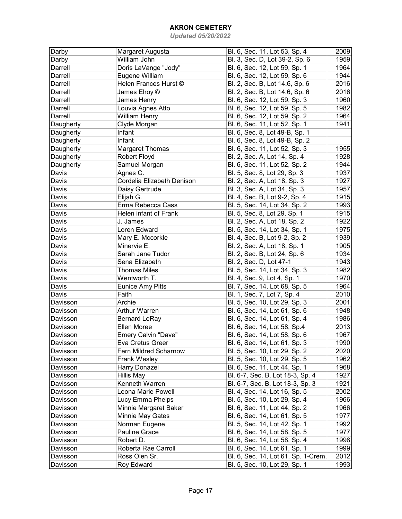| Darby     | Margaret Augusta           | Bl. 6, Sec. 11, Lot 53, Sp. 4       | 2009 |
|-----------|----------------------------|-------------------------------------|------|
| Darby     | William John               | Bl. 3, Sec. D, Lot 39-2, Sp. 6      | 1959 |
| Darrell   | Doris LaVange "Jody"       | Bl. 6, Sec. 12, Lot 59, Sp. 1       | 1964 |
| Darrell   | Eugene William             | Bl. 6, Sec. 12, Lot 59, Sp. 6       | 1944 |
| Darrell   | Helen Frances Hurst ©      | Bl. 2, Sec. B, Lot 14.6, Sp. 6      | 2016 |
| Darrell   | James Elroy ©              | Bl. 2, Sec. B, Lot 14.6, Sp. 6      | 2016 |
| Darrell   | James Henry                | Bl. 6, Sec. 12, Lot 59, Sp. 3       | 1960 |
| Darrell   | Louvia Agnes Atto          | Bl. 6, Sec. 12, Lot 59, Sp. 5       | 1982 |
| Darrell   | <b>William Henry</b>       | Bl. 6, Sec. 12, Lot 59, Sp. 2       | 1964 |
| Daugherty | Clyde Morgan               | Bl. 6, Sec. 11, Lot 52, Sp. 1       | 1941 |
| Daugherty | Infant                     | Bl. 6, Sec. 8, Lot 49-B, Sp. 1      |      |
| Daugherty | Infant                     | Bl. 6, Sec. 8, Lot 49-B, Sp. 2      |      |
| Daugherty | Margaret Thomas            | Bl. 6, Sec. 11, Lot 52, Sp. 3       | 1955 |
| Daugherty | Robert Floyd               | Bl. 2, Sec. A, Lot 14, Sp. 4        | 1928 |
| Daugherty | Samuel Morgan              | Bl. 6, Sec. 11, Lot 52, Sp. 2       | 1944 |
| Davis     | Agnes C.                   | Bl. 5, Sec. 8, Lot 29, Sp. 3        | 1937 |
| Davis     | Cordelia Elizabeth Denison | Bl. 2, Sec. A, Lot 18, Sp. 3        | 1927 |
| Davis     | Daisy Gertrude             | Bl. 3, Sec. A, Lot 34, Sp. 3        | 1957 |
| Davis     | Elijah G.                  | Bl. 4, Sec. B, Lot 9-2, Sp. 4       | 1915 |
| Davis     | Erma Rebecca Cass          | Bl. 5, Sec. 14, Lot 34, Sp. 2       | 1993 |
| Davis     | Helen infant of Frank      | Bl. 5, Sec. 8, Lot 29, Sp. 1        | 1915 |
| Davis     | J. James                   | Bl. 2, Sec. A, Lot 18, Sp. 2        | 1922 |
| Davis     | Loren Edward               | Bl. 5, Sec. 14, Lot 34, Sp. 1       | 1975 |
| Davis     | Mary E. Mccorkle           | Bl. 4, Sec. B, Lot 9-2, Sp. 2       | 1939 |
| Davis     | Minervie E.                | Bl. 2, Sec. A, Lot 18, Sp. 1        | 1905 |
| Davis     | Sarah Jane Tudor           | Bl. 2, Sec. B, Lot 24, Sp. 6        | 1934 |
| Davis     | Sena Elizabeth             | Bl. 2, Sec. D, Lot 47-1             | 1943 |
| Davis     | <b>Thomas Miles</b>        | Bl. 5, Sec. 14, Lot 34, Sp. 3       | 1982 |
| Davis     | Wentworth T.               | Bl. 4, Sec. 9, Lot 4, Sp. 1         | 1970 |
| Davis     | <b>Eunice Amy Pitts</b>    | Bl. 7, Sec. 14, Lot 68, Sp. 5       | 1964 |
| Davis     | Faith                      | Bl. 1, Sec. 7, Lot 7, Sp. 4         | 2010 |
| Davisson  | Archie                     | Bl. 5, Sec. 10, Lot 29, Sp. 3       | 2001 |
| Davisson  | Arthur Warren              | Bl. 6, Sec. 14, Lot 61, Sp. 6       | 1948 |
| Davisson  | <b>Bernard LeRay</b>       | Bl. 6, Sec. 14, Lot 61, Sp. 4       | 1986 |
| Davisson  | Ellen Moree                | Bl. 6, Sec. 14, Lot 58, Sp.4        | 2013 |
| Davisson  | Emery Calvin "Dave"        | Bl. 6, Sec. 14, Lot 58, Sp. 6       | 1967 |
| Davisson  | Eva Cretus Greer           | Bl. 6, Sec. 14, Lot 61, Sp. 3       | 1990 |
| Davisson  | Fern Mildred Scharnow      | Bl. 5, Sec. 10, Lot 29, Sp. 2       | 2020 |
| Davisson  | <b>Frank Wesley</b>        | Bl. 5, Sec. 10, Lot 29, Sp. 5       | 1962 |
| Davisson  | Harry Donazel              | Bl. 6, Sec. 11, Lot 44, Sp. 1       | 1968 |
| Davisson  | Hillis May                 | Bl. 6-7, Sec. B, Lot 18-3, Sp. 4    | 1927 |
| Davisson  | Kenneth Warren             | Bl. 6-7, Sec. B, Lot 18-3, Sp. 3    | 1921 |
| Davisson  | Leona Marie Powell         | Bl. 4, Sec. 14, Lot 16, Sp. 5       | 2002 |
| Davisson  | Lucy Emma Phelps           | Bl. 5, Sec. 10, Lot 29, Sp. 4       | 1966 |
| Davisson  | Minnie Margaret Baker      | Bl. 6, Sec. 11, Lot 44, Sp. 2       | 1966 |
| Davisson  | Minnie May Gates           | Bl. 6, Sec. 14, Lot 61, Sp. 5       | 1977 |
| Davisson  | Norman Eugene              | Bl. 5, Sec. 14, Lot 42, Sp. 1       | 1992 |
|           |                            |                                     | 1977 |
| Davisson  | Pauline Grace              | Bl. 6, Sec. 14, Lot 58, Sp. 5       |      |
| Davisson  | Robert D.                  | Bl. 6, Sec. 14, Lot 58, Sp. 4       | 1998 |
| Davisson  | Roberta Rae Carroll        | Bl. 6, Sec. 14, Lot 61, Sp. 1       | 1999 |
| Davisson  | Ross Olen Sr.              | Bl. 6, Sec. 14, Lot 61, Sp. 1-Crem. | 2012 |
| Davisson  | Roy Edward                 | Bl. 5, Sec. 10, Lot 29, Sp. 1       | 1993 |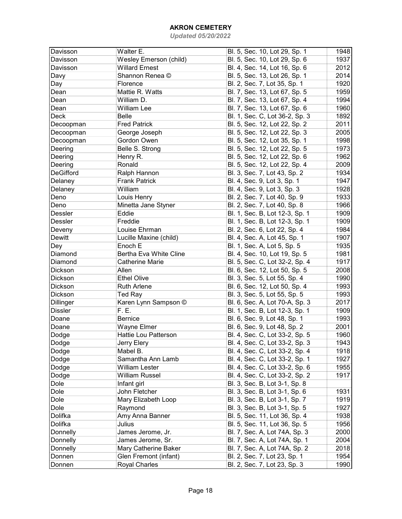| Davisson         | Walter E.                   | Bl. 5, Sec. 10, Lot 29, Sp. 1  | 1948 |
|------------------|-----------------------------|--------------------------------|------|
| Davisson         | Wesley Emerson (child)      | Bl. 5, Sec. 10, Lot 29, Sp. 6  | 1937 |
| Davisson         | <b>Willard Ernest</b>       | Bl. 4, Sec. 14, Lot 16, Sp. 6  | 2012 |
| Davy             | Shannon Renea ©             | Bl. 5, Sec. 13, Lot 26, Sp. 1  | 2014 |
| Day              | Florence                    | Bl. 2, Sec. 7, Lot 35, Sp. 1   | 1920 |
| Dean             | Mattie R. Watts             | Bl. 7, Sec. 13, Lot 67, Sp. 5  | 1959 |
| Dean             | William D.                  | Bl. 7, Sec. 13, Lot 67, Sp. 4  | 1994 |
| Dean             | William Lee                 | Bl. 7, Sec. 13, Lot 67, Sp. 6  | 1960 |
| Deck             | <b>Belle</b>                | Bl. 1, Sec. C, Lot 36-2, Sp. 3 | 1892 |
| Decoopman        | <b>Fred Patrick</b>         | Bl. 5, Sec. 12, Lot 22, Sp. 2  | 2011 |
| Decoopman        | George Joseph               | Bl. 5, Sec. 12, Lot 22, Sp. 3  | 2005 |
| Decoopman        | Gordon Owen                 | Bl. 5, Sec. 12, Lot 35, Sp. 1  | 1998 |
| Deering          | Belle S. Strong             | Bl. 5, Sec. 12, Lot 22, Sp. 5  | 1973 |
| Deering          | Henry R.                    | Bl. 5, Sec. 12, Lot 22, Sp. 6  | 1962 |
| Deering          | Ronald                      | Bl. 5, Sec. 12, Lot 22, Sp. 4  | 2009 |
| <b>DeGifford</b> | Ralph Hannon                | Bl. 3, Sec. 7, Lot 43, Sp. 2   | 1934 |
| Delaney          | <b>Frank Patrick</b>        | Bl. 4, Sec. 9, Lot 3, Sp. 1    | 1947 |
| Delaney          | William                     | Bl. 4, Sec. 9, Lot 3, Sp. 3    | 1928 |
| Deno             | Louis Henry                 | Bl. 2, Sec. 7, Lot 40, Sp. 9   | 1933 |
| Deno             | Minetta Jane Styner         | Bl. 2, Sec. 7, Lot 40, Sp. 8   | 1966 |
| Dessler          | Eddie                       | Bl. 1, Sec. B, Lot 12-3, Sp. 1 | 1909 |
| Dessler          | Freddie                     | Bl. 1, Sec. B, Lot 12-3, Sp. 1 | 1909 |
| Deveny           | Louise Ehrman               | Bl. 2, Sec. 6, Lot 22, Sp. 4   | 1984 |
| <b>Dewitt</b>    | Lucille Maxine (child)      | Bl. 4, Sec. A, Lot 45, Sp. 1   | 1907 |
| Dey              | Enoch E                     | Bl. 1, Sec. A, Lot 5, Sp. 5    | 1935 |
| Diamond          | Bertha Eva White Cline      | Bl. 4, Sec. 10, Lot 19, Sp. 5  | 1981 |
| Diamond          | <b>Catherine Marie</b>      | Bl. 5, Sec. C, Lot 32-2, Sp. 4 | 1917 |
| Dickson          | Allen                       | Bl. 6, Sec. 12, Lot 50, Sp. 5  | 2008 |
| Dickson          | <b>Ethel Olive</b>          | Bl. 3, Sec. 5, Lot 55, Sp. 4   | 1990 |
| Dickson          | <b>Ruth Arlene</b>          | Bl. 6, Sec. 12, Lot 50, Sp. 4  | 1993 |
| Dickson          | Ted Ray                     | Bl. 3, Sec. 5, Lot 55, Sp. 5   | 1993 |
| <b>Dillinger</b> | Karen Lynn Sampson ©        | Bl. 6, Sec. A, Lot 70-A, Sp. 3 | 2017 |
| <b>Dissler</b>   | F. E.                       | Bl. 1, Sec. B, Lot 12-3, Sp. 1 | 1909 |
| Doane            | Bernice                     | Bl. 6, Sec. 9, Lot 48, Sp. 1   | 1993 |
| Doane            | Wayne Elmer                 | Bl. 6, Sec. 9, Lot 48, Sp. 2   | 2001 |
| Dodge            | <b>Hattie Lou Patterson</b> | Bl. 4, Sec. C, Lot 33-2, Sp. 5 | 1960 |
| Dodge            | Jerry Elery                 | Bl. 4, Sec. C, Lot 33-2, Sp. 3 | 1943 |
| Dodge            | Mabel B.                    | Bl. 4, Sec. C, Lot 33-2, Sp. 4 | 1918 |
| Dodge            | Samantha Ann Lamb           | Bl. 4, Sec. C, Lot 33-2, Sp. 1 | 1927 |
| Dodge            | <b>William Lester</b>       | Bl. 4, Sec. C, Lot 33-2, Sp. 6 | 1955 |
| Dodge            | <b>William Russel</b>       | Bl. 4, Sec. C, Lot 33-2, Sp. 2 | 1917 |
| Dole             | Infant girl                 | Bl. 3, Sec. B, Lot 3-1, Sp. 8  |      |
| Dole             | John Fletcher               | Bl. 3, Sec. B, Lot 3-1, Sp. 6  | 1931 |
| Dole             | Mary Elizabeth Loop         | Bl. 3, Sec. B, Lot 3-1, Sp. 7  | 1919 |
| Dole             | Raymond                     | Bl. 3, Sec. B, Lot 3-1, Sp. 5  | 1927 |
| Dolifka          | Amy Anna Banner             | Bl. 5, Sec. 11, Lot 36, Sp. 4  | 1938 |
| Dolifka          | Julius                      | Bl. 5, Sec. 11, Lot 36, Sp. 5  | 1956 |
| Donnelly         | James Jerome, Jr.           | Bl. 7, Sec. A, Lot 74A, Sp. 3  | 2000 |
| Donnelly         | James Jerome, Sr.           | Bl. 7, Sec. A, Lot 74A, Sp. 1  | 2004 |
| Donnelly         | Mary Catherine Baker        | Bl. 7, Sec. A, Lot 74A, Sp. 2  | 2018 |
| Donnen           | Glen Fremont (infant)       | Bl. 2, Sec. 7, Lot 23, Sp. 1   | 1954 |
| Donnen           | <b>Royal Charles</b>        | Bl. 2, Sec. 7, Lot 23, Sp. 3   | 1990 |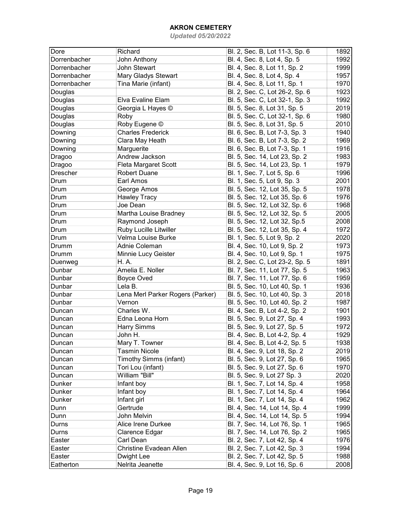| 1892<br>1992 |
|--------------|
|              |
| 1999         |
| 1957         |
| 1970         |
| 1923         |
| 1992         |
| 2019         |
| 1980         |
| 2010         |
| 1940         |
| 1969         |
| 1916         |
| 1983         |
| 1979         |
| 1996         |
| 2001         |
| 1978         |
| 1976         |
| 1968         |
| 2005         |
| 2008         |
| 1972         |
| 2020         |
| 1973         |
| 1975         |
| 1891         |
| 1963         |
| 1959         |
| 1936         |
| 2018         |
| 1987         |
| 1901         |
| 1993         |
| 1972         |
| 1929         |
| 1938         |
| 2019         |
| 1965         |
| 1970         |
| 2020         |
| 1958         |
| 1964         |
| 1962         |
| 1999         |
| 1994         |
| 1965         |
| 1965         |
| 1976         |
| 1994         |
| 1988         |
| 2008         |
|              |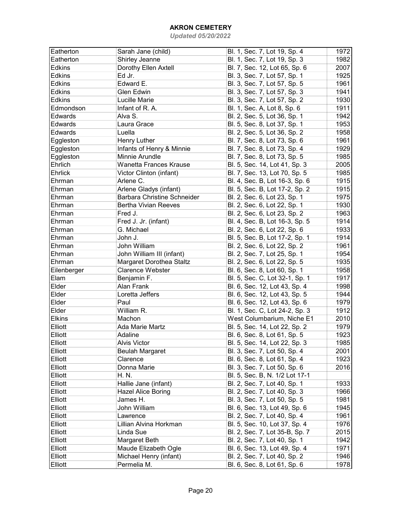| Eatherton      | Sarah Jane (child)          | Bl. 1, Sec. 7, Lot 19, Sp. 4   | 1972 |
|----------------|-----------------------------|--------------------------------|------|
| Eatherton      | Shirley Jeanne              | Bl. 1, Sec. 7, Lot 19, Sp. 3   | 1982 |
| <b>Edkins</b>  | Dorothy Ellen Axtell        | Bl. 7, Sec. 12, Lot 65, Sp. 6  | 2007 |
| <b>Edkins</b>  | Ed Jr.                      | Bl. 3, Sec. 7, Lot 57, Sp. 1   | 1925 |
| <b>Edkins</b>  | Edward E.                   | Bl. 3, Sec. 7, Lot 57, Sp. 5   | 1961 |
| <b>Edkins</b>  | Glen Edwin                  | Bl. 3, Sec. 7, Lot 57, Sp. 3   | 1941 |
| <b>Edkins</b>  | Lucille Marie               | Bl. 3, Sec. 7, Lot 57, Sp. 2   | 1930 |
| Edmondson      | Infant of R. A.             | Bl. 1, Sec. A, Lot 8, Sp. 6    | 1911 |
| Edwards        | Alva S.                     | Bl. 2, Sec. 5, Lot 36, Sp. 1   | 1942 |
| Edwards        | Laura Grace                 | Bl. 5, Sec. 8, Lot 37, Sp. 1   | 1953 |
| Edwards        | Luella                      | Bl. 2, Sec. 5, Lot 36, Sp. 2   | 1958 |
| Eggleston      | Henry Luther                | Bl. 7, Sec. 8, Lot 73, Sp. 6   | 1961 |
| Eggleston      | Infants of Henry & Minnie   | Bl. 7, Sec. 8, Lot 73, Sp. 4   | 1929 |
| Eggleston      | Minnie Arundle              | Bl. 7, Sec. 8, Lot 73, Sp. 5   | 1985 |
| Ehrlich        | Wanetta Frances Krause      | Bl. 5, Sec. 14, Lot 41, Sp. 3  | 2005 |
| Ehrlick        | Victor Clinton (infant)     | Bl. 7, Sec. 13, Lot 70, Sp. 5  | 1985 |
| Ehrman         | Arlene C.                   | Bl. 4, Sec. B, Lot 16-3, Sp. 6 | 1915 |
| Ehrman         | Arlene Gladys (infant)      | Bl. 5, Sec. B, Lot 17-2, Sp. 2 | 1915 |
| Ehrman         | Barbara Christine Schneider | Bl. 2, Sec. 6, Lot 23, Sp. 1   | 1975 |
| Ehrman         | <b>Bertha Vivian Reeves</b> | Bl. 2, Sec. 6, Lot 22, Sp. 1   | 1930 |
| Ehrman         | Fred J.                     | Bl. 2, Sec. 6, Lot 23, Sp. 2   | 1963 |
| Ehrman         | Fred J. Jr. (infant)        | Bl. 4, Sec. B, Lot 16-3, Sp. 5 | 1914 |
| Ehrman         | G. Michael                  | Bl. 2, Sec. 6, Lot 22, Sp. 6   | 1933 |
| Ehrman         | John J.                     | Bl. 5, Sec. B, Lot 17-2, Sp. 1 | 1914 |
| Ehrman         | John William                | Bl. 2, Sec. 6, Lot 22, Sp. 2   | 1961 |
| Ehrman         | John William III (infant)   | Bl. 2, Sec. 7, Lot 25, Sp. 1   | 1954 |
| Ehrman         | Margaret Dorothea Staltz    | Bl. 2, Sec. 6, Lot 22, Sp. 5   | 1935 |
| Eilenberger    | <b>Clarence Webster</b>     | Bl. 6, Sec. 8, Lot 60, Sp. 1   | 1958 |
| Elam           | Benjamin F.                 | Bl. 5, Sec. C, Lot 32-1, Sp. 1 | 1917 |
| Elder          | Alan Frank                  | Bl. 6, Sec. 12, Lot 43, Sp. 4  | 1998 |
| Elder          | Loretta Jeffers             | Bl. 6, Sec. 12, Lot 43, Sp. 5  | 1944 |
| Elder          | Paul                        | Bl. 6, Sec. 12, Lot 43, Sp. 6  | 1979 |
| Elder          | William R.                  | Bl. 1, Sec. C, Lot 24-2, Sp. 3 | 1912 |
| <b>Elkins</b>  | Machon                      | West Columbarium, Niche E1     | 2010 |
| Elliott        | Ada Marie Martz             | Bl. 5, Sec. 14, Lot 22, Sp. 2  | 1979 |
| Elliott        | Adaline                     | Bl. 6, Sec. 8, Lot 61, Sp. 5   | 1923 |
| Elliott        | <b>Alvis Victor</b>         | Bl. 5, Sec. 14, Lot 22, Sp. 3  | 1985 |
| <b>Elliott</b> | <b>Beulah Margaret</b>      | Bl. 3, Sec. 7, Lot 50, Sp. 4   | 2001 |
| <b>Elliott</b> | Clarence                    | Bl. 6, Sec. 8, Lot 61, Sp. 4   | 1923 |
| <b>Elliott</b> | Donna Marie                 | Bl. 3, Sec. 7, Lot 50, Sp. 6   | 2016 |
| <b>Elliott</b> | H. N.                       | Bl. 5, Sec. B, N. 1/2 Lot 17-1 |      |
| Elliott        | Hallie Jane (infant)        | Bl. 2, Sec. 7, Lot 40, Sp. 1   | 1933 |
| <b>Elliott</b> | Hazel Alice Boring          | Bl. 2, Sec. 7, Lot 40, Sp. 3   | 1966 |
| <b>Elliott</b> | James H.                    | Bl. 3, Sec. 7, Lot 50, Sp. 5   | 1981 |
| <b>Elliott</b> | John William                | Bl. 6, Sec. 13, Lot 49, Sp. 6  | 1945 |
| <b>Elliott</b> | Lawrence                    | Bl. 2, Sec. 7, Lot 40, Sp. 4   | 1961 |
| <b>Elliott</b> | Lillian Alvina Horkman      | Bl. 5, Sec. 10, Lot 37, Sp. 4  | 1976 |
| Elliott        | Linda Sue                   | Bl. 2, Sec. 7, Lot 35-B, Sp. 7 | 2015 |
| Elliott        | Margaret Beth               | Bl. 2, Sec. 7, Lot 40, Sp. 1   | 1942 |
| Elliott        | Maude Elizabeth Ogle        | Bl. 6, Sec. 13, Lot 49, Sp. 4  | 1971 |
| Elliott        | Michael Henry (infant)      | Bl. 2, Sec. 7, Lot 40, Sp. 2   | 1946 |
| Elliott        | Permelia M.                 | Bl. 6, Sec. 8, Lot 61, Sp. 6   | 1978 |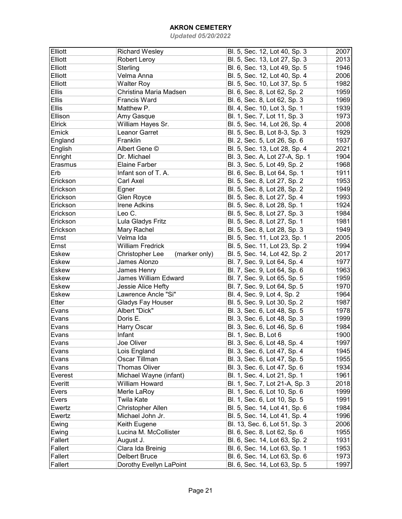| Elliott      | <b>Richard Wesley</b>            | Bl. 5, Sec. 12, Lot 40, Sp. 3  | 2007 |
|--------------|----------------------------------|--------------------------------|------|
| Elliott      | Robert Leroy                     | Bl. 5, Sec. 13, Lot 27, Sp. 3  | 2013 |
| Elliott      | Sterling                         | Bl. 6, Sec. 13, Lot 49, Sp. 5  | 1946 |
| Elliott      | Velma Anna                       | Bl. 5, Sec. 12, Lot 40, Sp. 4  | 2006 |
| Elliott      | <b>Walter Roy</b>                | Bl. 5, Sec. 10, Lot 37, Sp. 5  | 1982 |
| <b>Ellis</b> | Christina Maria Madsen           | Bl. 6, Sec. 8, Lot 62, Sp. 2   | 1959 |
| <b>Ellis</b> | <b>Francis Ward</b>              | Bl. 6, Sec. 8, Lot 62, Sp. 3   | 1969 |
| <b>Ellis</b> | Matthew P.                       | Bl. 4, Sec. 10, Lot 3, Sp. 1   | 1939 |
| Ellison      | Amy Gasque                       | Bl. 1, Sec. 7, Lot 11, Sp. 3   | 1973 |
| Elrick       | William Hayes Sr.                | Bl. 5, Sec. 14, Lot 26, Sp. 4  | 2008 |
| Emick        | Leanor Garret                    | Bl. 5, Sec. B, Lot 8-3, Sp. 3  | 1929 |
| England      | Franklin                         | Bl. 2, Sec. 5, Lot 26, Sp. 6   | 1937 |
| English      | Albert Gene ©                    | Bl. 5, Sec. 13, Lot 28, Sp. 4  | 2021 |
| Enright      | Dr. Michael                      | Bl. 3, Sec. A, Lot 27-A, Sp. 1 | 1904 |
| Erasmus      | <b>Elaine Farber</b>             | Bl. 3, Sec. 5, Lot 49, Sp. 2   | 1968 |
| Erb          | Infant son of T. A.              | Bl. 6, Sec. B, Lot 64, Sp. 1   | 1911 |
| Erickson     | Carl Axel                        | Bl. 5, Sec. 8, Lot 27, Sp. 2   | 1953 |
| Erickson     | Egner                            | Bl. 5, Sec. 8, Lot 28, Sp. 2   | 1949 |
| Erickson     | Glen Royce                       | Bl. 5, Sec. 8, Lot 27, Sp. 4   | 1993 |
| Erickson     | <b>Irene Adkins</b>              | Bl. 5, Sec. 8, Lot 28, Sp. 1   | 1924 |
| Erickson     | Leo C.                           | Bl. 5, Sec. 8, Lot 27, Sp. 3   | 1984 |
|              |                                  |                                |      |
| Erickson     | Lula Gladys Fritz                | Bl. 5, Sec. 8, Lot 27, Sp. 1   | 1981 |
| Erickson     | Mary Rachel                      | Bl. 5, Sec. 8, Lot 28, Sp. 3   | 1949 |
| Ernst        | Velma Ida                        | Bl. 5, Sec. 11, Lot 23, Sp. 1  | 2005 |
| Ernst        | <b>William Fredrick</b>          | Bl. 5, Sec. 11, Lot 23, Sp. 2  | 1994 |
| <b>Eskew</b> | Christopher Lee<br>(marker only) | Bl. 5, Sec. 14, Lot 42, Sp. 2  | 2017 |
| <b>Eskew</b> | James Alonzo                     | Bl. 7, Sec. 9, Lot 64, Sp. 4   | 1977 |
| Eskew        | James Henry                      | Bl. 7, Sec. 9, Lot 64, Sp. 6   | 1963 |
| Eskew        | James William Edward             | Bl. 7, Sec. 9, Lot 65, Sp. 5   | 1959 |
| <b>Eskew</b> | Jessie Alice Hefty               | Bl. 7, Sec. 9, Lot 64, Sp. 5   | 1970 |
| <b>Eskew</b> | Lawrence Ancle "Si"              | Bl. 4, Sec. 9, Lot 4, Sp. 2    | 1964 |
| Etter        | Gladys Fay Houser                | Bl. 5, Sec. 9, Lot 30, Sp. 2   | 1987 |
| Evans        | Albert "Dick"                    | Bl. 3, Sec. 6, Lot 48, Sp. 5   | 1978 |
| Evans        | Doris E.                         | Bl. 3, Sec. 6, Lot 48, Sp. 3   | 1999 |
| Evans        | Harry Oscar                      | Bl. 3, Sec. 6, Lot 46, Sp. 6   | 1984 |
| Evans        | Infant                           | Bl. 1, Sec. B, Lot 6           | 1900 |
| Evans        | Joe Oliver                       | Bl. 3, Sec. 6, Lot 48, Sp. 4   | 1997 |
| Evans        | Lois England                     | Bl. 3, Sec. 6, Lot 47, Sp. 4   | 1945 |
| Evans        | Oscar Tillman                    | Bl. 3, Sec. 6, Lot 47, Sp. 5   | 1955 |
| Evans        | <b>Thomas Oliver</b>             | Bl. 3, Sec. 6, Lot 47, Sp. 6   | 1934 |
| Everest      | Michael Wayne (infant)           | Bl. 1, Sec. 4, Lot 21, Sp. 1   | 1961 |
| Everitt      | William Howard                   | Bl. 1, Sec. 7, Lot 21-A, Sp. 3 | 2018 |
| Evers        | Merle LaRoy                      | Bl. 1, Sec. 6, Lot 10, Sp. 6   | 1999 |
| Evers        | <b>Twila Kate</b>                | Bl. 1, Sec. 6, Lot 10, Sp. 5   | 1991 |
| Ewertz       | Christopher Allen                | Bl. 5, Sec. 14, Lot 41, Sp. 6  | 1984 |
| Ewertz       | Michael John Jr.                 | Bl. 5, Sec. 14, Lot 41, Sp. 4  | 1996 |
| Ewing        | Keith Eugene                     | Bl. 13, Sec. 6, Lot 51, Sp. 3  | 2006 |
| Ewing        | Lucina M. McCollister            | Bl. 6, Sec. 8, Lot 62, Sp. 6   | 1955 |
| Fallert      | August J.                        | Bl. 6, Sec. 14, Lot 63, Sp. 2  | 1931 |
| Fallert      | Clara Ida Breinig                | Bl. 6, Sec. 14, Lot 63, Sp. 1  | 1953 |
| Fallert      | <b>Delbert Bruce</b>             | Bl. 6, Sec. 14, Lot 63, Sp. 6  | 1973 |
| Fallert      | Dorothy Evellyn LaPoint          | Bl. 6, Sec. 14, Lot 63, Sp. 5  | 1997 |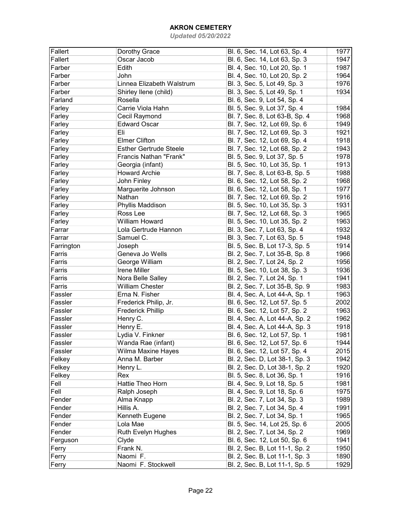| Fallert    | Dorothy Grace                 | Bl. 6, Sec. 14, Lot 63, Sp. 4  | 1977 |
|------------|-------------------------------|--------------------------------|------|
| Fallert    | Oscar Jacob                   | Bl. 6, Sec. 14, Lot 63, Sp. 3  | 1947 |
| Farber     | Edith                         | Bl. 4, Sec. 10, Lot 20, Sp. 1  | 1987 |
| Farber     | John                          | Bl. 4, Sec. 10, Lot 20, Sp. 2  | 1964 |
| Farber     | Linnea Elizabeth Walstrum     | Bl. 3, Sec. 5, Lot 49, Sp. 3   | 1976 |
| Farber     | Shirley Ilene (child)         | Bl. 3, Sec. 5, Lot 49, Sp. 1   | 1934 |
| Farland    | Rosella                       | Bl. 6, Sec. 9, Lot 54, Sp. 4   |      |
| Farley     | Carrie Viola Hahn             | Bl. 5, Sec. 9, Lot 37, Sp. 4   | 1984 |
| Farley     | Cecil Raymond                 | Bl. 7, Sec. 8, Lot 63-B, Sp. 4 | 1968 |
| Farley     | <b>Edward Oscar</b>           | Bl. 7, Sec. 12, Lot 69, Sp. 6  | 1949 |
| Farley     | Eli                           | Bl. 7, Sec. 12, Lot 69, Sp. 3  | 1921 |
| Farley     | <b>Elmer Clifton</b>          | Bl. 7, Sec. 12, Lot 69, Sp. 4  | 1918 |
| Farley     | <b>Esther Gertrude Steele</b> | Bl. 7, Sec. 12, Lot 68, Sp. 2  | 1943 |
| Farley     | Francis Nathan "Frank"        | Bl. 5, Sec. 9, Lot 37, Sp. 5   | 1978 |
| Farley     | Georgia (infant)              | Bl. 5, Sec. 10, Lot 35, Sp. 1  | 1913 |
| Farley     | <b>Howard Archie</b>          | Bl. 7, Sec. 8, Lot 63-B, Sp. 5 | 1988 |
| Farley     | John Finley                   | Bl. 6, Sec. 12, Lot 58, Sp. 2  | 1968 |
| Farley     | Marguerite Johnson            | Bl. 6, Sec. 12, Lot 58, Sp. 1  | 1977 |
| Farley     | Nathan                        | Bl. 7, Sec. 12, Lot 69, Sp. 2  | 1916 |
| Farley     | Phyllis Maddison              | Bl. 5, Sec. 10, Lot 35, Sp. 3  | 1931 |
| Farley     | Ross Lee                      | Bl. 7, Sec. 12, Lot 68, Sp. 3  | 1965 |
| Farley     | <b>William Howard</b>         | Bl. 5, Sec. 10, Lot 35, Sp. 2  | 1963 |
| Farrar     | Lola Gertrude Hannon          | Bl. 3, Sec. 7, Lot 63, Sp. 4   | 1932 |
| Farrar     | Samuel C.                     | Bl. 3, Sec. 7, Lot 63, Sp. 5   | 1948 |
| Farrington | Joseph                        | Bl. 5, Sec. B, Lot 17-3, Sp. 5 | 1914 |
| Farris     | Geneva Jo Wells               | Bl. 2, Sec. 7, Lot 35-B, Sp. 8 | 1966 |
| Farris     | George William                | Bl. 2, Sec. 7, Lot 24, Sp. 2   | 1956 |
| Farris     | Irene Miller                  | Bl. 5, Sec. 10, Lot 38, Sp. 3  | 1936 |
| Farris     | Nora Belle Salley             | Bl. 2, Sec. 7, Lot 24, Sp. 1   | 1941 |
| Farris     | <b>William Chester</b>        | Bl. 2, Sec. 7, Lot 35-B, Sp. 9 | 1983 |
| Fassler    | Erna N. Fisher                | Bl. 4, Sec. A, Lot 44-A, Sp. 1 | 1963 |
| Fassler    | Frederick Philip, Jr.         | Bl. 6, Sec. 12, Lot 57, Sp. 5  | 2002 |
| Fassler    | <b>Frederick Phillip</b>      | Bl. 6, Sec. 12, Lot 57, Sp. 2  | 1963 |
| Fassler    | Henry C.                      | Bl. 4, Sec. A, Lot 44-A, Sp. 2 | 1962 |
| Fassler    | Henry E.                      | Bl. 4, Sec. A, Lot 44-A, Sp. 3 | 1918 |
| Fassler    | Lydia V. Finkner              | Bl. 6, Sec. 12, Lot 57, Sp. 1  | 1981 |
| Fassler    | Wanda Rae (infant)            | Bl. 6, Sec. 12, Lot 57, Sp. 6  | 1944 |
| Fassler    | Wilma Maxine Hayes            | Bl. 6, Sec. 12, Lot 57, Sp. 4  | 2015 |
| Felkey     | Anna M. Barber                | Bl. 2, Sec. D, Lot 38-1, Sp. 3 | 1942 |
| Felkey     | Henry L.                      | Bl. 2, Sec. D, Lot 38-1, Sp. 2 | 1920 |
| Felkey     | Rex                           | Bl. 5, Sec. 8, Lot 36, Sp. 1   | 1916 |
| Fell       | Hattie Theo Horn              | Bl. 4, Sec. 9, Lot 18, Sp. 5   | 1981 |
| Fell       | Ralph Joseph                  | Bl. 4, Sec. 9, Lot 18, Sp. 6   | 1975 |
| Fender     | Alma Knapp                    | Bl. 2, Sec. 7, Lot 34, Sp. 3   | 1989 |
| Fender     | Hillis A.                     | Bl. 2, Sec. 7, Lot 34, Sp. 4   | 1991 |
| Fender     | Kenneth Eugene                | Bl. 2, Sec. 7, Lot 34, Sp. 1   | 1965 |
| Fender     | Lola Mae                      | Bl. 5, Sec. 14, Lot 25, Sp. 6  | 2005 |
| Fender     | Ruth Evelyn Hughes            | Bl. 2, Sec. 7, Lot 34, Sp. 2   | 1969 |
| Ferguson   | Clyde                         | Bl. 6, Sec. 12, Lot 50, Sp. 6  | 1941 |
| Ferry      | Frank N.                      | Bl. 2, Sec. B, Lot 11-1, Sp. 2 | 1950 |
| Ferry      | Naomi F.                      | Bl. 2, Sec. B, Lot 11-1, Sp. 3 | 1890 |
| Ferry      | Naomi F. Stockwell            | Bl. 2, Sec. B, Lot 11-1, Sp. 5 | 1929 |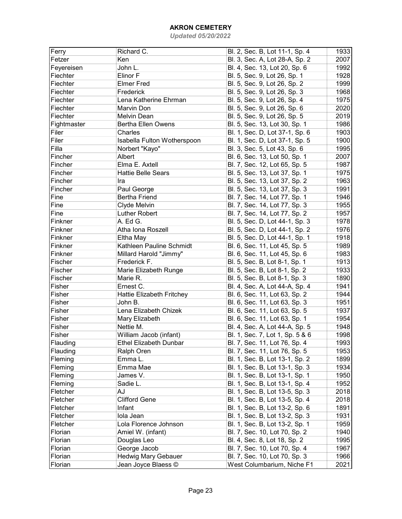| Ferry       | Richard C.                    | Bl. 2, Sec. B, Lot 11-1, Sp. 4  | 1933 |
|-------------|-------------------------------|---------------------------------|------|
| Fetzer      | Ken                           | Bl. 3, Sec. A, Lot 28-A, Sp. 2  | 2007 |
| Feyereisen  | John L.                       | Bl. 4, Sec. 13, Lot 20, Sp. 6   | 1992 |
| Fiechter    | Elinor F                      | Bl. 5, Sec. 9, Lot 26, Sp. 1    | 1928 |
| Fiechter    | <b>Elmer Fred</b>             | Bl. 5, Sec. 9, Lot 26, Sp. 2    | 1999 |
| Fiechter    | Frederick                     | Bl. 5, Sec. 9, Lot 26, Sp. 3    | 1968 |
| Fiechter    | Lena Katherine Ehrman         | Bl. 5, Sec. 9, Lot 26, Sp. 4    | 1975 |
| Fiechter    | Marvin Don                    | Bl. 5, Sec. 9, Lot 26, Sp. 6    | 2020 |
| Fiechter    | Melvin Dean                   | Bl. 5, Sec. 9, Lot 26, Sp. 5    | 2019 |
| Fightmaster | Bertha Ellen Owens            | Bl. 5, Sec. 13, Lot 30, Sp. 1   | 1986 |
| Filer       | Charles                       | Bl. 1, Sec. D, Lot 37-1, Sp. 6  | 1903 |
| Filer       | Isabella Fulton Wotherspoon   | Bl. 1, Sec. D, Lot 37-1, Sp. 5  | 1900 |
| Filla       | Norbert "Kayo"                | Bl. 3, Sec. 5, Lot 43, Sp. 6    | 1995 |
| Fincher     | Albert                        | Bl. 6, Sec. 13, Lot 50, Sp. 1   | 2007 |
| Fincher     | Elma E. Axtell                | Bl. 7, Sec. 12, Lot 65, Sp. 5   | 1987 |
| Fincher     | <b>Hattie Belle Sears</b>     |                                 | 1975 |
|             |                               | Bl. 5, Sec. 13, Lot 37, Sp. 1   |      |
| Fincher     | Ira                           | Bl. 5, Sec. 13, Lot 37, Sp. 2   | 1963 |
| Fincher     | Paul George                   | Bl. 5, Sec. 13, Lot 37, Sp. 3   | 1991 |
| Fine        | <b>Bertha Friend</b>          | Bl. 7, Sec. 14, Lot 77, Sp. 1   | 1946 |
| Fine        | Clyde Melvin                  | Bl. 7, Sec. 14, Lot 77, Sp. 3   | 1955 |
| Fine        | Luther Robert                 | Bl. 7, Sec. 14, Lot 77, Sp. 2   | 1957 |
| Finkner     | A. Ed G.                      | Bl. 5, Sec. D, Lot 44-1, Sp. 3  | 1978 |
| Finkner     | Atha Iona Roszell             | Bl. 5, Sec. D, Lot 44-1, Sp. 2  | 1976 |
| Finkner     | Eltha May                     | Bl. 5, Sec. D, Lot 44-1, Sp. 1  | 1918 |
| Finkner     | Kathleen Pauline Schmidt      | Bl. 6, Sec. 11, Lot 45, Sp. 5   | 1989 |
| Finkner     | Millard Harold "Jimmy"        | Bl. 6, Sec. 11, Lot 45, Sp. 6   | 1983 |
| Fischer     | Frederick F.                  | Bl. 5, Sec. B, Lot 8-1, Sp. 1   | 1913 |
| Fischer     | Marie Elizabeth Runge         | Bl. 5, Sec. B, Lot 8-1, Sp. 2   | 1933 |
| Fischer     | Marie R.                      | Bl. 5, Sec. B, Lot 8-1, Sp. 3   | 1890 |
| Fisher      | Ernest C.                     | Bl. 4, Sec. A, Lot 44-A, Sp. 4  | 1941 |
| Fisher      | Hattie Elizabeth Fritchey     | Bl. 6, Sec. 11, Lot 63, Sp. 2   | 1944 |
| Fisher      | John B.                       | Bl. 6, Sec. 11, Lot 63, Sp. 3   | 1951 |
| Fisher      | Lena Elizabeth Chizek         | Bl. 6, Sec. 11, Lot 63, Sp. 5   | 1937 |
| Fisher      | Mary Elizabeth                | Bl. 6, Sec. 11, Lot 63, Sp. 1   | 1954 |
| Fisher      | Nettie M.                     | Bl. 4, Sec. A, Lot 44-A, Sp. 5  | 1948 |
| Fisher      | William Jacob (infant)        | Bl. 1, Sec. 7, Lot 1, Sp. 5 & 6 | 1998 |
| Flauding    | <b>Ethel Elizabeth Dunbar</b> | Bl. 7, Sec. 11, Lot 76, Sp. 4   | 1993 |
| Flauding    | Ralph Oren                    | Bl. 7, Sec. 11, Lot 76, Sp. 5   | 1953 |
| Fleming     | Emma L.                       | Bl. 1, Sec. B, Lot 13-1, Sp. 2  | 1899 |
| Fleming     | Emma Mae                      | Bl. 1, Sec. B, Lot 13-1, Sp. 3  | 1934 |
| Fleming     | James V.                      | Bl. 1, Sec. B, Lot 13-1, Sp. 1  | 1950 |
| Fleming     | Sadie L.                      | Bl. 1, Sec. B, Lot 13-1, Sp. 4  | 1952 |
| Fletcher    | AJ                            | Bl. 1, Sec. B, Lot 13-5, Sp. 3  | 2018 |
| Fletcher    | <b>Clifford Gene</b>          | Bl. 1, Sec. B, Lot 13-5, Sp. 4  | 2018 |
| Fletcher    | Infant                        | Bl. 1, Sec. B, Lot 13-2, Sp. 6  | 1891 |
| Fletcher    | lola Jean                     | Bl. 1, Sec. B, Lot 13-2, Sp. 3  | 1931 |
| Fletcher    | Lola Florence Johnson         | Bl. 1, Sec. B, Lot 13-2, Sp. 1  | 1959 |
| Florian     | Amiel W. (infant)             | Bl. 7, Sec. 10, Lot 70, Sp. 2   | 1940 |
| Florian     | Douglas Leo                   | Bl. 4, Sec. 8, Lot 18, Sp. 2    | 1995 |
| Florian     | George Jacob                  | Bl. 7, Sec. 10, Lot 70, Sp. 4   | 1967 |
| Florian     | Hedwig Mary Gebauer           | Bl. 7, Sec. 10, Lot 70, Sp. 3   | 1966 |
| Florian     | Jean Joyce Blaess ©           | West Columbarium, Niche F1      | 2021 |
|             |                               |                                 |      |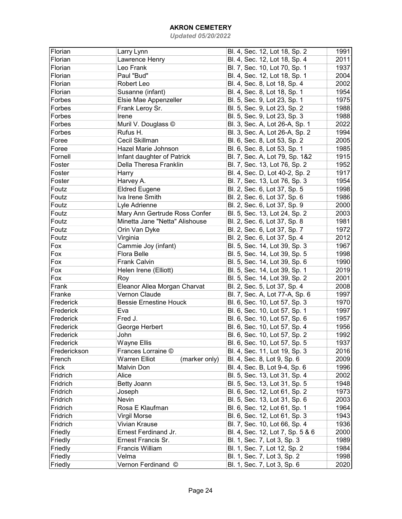| Florian      | Larry Lynn                            | Bl. 4, Sec. 12, Lot 18, Sp. 2    | 1991 |
|--------------|---------------------------------------|----------------------------------|------|
| Florian      | Lawrence Henry                        | Bl. 4, Sec. 12, Lot 18, Sp. 4    | 2011 |
| Florian      | Leo Frank                             | Bl. 7, Sec. 10, Lot 70, Sp. 1    | 1937 |
| Florian      | Paul "Bud"                            | Bl. 4, Sec. 12, Lot 18, Sp. 1    | 2004 |
| Florian      | Robert Leo                            | Bl. 4, Sec. 8, Lot 18, Sp. 4     | 2002 |
| Florian      | Susanne (infant)                      | Bl. 4, Sec. 8, Lot 18, Sp. 1     | 1954 |
| Forbes       | Elsie Mae Appenzeller                 | Bl. 5, Sec. 9, Lot 23, Sp. 1     | 1975 |
| Forbes       | Frank Leroy Sr.                       | Bl. 5, Sec. 9, Lot 23, Sp. 2     | 1988 |
| Forbes       | Irene                                 | Bl. 5, Sec. 9, Lot 23, Sp. 3     | 1988 |
| Forbes       | Muril V. Douglass ©                   | Bl. 3, Sec. A, Lot 26-A, Sp. 1   | 2022 |
| Forbes       | Rufus H.                              | Bl. 3, Sec. A, Lot 26-A, Sp. 2   | 1994 |
| Foree        | Cecil Skillman                        | Bl. 6, Sec. 8, Lot 53, Sp. 2     | 2005 |
| Foree        | Hazel Marie Johnson                   | Bl. 6, Sec. 8, Lot 53, Sp. 1     | 1985 |
| Fornell      | Infant daughter of Patrick            | Bl. 7, Sec. A, Lot 79, Sp. 1&2   | 1915 |
| Foster       | Della Theresa Franklin                | Bl. 7, Sec. 13, Lot 76, Sp. 2    | 1952 |
| Foster       | Harry                                 | Bl. 4, Sec. D, Lot 40-2, Sp. 2   | 1917 |
| Foster       | Harvey A.                             | Bl. 7, Sec. 13, Lot 76, Sp. 3    | 1954 |
| Foutz        | <b>Eldred Eugene</b>                  | Bl. 2, Sec. 6, Lot 37, Sp. 5     | 1998 |
| Foutz        | Iva Irene Smith                       | Bl. 2, Sec. 6, Lot 37, Sp. 6     | 1986 |
| Foutz        | Lyle Adrienne                         | Bl. 2, Sec. 6, Lot 37, Sp. 9     | 2000 |
| Foutz        | Mary Ann Gertrude Ross Confer         | Bl. 5, Sec. 13, Lot 24, Sp. 2    | 2003 |
| Foutz        | Minetta Jane "Netta" Alishouse        | Bl. 2, Sec. 6, Lot 37, Sp. 8     | 1981 |
| Foutz        | Orin Van Dyke                         | Bl. 2, Sec. 6, Lot 37, Sp. 7     | 1972 |
| Foutz        | Virginia                              | Bl. 2, Sec. 6, Lot 37, Sp. 4     | 2012 |
| Fox          | Cammie Joy (infant)                   | Bl. 5, Sec. 14, Lot 39, Sp. 3    | 1967 |
| Fox          | Flora Belle                           | Bl. 5, Sec. 14, Lot 39, Sp. 5    | 1998 |
| Fox          | <b>Frank Calvin</b>                   | Bl. 5, Sec. 14, Lot 39, Sp. 6    | 1990 |
| Fox          | Helen Irene (Elliott)                 | Bl. 5, Sec. 14, Lot 39, Sp. 1    | 2019 |
| Fox          | Roy                                   | Bl. 5, Sec. 14, Lot 39, Sp. 2    | 2001 |
| Frank        | Eleanor Allea Morgan Charvat          | Bl. 2, Sec. 5, Lot 37, Sp. 4     | 2008 |
| Franke       | Vernon Claude                         | Bl. 7, Sec. A, Lot 77-A, Sp. 6   | 1997 |
| Frederick    | <b>Bessie Ernestine Houck</b>         | Bl. 6, Sec. 10, Lot 57, Sp. 3    | 1970 |
| Frederick    | Eva                                   | Bl. 6, Sec. 10, Lot 57, Sp. 1    | 1997 |
| Frederick    | Fred J.                               | Bl. 6, Sec. 10, Lot 57, Sp. 6    | 1957 |
| Frederick    | George Herbert                        | Bl. 6, Sec. 10, Lot 57, Sp. 4    | 1956 |
| Frederick    | John                                  | Bl. 6, Sec. 10, Lot 57, Sp. 2    | 1992 |
| Frederick    | Wayne Ellis                           | Bl. 6, Sec. 10, Lot 57, Sp. 5    | 1937 |
| Frederickson | Frances Lorraine ©                    | Bl. 4, Sec. 11, Lot 19, Sp. 3    | 2016 |
| French       | <b>Warren Elliot</b><br>(marker only) | Bl. 4, Sec. 8, Lot 9, Sp. 6      | 2009 |
| Frick        | Malvin Don                            | Bl. 4, Sec. B, Lot 9-4, Sp. 6    | 1996 |
| Fridrich     | Alice                                 | Bl. 5, Sec. 13, Lot 31, Sp. 4    | 2002 |
|              |                                       | Bl. 5, Sec. 13, Lot 31, Sp. 5    |      |
| Fridrich     | Betty Joann                           |                                  | 1948 |
| Fridrich     | Joseph                                | Bl. 6, Sec. 12, Lot 61, Sp. 2    | 1973 |
| Fridrich     | Nevin                                 | Bl. 5, Sec. 13, Lot 31, Sp. 6    | 2003 |
| Fridrich     | Rosa E Klaufman                       | Bl. 6, Sec. 12, Lot 61, Sp. 1    | 1964 |
| Fridrich     | <b>Virgil Morse</b>                   | Bl. 6, Sec. 12, Lot 61, Sp. 3    | 1943 |
| Fridrich     | Vivian Krause                         | Bl. 7, Sec. 10, Lot 66, Sp. 4    | 1936 |
| Friedly      | Ernest Ferdinand Jr.                  | Bl. 4, Sec. 12, Lot 7, Sp. 5 & 6 | 2000 |
| Friedly      | Ernest Francis Sr.                    | Bl. 1, Sec. 7, Lot 3, Sp. 3      | 1989 |
| Friedly      | Francis William                       | Bl. 1, Sec. 7, Lot 12, Sp. 2     | 1984 |
| Friedly      | Velma                                 | Bl. 1, Sec. 7, Lot 3, Sp. 2      | 1998 |
| Friedly      | Vernon Ferdinand ©                    | Bl. 1, Sec. 7, Lot 3, Sp. 6      | 2020 |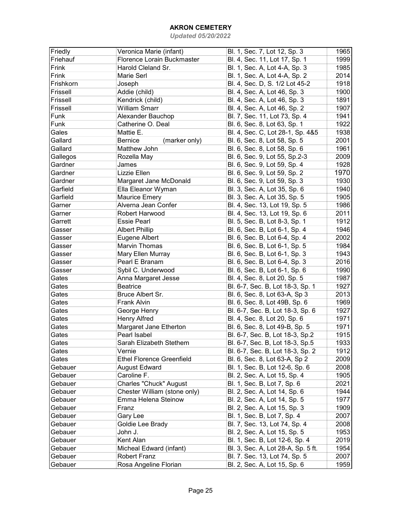| Friedly   | Veronica Marie (infant)          | Bl. 1, Sec. 7, Lot 12, Sp. 3       | 1965 |
|-----------|----------------------------------|------------------------------------|------|
| Friehauf  | Florence Lorain Buckmaster       | Bl. 4, Sec. 11, Lot 17, Sp. 1      | 1999 |
| Frink     | Harold Cleland Sr.               | Bl. 1, Sec. A, Lot 4-A, Sp. 3      | 1985 |
| Frink     | Marie Serl                       | Bl. 1, Sec. A, Lot 4-A, Sp. 2      | 2014 |
| Frishkorn | Joseph                           | Bl. 4, Sec. D, S. 1/2 Lot 45-2     | 1918 |
| Frissell  | Addie (child)                    | Bl. 4, Sec. A, Lot 46, Sp. 3       | 1900 |
| Frissell  | Kendrick (child)                 | Bl. 4, Sec. A, Lot 46, Sp. 3       | 1891 |
| Frissell  | <b>William Smarr</b>             | Bl. 4, Sec. A, Lot 46, Sp. 2       | 1907 |
| Funk      | Alexander Bauchop                | Bl. 7, Sec. 11, Lot 73, Sp. 4      | 1941 |
| Funk      | Catherine O. Deal                | Bl. 6, Sec. 8, Lot 63, Sp. 1       | 1922 |
| Gales     | Mattie E.                        | Bl. 4, Sec. C, Lot 28-1, Sp. 4&5   | 1938 |
| Gallard   | <b>Bernice</b><br>(marker only)  | Bl. 6, Sec. 8, Lot 58, Sp. 5       | 2001 |
| Gallard   | Matthew John                     | Bl. 6, Sec. 8, Lot 58, Sp. 6       | 1961 |
| Gallegos  | Rozella May                      | Bl. 6, Sec. 9, Lot 55, Sp.2-3      | 2009 |
| Gardner   | James                            | Bl. 6, Sec. 9, Lot 59, Sp. 4       | 1928 |
| Gardner   | Lizzie Ellen                     | Bl. 6, Sec. 9, Lot 59, Sp. 2       | 1970 |
| Gardner   | Margaret Jane McDonald           | Bl. 6, Sec. 9, Lot 59, Sp. 3       | 1930 |
| Garfield  | Ella Eleanor Wyman               | Bl. 3, Sec. A, Lot 35, Sp. 6       | 1940 |
| Garfield  | <b>Maurice Emery</b>             | Bl. 3, Sec. A, Lot 35, Sp. 5       | 1905 |
|           | Alverna Jean Confer              |                                    |      |
| Garner    | Robert Harwood                   | Bl. 4, Sec. 13, Lot 19, Sp. 5      | 1986 |
| Garner    |                                  | Bl. 4, Sec. 13, Lot 19, Sp. 6      | 2011 |
| Garrett   | <b>Essie Pearl</b>               | Bl. 5, Sec. B, Lot 8-3, Sp. 1      | 1912 |
| Gasser    | <b>Albert Phillip</b>            | Bl. 6, Sec. B, Lot 6-1, Sp. 4      | 1946 |
| Gasser    | Eugene Albert                    | Bl. 6, Sec. B, Lot 6-4, Sp. 4      | 2002 |
| Gasser    | Marvin Thomas                    | Bl. 6, Sec. B, Lot 6-1, Sp. 5      | 1984 |
| Gasser    | Mary Ellen Murray                | Bl. 6, Sec. B, Lot 6-1, Sp. 3      | 1943 |
| Gasser    | Pearl E Branam                   | Bl. 6, Sec. B, Lot 6-4, Sp. 3      | 2016 |
| Gasser    | Sybil C. Underwood               | Bl. 6, Sec. B, Lot 6-1, Sp. 6      | 1990 |
| Gates     | Anna Margaret Jesse              | Bl. 4, Sec. 8, Lot 20, Sp. 5       | 1987 |
| Gates     | <b>Beatrice</b>                  | Bl. 6-7, Sec. B, Lot 18-3, Sp. 1   | 1927 |
| Gates     | Bruce Albert Sr.                 | Bl. 6, Sec. 8, Lot 63-A, Sp 3      | 2013 |
| Gates     | <b>Frank Alvin</b>               | Bl. 6, Sec. 8, Lot 49B, Sp. 6      | 1969 |
| Gates     | George Henry                     | Bl. 6-7, Sec. B, Lot 18-3, Sp. 6   | 1927 |
| Gates     | <b>Henry Alfred</b>              | Bl. 4, Sec. 8, Lot 20, Sp. 6       | 1971 |
| Gates     | Margaret Jane Etherton           | Bl. 6, Sec. 8, Lot 49-B, Sp. 5     | 1971 |
| Gates     | Pearl Isabel                     | Bl. 6-7, Sec. B, Lot 18-3, Sp.2    | 1915 |
| Gates     | Sarah Elizabeth Stethem          | Bl. 6-7, Sec. B, Lot 18-3, Sp.5    | 1933 |
| Gates     | Vernie                           | Bl. 6-7, Sec. B, Lot 18-3, Sp. 2   | 1912 |
| Gates     | <b>Ethel Florence Greenfield</b> | Bl. 6, Sec. 8, Lot 63-A, Sp 2      | 2009 |
| Gebauer   | <b>August Edward</b>             | Bl. 1, Sec. B, Lot 12-6, Sp. 6     | 2008 |
| Gebauer   | Caroline F.                      | Bl. 2, Sec. A, Lot 15, Sp. 4       | 1905 |
| Gebauer   | Charles "Chuck" August           | Bl. 1, Sec. B, Lot 7, Sp. 6        | 2021 |
| Gebauer   | Chester William (stone only)     | Bl. 2, Sec. A, Lot 14, Sp. 6       | 1944 |
| Gebauer   | Emma Helena Steinow              | Bl. 2, Sec. A, Lot 14, Sp. 5       | 1977 |
| Gebauer   | Franz                            | Bl. 2, Sec. A, Lot 15, Sp. 3       | 1909 |
| Gebauer   | Gary Lee                         | Bl. 1, Sec. B, Lot 7, Sp. 4        | 2007 |
| Gebauer   | Goldie Lee Brady                 | Bl. 7, Sec. 13, Lot 74, Sp. 4      | 2008 |
| Gebauer   | John J.                          | Bl. 2, Sec. A, Lot 15, Sp. 5       | 1953 |
| Gebauer   | Kent Alan                        | Bl. 1, Sec. B, Lot 12-6, Sp. 4     | 2019 |
| Gebauer   | Micheal Edward (infant)          | Bl. 3, Sec. A, Lot 28-A, Sp. 5 ft. | 1954 |
| Gebauer   | <b>Robert Franz</b>              | Bl. 7. Sec. 13, Lot 74, Sp. 5      | 2007 |
| Gebauer   | Rosa Angeline Florian            | Bl. 2, Sec. A, Lot 15, Sp. 6       | 1959 |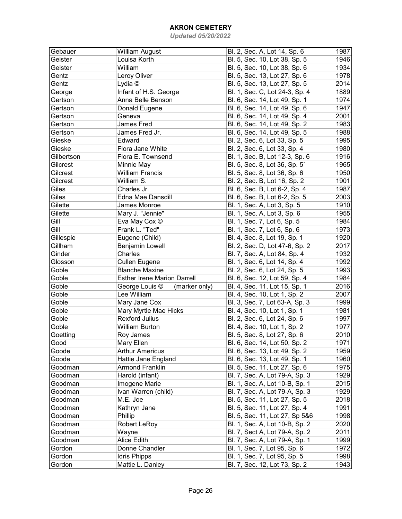| Gebauer    | <b>William August</b>              | Bl. 2, Sec. A, Lot 14, Sp. 6   | 1987 |
|------------|------------------------------------|--------------------------------|------|
| Geister    | Louisa Korth                       | Bl. 5, Sec. 10, Lot 38, Sp. 5  | 1946 |
| Geister    | William                            | Bl. 5, Sec. 10, Lot 38, Sp. 6  | 1934 |
| Gentz      | Leroy Oliver                       | Bl. 5, Sec. 13, Lot 27, Sp. 6  | 1978 |
| Gentz      | Lydia ©                            | Bl. 5, Sec. 13, Lot 27, Sp. 5  | 2014 |
| George     | Infant of H.S. George              | Bl. 1, Sec. C, Lot 24-3, Sp. 4 | 1889 |
| Gertson    | Anna Belle Benson                  | Bl. 6, Sec. 14, Lot 49, Sp. 1  | 1974 |
| Gertson    | Donald Eugene                      | Bl. 6, Sec. 14, Lot 49, Sp. 6  | 1947 |
| Gertson    | Geneva                             | Bl. 6, Sec. 14, Lot 49, Sp. 4  | 2001 |
| Gertson    | <b>James Fred</b>                  | Bl. 6, Sec. 14, Lot 49, Sp. 2  | 1983 |
| Gertson    | James Fred Jr.                     | Bl. 6, Sec. 14, Lot 49, Sp. 5  | 1988 |
| Gieske     | Edward                             | Bl. 2, Sec. 6, Lot 33, Sp. 5   | 1995 |
| Gieske     | Flora Jane White                   | Bl. 2, Sec. 6, Lot 33, Sp. 4   | 1980 |
| Gilbertson | Flora E. Townsend                  | Bl. 1, Sec. B, Lot 12-3, Sp. 6 | 1916 |
| Gilcrest   | Minnie May                         | Bl. 5, Sec. 8, Lot 36, Sp. 5   | 1965 |
| Gilcrest   | <b>William Francis</b>             | Bl. 5, Sec. 8, Lot 36, Sp. 6   | 1950 |
| Gilcrest   | William S.                         | Bl. 2, Sec. B, Lot 16, Sp. 2   | 1901 |
| Giles      | Charles Jr.                        | Bl. 6, Sec. B, Lot 6-2, Sp. 4  | 1987 |
| Giles      | Edna Mae Dansdill                  | Bl. 6, Sec. B, Lot 6-2, Sp. 5  | 2003 |
| Gilette    | James Monroe                       | Bl. 1, Sec. A, Lot 3, Sp. 5    | 1910 |
| Gilette    | Mary J. "Jennie"                   | Bl. 1, Sec. A, Lot 3, Sp. 6    | 1955 |
| Gill       | Eva May Cox ©                      | Bl. 1, Sec. 7, Lot 6, Sp. 5    | 1984 |
| Gill       | Frank L. "Ted"                     | Bl. 1, Sec. 7, Lot 6, Sp. 6    | 1973 |
| Gillespie  | Eugene (Child)                     | Bl. 4, Sec. 8, Lot 19, Sp. 1   | 1920 |
| Gillham    | <b>Benjamin Lowell</b>             | Bl. 2, Sec. D, Lot 47-6, Sp. 2 | 2017 |
| Ginder     | Charles                            | Bl. 7, Sec. A, Lot 84, Sp. 4   | 1932 |
| Glosson    | <b>Cullen Eugene</b>               | Bl. 1, Sec. 6, Lot 14, Sp. 4   | 1992 |
| Goble      | <b>Blanche Maxine</b>              | Bl. 2, Sec. 6, Lot 24, Sp. 5   | 1993 |
| Goble      | <b>Esther Irene Marion Darrell</b> | Bl. 6, Sec. 12, Lot 59, Sp. 4  | 1984 |
| Goble      | George Louis ©<br>(marker only)    | Bl. 4, Sec. 11, Lot 15, Sp. 1  | 2016 |
| Goble      | Lee William                        | Bl. 4, Sec. 10, Lot 1, Sp. 2   | 2007 |
| Goble      | Mary Jane Cox                      | Bl. 3, Sec. 7, Lot 63-A, Sp. 3 | 1999 |
| Goble      | Mary Myrtle Mae Hicks              | Bl. 4, Sec. 10, Lot 1, Sp. 1   | 1981 |
| Goble      | <b>Rexford Julius</b>              | Bl. 2, Sec. 6, Lot 24, Sp. 6   | 1997 |
| Goble      | <b>William Burton</b>              | Bl. 4, Sec. 10, Lot 1, Sp. 2   | 1977 |
| Goetting   | Roy James                          | Bl. 5, Sec. 8, Lot 27, Sp. 6   | 2010 |
| Good       | Mary Ellen                         | Bl. 6, Sec. 14, Lot 50, Sp. 2  | 1971 |
| Goode      | <b>Arthur Americus</b>             | Bl. 6, Sec. 13, Lot 49, Sp. 2  | 1959 |
| Goode      | Hattie Jane England                | Bl. 6, Sec. 13, Lot 49, Sp. 1  | 1960 |
| Goodman    | <b>Armond Franklin</b>             | Bl. 5, Sec. 11, Lot 27, Sp. 6  | 1975 |
| Goodman    | Harold (infant)                    | Bl. 7, Sec. A, Lot 79-A, Sp. 3 | 1929 |
| Goodman    | Imogene Marie                      | Bl. 1, Sec. A, Lot 10-B, Sp. 1 | 2015 |
| Goodman    | Ivan Warren (child)                | Bl. 7, Sec. A, Lot 79-A, Sp. 3 | 1929 |
| Goodman    | M.E. Joe                           | Bl. 5, Sec. 11, Lot 27, Sp. 5  | 2018 |
| Goodman    | Kathryn Jane                       | Bl. 5, Sec. 11, Lot 27, Sp. 4  | 1991 |
| Goodman    | Phillip                            | Bl. 5, Sec. 11, Lot 27, Sp 5&6 | 1998 |
| Goodman    | <b>Robert LeRoy</b>                | Bl. 1, Sec. A, Lot 10-B, Sp. 2 | 2020 |
| Goodman    | Wayne                              | Bl. 7, Sect A, Lot 79-A, Sp. 2 | 2011 |
| Goodman    | Alice Edith                        | Bl. 7, Sec. A, Lot 79-A, Sp. 1 | 1999 |
| Gordon     | Donne Chandler                     | Bl. 1, Sec. 7, Lot 95, Sp. 6   | 1972 |
| Gordon     | <b>Idris Phipps</b>                | Bl. 1, Sec. 7, Lot 95, Sp. 5   | 1998 |
| Gordon     | Mattie L. Danley                   | Bl. 7, Sec. 12, Lot 73, Sp. 2  | 1943 |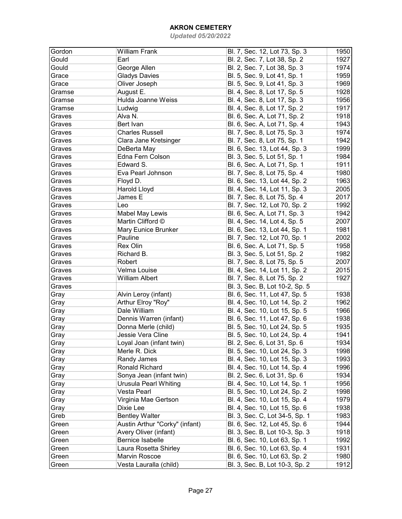| Gordon | <b>William Frank</b>           | Bl. 7, Sec. 12, Lot 73, Sp. 3  | 1950 |
|--------|--------------------------------|--------------------------------|------|
| Gould  | Earl                           | Bl. 2, Sec. 7, Lot 38, Sp. 2   | 1927 |
| Gould  | George Allen                   | Bl. 2, Sec. 7, Lot 38, Sp. 3   | 1974 |
| Grace  | <b>Gladys Davies</b>           | Bl. 5, Sec. 9, Lot 41, Sp. 1   | 1959 |
| Grace  | Oliver Joseph                  | Bl. 5, Sec. 9, Lot 41, Sp. 3   | 1969 |
| Gramse | August E.                      | Bl. 4, Sec. 8, Lot 17, Sp. 5   | 1928 |
| Gramse | Hulda Joanne Weiss             | Bl. 4, Sec. 8, Lot 17, Sp. 3   | 1956 |
| Gramse | Ludwig                         | Bl. 4, Sec. 8, Lot 17, Sp. 2   | 1917 |
| Graves | Alva N.                        | Bl. 6, Sec. A, Lot 71, Sp. 2   | 1918 |
| Graves | Bert Ivan                      | Bl. 6, Sec. A, Lot 71, Sp. 4   | 1943 |
| Graves | <b>Charles Russell</b>         | Bl. 7, Sec. 8, Lot 75, Sp. 3   | 1974 |
| Graves | Clara Jane Kretsinger          | Bl. 7, Sec. 8, Lot 75, Sp. 1   | 1942 |
| Graves | DeBerta May                    | Bl. 6, Sec. 13, Lot 44, Sp. 3  | 1999 |
| Graves | Edna Fern Colson               | Bl. 3, Sec. 5, Lot 51, Sp. 1   | 1984 |
| Graves | Edward S.                      | Bl. 6, Sec. A, Lot 71, Sp. 1   | 1911 |
| Graves | Eva Pearl Johnson              | Bl. 7, Sec. 8, Lot 75, Sp. 4   | 1980 |
| Graves | Floyd D.                       | Bl. 6, Sec. 13, Lot 44, Sp. 2  | 1963 |
| Graves | Harold Lloyd                   | Bl. 4, Sec. 14, Lot 11, Sp. 3  | 2005 |
| Graves | James E                        | Bl. 7, Sec. 8, Lot 75, Sp. 4   | 2017 |
| Graves | Leo                            | Bl. 7, Sec. 12, Lot 70, Sp. 2  | 1992 |
| Graves | <b>Mabel May Lewis</b>         | Bl. 6, Sec. A, Lot 71, Sp. 3   | 1942 |
| Graves | Martin Clifford ©              | Bl. 4, Sec. 14, Lot 4, Sp. 5   | 2007 |
| Graves | Mary Eunice Brunker            | Bl. 6, Sec. 13, Lot 44, Sp. 1  | 1981 |
| Graves | Pauline                        | Bl. 7, Sec. 12, Lot 70, Sp. 1  | 2002 |
| Graves | Rex Olin                       | Bl. 6, Sec. A, Lot 71, Sp. 5   | 1958 |
| Graves | Richard B.                     | Bl. 3, Sec. 5, Lot 51, Sp. 2   | 1982 |
| Graves | Robert                         | Bl. 7, Sec. 8, Lot 75, Sp. 5   | 2007 |
| Graves | Velma Louise                   | Bl. 4, Sec. 14, Lot 11, Sp. 2  | 2015 |
| Graves | <b>William Albert</b>          | Bl. 7, Sec. 8, Lot 75, Sp. 2   | 1927 |
| Graves |                                | Bl. 3, Sec. B, Lot 10-2, Sp. 5 |      |
| Gray   | Alvin Leroy (infant)           | Bl. 6, Sec. 11, Lot 47, Sp. 5  | 1938 |
| Gray   | Arthur Elroy "Roy"             | Bl. 4, Sec. 10, Lot 14, Sp. 2  | 1962 |
| Gray   | Dale William                   | Bl. 4, Sec. 10, Lot 15, Sp. 5  | 1966 |
| Gray   | Dennis Warren (infant)         | Bl. 6, Sec. 11, Lot 47, Sp. 6  | 1938 |
| Gray   | Donna Merle (child)            | Bl. 5, Sec. 10, Lot 24, Sp. 5  | 1935 |
| Gray   | Jessie Vera Cline              | Bl. 5, Sec. 10, Lot 24, Sp. 4  | 1941 |
| Gray   | Loyal Joan (infant twin)       | Bl. 2, Sec. 6, Lot 31, Sp. 6   | 1934 |
| Gray   | Merle R. Dick                  | Bl. 5, Sec. 10, Lot 24, Sp. 3  | 1998 |
| Gray   | Randy James                    | Bl. 4, Sec. 10, Lot 15, Sp. 3  | 1993 |
| Gray   | Ronald Richard                 | Bl. 4, Sec. 10, Lot 14, Sp. 4  | 1996 |
| Gray   | Sonya Jean (infant twin)       | Bl. 2, Sec. 6, Lot 31, Sp. 6   | 1934 |
| Gray   | Urusula Pearl Whiting          | Bl. 4, Sec. 10, Lot 14, Sp. 1  | 1956 |
| Gray   | Vesta Pearl                    | Bl. 5, Sec. 10, Lot 24, Sp. 2  | 1998 |
| Gray   | Virginia Mae Gertson           | Bl. 4, Sec. 10, Lot 15, Sp. 4  | 1979 |
| Gray   | Dixie Lee                      | Bl. 4, Sec. 10, Lot 15, Sp. 6  | 1938 |
| Greb   | <b>Bentley Walter</b>          | Bl. 3, Sec. C, Lot 34-5, Sp. 1 | 1983 |
| Green  | Austin Arthur "Corky" (infant) | Bl. 6, Sec. 12, Lot 45, Sp. 6  | 1944 |
| Green  | Avery Oliver (infant)          | Bl. 3, Sec. B, Lot 10-3, Sp. 3 | 1918 |
| Green  | <b>Bernice Isabelle</b>        | Bl. 6, Sec. 10, Lot 63, Sp. 1  | 1992 |
| Green  | Laura Rosetta Shirley          | Bl. 6, Sec. 10, Lot 63, Sp. 4  | 1931 |
| Green  | Marvin Roscoe                  | Bl. 6, Sec. 10, Lot 63, Sp. 2  | 1980 |
| Green  | Vesta Lauralla (child)         | Bl. 3, Sec. B, Lot 10-3, Sp. 2 | 1912 |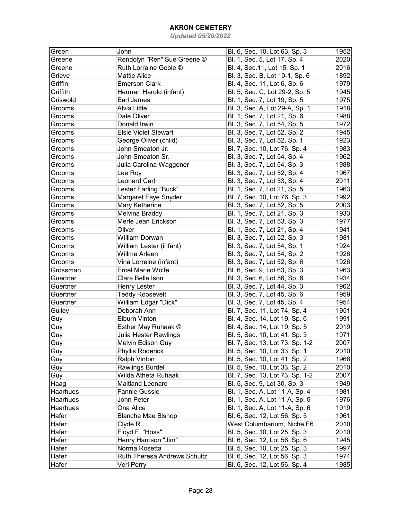| Green    | John                         | Bl. 6, Sec. 10, Lot 63, Sp. 3   | 1952 |
|----------|------------------------------|---------------------------------|------|
| Greene   | Rendolyn "Ren" Sue Greene ©  | Bl. 1, Sec. 5, Lot 17, Sp. 4    | 2020 |
| Greene   | Ruth Lorraine Goble ©        | Bl. 4, Sec. 11, Lot 15, Sp. 1   | 2016 |
| Grieve   | <b>Mattie Alice</b>          | Bl. 3, Sec. B, Lot 10-1, Sp. 6  | 1892 |
| Griffin  | <b>Emerson Clark</b>         | Bl. 4, Sec. 11, Lot 6, Sp. 6    | 1979 |
| Griffith | Herman Harold (infant)       | Bl. 5, Sec. C, Lot 29-2, Sp. 5  | 1945 |
| Griswold | Earl James                   | Bl. 1, Sec. 7, Lot 19, Sp. 5    | 1975 |
| Grooms   | Alvia Little                 | Bl. 3, Sec. A, Lot 29-A, Sp. 1  | 1918 |
| Grooms   | Dale Oliver                  | Bl. 1, Sec. 7, Lot 21, Sp. 6    | 1988 |
| Grooms   | Donald Irwin                 | Bl. 3, Sec. 7, Lot 54, Sp. 5    | 1972 |
| Grooms   | <b>Elsie Violet Stewart</b>  | Bl. 3, Sec. 7, Lot 52, Sp. 2    | 1945 |
| Grooms   | George Oliver (child)        | Bl. 3, Sec. 7, Lot 52, Sp. 1    | 1923 |
| Grooms   | John Smeaton Jr.             | Bl. 7, Sec. 10, Lot 76, Sp. 4   | 1983 |
| Grooms   | John Smeaton Sr.             | Bl. 3, Sec. 7, Lot 54, Sp. 4    | 1962 |
| Grooms   | Julia Carolina Waggoner      | Bl. 3, Sec. 7, Lot 54, Sp. 3    | 1988 |
| Grooms   | Lee Roy                      | Bl. 3, Sec. 7, Lot 52, Sp. 4    | 1967 |
| Grooms   | <b>Leonard Carl</b>          | Bl. 3, Sec. 7, Lot 53, Sp. 4    | 2011 |
| Grooms   | Lester Earling "Buck"        | Bl. 1, Sec. 7, Lot 21, Sp. 5    | 1963 |
| Grooms   | Margaret Faye Snyder         | Bl. 7, Sec. 10, Lot 76, Sp. 3   | 1992 |
| Grooms   | Mary Ketherine               | Bl. 3, Sec. 7, Lot 52, Sp. 5    | 2003 |
| Grooms   | Melvina Braddy               | Bl. 1, Sec. 7, Lot 21, Sp. 3    | 1933 |
| Grooms   | Merle Jean Erickson          | Bl. 3, Sec. 7, Lot 53, Sp. 3    | 1977 |
| Grooms   | Oliver                       | Bl. 1, Sec. 7, Lot 21, Sp. 4    | 1941 |
| Grooms   | <b>William Dorwan</b>        | Bl. 3, Sec. 7, Lot 52, Sp. 3    | 1981 |
| Grooms   | William Lester (infant)      | Bl. 3, Sec. 7, Lot 54, Sp. 1    | 1924 |
| Grooms   | Willma Arleen                | Bl. 3, Sec. 7, Lot 54, Sp. 2    | 1926 |
| Grooms   | Vina Lorraine (infant)       | Bl. 3, Sec. 7, Lot 52, Sp. 6    | 1926 |
| Grossman | <b>Ercel Marie Wolfe</b>     | Bl. 6, Sec. 9, Lot 63, Sp. 3    | 1963 |
| Guertner | Clara Belle Ison             | Bl. 3, Sec. 6, Lot 56, Sp. 6    | 1934 |
| Guertner | Henry Lester                 | Bl. 3, Sec. 7, Lot 44, Sp. 3    | 1962 |
| Guertner | <b>Teddy Roosevelt</b>       | Bl. 3, Sec. 7, Lot 45, Sp. 6    | 1959 |
| Guertner | William Edgar "Dick"         | Bl. 3, Sec. 7, Lot 45, Sp. 4    | 1954 |
| Gulley   | Deborah Ann                  | Bl. 7, Sec. 11, Lot 74, Sp. 4   | 1951 |
| Guy      | <b>Elburn Vinton</b>         | Bl. 4, Sec. 14, Lot 19, Sp. 6   | 1991 |
| Guy      | Esther May Ruhaak ©          | Bl. 4, Sec. 14, Lot 19, Sp. 5   | 2019 |
| Guy      | <b>Julia Hester Rawlings</b> | Bl. 5, Sec. 10, Lot 41, Sp. 3   | 1971 |
| Guy      | Melvin Edison Guy            | Bl. 7, Sec. 13, Lot 73, Sp. 1-2 | 2007 |
| Guy      | Phyllis Roderick             | Bl. 5, Sec. 10, Lot 33, Sp. 1   | 2010 |
| Guy      | Ralph Vinton                 | Bl. 5, Sec. 10, Lot 41, Sp. 2   | 1966 |
| Guy      | Rawlings Burdell             | Bl. 5, Sec. 10, Lot 33, Sp. 2   | 2010 |
| Guy      | Wilda Atheta Ruhaak          | Bl. 7, Sec. 13, Lot 73, Sp. 1-2 | 2007 |
| Haag     | Maitland Leonard             | Bl. 5, Sec. 9, Lot 30, Sp. 3    | 1949 |
| Haarhues | <b>Fannie Gussie</b>         | Bl. 1, Sec. A, Lot 11-A, Sp. 4  | 1981 |
| Haarhues | John Peter                   | Bl. 1, Sec. A, Lot 11-A, Sp. 5  | 1976 |
| Haarhues | Ona Alice                    | Bl. 1, Sec. A, Lot 11-A, Sp. 6  | 1919 |
| Hafer    | <b>Blanche Mae Bishop</b>    | Bl. 6, Sec. 12, Lot 56, Sp. 5   | 1961 |
| Hafer    | Clyde R.                     | West Columbarium, Niche F6      | 2010 |
| Hafer    | Floyd F. "Hoss"              | Bl. 5, Sec. 10, Lot 25, Sp. 3   | 2010 |
| Hafer    | Henry Harrison "Jim"         | Bl. 6, Sec. 12, Lot 56, Sp. 6   | 1945 |
| Hafer    | Norma Rosetta                | Bl. 5, Sec. 10, Lot 25, Sp. 3   | 1997 |
| Hafer    | Ruth Theresa Andrews Schultz | Bl. 6, Sec. 12, Lot 56, Sp. 3   | 1974 |
| Hafer    | Verl Perry                   | Bl. 6, Sec. 12, Lot 56, Sp. 4   | 1985 |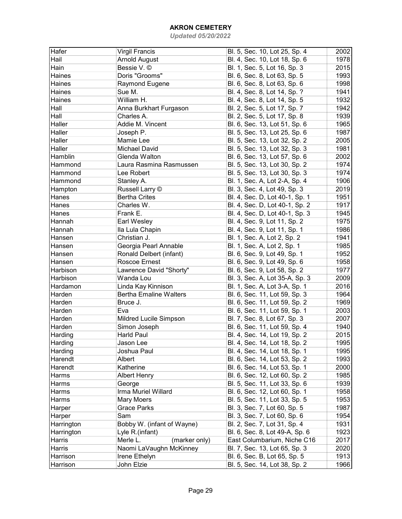| Hafer      | <b>Virgil Francis</b>         | Bl. 5, Sec. 10, Lot 25, Sp. 4  | 2002 |
|------------|-------------------------------|--------------------------------|------|
| Hail       | <b>Arnold August</b>          | Bl. 4, Sec. 10, Lot 18, Sp. 6  | 1978 |
| Hain       | Bessie V. ©                   | Bl. 1, Sec. 5, Lot 16, Sp. 3   | 2015 |
| Haines     | Doris "Grooms"                | Bl. 6, Sec. 8, Lot 63, Sp. 5   | 1993 |
| Haines     | Raymond Eugene                | Bl. 6, Sec. 8, Lot 63, Sp. 6   | 1998 |
| Haines     | Sue M.                        | Bl. 4, Sec. 8, Lot 14, Sp. ?   | 1941 |
| Haines     | William H.                    | Bl. 4, Sec. 8, Lot 14, Sp. 5   | 1932 |
| Hall       | Anna Burkhart Furgason        | Bl. 2, Sec. 5, Lot 17, Sp. 7   | 1942 |
| Hall       | Charles A.                    | Bl. 2, Sec. 5, Lot 17, Sp. 8   | 1939 |
| Haller     | Addie M. Vincent              | Bl. 6, Sec. 13, Lot 51, Sp. 6  | 1965 |
| Haller     | Joseph P.                     | Bl. 5, Sec. 13, Lot 25, Sp. 6  | 1987 |
| Haller     | Mamie Lee                     | Bl. 5, Sec. 13, Lot 32, Sp. 2  | 2005 |
| Haller     | <b>Michael David</b>          |                                | 1981 |
| Hamblin    | Glenda Walton                 | Bl. 5, Sec. 13, Lot 32, Sp. 3  |      |
|            |                               | Bl. 6, Sec. 13, Lot 57, Sp. 6  | 2002 |
| Hammond    | Laura Rasmina Rasmussen       | Bl. 5, Sec. 13, Lot 30, Sp. 2  | 1974 |
| Hammond    | Lee Robert                    | Bl. 5, Sec. 13, Lot 30, Sp. 3  | 1974 |
| Hammond    | Stanley A.                    | Bl. 1, Sec. A, Lot 2-A, Sp. 4  | 1906 |
| Hampton    | Russell Larry ©               | Bl. 3, Sec. 4, Lot 49, Sp. 3   | 2019 |
| Hanes      | <b>Bertha Crites</b>          | Bl. 4, Sec. D, Lot 40-1, Sp. 1 | 1951 |
| Hanes      | Charles W.                    | Bl. 4, Sec. D, Lot 40-1, Sp. 2 | 1917 |
| Hanes      | Frank E.                      | Bl. 4, Sec. D, Lot 40-1, Sp. 3 | 1945 |
| Hannah     | Earl Wesley                   | Bl. 4, Sec. 9, Lot 11, Sp. 2   | 1975 |
| Hannah     | Ila Lula Chapin               | Bl. 4, Sec. 9, Lot 11, Sp. 1   | 1986 |
| Hansen     | Christian J.                  | Bl. 1, Sec. A, Lot 2, Sp. 2    | 1941 |
| Hansen     | Georgia Pearl Annable         | Bl. 1, Sec. A, Lot 2, Sp. 1    | 1985 |
| Hansen     | Ronald Delbert (infant)       | Bl. 6, Sec. 9, Lot 49, Sp. 1   | 1952 |
| Hansen     | Roscoe Ernest                 | Bl. 6, Sec. 9, Lot 49, Sp. 6   | 1958 |
| Harbison   | Lawrence David "Shorty"       | Bl. 6, Sec. 9, Lot 58, Sp. 2   | 1977 |
| Harbison   | Wanda Lou                     | Bl. 3, Sec. A, Lot 35-A, Sp. 3 | 2009 |
| Hardamon   | Linda Kay Kinnison            | Bl. 1, Sec. A, Lot 3-A, Sp. 1  | 2016 |
| Harden     | <b>Bertha Emaline Walters</b> | Bl. 6, Sec. 11, Lot 59, Sp. 3  | 1964 |
| Harden     | Bruce J.                      | Bl. 6, Sec. 11, Lot 59, Sp. 2  | 1969 |
| Harden     | Eva                           | Bl. 6, Sec. 11, Lot 59, Sp. 1  | 2003 |
| Harden     | Mildred Lucile Simpson        | Bl. 7, Sec. 8, Lot 67, Sp. 3   | 2007 |
| Harden     | Simon Joseph                  | Bl. 6, Sec. 11, Lot 59, Sp. 4  | 1940 |
| Harding    | <b>Harld Paul</b>             | Bl. 4, Sec. 14, Lot 19, Sp. 2  | 2015 |
| Harding    | Jason Lee                     | Bl. 4, Sec. 14, Lot 18, Sp. 2  | 1995 |
| Harding    | Joshua Paul                   | Bl. 4, Sec. 14, Lot 18, Sp. 1  | 1995 |
| Harendt    | Albert                        | Bl. 6, Sec. 14, Lot 53, Sp. 2  | 1993 |
| Harendt    | Katherine                     | Bl. 6, Sec. 14, Lot 53, Sp. 1  | 2000 |
| Harms      | <b>Albert Henry</b>           | Bl. 6, Sec. 12, Lot 60, Sp. 2  | 1985 |
| Harms      | George                        | Bl. 5, Sec. 11, Lot 33, Sp. 6  | 1939 |
| Harms      | Irma Muriel Willard           | Bl. 6, Sec. 12, Lot 60, Sp. 1  | 1958 |
| Harms      | Mary Moers                    | Bl. 5, Sec. 11, Lot 33, Sp. 5  | 1953 |
| Harper     | <b>Grace Parks</b>            | Bl. 3, Sec. 7, Lot 60, Sp. 5   | 1987 |
| Harper     | Sam                           | Bl. 3, Sec. 7, Lot 60, Sp. 6   | 1954 |
| Harrington | Bobby W. (infant of Wayne)    | Bl. 2, Sec. 7, Lot 31, Sp. 4   | 1931 |
| Harrington | Lyle R.(infant)               |                                | 1923 |
|            |                               | Bl. 6, Sec. 8, Lot 49-A, Sp. 6 | 2017 |
| Harris     | (marker only)<br>Merle L.     | East Columbarium, Niche C16    |      |
| Harris     | Naomi LaVaughn McKinney       | Bl. 7, Sec. 13, Lot 65, Sp. 3  | 2020 |
| Harrison   | Irene Ethelyn                 | Bl. 6, Sec. B, Lot 65, Sp. 5   | 1913 |
| Harrison   | John Elzie                    | Bl. 5, Sec. 14, Lot 38, Sp. 2  | 1966 |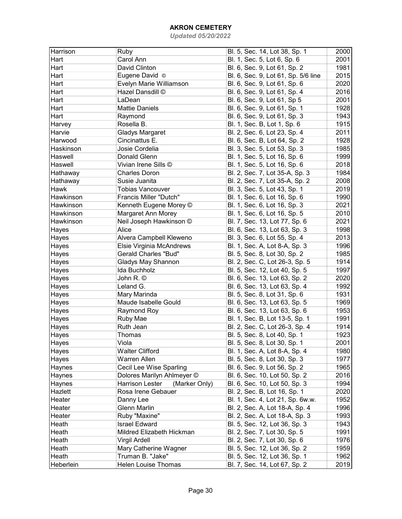| Harrison    | Ruby                                    | Bl. 5, Sec. 14, Lot 38, Sp. 1       | 2000 |
|-------------|-----------------------------------------|-------------------------------------|------|
| Hart        | Carol Ann                               | Bl. 1, Sec. 5, Lot 6, Sp. 6         | 2001 |
| Hart        | David Clinton                           | Bl. 6, Sec. 9, Lot 61, Sp. 2        | 1981 |
| Hart        | Eugene David ©                          | Bl. 6, Sec. 9, Lot 61, Sp. 5/6 line | 2015 |
| Hart        | Evelyn Marie Williamson                 | Bl. 6, Sec. 9, Lot 61, Sp. 6        | 2020 |
| Hart        | Hazel Dansdill ©                        | Bl. 6, Sec. 9, Lot 61, Sp. 4        | 2016 |
| Hart        | LaDean                                  | Bl. 6, Sec. 9, Lot 61, Sp 5         | 2001 |
| Hart        |                                         |                                     | 1928 |
|             | <b>Mattie Daniels</b>                   | Bl. 6, Sec. 9, Lot 61, Sp. 1        |      |
| Hart        | Raymond                                 | Bl. 6, Sec. 9, Lot 61, Sp. 3        | 1943 |
| Harvey      | Rosella B.                              | Bl. 1, Sec. B, Lot 1, Sp. 6         | 1915 |
| Harvie      | <b>Gladys Margaret</b>                  | Bl. 2, Sec. 6, Lot 23, Sp. 4        | 2011 |
| Harwood     | Cincinattus E.                          | Bl. 6, Sec. B, Lot 64, Sp. 2        | 1928 |
| Haskinson   | Josie Cordelia                          | Bl. 3, Sec. 5, Lot 53, Sp. 3        | 1985 |
| Haswell     | Donald Glenn                            | Bl. 1, Sec. 5, Lot 16, Sp. 6        | 1999 |
| Haswell     | Vivian Irene Sills ©                    | Bl. 1, Sec. 5, Lot 16, Sp. 6        | 2018 |
| Hathaway    | <b>Charles Doron</b>                    | Bl. 2, Sec. 7, Lot 35-A, Sp. 3      | 1984 |
| Hathaway    | Susie Juanita                           | Bl. 2, Sec. 7, Lot 35-A, Sp. 2      | 2008 |
| <b>Hawk</b> | <b>Tobias Vancouver</b>                 | Bl. 3, Sec. 5, Lot 43, Sp. 1        | 2019 |
| Hawkinson   | Francis Miller "Dutch"                  | Bl. 1, Sec. 6, Lot 16, Sp. 6        | 1990 |
| Hawkinson   | Kenneth Eugene Morey ©                  | Bl. 1, Sec. 6, Lot 16, Sp. 3        | 2021 |
| Hawkinson   | Margaret Ann Morey                      | Bl. 1, Sec. 6, Lot 16, Sp. 5        | 2010 |
| Hawkinson   | Neil Joseph Hawkinson ©                 | Bl. 7, Sec. 13, Lot 77, Sp. 6       | 2021 |
| Hayes       | Alice                                   | Bl. 6, Sec. 13, Lot 63, Sp. 3       | 1998 |
| Hayes       | Alvera Campbell Kleweno                 | Bl. 3, Sec. 6, Lot 55, Sp. 4        | 2013 |
| Hayes       | Elsie Virginia McAndrews                | Bl. 1, Sec. A, Lot 8-A, Sp. 3       | 1996 |
| Hayes       | <b>Gerald Charles "Bud"</b>             | Bl. 5, Sec. 8, Lot 30, Sp. 2        | 1985 |
| Hayes       | Gladys May Shannon                      | Bl. 2, Sec. C, Lot 26-3, Sp. 5      | 1914 |
| Hayes       | Ida Buchholz                            | Bl. 5, Sec. 12, Lot 40, Sp. 5       | 1997 |
| Hayes       | John R. ©                               | Bl. 6, Sec. 13, Lot 63, Sp. 2       | 2020 |
| Hayes       | Leland G.                               | Bl. 6, Sec. 13, Lot 63, Sp. 4       | 1992 |
| Hayes       | Mary Marinda                            | Bl. 5, Sec. 8, Lot 31, Sp. 6        | 1931 |
| Hayes       | Maude Isabelle Gould                    | Bl. 6, Sec. 13, Lot 63, Sp. 5       | 1969 |
| Hayes       | Raymond Roy                             | Bl. 6, Sec. 13, Lot 63, Sp. 6       | 1953 |
| Hayes       | Ruby Mae                                | Bl. 1, Sec. B, Lot 13-5, Sp. 1      | 1991 |
| Hayes       | Ruth Jean                               | Bl. 2, Sec. C, Lot 26-3, Sp. 4      | 1914 |
| Hayes       | Thomas                                  | Bl. 5, Sec. 8, Lot 40, Sp. 1        | 1923 |
| Hayes       | Viola                                   | Bl. 5, Sec. 8, Lot 30, Sp. 1        | 2001 |
| Hayes       | <b>Walter Clifford</b>                  | Bl. 1, Sec. A, Lot 8-A, Sp. 4       | 1980 |
| Hayes       | Warren Allen                            | Bl. 5, Sec. 8, Lot 30, Sp. 3        | 1977 |
| Haynes      | Cecil Lee Wise Sparling                 | Bl. 6, Sec. 9, Lot 56, Sp. 2        | 1965 |
| Haynes      | Dolores Marilyn Ahlmeyer ©              | Bl. 6, Sec. 10, Lot 50, Sp. 2       | 2016 |
| Haynes      | (Marker Only)<br><b>Harrison Lester</b> | Bl. 6, Sec. 10, Lot 50, Sp. 3       | 1994 |
| Hazlett     | Rosa Irene Gebauer                      | Bl. 2, Sec. B, Lot 16, Sp. 1        | 2020 |
| Heater      | Danny Lee                               | Bl. 1, Sec. 4, Lot 21, Sp. 6w.w.    | 1952 |
| Heater      | <b>Glenn Marlin</b>                     | Bl. 2, Sec. A, Lot 18-A, Sp. 4      | 1996 |
| Heater      | Ruby "Maxine"                           | Bl. 2, Sec. A, Lot 18-A, Sp. 3      | 1993 |
| Heath       | <b>Israel Edward</b>                    | Bl. 5, Sec. 12, Lot 36, Sp. 3       | 1943 |
| Heath       | Mildred Elizabeth Hickman               | Bl. 2, Sec. 7, Lot 30, Sp. 5        | 1991 |
| Heath       | <b>Virgil Ardell</b>                    | Bl. 2, Sec. 7, Lot 30, Sp. 6        | 1976 |
| Heath       | Mary Catherine Wagner                   | Bl. 5, Sec. 12, Lot 36, Sp. 2       | 1959 |
| Heath       | Truman B. "Jake"                        | Bl. 5, Sec. 12, Lot 36, Sp. 1       | 1962 |
| Heberlein   | Helen Louise Thomas                     | Bl. 7, Sec. 14, Lot 67, Sp. 2       | 2019 |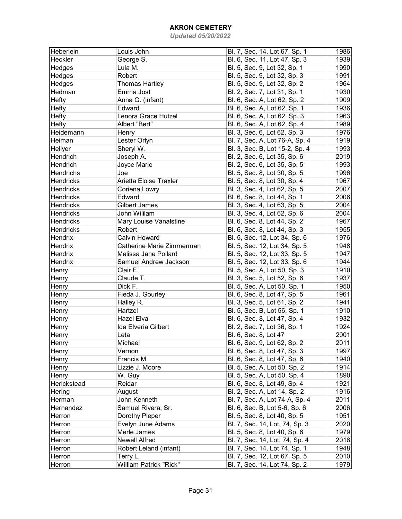| Heberlein        | Louis John                    | Bl. 7, Sec. 14, Lot 67, Sp. 1  | 1986 |
|------------------|-------------------------------|--------------------------------|------|
| Heckler          | George S.                     | Bl. 6, Sec. 11, Lot 47, Sp. 3  | 1939 |
| Hedges           | Lula M.                       | Bl. 5, Sec. 9, Lot 32, Sp. 1   | 1990 |
| Hedges           | Robert                        | Bl. 5, Sec. 9, Lot 32, Sp. 3   | 1991 |
| <b>Hedges</b>    | <b>Thomas Hartley</b>         | Bl. 5, Sec. 9, Lot 32, Sp. 2   | 1964 |
| Hedman           | Emma Jost                     | Bl. 2, Sec. 7, Lot 31, Sp. 1   | 1930 |
| Hefty            | Anna G. (infant)              | Bl. 6, Sec. A, Lot 62, Sp. 2   | 1909 |
| Hefty            | Edward                        | Bl. 6, Sec. A, Lot 62, Sp. 1   | 1936 |
| Hefty            | Lenora Grace Hutzel           | Bl. 6, Sec. A, Lot 62, Sp. 3   | 1963 |
| Hefty            | Albert "Bert"                 | Bl. 6, Sec. A, Lot 62, Sp. 4   | 1989 |
| Heidemann        | Henry                         | Bl. 3, Sec. 6, Lot 62, Sp. 3   | 1976 |
| Heiman           | Lester Orlyn                  | Bl. 7, Sec. A, Lot 76-A, Sp. 4 | 1919 |
| Hellyer          | Sheryl W.                     | Bl. 3, Sec. B, Lot 15-2, Sp. 4 | 1993 |
| Hendrich         | Joseph A.                     | Bl. 2, Sec. 6, Lot 35, Sp. 6   | 2019 |
| Hendrich         | Joyce Marie                   | Bl. 2, Sec. 6, Lot 35, Sp. 5   | 1993 |
| Hendrichs        | Joe                           | Bl. 5, Sec. 8, Lot 30, Sp. 5   | 1996 |
| <b>Hendricks</b> | Arietta Eloise Traxler        | Bl. 5, Sec. 8, Lot 30, Sp. 4   | 1967 |
| <b>Hendricks</b> | Coriena Lowry                 | Bl. 3, Sec. 4, Lot 62, Sp. 5   | 2007 |
| Hendricks        | Edward                        | Bl. 6, Sec. 8, Lot 44, Sp. 1   | 2006 |
| Hendricks        | <b>Gilbert James</b>          | Bl. 3, Sec. 4, Lot 63, Sp. 5   | 2004 |
| <b>Hendricks</b> | John Wililam                  | Bl. 3, Sec. 4, Lot 62, Sp. 6   | 2004 |
| Hendricks        | Mary Louise Vanalstine        | Bl. 6, Sec. 8, Lot 44, Sp. 2   | 1967 |
| <b>Hendricks</b> | Robert                        | Bl. 6, Sec. 8, Lot 44, Sp. 3   | 1955 |
| Hendrix          | Calvin Howard                 | Bl. 5, Sec. 12, Lot 34, Sp. 6  | 1976 |
| Hendrix          | Catherine Marie Zimmerman     | Bl. 5, Sec. 12, Lot 34, Sp. 5  | 1948 |
| Hendrix          | Malissa Jane Pollard          | Bl. 5, Sec. 12, Lot 33, Sp. 5  | 1947 |
| Hendrix          | Samuel Andrew Jackson         | Bl. 5, Sec. 12, Lot 33, Sp. 6  | 1944 |
| Henry            | Clair E.                      | Bl. 5, Sec. A, Lot 50, Sp. 3   | 1910 |
| Henry            | Claude T.                     | Bl. 3, Sec. 5, Lot 52, Sp. 6   | 1937 |
| Henry            | Dick F.                       | Bl. 5, Sec. A, Lot 50, Sp. 1   | 1950 |
| Henry            | Fleda J. Gourley              | Bl. 6, Sec. 8, Lot 47, Sp. 5   | 1961 |
| Henry            | Halley R.                     | Bl. 3, Sec. 5, Lot 61, Sp. 2   | 1941 |
| Henry            | Hartzel                       | Bl. 5, Sec. B, Lot 56, Sp. 1   | 1910 |
| Henry            | Hazel Elva                    | Bl. 6, Sec. 8, Lot 47, Sp. 4   | 1932 |
| Henry            | Ida Elveria Gilbert           | Bl. 2, Sec. 7, Lot 36, Sp. 1   | 1924 |
| Henry            | Leta                          | Bl. 6, Sec. 8, Lot 47          | 2001 |
|                  | Michael                       | Bl. 6, Sec. 9, Lot 62, Sp. 2   | 2011 |
| Henry<br>Henry   | Vernon                        | Bl. 6, Sec. 8, Lot 47, Sp. 3   | 1997 |
| Henry            | Francis M.                    | Bl. 6, Sec. 8, Lot 47, Sp. 6   | 1940 |
| Henry            | Lizzie J. Moore               | Bl. 5, Sec. A, Lot 50, Sp. 2   | 1914 |
|                  |                               | Bl. 5, Sec. A, Lot 50, Sp. 4   | 1890 |
| Henry            | W. Guy<br>Reidar              | Bl. 6, Sec. 8, Lot 49, Sp. 4   |      |
| Herickstead      |                               |                                | 1921 |
| Hering           | August                        | Bl. 2, Sec. A, Lot 14, Sp. 2   | 1916 |
| Herman           | John Kenneth                  | Bl. 7, Sec. A, Lot 74-A, Sp. 4 | 2011 |
| Hernandez        | Samuel Rivera, Sr.            | Bl. 6, Sec. B, Lot 5-6, Sp. 6  | 2006 |
| Herron           | Dorothy Pieper                | Bl. 5, Sec. 8, Lot 40, Sp. 5   | 1951 |
| Herron           | Evelyn June Adams             | Bl. 7, Sec. 14, Lot, 74, Sp. 3 | 2020 |
| Herron           | Merle James                   | Bl. 5, Sec. 8, Lot 40, Sp. 6   | 1979 |
| Herron           | <b>Newell Alfred</b>          | Bl. 7, Sec. 14, Lot, 74, Sp. 4 | 2016 |
| Herron           | Robert Leland (infant)        | Bl. 7, Sec. 14, Lot 74, Sp. 1  | 1948 |
| Herron           | Terry L.                      | Bl. 7, Sec. 12, Lot 67, Sp. 5  | 2010 |
| Herron           | <b>William Patrick "Rick"</b> | Bl. 7, Sec. 14, Lot 74, Sp. 2  | 1979 |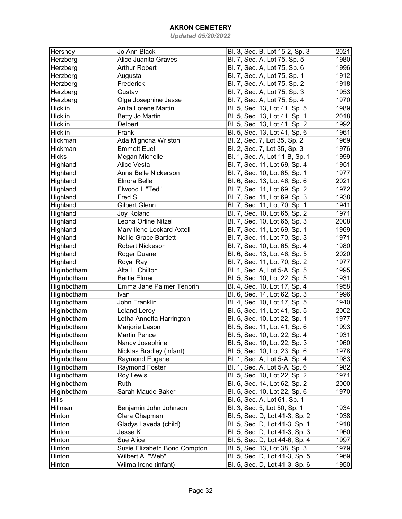| Hershey              | Jo Ann Black                 | Bl. 3, Sec. B, Lot 15-2, Sp. 3                                 | 2021 |
|----------------------|------------------------------|----------------------------------------------------------------|------|
| Herzberg             | Alice Juanita Graves         | Bl. 7, Sec. A, Lot 75, Sp. 5                                   | 1980 |
| Herzberg             | <b>Arthur Robert</b>         | Bl. 7, Sec. A, Lot 75, Sp. 6                                   | 1996 |
| Herzberg             | Augusta                      | Bl. 7, Sec. A, Lot 75, Sp. 1                                   | 1912 |
| Herzberg             | Frederick                    | Bl. 7, Sec. A, Lot 75, Sp. 2                                   | 1918 |
| Herzberg             | Gustav                       | Bl. 7, Sec. A, Lot 75, Sp. 3                                   | 1953 |
| Herzberg             | Olga Josephine Jesse         | Bl. 7, Sec. A, Lot 75, Sp. 4                                   | 1970 |
| Hicklin              | Anita Lorene Martin          | Bl. 5, Sec. 13, Lot 41, Sp. 5                                  | 1989 |
| Hicklin              | Betty Jo Martin              | Bl. 5, Sec. 13, Lot 41, Sp. 1                                  | 2018 |
| <b>Hicklin</b>       | Delbert                      | Bl. 5, Sec. 13, Lot 41, Sp. 2                                  | 1992 |
| Hicklin              | Frank                        | Bl. 5, Sec. 13, Lot 41, Sp. 6                                  | 1961 |
| Hickman              | Ada Mignona Wriston          | Bl. 2, Sec. 7, Lot 35, Sp. 2                                   | 1969 |
| Hickman              | <b>Emmett Euel</b>           | Bl. 2, Sec. 7, Lot 35, Sp. 3                                   | 1976 |
| <b>Hicks</b>         | Megan Michelle               | Bl. 1, Sec. A, Lot 11-B, Sp. 1                                 | 1999 |
| Highland             | Alice Vesta                  | Bl. 7, Sec. 11, Lot 69, Sp. 4                                  | 1951 |
| Highland             | Anna Belle Nickerson         | Bl. 7, Sec. 10, Lot 65, Sp. 1                                  | 1977 |
| Highland             | Elnora Belle                 | Bl. 6, Sec. 13, Lot 46, Sp. 6                                  | 2021 |
| Highland             | Elwood I. "Ted"              | Bl. 7, Sec. 11, Lot 69, Sp. 2                                  | 1972 |
| Highland             | Fred S.                      | Bl. 7, Sec. 11, Lot 69, Sp. 3                                  | 1938 |
|                      | Gilbert Glenn                | Bl. 7, Sec. 11, Lot 70, Sp. 1                                  | 1941 |
| Highland<br>Highland | <b>Joy Roland</b>            |                                                                | 1971 |
|                      | Leona Orline Nitzel          | Bl. 7, Sec. 10, Lot 65, Sp. 2<br>Bl. 7, Sec. 10, Lot 65, Sp. 3 | 2008 |
| Highland             |                              |                                                                |      |
| Highland             | Mary Ilene Lockard Axtell    | Bl. 7, Sec. 11, Lot 69, Sp. 1                                  | 1969 |
| Highland             | <b>Nellie Grace Bartlett</b> | Bl. 7, Sec. 11, Lot 70, Sp. 3                                  | 1971 |
| Highland             | <b>Robert Nickeson</b>       | Bl. 7, Sec. 10, Lot 65, Sp. 4                                  | 1980 |
| Highland             | Roger Duane                  | Bl. 6, Sec. 13, Lot 46, Sp. 5                                  | 2020 |
| Highland             | Royal Ray                    | Bl. 7, Sec. 11, Lot 70, Sp. 2                                  | 1977 |
| Higinbotham          | Alta L. Chilton              | Bl. 1, Sec. A, Lot 5-A, Sp. 5                                  | 1995 |
| Higinbotham          | <b>Bertie Elmer</b>          | Bl. 5, Sec. 10, Lot 22, Sp. 5                                  | 1931 |
| Higinbotham          | Emma Jane Palmer Tenbrin     | Bl. 4, Sec. 10, Lot 17, Sp. 4                                  | 1958 |
| Higinbotham          | Ivan                         | Bl. 6, Sec. 14, Lot 62, Sp. 3                                  | 1996 |
| Higinbotham          | John Franklin                | Bl. 4, Sec. 10, Lot 17, Sp. 5                                  | 1940 |
| Higinbotham          | <b>Leland Leroy</b>          | Bl. 5, Sec. 11, Lot 41, Sp. 5                                  | 2002 |
| Higinbotham          | Letha Annetta Harrington     | Bl. 5, Sec. 10, Lot 22, Sp. 1                                  | 1977 |
| Higinbotham          | Marjorie Lason               | Bl. 5, Sec. 11, Lot 41, Sp. 6                                  | 1993 |
| Higinbotham          | <b>Martin Pence</b>          | Bl. 5, Sec. 10, Lot 22, Sp. 4                                  | 1931 |
| Higinbotham          | Nancy Josephine              | Bl. 5, Sec. 10, Lot 22, Sp. 3                                  | 1960 |
| Higinbotham          | Nicklas Bradley (infant)     | Bl. 5, Sec. 10, Lot 23, Sp. 6                                  | 1978 |
| Higinbotham          | Raymond Eugene               | Bl. 1, Sec. A, Lot 5-A, Sp. 4                                  | 1983 |
| Higinbotham          | Raymond Foster               | Bl. 1, Sec. A, Lot 5-A, Sp. 6                                  | 1982 |
| Higinbotham          | Roy Lewis                    | Bl. 5, Sec. 10, Lot 22, Sp. 2                                  | 1971 |
| Higinbotham          | Ruth                         | Bl. 6, Sec. 14, Lot 62, Sp. 2                                  | 2000 |
| Higinbotham          | Sarah Maude Baker            | Bl. 5, Sec. 10, Lot 22, Sp. 6                                  | 1970 |
| <b>Hilis</b>         |                              | Bl. 6, Sec. A, Lot 61, Sp. 1                                   |      |
| Hillman              | Benjamin John Johnson        | Bl. 3, Sec. 5, Lot 50, Sp. 1                                   | 1934 |
| Hinton               | Clara Chapman                | Bl. 5, Sec. D, Lot 41-3, Sp. 2                                 | 1938 |
| Hinton               | Gladys Laveda (child)        | Bl. 5, Sec. D, Lot 41-3, Sp. 1                                 | 1918 |
| Hinton               | Jesse K.                     | Bl. 5, Sec. D, Lot 41-3, Sp. 3                                 | 1960 |
| Hinton               | Sue Alice                    | Bl. 5, Sec. D, Lot 44-6, Sp. 4                                 | 1997 |
| Hinton               | Suzie Elizabeth Bond Compton | Bl. 5, Sec. 13, Lot 38, Sp. 3                                  | 1979 |
| Hinton               | Wilbert A. "Web"             | Bl. 5, Sec. D, Lot 41-3, Sp. 5                                 | 1969 |
| Hinton               | Wilma Irene (infant)         | Bl. 5, Sec. D, Lot 41-3, Sp. 6                                 | 1950 |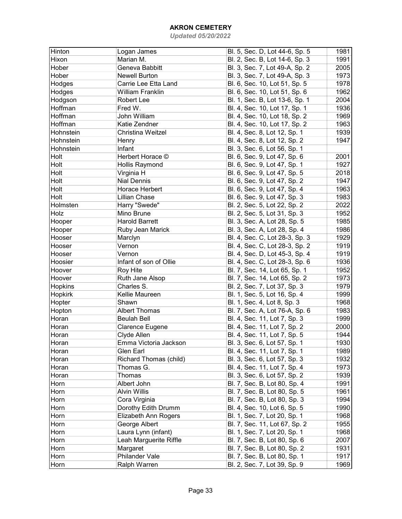| Hinton        | Logan James             | Bl. 5, Sec. D, Lot 44-6, Sp. 5                               | 1981 |
|---------------|-------------------------|--------------------------------------------------------------|------|
| Hixon         | Marian M.               | Bl. 2, Sec. B, Lot 14-6, Sp. 3                               | 1991 |
| Hober         | Geneva Babbitt          | Bl. 3, Sec. 7, Lot 49-A, Sp. 2                               | 2005 |
| Hober         | <b>Newell Burton</b>    | Bl. 3, Sec. 7, Lot 49-A, Sp. 3                               | 1973 |
| Hodges        | Carrie Lee Etta Land    | Bl. 6, Sec. 10, Lot 51, Sp. 5                                | 1978 |
| <b>Hodges</b> | <b>William Franklin</b> | Bl. 6, Sec. 10, Lot 51, Sp. 6                                | 1962 |
| Hodgson       | Robert Lee              | Bl. 1, Sec. B, Lot 13-6, Sp. 1                               | 2004 |
| Hoffman       | Fred W.                 | Bl. 4, Sec. 10, Lot 17, Sp. 1                                | 1936 |
| Hoffman       | John William            | Bl. 4, Sec. 10, Lot 18, Sp. 2                                | 1969 |
| Hoffman       | Katie Zendner           | Bl. 4, Sec. 10, Lot 17, Sp. 2                                | 1963 |
| Hohnstein     | Christina Weitzel       | Bl. 4, Sec. 8, Lot 12, Sp. 1                                 | 1939 |
| Hohnstein     | Henry                   | Bl. 4, Sec. 8, Lot 12, Sp. 2                                 | 1947 |
| Hohnstein     | Infant                  | Bl. 3, Sec. 6, Lot 56, Sp. 1                                 |      |
| Holt          | Herbert Horace ©        | Bl. 6, Sec. 9, Lot 47, Sp. 6                                 | 2001 |
| Holt          | Hollis Raymond          | Bl. 6, Sec. 9, Lot 47, Sp. 1                                 | 1927 |
| Holt          | Virginia H              | Bl. 6, Sec. 9, Lot 47, Sp. 5                                 | 2018 |
| Holt          | <b>Nial Dennis</b>      | Bl. 6, Sec. 9, Lot 47, Sp. 2                                 | 1947 |
| Holt          | Horace Herbert          | Bl. 6, Sec. 9, Lot 47, Sp. 4                                 | 1963 |
| Holt          | Lillian Chase           | Bl. 6, Sec. 9, Lot 47, Sp. 3                                 | 1983 |
| Holmsten      | Harry "Swede"           | Bl. 2, Sec. 5, Lot 22, Sp. 2                                 | 2022 |
| Holz          | Mino Brune              | Bl. 2, Sec. 5, Lot 31, Sp. 3                                 | 1952 |
| Hooper        | <b>Harold Barrett</b>   | Bl. 3, Sec. A, Lot 28, Sp. 5                                 | 1985 |
| Hooper        | Ruby Jean Marick        | Bl. 3, Sec. A, Lot 28, Sp. 4                                 | 1986 |
| Hooser        | Marclyn                 | Bl. 4, Sec. C, Lot 28-3, Sp. 3                               | 1929 |
| Hooser        | Vernon                  | Bl. 4, Sec. C, Lot 28-3, Sp. 2                               | 1919 |
| Hooser        | Vernon                  | Bl. 4, Sec. D, Lot 45-3, Sp. 4                               | 1919 |
| Hoosier       | Infant of son of Ollie  | Bl. 4, Sec. C, Lot 28-3, Sp. 6                               | 1936 |
| Hoover        | <b>Roy Hite</b>         | Bl. 7, Sec. 14, Lot 65, Sp. 1                                | 1952 |
| Hoover        | Ruth Jane Alsop         | Bl. 7, Sec. 14, Lot 65, Sp. 2                                | 1973 |
| Hopkins       | Charles S.              | Bl. 2, Sec. 7, Lot 37, Sp. 3                                 | 1979 |
| Hopkirk       | Kellie Maureen          | Bl. 1, Sec. 5, Lot 16, Sp. 4                                 | 1999 |
| Hopter        | Shawn                   | Bl. 1, Sec. 4, Lot 8, Sp. 3                                  | 1968 |
| Hopton        | <b>Albert Thomas</b>    | Bl. 7, Sec. A, Lot 76-A, Sp. 6                               | 1983 |
| Horan         | <b>Beulah Bell</b>      | Bl. 4, Sec. 11, Lot 7, Sp. 3                                 | 1999 |
| Horan         | Clarence Eugene         | Bl. 4, Sec. 11, Lot 7, Sp. 2                                 | 2000 |
| Horan         | Clyde Allen             | Bl. 4, Sec. 11, Lot 7, Sp. 5                                 | 1944 |
| Horan         | Emma Victoria Jackson   | Bl. 3, Sec. 6, Lot 57, Sp. 1                                 | 1930 |
| Horan         | Glen Earl               | Bl. 4, Sec. 11, Lot 7, Sp. 1                                 | 1989 |
| Horan         | Richard Thomas (child)  | Bl. 3, Sec. 6, Lot 57, Sp. 3                                 | 1932 |
| Horan         | Thomas G.               | Bl. 4, Sec. 11, Lot 7, Sp. 4                                 | 1973 |
| Horan         | Thomas                  | Bl. 3, Sec. 6, Lot 57, Sp. 2                                 | 1939 |
| Horn          | Albert John             | Bl. 7, Sec. B, Lot 80, Sp. 4                                 | 1991 |
| Horn          | <b>Alvin Willis</b>     | Bl. 7, Sec. B, Lot 80, Sp. 5                                 | 1961 |
| Horn          | Cora Virginia           | Bl. 7, Sec. B, Lot 80, Sp. 3                                 | 1994 |
| Horn          | Dorothy Edith Drumm     | Bl. 4, Sec. 10, Lot 6, Sp. 5                                 | 1990 |
| Horn          | Elizabeth Ann Rogers    | Bl. 1, Sec. 7, Lot 20, Sp. 1                                 | 1968 |
| Horn          | George Albert           | Bl. 7, Sec. 11, Lot 67, Sp. 2                                | 1955 |
| Horn          | Laura Lynn (infant)     | Bl. 1, Sec. 7, Lot 20, Sp. 1                                 | 1968 |
| Horn          | Leah Marguerite Riffle  | Bl. 7, Sec. B, Lot 80, Sp. 6                                 | 2007 |
| Horn          | Margaret                | Bl. 7, Sec. B, Lot 80, Sp. 2                                 | 1931 |
| Horn          | Philander Vale          |                                                              | 1917 |
|               |                         | Bl. 7, Sec. B, Lot 80, Sp. 1<br>Bl. 2, Sec. 7, Lot 39, Sp. 9 |      |
| Horn          | Ralph Warren            |                                                              | 1969 |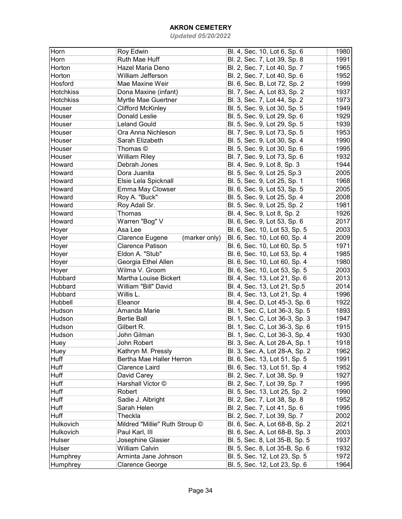| Horn             | Roy Edwin                        | Bl. 4, Sec. 10, Lot 6, Sp. 6                                 | 1980 |
|------------------|----------------------------------|--------------------------------------------------------------|------|
| Horn             | Ruth Mae Huff                    | Bl. 2, Sec. 7, Lot 39, Sp. 8                                 | 1991 |
| Horton           | Hazel Maria Deno                 | Bl. 2, Sec. 7, Lot 40, Sp. 7                                 | 1965 |
| Horton           | William Jefferson                | Bl. 2, Sec. 7, Lot 40, Sp. 6                                 | 1952 |
| Hosford          | Mae Maxine Weir                  | Bl. 6, Sec. B, Lot 72, Sp. 2                                 | 1999 |
| <b>Hotchkiss</b> | Dona Maxine (infant)             | Bl. 7, Sec. A, Lot 83, Sp. 2                                 | 1937 |
| <b>Hotchkiss</b> | Myrtle Mae Guertner              | Bl. 3, Sec. 7, Lot 44, Sp. 2                                 | 1973 |
| Houser           | <b>Clifford McKinley</b>         | Bl. 5, Sec. 9, Lot 30, Sp. 5                                 | 1949 |
| Houser           | Donald Leslie                    | Bl. 5, Sec. 9, Lot 29, Sp. 6                                 | 1929 |
| Houser           | <b>Leland Gould</b>              | Bl. 5, Sec. 9, Lot 29, Sp. 5                                 | 1939 |
| Houser           | Ora Anna Nichleson               | Bl. 7, Sec. 9, Lot 73, Sp. 5                                 | 1953 |
| Houser           | Sarah Elizabeth                  | Bl. 5, Sec. 9, Lot 30, Sp. 4                                 | 1990 |
| Houser           | Thomas ©                         | Bl. 5, Sec. 9, Lot 30, Sp. 6                                 | 1995 |
| Houser           | <b>William Riley</b>             | Bl. 7, Sec. 9, Lot 73, Sp. 6                                 | 1932 |
| Howard           | Debrah Jones                     | Bl. 4, Sec. 9, Lot 8, Sp. 3                                  | 1944 |
| Howard           | Dora Juanita                     | Bl. 5, Sec. 9, Lot 25, Sp.3                                  | 2005 |
| Howard           | Elsie Lela Spicknall             | Bl. 5, Sec. 9, Lot 25, Sp. 1                                 | 1968 |
| Howard           | Emma May Clowser                 | Bl. 6, Sec. 9, Lot 53, Sp. 5                                 | 2005 |
| Howard           | Roy A. "Buck"                    | Bl. 5, Sec. 9, Lot 25, Sp. 4                                 | 2008 |
| Howard           | Roy Adali Sr.                    | Bl. 5, Sec. 9, Lot 25, Sp. 2                                 | 1981 |
| Howard           | Thomas                           | Bl. 4, Sec. 9, Lot 8, Sp. 2                                  | 1926 |
| Howard           | Warren "Bog" V                   | Bl. 6, Sec. 9, Lot 53, Sp. 6                                 | 2017 |
| Hoyer            | Asa Lee                          | Bl. 6, Sec. 10, Lot 53, Sp. 5                                | 2003 |
| Hoyer            | Clarence Eugene<br>(marker only) | Bl. 6, Sec. 10, Lot 60, Sp. 4                                | 2009 |
| Hoyer            | <b>Clarence Patison</b>          | Bl. 6, Sec. 10, Lot 60, Sp. 5                                | 1971 |
| Hoyer            | Eldon A. "Stub"                  | Bl. 6, Sec. 10, Lot 53, Sp. 4                                | 1985 |
| Hoyer            | Georgia Ethel Allen              | Bl. 6, Sec. 10, Lot 60, Sp. 4                                | 1980 |
| Hoyer            | Wilma V. Groom                   | Bl. 6, Sec. 10, Lot 53, Sp. 5                                | 2003 |
| Hubbard          | Martha Louise Bickert            | Bl. 4, Sec. 13, Lot 21, Sp. 6                                | 2013 |
| Hubbard          | William "Bill" David             | Bl. 4, Sec. 13, Lot 21, Sp.5                                 | 2014 |
| Hubbard          | Willis L.                        | Bl. 4, Sec. 13, Lot 21, Sp. 4                                | 1996 |
| Hubbell          | Eleanor                          | Bl. 4, Sec. D, Lot 45-3, Sp. 6                               | 1922 |
| Hudson           | Amanda Marie                     | Bl. 1, Sec. C, Lot 36-3, Sp. 5                               | 1893 |
| Hudson           | <b>Bertie Ball</b>               | Bl. 1, Sec. C, Lot 36-3, Sp. 3                               | 1947 |
| Hudson           | Gilbert R.                       | Bl. 1, Sec. C, Lot 36-3, Sp. 6                               | 1915 |
| Hudson           | John Gilman                      | Bl. 1, Sec. C, Lot 36-3, Sp. 4                               | 1930 |
| Huey             | John Robert                      | Bl. 3, Sec. A, Lot 28-A, Sp. 1                               | 1918 |
| Huey             | Kathryn M. Pressly               | Bl. 3, Sec. A, Lot 28-A, Sp. 2                               | 1962 |
| Huff             | Bertha Mae Haller Herron         | Bl. 6, Sec. 13, Lot 51, Sp. 5                                | 1991 |
| <b>Huff</b>      | Clarence Laird                   | Bl. 6, Sec. 13, Lot 51, Sp. 4                                | 1952 |
| <b>Huff</b>      |                                  |                                                              | 1927 |
| Huff             | David Carey<br>Harshall Victor © | Bl. 2, Sec. 7, Lot 38, Sp. 9<br>Bl. 2, Sec. 7, Lot 39, Sp. 7 |      |
|                  |                                  |                                                              | 1995 |
| Huff             | Robert                           | Bl. 5, Sec. 13, Lot 25, Sp. 2                                | 1990 |
| Huff             | Sadie J. Albright                | Bl. 2, Sec. 7, Lot 38, Sp. 8                                 | 1952 |
| Huff             | Sarah Helen                      | Bl. 2, Sec. 7, Lot 41, Sp. 6                                 | 1995 |
| Huff             | Theckla                          | Bl. 2, Sec. 7, Lot 39, Sp. 7                                 | 2002 |
| Hulkovich        | Mildred "Millie" Ruth Stroup ©   | Bl. 6, Sec. A, Lot 68-B, Sp. 2                               | 2021 |
| Hulkovich        | Paul Karl, III                   | Bl. 6, Sec. A, Lot 68-B, Sp. 3                               | 2003 |
| Hulser           | Josephine Glasier                | Bl. 5, Sec. 8, Lot 35-B, Sp. 5                               | 1937 |
| Hulser           | William Calvin                   | Bl. 5, Sec. 8, Lot 35-B, Sp. 6                               | 1932 |
| Humphrey         | Arminta Jane Johnson             | Bl. 5, Sec. 12, Lot 23, Sp. 5                                | 1972 |
| Humphrey         | Clarence George                  | Bl. 5, Sec. 12, Lot 23, Sp. 6                                | 1964 |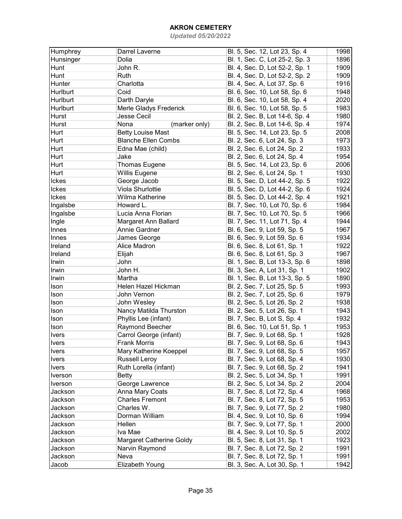| Humphrey     | Darrel Laverne             | Bl. 5, Sec. 12, Lot 23, Sp. 4  | 1998 |
|--------------|----------------------------|--------------------------------|------|
| Hunsinger    | Dolia                      | Bl. 1, Sec. C, Lot 25-2, Sp. 3 | 1896 |
| Hunt         | John R.                    | Bl. 4, Sec. D, Lot 52-2, Sp. 1 | 1909 |
| Hunt         | Ruth                       | Bl. 4, Sec. D, Lot 52-2, Sp. 2 | 1909 |
| Hunter       | Charlotta                  | Bl. 4, Sec. A, Lot 37, Sp. 6   | 1916 |
| Hurlburt     | Coid                       | Bl. 6, Sec. 10, Lot 58, Sp. 6  | 1948 |
| Hurlburt     | Darth Daryle               | Bl. 6, Sec. 10, Lot 58, Sp. 4  | 2020 |
| Hurlburt     | Merle Gladys Frederick     | Bl. 6, Sec. 10, Lot 58, Sp. 5  | 1983 |
| Hurst        | <b>Jesse Cecil</b>         | Bl. 2, Sec. B, Lot 14-6, Sp. 4 | 1980 |
| Hurst        | Nona<br>(marker only)      | Bl. 2, Sec. B, Lot 14-6, Sp. 4 | 1974 |
| Hurt         | <b>Betty Louise Mast</b>   | Bl. 5, Sec. 14, Lot 23, Sp. 5  | 2008 |
| Hurt         | <b>Blanche Ellen Combs</b> | Bl. 2, Sec. 6, Lot 24, Sp. 3   | 1973 |
| Hurt         | Edna Mae (child)           | Bl. 2, Sec. 6, Lot 24, Sp. 2   | 1933 |
| Hurt         | Jake                       | Bl. 2, Sec. 6, Lot 24, Sp. 4   | 1954 |
| Hurt         | <b>Thomas Eugene</b>       | Bl. 5, Sec. 14, Lot 23, Sp. 6  | 2006 |
| Hurt         | Willis Eugene              | Bl. 2, Sec. 6, Lot 24, Sp. 1   | 1930 |
| Ickes        | George Jacob               | Bl. 5, Sec. D, Lot 44-2, Sp. 5 | 1922 |
| Ickes        | Viola Shurlottie           | Bl. 5, Sec. D, Lot 44-2, Sp. 6 | 1924 |
| Ickes        | Wilma Katherine            | Bl. 5, Sec. D, Lot 44-2, Sp. 4 | 1921 |
| Ingalsbe     | Howard L.                  | Bl. 7, Sec. 10, Lot 70, Sp. 6  | 1984 |
| Ingalsbe     | Lucia Anna Florian         | Bl. 7, Sec. 10, Lot 70, Sp. 5  | 1966 |
| Ingle        | Margaret Ann Ballard       | Bl. 7, Sec. 11, Lot 71, Sp. 4  | 1944 |
| Innes        | Annie Gardner              | Bl. 6, Sec. 9, Lot 59, Sp. 5   | 1967 |
| Innes        | James George               | Bl. 6, Sec. 9, Lot 59, Sp. 6   | 1934 |
| Ireland      | Alice Madron               | Bl. 6, Sec. 8, Lot 61, Sp. 1   | 1922 |
| Ireland      | Elijah                     | Bl. 6, Sec. 8, Lot 61, Sp. 3   | 1967 |
| Irwin        | John                       | Bl. 1, Sec. B, Lot 13-3, Sp. 6 | 1898 |
| Irwin        | John H.                    | Bl. 3, Sec. A, Lot 31, Sp. 1   | 1902 |
| Irwin        | Martha                     | Bl. 1, Sec. B, Lot 13-3, Sp. 5 | 1890 |
| Ison         | Helen Hazel Hickman        | Bl. 2, Sec. 7, Lot 25, Sp. 5   | 1993 |
| Ison         | John Vernon                | Bl. 2, Sec. 7, Lot 25, Sp. 6   | 1979 |
| Ison         | John Wesley                | Bl. 2, Sec. 5, Lot 26, Sp. 2   | 1938 |
| Ison         | Nancy Matilda Thurston     | Bl. 2, Sec. 5, Lot 26, Sp. 1   | 1943 |
| Ison         | Phyllis Lee (infant)       | Bl. 7, Sec. B, Lot S, Sp. 4    | 1932 |
| Ison         | Raymond Beecher            | Bl. 6, Sec. 10, Lot 51, Sp. 1  | 1953 |
| <b>Ivers</b> | Carrol George (infant)     | Bl. 7, Sec. 9, Lot 68, Sp. 1   | 1928 |
| <b>Ivers</b> | <b>Frank Morris</b>        | Bl. 7, Sec. 9, Lot 68, Sp. 6   | 1943 |
| Ivers        | Mary Katherine Koeppel     | Bl. 7, Sec. 9, Lot 68, Sp. 5   | 1957 |
| <b>Ivers</b> | <b>Russell Leroy</b>       | Bl. 7, Sec. 9, Lot 68, Sp. 4   | 1930 |
| <b>Ivers</b> | Ruth Lorella (infant)      | Bl. 7, Sec. 9, Lot 68, Sp. 2   | 1941 |
| Iverson      | Betty                      | Bl. 2, Sec. 5, Lot 34, Sp. 1   | 1991 |
| Iverson      | George Lawrence            | Bl. 2, Sec. 5, Lot 34, Sp. 2   | 2004 |
| Jackson      | Anna Mary Coats            | Bl. 7, Sec. 8, Lot 72, Sp. 4   | 1968 |
| Jackson      | <b>Charles Fremont</b>     | Bl. 7, Sec. 8, Lot 72, Sp. 5   | 1953 |
| Jackson      | Charles W.                 | Bl. 7, Sec. 9, Lot 77, Sp. 2   | 1980 |
| Jackson      | Dorman William             | Bl. 4, Sec. 9, Lot 10, Sp. 6   | 1994 |
| Jackson      | Hellen                     | Bl. 7, Sec. 9, Lot 77, Sp. 1   | 2000 |
| Jackson      | Iva Mae                    | Bl. 4, Sec. 9, Lot 10, Sp. 5   | 2002 |
| Jackson      | Margaret Catherine Goldy   | Bl. 5, Sec. 8, Lot 31, Sp. 1   | 1923 |
| Jackson      | Narvin Raymond             | Bl. 7, Sec. 8, Lot 72, Sp. 2   | 1991 |
| Jackson      | Neva                       | Bl. 7, Sec. 8, Lot 72, Sp. 1   | 1991 |
| Jacob        | Elizabeth Young            | Bl. 3, Sec. A, Lot 30, Sp. 1   | 1942 |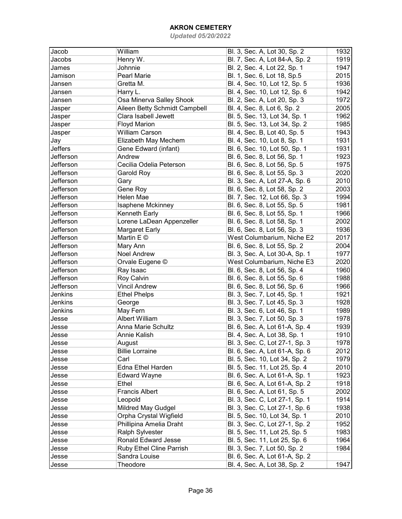| Jacob     | William                       | Bl. 3, Sec. A, Lot 30, Sp. 2   | 1932 |
|-----------|-------------------------------|--------------------------------|------|
| Jacobs    | Henry W.                      | Bl. 7, Sec. A, Lot 84-A, Sp. 2 | 1919 |
| James     | Johnnie                       | Bl. 2, Sec. 4, Lot 22, Sp. 1   | 1947 |
| Jamison   | <b>Pearl Marie</b>            | Bl. 1, Sec. 6, Lot 18, Sp.5    | 2015 |
| Jansen    | Gretta M.                     | Bl. 4, Sec. 10, Lot 12, Sp. 5  | 1936 |
| Jansen    | Harry L.                      | Bl. 4, Sec. 10, Lot 12, Sp. 6  | 1942 |
| Jansen    | Osa Minerva Salley Shook      | Bl. 2, Sec. A, Lot 20, Sp. 3   | 1972 |
| Jasper    | Aileen Betty Schmidt Campbell | Bl. 4, Sec. 8, Lot 6, Sp. 2    | 2005 |
| Jasper    | Clara Isabell Jewett          | Bl. 5, Sec. 13, Lot 34, Sp. 1  | 1962 |
| Jasper    | <b>Floyd Marion</b>           | Bl. 5, Sec. 13, Lot 34, Sp. 2  | 1985 |
| Jasper    | <b>William Carson</b>         | Bl. 4, Sec. B, Lot 40, Sp. 5   | 1943 |
| Jay       | Elizabeth May Mechem          | Bl. 4, Sec. 10, Lot 8, Sp. 1   | 1931 |
| Jeffers   | Gene Edward (infant)          | Bl. 6, Sec. 10, Lot 50, Sp. 1  | 1931 |
| Jefferson | Andrew                        | Bl. 6, Sec. 8, Lot 56, Sp. 1   | 1923 |
| Jefferson | Cecilia Odelia Peterson       | Bl. 6, Sec. 8, Lot 56, Sp. 5   | 1975 |
| Jefferson | Garold Roy                    | Bl. 6, Sec. 8, Lot 55, Sp. 3   | 2020 |
| Jefferson | Gary                          | Bl. 3, Sec. A, Lot 27-A, Sp. 6 | 2010 |
| Jefferson | Gene Roy                      | Bl. 6, Sec. 8, Lot 58, Sp. 2   | 2003 |
| Jefferson | Helen Mae                     | Bl. 7, Sec. 12, Lot 66, Sp. 3  | 1994 |
| Jefferson | Isaphene Mckinney             | Bl. 6, Sec. 8, Lot 55, Sp. 5   | 1981 |
| Jefferson | Kenneth Early                 | Bl. 6, Sec. 8, Lot 55, Sp. 1   | 1966 |
| Jefferson | Lorene LaDean Appenzeller     | Bl. 6, Sec. 8, Lot 58, Sp. 1   | 2002 |
| Jefferson | <b>Margaret Early</b>         | Bl. 6, Sec. 8, Lot 56, Sp. 3   | 1936 |
| Jefferson | Martin E ©                    | West Columbarium, Niche E2     | 2017 |
| Jefferson | Mary Ann                      | Bl. 6, Sec. 8, Lot 55, Sp. 2   | 2004 |
| Jefferson | <b>Noel Andrew</b>            | Bl. 3, Sec. A, Lot 30-A, Sp. 1 | 1977 |
| Jefferson | Orvale Eugene ©               | West Columbarium, Niche E3     | 2020 |
| Jefferson | Ray Isaac                     | Bl. 6, Sec. 8, Lot 56, Sp. 4   | 1960 |
| Jefferson | Roy Calvin                    | Bl. 6, Sec. 8, Lot 55, Sp. 6   | 1988 |
| Jefferson | <b>Vincil Andrew</b>          | Bl. 6, Sec. 8, Lot 56, Sp. 6   | 1966 |
| Jenkins   | <b>Ethel Phelps</b>           | Bl. 3, Sec. 7, Lot 45, Sp. 1   | 1921 |
| Jenkins   |                               |                                | 1928 |
| Jenkins   | George                        | Bl. 3, Sec. 7, Lot 45, Sp. 3   | 1989 |
|           | May Fern                      | Bl. 3, Sec. 6, Lot 46, Sp. 1   |      |
| Jesse     | <b>Albert William</b>         | Bl. 3, Sec. 7, Lot 50, Sp. 3   | 1978 |
| Jesse     | <b>Anna Marie Schultz</b>     | Bl. 6, Sec. A, Lot 61-A, Sp. 4 | 1939 |
| Jesse     | Annie Kalish                  | Bl. 4, Sec. A, Lot 38, Sp. 1   | 1910 |
| Jesse     | August                        | Bl. 3, Sec. C, Lot 27-1, Sp. 3 | 1978 |
| Jesse     | <b>Billie Lorraine</b>        | Bl. 6, Sec. A, Lot 61-A, Sp. 6 | 2012 |
| Jesse     | Carl                          | Bl. 5, Sec. 10, Lot 34, Sp. 2  | 1979 |
| Jesse     | Edna Ethel Harden             | Bl. 5, Sec. 11, Lot 25, Sp. 4  | 2010 |
| Jesse     | <b>Edward Wayne</b>           | Bl. 6, Sec. A, Lot 61-A, Sp. 1 | 1923 |
| Jesse     | Ethel                         | Bl. 6, Sec. A, Lot 61-A, Sp. 2 | 1918 |
| Jesse     | <b>Francis Albert</b>         | Bl. 6, Sec. A, Lot 61, Sp. 5   | 2002 |
| Jesse     | Leopold                       | Bl. 3, Sec. C, Lot 27-1, Sp. 1 | 1914 |
| Jesse     | Mildred May Gudgel            | Bl. 3, Sec. C, Lot 27-1, Sp. 6 | 1938 |
| Jesse     | Orpha Crystal Wigfield        | Bl. 5, Sec. 10, Lot 34, Sp. 1  | 2010 |
| Jesse     | Phillipina Amelia Draht       | Bl. 3, Sec. C, Lot 27-1, Sp. 2 | 1952 |
| Jesse     | Ralph Sylvester               | Bl. 5, Sec. 11, Lot 25, Sp. 5  | 1983 |
| Jesse     | <b>Ronald Edward Jesse</b>    | Bl. 5, Sec. 11, Lot 25, Sp. 6  | 1964 |
| Jesse     | Ruby Ethel Cline Parrish      | Bl. 3, Sec. 7, Lot 50, Sp. 2   | 1984 |
| Jesse     | Sandra Louise                 | Bl. 6, Sec. A, Lot 61-A, Sp. 2 |      |
| Jesse     | Theodore                      | Bl. 4, Sec. A, Lot 38, Sp. 2   | 1947 |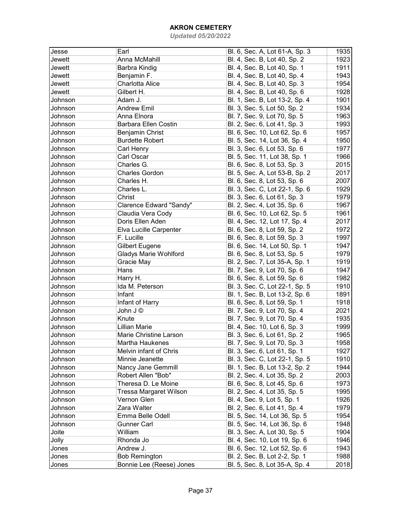| Jesse   | Earl                         | Bl. 6, Sec. A, Lot 61-A, Sp. 3 | 1935 |
|---------|------------------------------|--------------------------------|------|
| Jewett  | Anna McMahill                | Bl. 4, Sec. B, Lot 40, Sp. 2   | 1923 |
| Jewett  | Barbra Kindig                | Bl. 4, Sec. B, Lot 40, Sp. 1   | 1911 |
| Jewett  | Benjamin F.                  | Bl. 4, Sec. B, Lot 40, Sp. 4   | 1943 |
| Jewett  | Charlotta Alice              | Bl. 4, Sec. B, Lot 40, Sp. 3   | 1954 |
| Jewett  | Gilbert H.                   | Bl. 4, Sec. B, Lot 40, Sp. 6   | 1928 |
| Johnson | Adam J.                      | Bl. 1, Sec. B, Lot 13-2, Sp. 4 | 1901 |
| Johnson | <b>Andrew Emil</b>           |                                |      |
|         |                              | Bl. 3, Sec. 5, Lot 50, Sp. 2   | 1934 |
| Johnson | Anna Elnora                  | Bl. 7, Sec. 9, Lot 70, Sp. 5   | 1963 |
| Johnson | <b>Barbara Ellen Costin</b>  | Bl. 2, Sec. 6, Lot 41, Sp. 3   | 1993 |
| Johnson | Benjamin Christ              | Bl. 6, Sec. 10, Lot 62, Sp. 6  | 1957 |
| Johnson | <b>Burdette Robert</b>       | Bl. 5, Sec. 14, Lot 36, Sp. 4  | 1950 |
| Johnson | Carl Henry                   | Bl. 3, Sec. 6, Lot 53, Sp. 6   | 1977 |
| Johnson | Carl Oscar                   | Bl. 5, Sec. 11, Lot 38, Sp. 1  | 1966 |
| Johnson | Charles G.                   | Bl. 6, Sec. 8, Lot 53, Sp. 3   | 2015 |
| Johnson | <b>Charles Gordon</b>        | Bl. 5, Sec. A, Lot 53-B, Sp. 2 | 2017 |
| Johnson | Charles H.                   | Bl. 6, Sec. 8, Lot 53, Sp. 6   | 2007 |
| Johnson | Charles L.                   | Bl. 3, Sec. C, Lot 22-1, Sp. 6 | 1929 |
| Johnson | Christ                       | Bl. 3, Sec. 6, Lot 61, Sp. 3   | 1979 |
| Johnson | Clarence Edward "Sandy"      | Bl. 2, Sec. 4, Lot 35, Sp. 6   | 1967 |
| Johnson | Claudia Vera Cody            | Bl. 6, Sec. 10, Lot 62, Sp. 5  | 1961 |
| Johnson | Doris Ellen Aden             | Bl. 4, Sec. 12, Lot 17, Sp. 4  | 2017 |
| Johnson | Elva Lucille Carpenter       | Bl. 6, Sec. 8, Lot 59, Sp. 2   | 1972 |
| Johnson | F. Lucille                   | Bl. 6, Sec. 8, Lot 59, Sp. 3   | 1997 |
| Johnson | <b>Gilbert Eugene</b>        | Bl. 6, Sec. 14, Lot 50, Sp. 1  | 1947 |
| Johnson | <b>Gladys Marie Wohlford</b> | Bl. 6, Sec. 8, Lot 53, Sp. 5   | 1979 |
| Johnson | Gracie May                   | Bl. 2, Sec. 7, Lot 35-A, Sp. 1 | 1919 |
| Johnson | Hans                         | Bl. 7, Sec. 9, Lot 70, Sp. 6   | 1947 |
| Johnson | Harry H.                     | Bl. 6, Sec. 8, Lot 59, Sp. 6   | 1982 |
| Johnson | Ida M. Peterson              | Bl. 3, Sec. C, Lot 22-1, Sp. 5 | 1910 |
| Johnson | Infant                       | Bl. 1, Sec. B, Lot 13-2, Sp. 6 | 1891 |
| Johnson | Infant of Harry              | Bl. 6, Sec. 8, Lot 59, Sp. 1   | 1918 |
| Johnson | John J ©                     | Bl. 7, Sec. 9, Lot 70, Sp. 4   | 2021 |
| Johnson | Knute                        | Bl. 7, Sec. 9, Lot 70, Sp. 4   | 1935 |
| Johnson | <b>Lillian Marie</b>         | Bl. 4, Sec. 10, Lot 6, Sp. 3   | 1999 |
| Johnson | Marie Christine Larson       | Bl. 3, Sec. 6, Lot 61, Sp. 2   | 1965 |
| Johnson | Martha Haukenes              | Bl. 7, Sec. 9, Lot 70, Sp. 3   | 1958 |
| Johnson | Melvin infant of Chris       | Bl. 3, Sec. 6, Lot 61, Sp. 1   | 1927 |
| Johnson | Minnie Jeanette              | Bl. 3, Sec. C, Lot 22-1, Sp. 5 | 1910 |
| Johnson | Nancy Jane Gemmill           | Bl. 1, Sec. B, Lot 13-2, Sp. 2 | 1944 |
| Johnson | Robert Allen "Bob"           | Bl. 2, Sec. 4, Lot 35, Sp. 2   | 2003 |
|         | Theresa D. Le Moine          |                                |      |
| Johnson |                              | Bl. 6, Sec. 8, Lot 45, Sp. 6   | 1973 |
| Johnson | Tressa Margaret Wilson       | Bl. 2, Sec. 4, Lot 35, Sp. 5   | 1995 |
| Johnson | Vernon Glen                  | Bl. 4, Sec. 9, Lot 5, Sp. 1    | 1926 |
| Johnson | Zara Walter                  | Bl. 2, Sec. 6, Lot 41, Sp. 4   | 1979 |
| Johnson | Emma Belle Odell             | Bl. 5, Sec. 14, Lot 36, Sp. 5  | 1954 |
| Johnson | <b>Gunner Carl</b>           | Bl. 5, Sec. 14, Lot 36, Sp. 6  | 1948 |
| Joite   | William                      | Bl. 3, Sec. A, Lot 30, Sp. 5   | 1904 |
| Jolly   | Rhonda Jo                    | Bl. 4, Sec. 10, Lot 19, Sp. 6  | 1946 |
| Jones   | Andrew J.                    | Bl. 6, Sec. 12, Lot 52, Sp. 6  | 1943 |
| Jones   | <b>Bob Remington</b>         | Bl. 2, Sec. B, Lot 2-2, Sp. 1  | 1988 |
| Jones   | Bonnie Lee (Reese) Jones     | Bl. 5, Sec. 8, Lot 35-A, Sp. 4 | 2018 |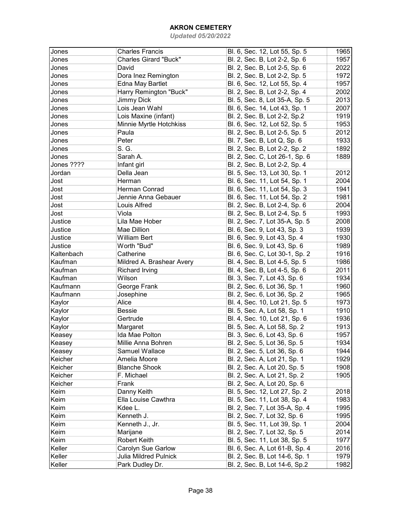| Jones      | <b>Charles Francis</b>       | Bl. 6, Sec. 12, Lot 55, Sp. 5  | 1965 |
|------------|------------------------------|--------------------------------|------|
| Jones      | <b>Charles Girard "Buck"</b> | Bl. 2, Sec. B, Lot 2-2, Sp. 6  | 1957 |
| Jones      | David                        | Bl. 2, Sec. B, Lot 2-5, Sp. 6  | 2022 |
| Jones      | Dora Inez Remington          | Bl. 2, Sec. B, Lot 2-2, Sp. 5  | 1972 |
| Jones      | Edna May Bartlet             | Bl. 6, Sec. 12, Lot 55, Sp. 4  | 1957 |
| Jones      | Harry Remington "Buck"       | Bl. 2, Sec. B, Lot 2-2, Sp. 4  | 2002 |
| Jones      | <b>Jimmy Dick</b>            | Bl. 5, Sec. 8, Lot 35-A, Sp. 5 | 2013 |
| Jones      | Lois Jean Wahl               | Bl. 6, Sec. 14, Lot 43, Sp. 1  | 2007 |
| Jones      | Lois Maxine (infant)         | Bl. 2, Sec. B, Lot 2-2, Sp.2   | 1919 |
| Jones      | Minnie Myrtle Hotchkiss      | Bl. 6, Sec. 12, Lot 52, Sp. 5  | 1953 |
| Jones      | Paula                        | Bl. 2, Sec. B, Lot 2-5, Sp. 5  | 2012 |
| Jones      | Peter                        | Bl. 7, Sec. B, Lot Q, Sp. 6    | 1933 |
| Jones      | S. G.                        | Bl. 2, Sec. B, Lot 2-2, Sp. 2  | 1892 |
| Jones      | Sarah A.                     | Bl. 2, Sec. C, Lot 26-1, Sp. 6 | 1889 |
| Jones ???? | Infant girl                  | Bl. 2, Sec. B, Lot 2-2, Sp. 4  |      |
| Jordan     | Della Jean                   | Bl. 5, Sec. 13, Lot 30, Sp. 1  | 2012 |
| Jost       | Herman                       | Bl. 6, Sec. 11, Lot 54, Sp. 1  | 2004 |
| Jost       | Herman Conrad                | Bl. 6, Sec. 11, Lot 54, Sp. 3  | 1941 |
| Jost       | Jennie Anna Gebauer          | Bl. 6, Sec. 11, Lot 54, Sp. 2  | 1981 |
| Jost       | Louis Alfred                 | Bl. 2, Sec. B, Lot 2-4, Sp. 6  | 2004 |
| Jost       | Viola                        | Bl. 2, Sec. B, Lot 2-4, Sp. 5  | 1993 |
| Justice    | Lila Mae Hober               | Bl. 2, Sec. 7, Lot 35-A, Sp. 5 | 2008 |
| Justice    | Mae Dillion                  | Bl. 6, Sec. 9, Lot 43, Sp. 3   | 1939 |
| Justice    | <b>William Bert</b>          | Bl. 6, Sec. 9, Lot 43, Sp. 4   | 1930 |
| Justice    | Worth "Bud"                  | Bl. 6, Sec. 9, Lot 43, Sp. 6   | 1989 |
| Kaltenbach | Catherine                    | Bl. 6, Sec. C, Lot 30-1, Sp. 2 | 1916 |
| Kaufman    | Mildred A. Brashear Avery    | Bl. 4, Sec. B, Lot 4-5, Sp. 5  | 1986 |
| Kaufman    | <b>Richard Irving</b>        | Bl. 4, Sec. B, Lot 4-5, Sp. 6  | 2011 |
| Kaufman    | Wilson                       | Bl. 3, Sec. 7, Lot 43, Sp. 6   | 1934 |
| Kaufmann   | George Frank                 | Bl. 2, Sec. 6, Lot 36, Sp. 1   | 1960 |
| Kaufmann   | Josephine                    | Bl. 2, Sec. 6, Lot 36, Sp. 2   | 1965 |
| Kaylor     | Alice                        | Bl. 4, Sec. 10, Lot 21, Sp. 5  | 1973 |
| Kaylor     | <b>Bessie</b>                | Bl. 5, Sec. A, Lot 58, Sp. 1   | 1910 |
| Kaylor     | Gertrude                     | Bl. 4, Sec. 10, Lot 21, Sp. 6  | 1936 |
| Kaylor     | Margaret                     | Bl. 5, Sec. A, Lot 58, Sp. 2   | 1913 |
| Keasey     | Ida Mae Polton               | Bl. 3, Sec. 6, Lot 43, Sp. 6   | 1957 |
| Keasey     | Millie Anna Bohren           | Bl. 2, Sec. 5, Lot 36, Sp. 5   | 1934 |
| Keasey     | Samuel Wallace               | Bl. 2, Sec. 5, Lot 36, Sp. 6   | 1944 |
| Keicher    | Amelia Moore                 | Bl. 2, Sec. A, Lot 21, Sp. 1   | 1929 |
| Keicher    | <b>Blanche Shook</b>         | Bl. 2, Sec. A, Lot 20, Sp. 5   | 1908 |
| Keicher    | F. Michael                   | Bl. 2, Sec. A, Lot 21, Sp. 2   | 1905 |
| Keicher    | Frank                        | Bl. 2, Sec. A, Lot 20, Sp. 6   |      |
| Keim       | Danny Keith                  | Bl. 5, Sec. 12, Lot 27, Sp. 2  | 2018 |
| Keim       | Ella Louise Cawthra          | Bl. 5, Sec. 11, Lot 38, Sp. 4  | 1983 |
| Keim       | Kdee L.                      | Bl. 2, Sec. 7, Lot 35-A, Sp. 4 | 1995 |
| Keim       | Kenneth J.                   | Bl. 2, Sec. 7, Lot 32, Sp. 6   | 1995 |
| Keim       | Kenneth J., Jr.              | Bl. 5, Sec. 11, Lot 39, Sp. 1  | 2004 |
| Keim       | Marijane                     | Bl. 2, Sec. 7, Lot 32, Sp. 5   | 2014 |
| Keim       | Robert Keith                 | Bl. 5, Sec. 11, Lot 38, Sp. 5  | 1977 |
| Keller     | Carolyn Sue Garlow           | Bl. 6, Sec. A, Lot 61-B, Sp. 4 | 2016 |
| Keller     | <b>Julia Mildred Pulnick</b> | Bl. 2, Sec. B, Lot 14-6, Sp. 1 | 1979 |
| Keller     | Park Dudley Dr.              | Bl. 2, Sec. B, Lot 14-6, Sp.2  | 1982 |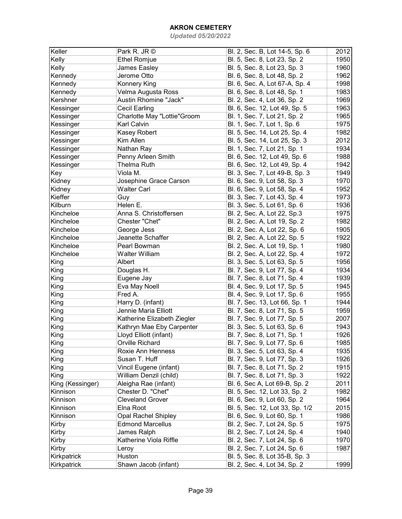| Keller           | Park R. JR ©                | Bl. 2, Sec. B, Lot 14-5, Sp. 6  | 2012 |
|------------------|-----------------------------|---------------------------------|------|
| Kelly            | <b>Ethel Romjue</b>         | Bl. 5, Sec. 8, Lot 23, Sp. 2    | 1950 |
| Kelly            | James Easley                | Bl. 5, Sec. 8, Lot 23, Sp. 3    | 1960 |
| Kennedy          | Jerome Otto                 | Bl. 6, Sec. 8, Lot 48, Sp. 2    | 1962 |
| Kennedy          | Konnery King                | Bl. 6, Sec. A, Lot 67-A, Sp. 4  | 1998 |
| Kennedy          | Velma Augusta Ross          | Bl. 6, Sec. 8, Lot 48, Sp. 1    | 1983 |
| Kershner         | Austin Rhomine "Jack"       | Bl. 2, Sec. 4, Lot 36, Sp. 2    | 1969 |
| Kessinger        | Cecil Earling               | Bl. 6, Sec. 12, Lot 49, Sp. 5   | 1963 |
| Kessinger        | Charlotte May "Lottie"Groom | Bl. 1, Sec. 7, Lot 21, Sp. 2    | 1965 |
| Kessinger        | Karl Calvin                 | Bl. 1, Sec. 7, Lot 1, Sp. 6     | 1975 |
| Kessinger        | Kasey Robert                | Bl. 5, Sec. 14, Lot 25, Sp. 4   | 1982 |
| Kessinger        | Kim Allen                   | Bl. 5, Sec. 14, Lot 25, Sp. 3   | 2012 |
| Kessinger        | Nathan Ray                  | Bl. 1, Sec. 7, Lot 21, Sp. 1    | 1934 |
| Kessinger        | Penny Arleen Smith          | Bl. 6, Sec. 12, Lot 49, Sp. 6   | 1988 |
| Kessinger        | Thelma Ruth                 | Bl. 6, Sec. 12, Lot 49, Sp. 4   | 1942 |
| Key              | Viola M.                    | Bl. 3, Sec. 7, Lot 49-B, Sp. 3  | 1949 |
| Kidney           | Josephine Grace Carson      | Bl. 6, Sec. 9, Lot 58, Sp. 3    | 1970 |
| Kidney           | <b>Walter Carl</b>          | Bl. 6, Sec. 9, Lot 58, Sp. 4    | 1952 |
| Kieffer          | Guy                         | Bl. 3, Sec. 7, Lot 43, Sp. 4    | 1973 |
| Kilburn          | Helen E.                    | Bl. 3, Sec. 5, Lot 61, Sp. 6    | 1936 |
| Kincheloe        | Anna S. Christoffersen      | Bl. 2, Sec. A, Lot 22, Sp.3     | 1975 |
| Kincheloe        | Chester "Chet"              | Bl. 2, Sec. A, Lot 19, Sp. 2    | 1982 |
| Kincheloe        | George Jess                 | Bl. 2, Sec. A, Lot 22, Sp. 6    | 1905 |
| Kincheloe        | Jeanette Schaffer           | Bl. 2, Sec. A, Lot 22, Sp. 5    | 1922 |
| Kincheloe        | Pearl Bowman                | Bl. 2, Sec. A, Lot 19, Sp. 1    | 1980 |
| Kincheloe        | Walter William              | Bl. 2, Sec. A, Lot 22, Sp. 4    | 1972 |
| King             | Albert                      | Bl. 3, Sec. 5, Lot 63, Sp. 5    | 1956 |
| King             | Douglas H.                  | Bl. 7, Sec. 9, Lot 77, Sp. 4    | 1934 |
| King             | Eugene Jay                  | Bl. 7, Sec. 8, Lot 71, Sp. 4    | 1939 |
| King             | Eva May Noell               | Bl. 4, Sec. 9, Lot 17, Sp. 5    | 1945 |
| King             | Fred A.                     | Bl. 4, Sec. 9, Lot 17, Sp. 6    | 1955 |
| King             | Harry D. (infant)           | Bl. 7, Sec. 13, Lot 66, Sp. 1   | 1944 |
| King             | Jennie Maria Elliott        | Bl. 7, Sec. 8, Lot 71, Sp. 5    | 1959 |
| King             | Katherine Elizabeth Ziegler | Bl. 7, Sec. 9, Lot 77, Sp. 5    | 2007 |
| King             | Kathryn Mae Eby Carpenter   | Bl. 3, Sec. 5, Lot 63, Sp. 6    | 1943 |
| King             | Lloyd Elliott (infant)      | Bl. 7, Sec. 8, Lot 71, Sp. 1    | 1926 |
| King             | Orville Richard             | Bl. 7, Sec. 9, Lot 77, Sp. 6    | 1985 |
| King             | Roxie Ann Henness           | Bl. 3, Sec. 5, Lot 63, Sp. 4    | 1935 |
| King             | Susan T. Huff               | Bl. 7, Sec. 9, Lot 77, Sp. 3    | 1926 |
| King             | Vincil Eugene (infant)      | Bl. 7, Sec. 8, Lot 71, Sp. 2    | 1915 |
| King             | William Denzil (child)      | Bl. 7, Sec. 8, Lot 71, Sp. 3    | 1922 |
| King (Kessinger) | Aleigha Rae (infant)        | Bl. 6, Sec A, Lot 69-B, Sp. 2   | 2011 |
| Kinnison         | Chester D. "Chet"           | Bl. 5, Sec. 12, Lot 33, Sp. 2   | 1982 |
| Kinnison         | <b>Cleveland Grover</b>     | Bl. 6, Sec. 9, Lot 60, Sp. 2    | 1964 |
| Kinnison         | Elna Root                   | Bl. 5, Sec. 12, Lot 33, Sp. 1/2 | 2015 |
| Kinnison         | <b>Opal Rachel Shipley</b>  | Bl. 6, Sec. 9, Lot 60, Sp. 1    | 1986 |
| Kirby            | <b>Edmond Marcellus</b>     | Bl. 2, Sec. 7, Lot 24, Sp. 5    | 1975 |
| Kirby            | James Ralph                 | Bl. 2, Sec. 7, Lot 24, Sp. 4    | 1940 |
| Kirby            | Katherine Viola Riffle      | Bl. 2, Sec. 7, Lot 24, Sp. 6    | 1970 |
| Kirby            | Leroy                       | Bl. 2, Sec. 7, Lot 24, Sp. 6    | 1987 |
| Kirkpatrick      | Huston                      | Bl. 5, Sec. 8, Lot 35-B, Sp. 3  |      |
| Kirkpatrick      | Shawn Jacob (infant)        | Bl. 2, Sec. 4, Lot 34, Sp. 2    | 1999 |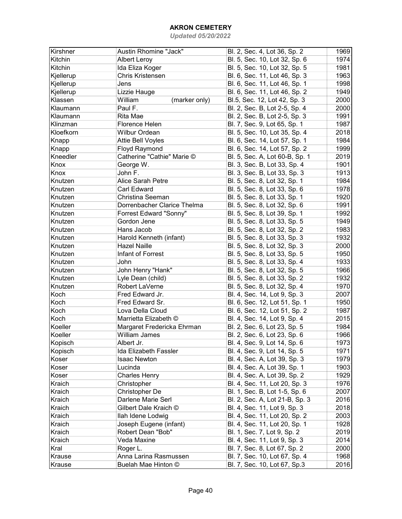| Kirshner  | Austin Rhomine "Jack"       | Bl. 2, Sec. 4, Lot 36, Sp. 2   | 1969 |
|-----------|-----------------------------|--------------------------------|------|
| Kitchin   | <b>Albert Leroy</b>         | Bl. 5, Sec. 10, Lot 32, Sp. 6  | 1974 |
| Kitchin   | Ida Eliza Koger             | Bl. 5, Sec. 10, Lot 32, Sp. 5  | 1981 |
| Kjellerup | Chris Kristensen            | Bl. 6, Sec. 11, Lot 46, Sp. 3  | 1963 |
| Kjellerup | Jens                        | Bl. 6, Sec. 11, Lot 46, Sp. 1  | 1998 |
| Kjellerup | Lizzie Hauge                | Bl. 6, Sec. 11, Lot 46, Sp. 2  | 1949 |
| Klassen   | William<br>(marker only)    | Bl.5, Sec. 12, Lot 42, Sp. 3   | 2000 |
| Klaumann  | Paul F.                     | Bl. 2, Sec. B, Lot 2-5, Sp. 4  | 2000 |
| Klaumann  | Rita Mae                    | Bl. 2, Sec. B, Lot 2-5, Sp. 3  | 1991 |
| Klinzman  | Florence Helen              | Bl. 7, Sec. 9, Lot 65, Sp. 1   | 1987 |
| Kloefkorn | <b>Wilbur Ordean</b>        | Bl. 5, Sec. 10, Lot 35, Sp. 4  | 2018 |
| Knapp     | Attie Bell Voyles           | Bl. 6, Sec. 14, Lot 57, Sp. 1  | 1984 |
| Knapp     | Floyd Raymond               | Bl. 6, Sec. 14, Lot 57, Sp. 2  | 1999 |
| Kneedler  | Catherine "Cathie" Marie ©  | Bl. 5, Sec. A, Lot 60-B, Sp. 1 | 2019 |
| Knox      | George W.                   | Bl. 3, Sec. B, Lot 33, Sp. 4   | 1901 |
| Knox      | John F.                     | Bl. 3, Sec. B, Lot 33, Sp. 3   | 1913 |
| Knutzen   | Alice Sarah Petre           | Bl. 5, Sec. 8, Lot 32, Sp. 1   | 1984 |
| Knutzen   | Carl Edward                 | Bl. 5, Sec. 8, Lot 33, Sp. 6   | 1978 |
| Knutzen   | Christina Seeman            | Bl. 5, Sec. 8, Lot 33, Sp. 1   | 1920 |
| Knutzen   | Dorrenbacher Clarice Thelma | Bl. 5, Sec. 8, Lot 32, Sp. 6   | 1991 |
| Knutzen   | Forrest Edward "Sonny"      | Bl. 5, Sec. 8, Lot 39, Sp. 1   | 1992 |
| Knutzen   | Gordon Jene                 | Bl. 5, Sec. 8, Lot 33, Sp. 5   | 1949 |
| Knutzen   | Hans Jacob                  | Bl. 5, Sec. 8, Lot 32, Sp. 2   | 1983 |
| Knutzen   | Harold Kenneth (infant)     | Bl. 5, Sec. 8, Lot 33, Sp. 3   | 1932 |
| Knutzen   | <b>Hazel Naille</b>         | Bl. 5, Sec. 8, Lot 32, Sp. 3   | 2000 |
| Knutzen   | Infant of Forrest           | Bl. 5, Sec. 8, Lot 33, Sp. 5   | 1950 |
| Knutzen   | John                        | Bl. 5, Sec. 8, Lot 33, Sp. 4   | 1933 |
| Knutzen   | John Henry "Hank"           | Bl. 5, Sec. 8, Lot 32, Sp. 5   | 1966 |
| Knutzen   | Lyle Dean (child)           | Bl. 5, Sec. 8, Lot 33, Sp. 2   | 1932 |
| Knutzen   | Robert LaVerne              | Bl. 5, Sec. 8, Lot 32, Sp. 4   | 1970 |
| Koch      | Fred Edward Jr.             | Bl. 4, Sec. 14, Lot 9, Sp. 3   | 2007 |
| Koch      | Fred Edward Sr.             | Bl. 6, Sec. 12, Lot 51, Sp. 1  | 1950 |
| Koch      | Lova Della Cloud            | Bl. 6, Sec. 12, Lot 51, Sp. 2  | 1987 |
| Koch      | Marrietta Elizabeth ©       | Bl. 4, Sec. 14, Lot 9, Sp. 4   | 2015 |
| Koeller   | Margaret Fredericka Ehrman  | Bl. 2, Sec. 6, Lot 23, Sp. 5   | 1984 |
| Koeller   | <b>William James</b>        | Bl. 2, Sec. 6, Lot 23, Sp. 6   | 1966 |
| Kopisch   | Albert Jr.                  | Bl. 4, Sec. 9, Lot 14, Sp. 6   | 1973 |
| Kopisch   | Ida Elizabeth Fassler       | Bl. 4, Sec. 9, Lot 14, Sp. 5   | 1971 |
| Koser     | <b>Isaac Newton</b>         | Bl. 4, Sec. A, Lot 39, Sp. 3   | 1979 |
| Koser     | Lucinda                     | Bl. 4, Sec. A, Lot 39, Sp. 1   | 1903 |
| Koser     | <b>Charles Henry</b>        | Bl. 4, Sec. A, Lot 39, Sp. 2   | 1929 |
| Kraich    | Christopher                 | Bl. 4, Sec. 11, Lot 20, Sp. 3  | 1976 |
| Kraich    | Christopher De              | Bl. 1, Sec. B, Lot 1-5, Sp. 6  | 2007 |
| Kraich    | Darlene Marie Serl          | Bl. 2, Sec. A, Lot 21-B, Sp. 3 | 2016 |
| Kraich    | Gilbert Dale Kraich ©       | Bl. 4, Sec. 11, Lot 9, Sp. 3   | 2018 |
| Kraich    | llah Idene Lodwig           | Bl. 4, Sec. 11, Lot 20, Sp. 2  | 2003 |
| Kraich    | Joseph Eugene (infant)      | Bl. 4, Sec. 11, Lot 20, Sp. 1  | 1928 |
| Kraich    | Robert Dean "Bob"           | Bl. 1, Sec. 7, Lot 9, Sp. 2    | 2019 |
| Kraich    | Veda Maxine                 | Bl. 4, Sec. 11, Lot 9, Sp. 3   | 2014 |
| Kral      | Roger L.                    | Bl. 7, Sec. 8, Lot 67, Sp. 2   | 2000 |
| Krause    | Anna Larina Rasmussen       | Bl. 7, Sec. 10, Lot 67, Sp. 4  | 1968 |
| Krause    | Buelah Mae Hinton ©         | Bl. 7, Sec. 10, Lot 67, Sp.3   | 2016 |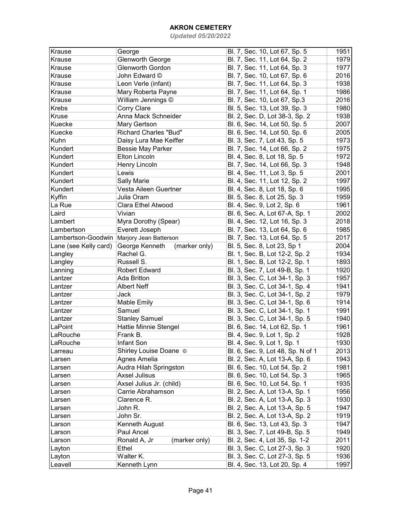| Krause                | George                          | Bl. 7, Sec. 10, Lot 67, Sp. 5     | 1951 |
|-----------------------|---------------------------------|-----------------------------------|------|
| Krause                | Glenworth George                | Bl. 7, Sec. 11, Lot 64, Sp. 2     | 1979 |
| Krause                | Glenworth Gordon                | Bl. 7, Sec. 11, Lot 64, Sp. 3     | 1977 |
| Krause                | John Edward ©                   | Bl. 7, Sec. 10, Lot 67, Sp. 6     | 2016 |
| Krause                |                                 |                                   | 1938 |
|                       | Leon Verle (infant)             | Bl. 7, Sec. 11, Lot 64, Sp. 3     | 1986 |
| Krause                | Mary Roberta Payne              | Bl. 7, Sec. 11, Lot 64, Sp. 1     |      |
| Krause                | William Jennings ©              | Bl. 7, Sec. 10, Lot 67, Sp.3      | 2016 |
| Krebs                 | Corry Clare                     | Bl. 5, Sec. 13, Lot 39, Sp. 3     | 1980 |
| Kruse                 | Anna Mack Schneider             | Bl. 2, Sec. D, Lot 38-3, Sp. 2    | 1938 |
| Kuecke                | Mary Gertson                    | Bl. 6, Sec. 14, Lot 50, Sp. 5     | 2007 |
| Kuecke                | <b>Richard Charles "Bud"</b>    | Bl. 6, Sec. 14, Lot 50, Sp. 6     | 2005 |
| Kuhn                  | Daisy Lura Mae Keiffer          | Bl. 3, Sec. 7, Lot 43, Sp. 5      | 1973 |
| Kundert               | <b>Bessie May Parker</b>        | Bl. 7, Sec. 14, Lot 66, Sp. 2     | 1975 |
| Kundert               | <b>Elton Lincoln</b>            | Bl. 4, Sec. 8, Lot 18, Sp. 5      | 1972 |
| Kundert               | Henry Lincoln                   | Bl. 7, Sec. 14, Lot 66, Sp. 3     | 1948 |
| Kundert               | Lewis                           | Bl. 4, Sec. 11, Lot 3, Sp. 5      | 2001 |
| Kundert               | <b>Sally Marie</b>              | Bl. 4, Sec. 11, Lot 12, Sp. 2     | 1997 |
| Kundert               | Vesta Aileen Guertner           | Bl. 4, Sec. 8, Lot 18, Sp. 6      | 1995 |
| Kyffin                | Julia Oram                      | Bl. 5, Sec. 8, Lot 25, Sp. 3      | 1959 |
| La Rue                | Clara Ethel Atwood              | Bl. 4, Sec. 9, Lot 2, Sp. 6       | 1961 |
| Laird                 | Vivian                          | Bl. 6, Sec. A, Lot 67-A, Sp. 1    | 2002 |
| Lambert               | Myra Dorothy (Spear)            | Bl. 4, Sec. 12, Lot 16, Sp. 3     | 2018 |
| Lambertson            | Everett Joseph                  | Bl. 7, Sec. 13, Lot 64, Sp. 6     | 1985 |
| Lambertson-Goodwin    | Marjory Jean Batterson          | Bl. 7, Sec. 13, Lot 64, Sp. 5     | 2017 |
| Lane (see Kelly card) | George Kenneth<br>(marker only) | Bl. 5, Sec. 8, Lot 23, Sp 1       | 2004 |
| Langley               | Rachel G.                       | Bl. 1, Sec. B, Lot 12-2, Sp. 2    | 1934 |
| Langley               | Russell S.                      | Bl. 1, Sec. B, Lot 12-2, Sp. 1    | 1893 |
| Lanning               | <b>Robert Edward</b>            | Bl. 3, Sec. 7, Lot 49-B, Sp. 1    | 1920 |
| Lantzer               | Ada Britton                     | Bl. 3, Sec. C, Lot 34-1, Sp. 3    | 1957 |
| Lantzer               | <b>Albert Neff</b>              | Bl. 3, Sec. C, Lot 34-1, Sp. 4    | 1941 |
| Lantzer               | Jack                            | Bl. 3, Sec. C, Lot 34-1, Sp. 2    | 1979 |
| Lantzer               | <b>Mable Emily</b>              | Bl. 3, Sec. C, Lot 34-1, Sp. 6    | 1914 |
| Lantzer               | Samuel                          | Bl. 3, Sec. C, Lot 34-1, Sp. 1    | 1991 |
| Lantzer               | <b>Stanley Samuel</b>           | Bl. 3, Sec. C, Lot 34-1, Sp. 5    | 1940 |
| LaPoint               | Hattie Minnie Stengel           | Bl. 6, Sec. 14, Lot 62, Sp. 1     | 1961 |
| LaRouche              | Frank B.                        | Bl. 4, Sec. 9, Lot 1, Sp. 2       | 1928 |
| LaRouche              | Infant Son                      | Bl. 4, Sec. 9, Lot 1, Sp. 1       | 1930 |
| Larreau               | Shirley Louise Doane ©          | Bl. 6, Sec. 9, Lot 48, Sp. N of 1 | 2013 |
|                       | Agnes Amelia                    | Bl. 2, Sec. A, Lot 13-A, Sp. 6    | 1943 |
| Larsen                | Audra Hilah Springston          | Bl. 6, Sec. 10, Lot 54, Sp. 2     | 1981 |
| Larsen                |                                 |                                   | 1965 |
| Larsen                | <b>Axsel Julisus</b>            | Bl. 6, Sec. 10, Lot 54, Sp. 3     |      |
| Larsen                | Axsel Julius Jr. (child)        | Bl. 6, Sec. 10, Lot 54, Sp. 1     | 1935 |
| Larsen                | Carrie Abrahamson               | Bl. 2, Sec. A, Lot 13-A, Sp. 1    | 1956 |
| Larsen                | Clarence R.                     | Bl. 2, Sec. A, Lot 13-A, Sp. 3    | 1930 |
| Larsen                | John R.                         | Bl. 2, Sec. A, Lot 13-A, Sp. 5    | 1947 |
| Larsen                | John Sr.                        | Bl. 2, Sec. A, Lot 13-A, Sp. 2    | 1919 |
| Larson                | Kenneth August                  | Bl. 6, Sec. 13, Lot 43, Sp. 3     | 1947 |
| Larson                | Paul Ancel                      | Bl. 3, Sec. 7, Lot 49-B, Sp. 5    | 1949 |
| Larson                | (marker only)<br>Ronald A, Jr   | Bl. 2, Sec. 4, Lot 35, Sp. 1-2    | 2011 |
| Layton                | Ethel                           | Bl. 3, Sec. C, Lot 27-3, Sp. 3    | 1920 |
| Layton                | Walter K.                       | Bl. 3, Sec. C, Lot 27-3, Sp. 5    | 1936 |
| Leavell               | Kenneth Lynn                    | Bl. 4, Sec. 13, Lot 20, Sp. 4     | 1997 |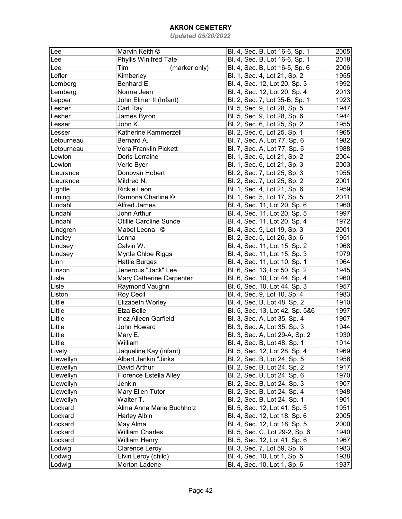| Lee        | Marvin Keith ©               | Bl. 4, Sec. B, Lot 16-6, Sp. 1  | 2005 |
|------------|------------------------------|---------------------------------|------|
| Lee        | <b>Phyllis Winifred Tate</b> | Bl. 4, Sec. B, Lot 16-6, Sp. 1  | 2018 |
| Lee        | (marker only)<br>Tim         | Bl. 4, Sec. B, Lot 16-5, Sp. 6  | 2006 |
| Lefler     | Kimberley                    | Bl. 1, Sec. 4, Lot 21, Sp. 2    | 1955 |
| Lemberg    | Benhard E.                   | Bl. 4, Sec. 12, Lot 20, Sp. 3   | 1992 |
| Lemberg    | Norma Jean                   | Bl. 4, Sec. 12, Lot 20, Sp. 4   | 2013 |
| Lepper     | John Elmer II (Infant)       | Bl. 2, Sec. 7, Lot 35-B, Sp. 1  | 1923 |
| Lesher     | Carl Ray                     | Bl. 5, Sec. 9, Lot 28, Sp. 5    | 1947 |
| Lesher     | James Byron                  | Bl. 5, Sec. 9, Lot 28, Sp. 6    | 1944 |
|            |                              |                                 |      |
| Lesser     | John K.                      | Bl. 2, Sec. 6, Lot 25, Sp. 2    | 1955 |
| Lesser     | Katherine Kammerzell         | Bl. 2, Sec. 6, Lot 25, Sp. 1    | 1965 |
| Letourneau | Bernard A.                   | Bl. 7, Sec. A, Lot 77, Sp. 6    | 1982 |
| Letourneau | Vera Franklin Pickett        | Bl. 7, Sec. A, Lot 77, Sp. 5    | 1988 |
| Lewton     | Doris Lorraine               | Bl. 1, Sec. 6, Lot 21, Sp. 2    | 2004 |
| Lewton     | Verle Byer                   | Bl. 1, Sec. 6, Lot 21, Sp. 3    | 2003 |
| Lieurance  | Donovan Hobert               | Bl. 2, Sec. 7, Lot 25, Sp. 3    | 1955 |
| Lieurance  | Mildred N.                   | Bl. 2, Sec. 7, Lot 25, Sp. 2    | 2001 |
| Lightle    | <b>Rickie Leon</b>           | Bl. 1, Sec. 4, Lot 21, Sp. 6    | 1959 |
| Liming     | Ramona Charline ©            | Bl. 1, Sec. 5, Lot 17, Sp. 5    | 2011 |
| Lindahl    | Alfred James                 | Bl. 4, Sec. 11, Lot 20, Sp. 6   | 1960 |
| Lindahl    | John Arthur                  | Bl. 4, Sec. 11, Lot 20, Sp. 5   | 1997 |
| Lindahl    | Otillie Caroline Sunde       | Bl. 4, Sec. 11, Lot 20, Sp. 4   | 1972 |
| Lindgren   | Mabel Leona ©                | Bl. 4, Sec. 9, Lot 19, Sp. 3    | 2001 |
| Lindley    | Lenna                        | Bl. 2, Sec. 5, Lot 26, Sp. 6    | 1951 |
| Lindsey    | Calvin W.                    | Bl. 4, Sec. 11, Lot 15, Sp. 2   | 1968 |
| Lindsey    | Myrtle Chloe Riggs           | Bl. 4, Sec. 11, Lot 15, Sp. 3   | 1979 |
| Linn       | <b>Hattie Burges</b>         | Bl. 4, Sec. 11, Lot 10, Sp. 1   | 1964 |
| Linson     | Jenerous "Jack" Lee          | Bl. 6, Sec. 13, Lot 50, Sp. 2   | 1945 |
| Lisle      | Mary Catherine Carpenter     | Bl. 6, Sec. 10, Lot 44, Sp. 4   | 1960 |
| Lisle      | Raymond Vaughn               | Bl. 6, Sec. 10, Lot 44, Sp. 3   | 1957 |
| Liston     | Roy Cecil                    | Bl. 4, Sec. 9, Lot 10, Sp. 4    | 1983 |
| Little     | Elizabeth Worley             | Bl. 4, Sec. B, Lot 48, Sp. 2    | 1910 |
| Little     | Elza Belle                   | Bl. 5, Sec. 13, Lot 42, Sp. 5&6 | 1997 |
| Little     | Inez Aileen Garfield         | Bl. 3, Sec. A, Lot 35, Sp. 4    | 1907 |
| Little     | John Howard                  | Bl. 3, Sec. A, Lot 35, Sp. 3    | 1944 |
| Little     | Mary E.                      | Bl. 3, Sec. A, Lot 29-A, Sp. 2  | 1930 |
| Little     | William                      | Bl. 4, Sec. B, Lot 48, Sp. 1    | 1914 |
| Lively     | Jaqueline Kay (infant)       | Bl. 5, Sec. 12, Lot 28, Sp. 4   | 1969 |
| Llewellyn  | Albert Jenkin "Jinks"        | Bl. 2, Sec. B, Lot 24, Sp. 5    | 1956 |
| Llewellyn  | David Arthur                 | Bl. 2, Sec. B, Lot 24, Sp. 2    | 1917 |
| Llewellyn  | Florence Estella Alley       | Bl. 2, Sec. B, Lot 24, Sp. 6    | 1970 |
| Llewellyn  | Jenkin                       | Bl. 2, Sec. B, Lot 24, Sp. 3    | 1907 |
| Llewellyn  | Mary Ellen Tutor             | Bl. 2, Sec. B, Lot 24, Sp. 4    | 1948 |
| Llewellyn  | Walter T.                    | Bl. 2, Sec. B, Lot 24, Sp. 1    | 1901 |
| Lockard    | Alma Anna Marie Buchholz     | Bl. 5, Sec. 12, Lot 41, Sp. 5   | 1951 |
| Lockard    | Harley Albin                 | Bl. 4, Sec. 12, Lot 18, Sp. 6   | 2005 |
| Lockard    | May Alma                     | Bl. 4, Sec. 12, Lot 18, Sp. 5   | 2000 |
| Lockard    | <b>William Charles</b>       | Bl. 5, Sec. C, Lot 29-2, Sp. 6  | 1940 |
| Lockard    |                              |                                 | 1967 |
|            | William Henry                | Bl. 5, Sec. 12, Lot 41, Sp. 6   |      |
| Lodwig     | Clarence Leroy               | Bl. 3, Sec. 7, Lot 59, Sp. 6    | 1983 |
| Lodwig     | Elvin Leroy (child)          | Bl. 4, Sec. 10, Lot 1, Sp. 5    | 1938 |
| Lodwig     | Morton Ladene                | Bl. 4, Sec. 10, Lot 1, Sp. 6    | 1937 |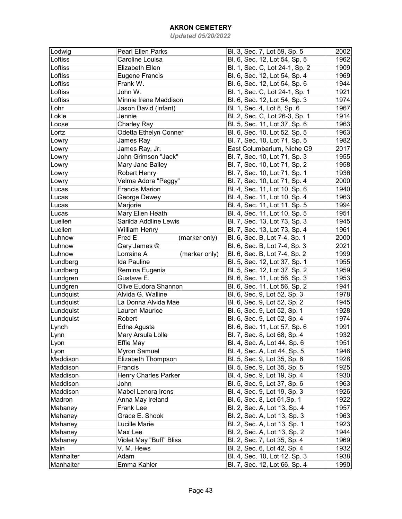| Lodwig    | <b>Pearl Ellen Parks</b>    | Bl. 3, Sec. 7, Lot 59, Sp. 5   | 2002 |
|-----------|-----------------------------|--------------------------------|------|
| Loftiss   | Caroline Louisa             | Bl. 6, Sec. 12, Lot 54, Sp. 5  | 1962 |
| Loftiss   | Elizabeth Ellen             | Bl. 1, Sec. C, Lot 24-1, Sp. 2 | 1909 |
| Loftiss   | <b>Eugene Francis</b>       | Bl. 6, Sec. 12, Lot 54, Sp. 4  | 1969 |
| Loftiss   | Frank W.                    | Bl. 6, Sec. 12, Lot 54, Sp. 6  | 1944 |
| Loftiss   | John W.                     | Bl. 1, Sec. C, Lot 24-1, Sp. 1 | 1921 |
| Loftiss   | Minnie Irene Maddison       | Bl. 6, Sec. 12, Lot 54, Sp. 3  | 1974 |
| Lohr      | Jason David (infant)        | Bl. 1, Sec. 4, Lot 8, Sp. 6    | 1967 |
| Lokie     | Jennie                      | Bl. 2, Sec. C, Lot 26-3, Sp. 1 | 1914 |
| Loose     | <b>Charley Ray</b>          | Bl. 5, Sec. 11, Lot 37, Sp. 6  | 1963 |
| Lortz     | Odetta Ethelyn Conner       | Bl. 6, Sec. 10, Lot 52, Sp. 5  | 1963 |
| Lowry     | James Ray                   | Bl. 7, Sec. 10, Lot 71, Sp. 5  | 1982 |
| Lowry     | James Ray, Jr.              | East Columbarium, Niche C9     | 2017 |
| Lowry     | John Grimson "Jack"         | Bl. 7, Sec. 10, Lot 71, Sp. 3  | 1955 |
| Lowry     | Mary Jane Bailey            | Bl. 7, Sec. 10, Lot 71, Sp. 2  | 1958 |
| Lowry     | <b>Robert Henry</b>         | Bl. 7, Sec. 10, Lot 71, Sp. 1  | 1936 |
|           | Velma Adora "Peggy"         | Bl. 7, Sec. 10, Lot 71, Sp. 4  | 2000 |
| Lowry     | <b>Francis Marion</b>       | Bl. 4, Sec. 11, Lot 10, Sp. 6  | 1940 |
| Lucas     |                             |                                |      |
| Lucas     | George Dewey                | Bl. 4, Sec. 11, Lot 10, Sp. 4  | 1963 |
| Lucas     | Marjorie                    | Bl. 4, Sec. 11, Lot 11, Sp. 5  | 1994 |
| Lucas     | Mary Ellen Heath            | Bl. 4, Sec. 11, Lot 10, Sp. 5  | 1951 |
| Luellen   | Sarilda Addline Lewis       | Bl. 7, Sec. 13, Lot 73, Sp. 3  | 1945 |
| Luellen   | William Henry               | Bl. 7, Sec. 13, Lot 73, Sp. 4  | 1961 |
| Luhnow    | Fred E<br>(marker only)     | Bl. 6, Sec. B, Lot 7-4, Sp. 1  | 2000 |
| Luhnow    | Gary James ©                | Bl. 6, Sec. B, Lot 7-4, Sp. 3  | 2021 |
| Luhnow    | Lorraine A<br>(marker only) | Bl. 6, Sec. B, Lot 7-4, Sp. 2  | 1999 |
| Lundberg  | Ida Pauline                 | Bl. 5, Sec. 12, Lot 37, Sp. 1  | 1955 |
| Lundberg  | Remina Eugenia              | Bl. 5, Sec. 12, Lot 37, Sp. 2  | 1959 |
| Lundgren  | Gustave E.                  | Bl. 6, Sec. 11, Lot 56, Sp. 3  | 1953 |
| Lundgren  | Olive Eudora Shannon        | Bl. 6, Sec. 11, Lot 56, Sp. 2  | 1941 |
| Lundquist | Alvida G. Walline           | Bl. 6, Sec. 9, Lot 52, Sp. 3   | 1978 |
| Lundquist | La Donna Alvida Mae         | Bl. 6, Sec. 9, Lot 52, Sp. 2   | 1945 |
| Lundquist | Lauren Maurice              | Bl. 6, Sec. 9, Lot 52, Sp. 1   | 1928 |
| Lundquist | Robert                      | Bl. 6, Sec. 9, Lot 52, Sp. 4   | 1974 |
| Lynch     | Edna Agusta                 | Bl. 6, Sec. 11, Lot 57, Sp. 6  | 1991 |
| Lynn      | Mary Arsula Lolle           | Bl. 7, Sec. 8, Lot 68, Sp. 4   | 1932 |
| Lyon      | Effie May                   | Bl. 4, Sec. A, Lot 44, Sp. 6   | 1951 |
| Lyon      | Myron Samuel                | Bl. 4, Sec. A, Lot 44, Sp. 5   | 1946 |
| Maddison  | Elizabeth Thompson          | Bl. 5, Sec. 9, Lot 35, Sp. 6   | 1928 |
| Maddison  | Francis                     | Bl. 5, Sec. 9, Lot 35, Sp. 5   | 1925 |
| Maddison  | Henry Charles Parker        | Bl. 4, Sec. 9, Lot 19, Sp. 4   | 1930 |
| Maddison  | John                        | Bl. 5, Sec. 9, Lot 37, Sp. 6   | 1963 |
| Maddison  | Mabel Lenora Irons          | Bl. 4, Sec. 9, Lot 19, Sp. 3   | 1926 |
| Madron    | Anna May Ireland            | Bl. 6, Sec. 8, Lot 61, Sp. 1   | 1922 |
| Mahaney   | Frank Lee                   | Bl. 2, Sec. A, Lot 13, Sp. 4   | 1957 |
| Mahaney   | Grace E. Shook              | Bl. 2, Sec. A, Lot 13, Sp. 3   | 1963 |
| Mahaney   | Lucille Marie               | Bl. 2, Sec. A, Lot 13, Sp. 1   | 1923 |
| Mahaney   | Max Lee                     | Bl. 2, Sec. A, Lot 13, Sp. 2   | 1944 |
| Mahaney   | Violet May "Buff" Bliss     | Bl. 2, Sec. 7, Lot 35, Sp. 4   | 1969 |
| Main      | V. M. Hews                  | Bl. 2, Sec. 6, Lot 42, Sp. 4   | 1932 |
| Manhalter | Adam                        | Bl. 4, Sec. 10, Lot 12, Sp. 3  | 1938 |
| Manhalter | Emma Kahler                 | Bl. 7, Sec. 12, Lot 66, Sp. 4  | 1990 |
|           |                             |                                |      |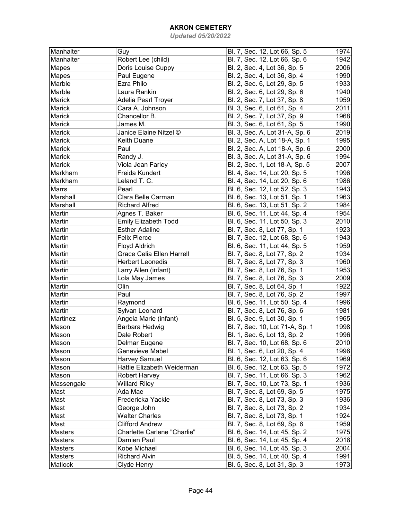| Manhalter      | Guy                              | Bl. 7, Sec. 12, Lot 66, Sp. 5   | 1974         |
|----------------|----------------------------------|---------------------------------|--------------|
| Manhalter      | Robert Lee (child)               | Bl. 7, Sec. 12, Lot 66, Sp. 6   | 1942         |
| Mapes          | Doris Louise Cuppy               | Bl. 2, Sec. 4, Lot 36, Sp. 5    | 2006         |
| Mapes          | Paul Eugene                      | Bl. 2, Sec. 4, Lot 36, Sp. 4    | 1990         |
| Marble         | Ezra Philo                       | Bl. 2, Sec. 6, Lot 29, Sp. 5    | 1933         |
| Marble         | Laura Rankin                     | Bl. 2, Sec. 6, Lot 29, Sp. 6    | 1940         |
| Marick         | Adelia Pearl Troyer              | Bl. 2, Sec. 7, Lot 37, Sp. 8    | 1959         |
| Marick         | Cara A. Johnson                  | Bl. 3, Sec. 6, Lot 61, Sp. 4    | 2011         |
| Marick         | Chancellor B.                    | Bl. 2, Sec. 7, Lot 37, Sp. 9    | 1968         |
| Marick         | James M.                         | Bl. 3, Sec. 6, Lot 61, Sp. 5    | 1990         |
| Marick         | Janice Elaine Nitzel ©           | Bl. 3, Sec. A, Lot 31-A, Sp. 6  | 2019         |
| Marick         | Keith Duane                      | Bl. 2, Sec. A, Lot 18-A, Sp. 1  | 1995         |
| Marick         | Paul                             | Bl. 2, Sec. A, Lot 18-A, Sp. 6  | 2000         |
| Marick         | Randy J.                         | Bl. 3, Sec. A, Lot 31-A, Sp. 6  | 1994         |
| Marick         | Viola Jean Farley                | Bl. 2, Sec. 1, Lot 18-A, Sp. 5  | 2007         |
| Markham        | Freida Kundert                   | Bl. 4, Sec. 14, Lot 20, Sp. 5   | 1996         |
| Markham        | Leland T. C.                     | Bl. 4, Sec. 14, Lot 20, Sp. 6   | 1986         |
| Marrs          | Pearl                            | Bl. 6, Sec. 12, Lot 52, Sp. 3   | 1943         |
| Marshall       | Clara Belle Carman               | Bl. 6, Sec. 13, Lot 51, Sp. 1   | 1963         |
| Marshall       | <b>Richard Alfred</b>            | Bl. 6, Sec. 13, Lot 51, Sp. 2   | 1984         |
| Martin         | Agnes T. Baker                   | Bl. 6, Sec. 11, Lot 44, Sp. 4   | 1954         |
| Martin         | <b>Emily Elizabeth Todd</b>      | Bl. 6, Sec. 11, Lot 50, Sp. 3   | 2010         |
| Martin         | <b>Esther Adaline</b>            | Bl. 7, Sec. 8, Lot 77, Sp. 1    | 1923         |
| Martin         | <b>Felix Pierce</b>              | Bl. 7, Sec. 12, Lot 68, Sp. 6   | 1943         |
| Martin         | Floyd Aldrich                    | Bl. 6, Sec. 11, Lot 44, Sp. 5   | 1959         |
| Martin         | <b>Grace Celia Ellen Harrell</b> | Bl. 7, Sec. 8, Lot 77, Sp. 2    | 1934         |
| Martin         | <b>Herbert Leonedis</b>          | Bl. 7, Sec. 8, Lot 77, Sp. 3    | 1960         |
| Martin         | Larry Allen (infant)             | Bl. 7, Sec. 8, Lot 76, Sp. 1    | 1953         |
| Martin         | Lola May James                   | Bl. 7, Sec. 8, Lot 76, Sp. 3    | 2009         |
| Martin         | Olin                             | Bl. 7, Sec. 8, Lot 64, Sp. 1    | 1922         |
| Martin         | Paul                             | Bl. 7, Sec. 8, Lot 76, Sp. 2    | 1997         |
| Martin         | Raymond                          | Bl. 6, Sec. 11, Lot 50, Sp. 4   | 1996         |
| Martin         | Sylvan Leonard                   | Bl. 7, Sec. 8, Lot 76, Sp. 6    | 1981         |
| Martinez       | Angela Marie (infant)            | Bl. 5, Sec. 9, Lot 30, Sp. 1    | 1965         |
| Mason          | Barbara Hedwig                   | Bl. 7, Sec. 10, Lot 71-A, Sp. 1 | 1998         |
| Mason          | Dale Robert                      | Bl. 1, Sec. 6, Lot 13, Sp. 2    | 1996         |
| Mason          | Delmar Eugene                    | Bl. 7, Sec. 10, Lot 68, Sp. 6   | 2010         |
| Mason          | Genevieve Mabel                  | Bl. 1, Sec. 6, Lot 20, Sp. 4    | 1996         |
| Mason          | <b>Harvey Samuel</b>             | Bl. 6, Sec. 12, Lot 63, Sp. 6   | 1969         |
| Mason          | Hattie Elizabeth Weiderman       | Bl. 6, Sec. 12, Lot 63, Sp. 5   | 1972         |
| Mason          | Robert Harvey                    | Bl. 7, Sec. 11, Lot 66, Sp. 3   | 1962         |
| Massengale     | <b>Willard Riley</b>             | Bl. 7, Sec. 10, Lot 73, Sp. 1   | 1936         |
| Mast           | Ada Mae                          | Bl. 7, Sec. 8, Lot 69, Sp. 5    | 1975         |
| Mast           | Fredericka Yackle                | Bl. 7, Sec. 8, Lot 73, Sp. 3    | 1936         |
| Mast           | George John                      | Bl. 7, Sec. 8, Lot 73, Sp. 2    | 1934         |
| Mast           | <b>Walter Charles</b>            | Bl. 7, Sec. 8, Lot 73, Sp. 1    | 1924         |
| Mast           | <b>Clifford Andrew</b>           |                                 | 1959         |
| Masters        | Charlette Carlene "Charlie"      | Bl. 7, Sec. 8, Lot 69, Sp. 6    | 1975         |
| Masters        | Damien Paul                      | Bl. 6, Sec. 14, Lot 45, Sp. 2   | 2018         |
|                | Kobe Michael                     | Bl. 6, Sec. 14, Lot 45, Sp. 4   |              |
| Masters        | <b>Richard Alvin</b>             | Bl. 6, Sec. 14, Lot 45, Sp. 3   | 2004<br>1991 |
| <b>Masters</b> |                                  | Bl. 5, Sec. 14, Lot 40, Sp. 4   |              |
| Matlock        | Clyde Henry                      | Bl. 5, Sec. 8, Lot 31, Sp. 3    | 1973         |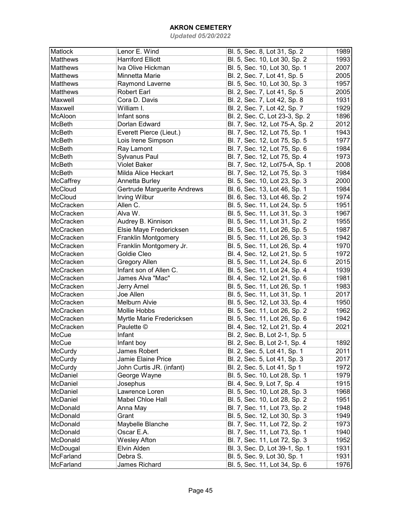| Matlock         | Lenor E. Wind               | Bl. 5, Sec. 8, Lot 31, Sp. 2    | 1989 |
|-----------------|-----------------------------|---------------------------------|------|
| <b>Matthews</b> | <b>Harriford Elliott</b>    | Bl. 5, Sec. 10, Lot 30, Sp. 2   | 1993 |
| <b>Matthews</b> | Iva Olive Hickman           | Bl. 5, Sec. 10, Lot 30, Sp. 1   | 2007 |
| <b>Matthews</b> | Minnetta Marie              | Bl. 2, Sec. 7, Lot 41, Sp. 5    | 2005 |
| <b>Matthews</b> | Raymond Laverne             | Bl. 5, Sec. 10, Lot 30, Sp. 3   | 1957 |
| <b>Matthews</b> | <b>Robert Earl</b>          | Bl. 2, Sec. 7, Lot 41, Sp. 5    | 2005 |
| Maxwell         | Cora D. Davis               | Bl. 2, Sec. 7, Lot 42, Sp. 8    | 1931 |
| Maxwell         | William I.                  | Bl. 2, Sec. 7, Lot 42, Sp. 7    | 1929 |
| McAloon         | Infant sons                 | Bl. 2, Sec. C, Lot 23-3, Sp. 2  | 1896 |
| McBeth          | Dorlan Edward               | Bl. 7, Sec. 12, Lot 75-A, Sp. 2 | 2012 |
| McBeth          | Everett Pierce (Lieut.)     | Bl. 7, Sec. 12, Lot 75, Sp. 1   | 1943 |
| <b>McBeth</b>   | Lois Irene Simpson          | Bl. 7, Sec. 12, Lot 75, Sp. 5   | 1977 |
| <b>McBeth</b>   | Ray Lamont                  | Bl. 7, Sec. 12, Lot 75, Sp. 6   | 1984 |
| <b>McBeth</b>   | Sylvanus Paul               | Bl. 7, Sec. 12, Lot 75, Sp. 4   | 1973 |
| <b>McBeth</b>   | <b>Violet Baker</b>         | Bl. 7, Sec. 12, Lot75-A, Sp. 1  | 2008 |
| <b>McBeth</b>   | Milda Alice Heckart         | Bl. 7, Sec. 12, Lot 75, Sp. 3   | 1984 |
| McCaffrey       | Annetta Burley              | Bl. 5, Sec. 10, Lot 23, Sp. 3   | 2000 |
| McCloud         | Gertrude Marguerite Andrews | Bl. 6, Sec. 13, Lot 46, Sp. 1   | 1984 |
| McCloud         | Irving Wilbur               | Bl. 6, Sec. 13, Lot 46, Sp. 2   | 1974 |
| McCracken       | Allen C.                    | Bl. 5, Sec. 11, Lot 24, Sp. 5   | 1951 |
| McCracken       | Alva W.                     | Bl. 5, Sec. 11, Lot 31, Sp. 3   | 1967 |
| McCracken       | Audrey B. Kinnison          | Bl. 5, Sec. 11, Lot 31, Sp. 2   | 1955 |
| McCracken       | Elsie Maye Fredericksen     | Bl. 5, Sec. 11, Lot 26, Sp. 5   | 1987 |
| McCracken       | <b>Franklin Montgomery</b>  | Bl. 5, Sec. 11, Lot 26, Sp. 3   | 1942 |
| McCracken       | Franklin Montgomery Jr.     | Bl. 5, Sec. 11, Lot 26, Sp. 4   | 1970 |
| McCracken       | Goldie Cleo                 | Bl. 4, Sec. 12, Lot 21, Sp. 5   | 1972 |
| McCracken       | <b>Gregory Allen</b>        | Bl. 5, Sec. 11, Lot 24, Sp. 6   | 2015 |
| McCracken       | Infant son of Allen C.      | Bl. 5, Sec. 11, Lot 24, Sp. 4   | 1939 |
| McCracken       | James Alva "Mac"            | Bl. 4, Sec. 12, Lot 21, Sp. 6   | 1981 |
| McCracken       | Jerry Arnel                 | Bl. 5, Sec. 11, Lot 26, Sp. 1   | 1983 |
| McCracken       | Joe Allen                   | Bl. 5, Sec. 11, Lot 31, Sp. 1   | 2017 |
| McCracken       | Melburn Alvie               | Bl. 5, Sec. 12, Lot 33, Sp. 4   | 1950 |
| McCracken       | <b>Mollie Hobbs</b>         | Bl. 5, Sec. 11, Lot 26, Sp. 2   | 1962 |
| McCracken       | Myrtle Marie Fredericksen   | Bl. 5, Sec. 11, Lot 26, Sp. 6   | 1942 |
| McCracken       | Paulette ©                  | Bl. 4, Sec. 12, Lot 21, Sp. 4   | 2021 |
| McCue           | Infant                      | Bl. 2, Sec. B, Lot 2-1, Sp. 5   |      |
| McCue           | Infant boy                  | Bl. 2, Sec. B, Lot 2-1, Sp. 4   | 1892 |
| McCurdy         | James Robert                | Bl. 2, Sec. 5, Lot 41, Sp. 1    | 2011 |
| McCurdy         | Jamie Elaine Price          | Bl. 2, Sec. 5, Lot 41, Sp. 3    | 2017 |
| <b>McCurdy</b>  | John Curtis JR. (infant)    | Bl. 2, Sec. 5, Lot 41, Sp 1     | 1972 |
| McDaniel        | George Wayne                | Bl. 5, Sec. 10, Lot 28, Sp. 1   | 1979 |
| McDaniel        | Josephus                    | Bl. 4, Sec. 9, Lot 7, Sp. 4     | 1915 |
| McDaniel        | Lawrence Loren              | Bl. 5, Sec. 10, Lot 28, Sp. 3   | 1968 |
| McDaniel        | Mabel Chloe Hall            | Bl. 5, Sec. 10, Lot 28, Sp. 2   | 1951 |
| McDonald        | Anna May                    | Bl. 7, Sec. 11, Lot 73, Sp. 2   | 1948 |
| McDonald        | Grant                       | Bl. 5, Sec. 12, Lot 30, Sp. 3   | 1949 |
| McDonald        | Maybelle Blanche            | Bl. 7, Sec. 11, Lot 72, Sp. 2   | 1973 |
| McDonald        | Oscar E.A.                  | Bl. 7, Sec. 11, Lot 73, Sp. 1   | 1940 |
| McDonald        | <b>Wesley Afton</b>         | Bl. 7, Sec. 11, Lot 72, Sp. 3   | 1952 |
| McDougal        | Elvin Alden                 | Bl. 3, Sec. D, Lot 39-1, Sp. 1  | 1931 |
| McFarland       | Debra S.                    | Bl. 5, Sec. 9, Lot 30, Sp. 1    | 1931 |
| McFarland       | James Richard               | Bl. 5, Sec. 11, Lot 34, Sp. 6   | 1976 |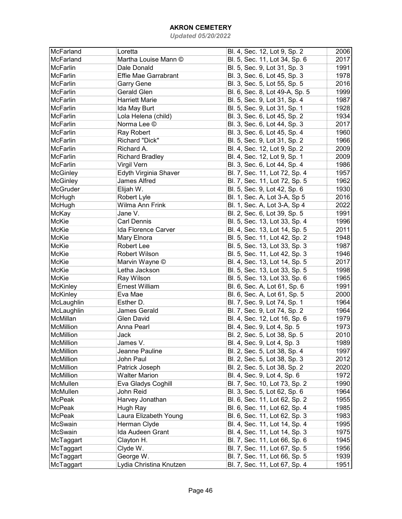| McFarland        | Loretta                     | Bl. 4, Sec. 12, Lot 9, Sp. 2   | 2006 |
|------------------|-----------------------------|--------------------------------|------|
| McFarland        | Martha Louise Mann ©        | Bl. 5, Sec. 11, Lot 34, Sp. 6  | 2017 |
| <b>McFarlin</b>  | Dale Donald                 | Bl. 5, Sec. 9, Lot 31, Sp. 3   | 1991 |
| <b>McFarlin</b>  | <b>Effie Mae Garrabrant</b> | Bl. 3, Sec. 6, Lot 45, Sp. 3   | 1978 |
| <b>McFarlin</b>  | Garry Gene                  | Bl. 3, Sec. 5, Lot 55, Sp. 5   | 2016 |
| McFarlin         | <b>Gerald Glen</b>          | Bl. 6, Sec. 8, Lot 49-A, Sp. 5 | 1999 |
| <b>McFarlin</b>  | <b>Harriett Marie</b>       | Bl. 5, Sec. 9, Lot 31, Sp. 4   | 1987 |
| <b>McFarlin</b>  | Ida May Burt                | Bl. 5, Sec. 9, Lot 31, Sp. 1   | 1928 |
| <b>McFarlin</b>  | Lola Helena (child)         | Bl. 3, Sec. 6, Lot 45, Sp. 2   | 1934 |
| <b>McFarlin</b>  | Norma Lee ©                 | Bl. 3, Sec. 6, Lot 44, Sp. 3   | 2017 |
| <b>McFarlin</b>  | Ray Robert                  | Bl. 3, Sec. 6, Lot 45, Sp. 4   | 1960 |
| <b>McFarlin</b>  | Richard "Dick"              | Bl. 5, Sec. 9, Lot 31, Sp. 2   | 1966 |
| <b>McFarlin</b>  | Richard A.                  | Bl. 4, Sec. 12, Lot 9, Sp. 2   | 2009 |
| <b>McFarlin</b>  | <b>Richard Bradley</b>      | Bl. 4, Sec. 12, Lot 9, Sp. 1   | 2009 |
| <b>McFarlin</b>  | Virgil Vern                 | Bl. 3, Sec. 6, Lot 44, Sp. 4   | 1986 |
| McGinley         | Edyth Virginia Shaver       | Bl. 7, Sec. 11, Lot 72, Sp. 4  | 1957 |
| McGinley         | <b>James Alfred</b>         | Bl. 7, Sec. 11, Lot 72, Sp. 5  | 1962 |
| McGruder         | Elijah W.                   | Bl. 5, Sec. 9, Lot 42, Sp. 6   | 1930 |
| McHugh           | Robert Lyle                 | Bl. 1, Sec. A, Lot 3-A, Sp 5   | 2016 |
| McHugh           | Wilma Ann Frink             | Bl. 1, Sec. A, Lot 3-A, Sp 4   | 2022 |
| McKay            | Jane V.                     | Bl. 2, Sec. 6, Lot 39, Sp. 5   | 1991 |
| McKie            | <b>Carl Dennis</b>          | Bl. 5, Sec. 13, Lot 33, Sp. 4  | 1996 |
| McKie            | Ida Florence Carver         | Bl. 4, Sec. 13, Lot 14, Sp. 5  | 2011 |
| McKie            | Mary Elnora                 | Bl. 5, Sec. 11, Lot 42, Sp. 2  | 1948 |
| McKie            | Robert Lee                  | Bl. 5, Sec. 13, Lot 33, Sp. 3  | 1987 |
| McKie            | <b>Robert Wilson</b>        | Bl. 5, Sec. 11, Lot 42, Sp. 3  | 1946 |
| McKie            | Marvin Wayne ©              | Bl. 4, Sec. 13, Lot 14, Sp. 5  | 2017 |
| McKie            | Letha Jackson               | Bl. 5, Sec. 13, Lot 33, Sp. 5  | 1998 |
| McKie            | Ray Wilson                  | Bl. 5, Sec. 13, Lot 33, Sp. 6  | 1965 |
| McKinley         | <b>Ernest William</b>       | Bl. 6, Sec. A, Lot 61, Sp. 6   | 1991 |
| <b>McKinley</b>  | Eva Mae                     | Bl. 6, Sec. A, Lot 61, Sp. 5   | 2000 |
| McLaughlin       | Esther D.                   | Bl. 7, Sec. 9, Lot 74, Sp. 1   | 1964 |
| McLaughlin       | <b>James Gerald</b>         | Bl. 7, Sec. 9, Lot 74, Sp. 2   | 1964 |
| McMillan         | <b>Glen David</b>           | Bl. 4, Sec. 12, Lot 16, Sp. 6  | 1979 |
| McMillion        | Anna Pearl                  | Bl. 4, Sec. 9, Lot 4, Sp. 5    | 1973 |
| McMillion        | Jack                        | Bl. 2, Sec. 5, Lot 38, Sp. 5   | 2010 |
| McMillion        | James V.                    | Bl. 4, Sec. 9, Lot 4, Sp. 3    | 1989 |
| McMillion        | Jeanne Pauline              | Bl. 2, Sec. 5, Lot 38, Sp. 4   | 1997 |
| <b>McMillion</b> | John Paul                   | Bl. 2, Sec. 5, Lot 38, Sp. 3   | 2012 |
| <b>McMillion</b> | Patrick Joseph              | Bl. 2, Sec. 5, Lot 38, Sp. 2   | 2020 |
| <b>McMillion</b> | <b>Walter Marion</b>        | Bl. 4, Sec. 9, Lot 4, Sp. 6    | 1972 |
| McMullen         | Eva Gladys Coghill          | Bl. 7, Sec. 10, Lot 73, Sp. 2  | 1990 |
| McMullen         | John Reid                   | Bl. 3, Sec. 5, Lot 62, Sp. 6   | 1964 |
| McPeak           | Harvey Jonathan             | Bl. 6, Sec. 11, Lot 62, Sp. 2  | 1955 |
| McPeak           | Hugh Ray                    | Bl. 6, Sec. 11, Lot 62, Sp. 4  | 1985 |
| McPeak           | Laura Elizabeth Young       | Bl. 6, Sec. 11, Lot 62, Sp. 3  | 1983 |
| McSwain          | Herman Clyde                | Bl. 4, Sec. 11, Lot 14, Sp. 4  | 1995 |
| McSwain          | Ida Audeen Grant            | Bl. 4, Sec. 11, Lot 14, Sp. 3  | 1975 |
| McTaggart        | Clayton H.                  | Bl. 7, Sec. 11, Lot 66, Sp. 6  | 1945 |
| McTaggart        | Clyde W.                    | Bl. 7, Sec. 11, Lot 67, Sp. 5  | 1956 |
|                  |                             |                                |      |
| McTaggart        | George W.                   | Bl. 7, Sec. 11, Lot 66, Sp. 5  | 1939 |
| McTaggart        | Lydia Christina Knutzen     | Bl. 7, Sec. 11, Lot 67, Sp. 4  | 1951 |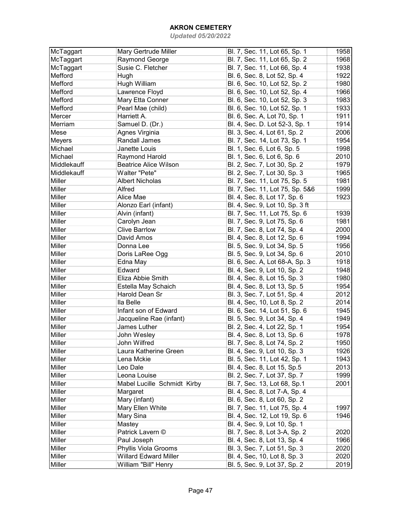| McTaggart     | Mary Gertrude Miller         | Bl. 7, Sec. 11, Lot 65, Sp. 1   | 1958 |
|---------------|------------------------------|---------------------------------|------|
| McTaggart     | Raymond George               | Bl. 7, Sec. 11, Lot 65, Sp. 2   | 1968 |
| McTaggart     | Susie C. Fletcher            | Bl. 7, Sec. 11, Lot 66, Sp. 4   | 1938 |
| Mefford       | Hugh                         | Bl. 6, Sec. 8, Lot 52, Sp. 4    | 1922 |
| Mefford       | Hugh William                 | Bl. 6, Sec. 10, Lot 52, Sp. 2   | 1980 |
| Mefford       | Lawrence Floyd               | Bl. 6, Sec. 10, Lot 52, Sp. 4   | 1966 |
| Mefford       | Mary Etta Conner             | Bl. 6, Sec. 10, Lot 52, Sp. 3   | 1983 |
| Mefford       | Pearl Mae (child)            | Bl. 6, Sec. 10, Lot 52, Sp. 1   | 1933 |
| Mercer        | Harriett A.                  | Bl. 6, Sec. A, Lot 70, Sp. 1    | 1911 |
| Merriam       | Samuel D. (Dr.)              | Bl. 4, Sec. D. Lot 52-3, Sp. 1  | 1914 |
| Mese          | Agnes Virginia               | Bl. 3, Sec. 4, Lot 61, Sp. 2    | 2006 |
| <b>Meyers</b> | Randall James                | Bl. 7, Sec. 14, Lot 73, Sp. 1   | 1954 |
| Michael       | Janette Louis                | Bl. 1, Sec. 6, Lot 6, Sp. 5     | 1998 |
| Michael       | Raymond Harold               | Bl. 1, Sec. 6, Lot 6, Sp. 6     | 2010 |
| Middlekauff   | <b>Beatrice Alice Wilson</b> |                                 | 1979 |
|               |                              | Bl. 2, Sec. 7, Lot 30, Sp. 2    |      |
| Middlekauff   | Walter "Pete"                | Bl. 2, Sec. 7, Lot 30, Sp. 3    | 1965 |
| Miller        | Albert Nicholas              | Bl. 7, Sec. 11, Lot 75, Sp. 5   | 1981 |
| Miller        | Alfred                       | Bl. 7, Sec. 11, Lot 75, Sp. 5&6 | 1999 |
| Miller        | Alice Mae                    | Bl. 4, Sec. 8, Lot 17, Sp. 6    | 1923 |
| Miller        | Alonzo Earl (infant)         | Bl. 4, Sec. 9, Lot 10, Sp. 3 ft |      |
| Miller        | Alvin (infant)               | Bl. 7, Sec. 11, Lot 75, Sp. 6   | 1939 |
| Miller        | Carolyn Jean                 | Bl. 7, Sec. 9, Lot 75, Sp. 6    | 1981 |
| Miller        | <b>Clive Barrlow</b>         | Bl. 7, Sec. 8, Lot 74, Sp. 4    | 2000 |
| Miller        | David Amos                   | Bl. 4, Sec. 8, Lot 12, Sp. 6    | 1994 |
| Miller        | Donna Lee                    | Bl. 5, Sec. 9, Lot 34, Sp. 5    | 1956 |
| Miller        | Doris LaRee Ogg              | Bl. 5, Sec. 9, Lot 34, Sp. 6    | 2010 |
| Miller        | Edna May                     | Bl. 6, Sec. A, Lot 68-A, Sp. 3  | 1918 |
| Miller        | Edward                       | Bl. 4, Sec. 9, Lot 10, Sp. 2    | 1948 |
| Miller        | Eliza Abbie Smith            | Bl. 4, Sec. 8, Lot 15, Sp. 3    | 1980 |
| Miller        | Estella May Schaich          | Bl. 4, Sec. 8, Lot 13, Sp. 5    | 1954 |
| Miller        | Harold Dean Sr               | Bl. 3, Sec. 7, Lot 51, Sp. 4    | 2012 |
| Miller        | lla Belle                    | Bl. 4, Sec, 10, Lot 8, Sp. 2    | 2014 |
| Miller        | Infant son of Edward         | Bl. 6, Sec. 14, Lot 51, Sp. 6   | 1945 |
| Miller        | Jacqueline Rae (infant)      | Bl. 5, Sec. 9, Lot 34, Sp. 4    | 1949 |
| Miller        | James Luther                 | Bl. 2, Sec. 4, Lot 22, Sp. 1    | 1954 |
| Miller        | John Wesley                  | Bl. 4, Sec. 8, Lot 13, Sp. 6    | 1978 |
| Miller        | John Wilfred                 | Bl. 7, Sec. 8, Lot 74, Sp. 2    | 1950 |
| Miller        | Laura Katherine Green        | Bl. 4, Sec. 9, Lot 10, Sp. 3    | 1926 |
| Miller        | Lena Mckie                   | Bl. 5, Sec. 11, Lot 42, Sp. 1   | 1943 |
| Miller        | Leo Dale                     | Bl. 4, Sec. 8, Lot 15, Sp.5     | 2013 |
| Miller        | Leona Louise                 | Bl. 2, Sec. 7, Lot 37, Sp. 7    | 1999 |
| Miller        | Mabel Lucille Schmidt Kirby  | Bl. 7, Sec. 13, Lot 68, Sp.1    | 2001 |
| Miller        | Margaret                     | Bl. 4, Sec. 8, Lot 7-A, Sp. 4   |      |
| Miller        | Mary (infant)                | Bl. 6, Sec. 8, Lot 60, Sp. 2    |      |
| Miller        | Mary Ellen White             | Bl. 7, Sec. 11, Lot 75, Sp. 4   | 1997 |
| Miller        | Mary Sina                    | Bl. 4, Sec. 12, Lot 19, Sp. 6   | 1946 |
| Miller        | Mastey                       | Bl. 4, Sec. 9, Lot 10, Sp. 1    |      |
| Miller        | Patrick Lavern ©             |                                 |      |
|               |                              | Bl. 7, Sec. 8, Lot 3-A, Sp. 2   | 2020 |
| Miller        | Paul Joseph                  | Bl. 4, Sec. 8, Lot 13, Sp. 4    | 1966 |
| Miller        | Phyllis Viola Grooms         | Bl. 3, Sec. 7, Lot 51, Sp. 3    | 2020 |
| Miller        | <b>Willard Edward Miller</b> | Bl. 4, Sec, 10, Lot 8, Sp. 3    | 2020 |
| Miller        | William "Bill" Henry         | Bl. 5, Sec. 9, Lot 37, Sp. 2    | 2019 |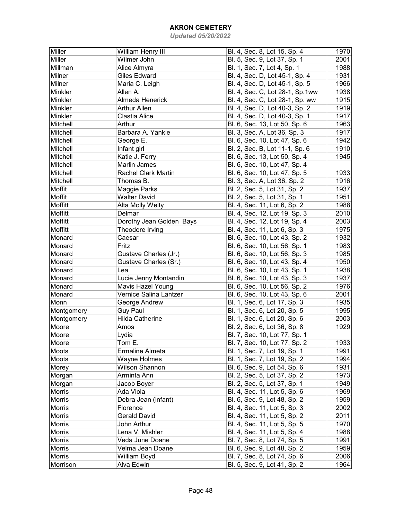| Miller        | William Henry III          | Bl. 4, Sec. 8, Lot 15, Sp. 4    | 1970 |
|---------------|----------------------------|---------------------------------|------|
| Miller        | Wilmer John                | Bl. 5, Sec. 9, Lot 37, Sp. 1    | 2001 |
| Millman       | Alice Almyra               | Bl. 1, Sec. 7, Lot 4, Sp. 1     | 1988 |
| Milner        | <b>Giles Edward</b>        | Bl. 4, Sec. D, Lot 45-1, Sp. 4  | 1931 |
| Milner        | Maria C. Leigh             | Bl. 4, Sec. D, Lot 45-1, Sp. 5  | 1966 |
| Minkler       | Allen A.                   | Bl. 4, Sec. C, Lot 28-1, Sp.1ww | 1938 |
| Minkler       | Almeda Henerick            | Bl. 4, Sec. C, Lot 28-1, Sp. ww | 1915 |
| Minkler       | <b>Arthur Allen</b>        | Bl. 4, Sec. D, Lot 40-3, Sp. 2  | 1919 |
| Minkler       | Clastia Alice              | Bl. 4, Sec. D, Lot 40-3, Sp. 1  | 1917 |
| Mitchell      | Arthur                     | Bl. 6, Sec. 13, Lot 50, Sp. 6   | 1963 |
| Mitchell      | Barbara A. Yankie          | Bl. 3, Sec. A, Lot 36, Sp. 3    | 1917 |
| Mitchell      | George E.                  | Bl. 6, Sec. 10, Lot 47, Sp. 6   | 1942 |
| Mitchell      | Infant girl                | Bl. 2, Sec. B, Lot 11-1, Sp. 6  | 1910 |
| Mitchell      | Katie J. Ferry             | Bl. 6, Sec. 13, Lot 50, Sp. 4   | 1945 |
| Mitchell      | Marlin James               |                                 |      |
|               |                            | Bl. 6, Sec. 10, Lot 47, Sp. 4   |      |
| Mitchell      | <b>Rachel Clark Martin</b> | Bl. 6, Sec. 10, Lot 47, Sp. 5   | 1933 |
| Mitchell      | Thomas B.                  | Bl. 3, Sec. A, Lot 36, Sp. 2    | 1916 |
| Moffit        | Maggie Parks               | Bl. 2, Sec. 5, Lot 31, Sp. 2    | 1937 |
| Moffit        | <b>Walter David</b>        | Bl. 2, Sec. 5, Lot 31, Sp. 1    | 1951 |
| Moffitt       | Alta Molly Welty           | Bl. 4, Sec. 11, Lot 6, Sp. 2    | 1988 |
| Moffitt       | Delmar                     | Bl. 4, Sec. 12, Lot 19, Sp. 3   | 2010 |
| Moffitt       | Dorothy Jean Golden Bays   | Bl. 4, Sec. 12, Lot 19, Sp. 4   | 2003 |
| Moffitt       | Theodore Irving            | Bl. 4, Sec. 11, Lot 6, Sp. 3    | 1975 |
| Monard        | Caesar                     | Bl. 6, Sec. 10, Lot 43, Sp. 2   | 1932 |
| Monard        | Fritz                      | Bl. 6, Sec. 10, Lot 56, Sp. 1   | 1983 |
| Monard        | Gustave Charles (Jr.)      | Bl. 6, Sec. 10, Lot 56, Sp. 3   | 1985 |
| Monard        | Gustave Charles (Sr.)      | Bl. 6, Sec. 10, Lot 43, Sp. 4   | 1950 |
| Monard        | Lea                        | Bl. 6, Sec. 10, Lot 43, Sp. 1   | 1938 |
| Monard        | Lucie Jenny Montandin      | Bl. 6, Sec. 10, Lot 43, Sp. 3   | 1937 |
| Monard        | Mavis Hazel Young          | Bl. 6, Sec. 10, Lot 56, Sp. 2   | 1976 |
| Monard        | Vernice Salina Lantzer     | Bl. 6, Sec. 10, Lot 43, Sp. 6   | 2001 |
| Monn          | George Andrew              | Bl. 1, Sec. 6, Lot 17, Sp. 3    | 1935 |
| Montgomery    | <b>Guy Paul</b>            | Bl. 1, Sec. 6, Lot 20, Sp. 5    | 1995 |
| Montgomery    | <b>Hilda Catherine</b>     | Bl. 1, Sec. 6, Lot 20, Sp. 6    | 2003 |
| Moore         | Amos                       | Bl. 2, Sec. 6, Lot 36, Sp. 8    | 1929 |
| Moore         | Lydia                      | Bl. 7, Sec. 10, Lot 77, Sp. 1   |      |
| Moore         | Tom E.                     | Bl. 7, Sec. 10, Lot 77, Sp. 2   | 1933 |
| Moots         | Ermaline Almeta            | Bl. 1, Sec. 7, Lot 19, Sp. 1    | 1991 |
| Moots         | Wayne Holmes               | Bl. 1, Sec. 7, Lot 19, Sp. 2    | 1994 |
| Morey         | Wilson Shannon             | Bl. 6, Sec. 9, Lot 54, Sp. 6    | 1931 |
| Morgan        | Arminta Ann                | Bl. 2, Sec. 5, Lot 37, Sp. 2    | 1973 |
| Morgan        | Jacob Boyer                | Bl. 2, Sec. 5, Lot 37, Sp. 1    | 1949 |
| Morris        | Ada Viola                  | Bl. 4, Sec. 11, Lot 5, Sp. 6    | 1969 |
| Morris        | Debra Jean (infant)        | Bl. 6, Sec. 9, Lot 48, Sp. 2    | 1959 |
| Morris        | Florence                   | Bl. 4, Sec. 11, Lot 5, Sp. 3    | 2002 |
| Morris        | <b>Gerald David</b>        | Bl. 4, Sec. 11, Lot 5, Sp. 2    | 2011 |
| Morris        | John Arthur                | Bl. 4, Sec. 11, Lot 5, Sp. 5    | 1970 |
| Morris        | Lena V. Mishler            | Bl. 4, Sec. 11, Lot 5, Sp. 4    | 1988 |
| Morris        | Veda June Doane            | Bl. 7, Sec. 8, Lot 74, Sp. 5    | 1991 |
| Morris        | Velma Jean Doane           | Bl. 6, Sec. 9, Lot 48, Sp. 2    | 1959 |
| <b>Morris</b> | William Boyd               | Bl. 7, Sec. 8, Lot 74, Sp. 6    | 2006 |
| Morrison      | Alva Edwin                 | Bl. 5, Sec. 9, Lot 41, Sp. 2    | 1964 |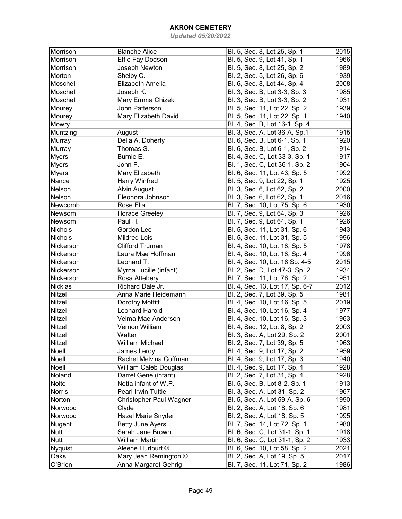| Morrison       | <b>Blanche Alice</b>         | Bl. 5, Sec. 8, Lot 25, Sp. 1    | 2015 |
|----------------|------------------------------|---------------------------------|------|
| Morrison       | Effie Fay Dodson             | Bl. 5, Sec. 9, Lot 41, Sp. 1    | 1966 |
| Morrison       | Joseph Newton                | Bl. 5, Sec. 8, Lot 25, Sp. 2    | 1989 |
| Morton         | Shelby C.                    | Bl. 2, Sec. 5, Lot 26, Sp. 6    | 1939 |
| Moschel        | Elizabeth Amelia             | Bl. 6, Sec. 8, Lot 44, Sp. 4    | 2008 |
| Moschel        | Joseph K.                    | Bl. 3, Sec. B, Lot 3-3, Sp. 3   | 1985 |
| Moschel        | Mary Emma Chizek             | Bl. 3, Sec. B, Lot 3-3, Sp. 2   | 1931 |
| Mourey         | John Patterson               | Bl. 5, Sec. 11, Lot 22, Sp. 2   | 1939 |
| Mourey         | Mary Elizabeth David         | Bl. 5, Sec. 11, Lot 22, Sp. 1   | 1940 |
| Mowry          |                              | Bl. 4, Sec. B, Lot 16-1, Sp. 4  |      |
| Muntzing       | August                       | Bl. 3, Sec. A, Lot 36-A, Sp.1   | 1915 |
| Murray         | Delia A. Doherty             | Bl. 6, Sec. B, Lot 6-1, Sp. 1   | 1920 |
| Murray         | Thomas S.                    | Bl. 6, Sec. B, Lot 6-1, Sp. 2   | 1914 |
| <b>Myers</b>   | Burnie E.                    | Bl. 4, Sec. C, Lot 33-3, Sp. 1  | 1917 |
| <b>Myers</b>   | John F.                      | Bl. 1, Sec. C, Lot 36-1, Sp. 2  | 1904 |
| <b>Myers</b>   | Mary Elizabeth               | Bl. 6, Sec. 11, Lot 43, Sp. 5   | 1992 |
| Nance          | Harry Winfred                | Bl. 5, Sec. 9, Lot 22, Sp. 1    | 1925 |
| Nelson         | <b>Alvin August</b>          | Bl. 3, Sec. 6, Lot 62, Sp. 2    | 2000 |
| Nelson         | Eleonora Johnson             | Bl. 3, Sec. 6, Lot 62, Sp. 1    | 2016 |
| Newcomb        | Rose Ella                    | Bl. 7, Sec. 10, Lot 75, Sp. 6   | 1930 |
| Newsom         | <b>Horace Greeley</b>        | Bl. 7, Sec. 9, Lot 64, Sp. 3    | 1926 |
| Newsom         | Paul H.                      | Bl. 7, Sec. 9, Lot 64, Sp. 1    | 1926 |
| <b>Nichols</b> | Gordon Lee                   | Bl. 5, Sec. 11, Lot 31, Sp. 6   | 1943 |
| <b>Nichols</b> | <b>Mildred Lois</b>          | Bl. 5, Sec. 11, Lot 31, Sp. 5   | 1996 |
| Nickerson      | <b>Clifford Truman</b>       | Bl. 4, Sec. 10, Lot 18, Sp. 5   | 1978 |
| Nickerson      | Laura Mae Hoffman            | Bl. 4, Sec. 10, Lot 18, Sp. 4   | 1996 |
| Nickerson      | Leonard T.                   | Bl. 4, Sec. 10, Lot 18 Sp. 4-5  | 2015 |
| Nickerson      | Myrna Lucille (infant)       | Bl. 2, Sec. D, Lot 47-3, Sp. 2  | 1934 |
| Nickerson      | Rosa Attebery                | Bl. 7, Sec. 11, Lot 76, Sp. 2   | 1951 |
| Nicklas        | Richard Dale Jr.             | Bl. 4, Sec. 13, Lot 17, Sp. 6-7 | 2012 |
| Nitzel         | Anna Marie Heidemann         | Bl. 2, Sec. 7, Lot 39, Sp. 5    | 1981 |
| Nitzel         | Dorothy Moffitt              | Bl. 4, Sec. 10, Lot 16, Sp. 5   | 2019 |
| Nitzel         | <b>Leonard Harold</b>        | Bl. 4, Sec. 10, Lot 16, Sp. 4   | 1977 |
| Nitzel         | Velma Mae Anderson           | Bl. 4, Sec. 10, Lot 16, Sp. 3   | 1963 |
| Nitzel         | Vernon William               | Bl. 4, Sec. 12, Lot 8, Sp. 2    | 2003 |
| Nitzel         | Walter                       | Bl. 3, Sec. A, Lot 29, Sp. 2    | 2001 |
| Nitzel         | William Michael              | Bl. 2, Sec. 7, Lot 39, Sp. 5    | 1963 |
| Noell          | James Leroy                  | Bl. 4, Sec. 9, Lot 17, Sp. 2    | 1959 |
| Noell          | Rachel Melvina Coffman       | Bl. 4, Sec. 9, Lot 17, Sp. 3    | 1940 |
| Noell          | <b>William Caleb Douglas</b> | Bl. 4, Sec. 9, Lot 17, Sp. 4    | 1928 |
| Noland         | Darrel Gene (infant)         | Bl. 2, Sec. 7, Lot 31, Sp. 4    | 1928 |
| Nolte          | Netta infant of W.P.         | Bl. 5, Sec. B, Lot 8-2, Sp. 1   | 1913 |
| Norris         | Pearl Irwin Tuttle           | Bl. 3, Sec. A, Lot 31, Sp. 2    | 1967 |
| Norton         | Christopher Paul Wagner      | Bl. 5, Sec. A, Lot 59-A, Sp. 6  | 1990 |
| Norwood        | Clyde                        | Bl. 2, Sec. A, Lot 18, Sp. 6    | 1981 |
| Norwood        | Hazel Marie Snyder           | Bl. 2, Sec. A, Lot 18, Sp. 5    | 1995 |
| Nugent         | <b>Betty June Ayers</b>      | Bl. 7, Sec. 14, Lot 72, Sp. 1   | 1980 |
| <b>Nutt</b>    | Sarah Jane Brown             | Bl. 6, Sec. C, Lot 31-1, Sp. 1  | 1918 |
| <b>Nutt</b>    | <b>William Martin</b>        | Bl. 6, Sec. C, Lot 31-1, Sp. 2  | 1933 |
| <b>Nyquist</b> | Aleene Hurlburt ©            | Bl. 6, Sec. 10, Lot 58, Sp. 2   | 2021 |
| Oaks           | Mary Jean Remington ©        | Bl. 2, Sec. A, Lot 19, Sp. 5    | 2017 |
| O'Brien        | Anna Margaret Gehrig         | Bl. 7, Sec. 11, Lot 71, Sp. 2   | 1986 |
|                |                              |                                 |      |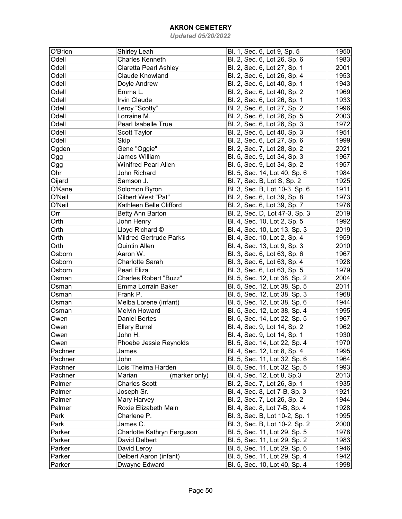| O'Brion | Shirley Leah                  | Bl. 1, Sec. 6, Lot 9, Sp. 5    | 1950 |
|---------|-------------------------------|--------------------------------|------|
| Odell   | <b>Charles Kenneth</b>        | Bl. 2, Sec. 6, Lot 26, Sp. 6   | 1983 |
| Odell   | <b>Claretta Pearl Ashley</b>  | Bl. 2, Sec. 6, Lot 27, Sp. 1   | 2001 |
| Odell   | Claude Knowland               | Bl. 2, Sec. 6, Lot 26, Sp. 4   | 1953 |
| Odell   |                               |                                |      |
|         | Doyle Andrew                  | Bl. 2, Sec. 6, Lot 40, Sp. 1   | 1943 |
| Odell   | Emma L.                       | Bl. 2, Sec. 6, Lot 40, Sp. 2   | 1969 |
| Odell   | Irvin Claude                  | Bl. 2, Sec. 6, Lot 26, Sp. 1   | 1933 |
| Odell   | Leroy "Scotty"                | Bl. 2, Sec. 6, Lot 27, Sp. 2   | 1996 |
| Odell   | Lorraine M.                   | Bl. 2, Sec. 6, Lot 26, Sp. 5   | 2003 |
| Odell   | Pearl Isabelle True           | Bl. 2, Sec. 6, Lot 26, Sp. 3   | 1972 |
| Odell   | Scott Taylor                  | Bl. 2, Sec. 6, Lot 40, Sp. 3   | 1951 |
| Odell   | <b>Skip</b>                   | Bl. 2, Sec. 6, Lot 27, Sp. 6   | 1999 |
| Ogden   | Gene "Oggie"                  | Bl. 2, Sec. 7, Lot 28, Sp. 2   | 2021 |
| Ogg     | James William                 | Bl. 5, Sec. 9, Lot 34, Sp. 3   | 1967 |
| Ogg     | <b>Winifred Pearl Allen</b>   | Bl. 5, Sec. 9, Lot 34, Sp. 2   | 1957 |
| Ohr     | John Richard                  | Bl. 5, Sec. 14, Lot 40, Sp. 6  | 1984 |
| Oijard  | Samson J.                     | Bl. 7, Sec. B, Lot S, Sp. 2    | 1925 |
| O'Kane  | Solomon Byron                 | Bl. 3, Sec. B, Lot 10-3, Sp. 6 | 1911 |
| O'Neil  | Gilbert West "Pat"            | Bl. 2, Sec. 6, Lot 39, Sp. 8   | 1973 |
| O'Neil  | Kathleen Belle Clifford       | Bl. 2, Sec. 6, Lot 39, Sp. 7   | 1976 |
| Orr     | Betty Ann Barton              | Bl. 2, Sec. D, Lot 47-3, Sp. 3 | 2019 |
| Orth    | John Henry                    | Bl. 4, Sec. 10, Lot 2, Sp. 5   | 1992 |
| Orth    | Lloyd Richard ©               | Bl. 4, Sec. 10, Lot 13, Sp. 3  | 2019 |
|         |                               |                                |      |
| Orth    | <b>Mildred Gertrude Parks</b> | Bl. 4, Sec. 10, Lot 2, Sp. 4   | 1959 |
| Orth    | <b>Quintin Allen</b>          | Bl. 4, Sec. 13, Lot 9, Sp. 3   | 2010 |
| Osborn  | Aaron W.                      | Bl. 3, Sec. 6, Lot 63, Sp. 6   | 1967 |
| Osborn  | Charlotte Sarah               | Bl. 3, Sec. 6, Lot 63, Sp. 4   | 1928 |
| Osborn  | Pearl Eliza                   | Bl. 3, Sec. 6, Lot 63, Sp. 5   | 1979 |
| Osman   | <b>Charles Robert "Buzz"</b>  | Bl. 5, Sec. 12, Lot 38, Sp. 2  | 2004 |
| Osman   | Emma Lorrain Baker            | Bl. 5, Sec. 12, Lot 38, Sp. 5  | 2011 |
| Osman   | Frank P.                      | Bl. 5, Sec. 12, Lot 38, Sp. 3  | 1968 |
| Osman   | Melba Lorene (infant)         | Bl. 5, Sec. 12, Lot 38, Sp. 6  | 1944 |
| Osman   | <b>Melvin Howard</b>          | Bl. 5, Sec. 12, Lot 38, Sp. 4  | 1995 |
| Owen    | <b>Daniel Bertes</b>          | Bl. 5, Sec. 14, Lot 22, Sp. 5  | 1967 |
| Owen    | <b>Ellery Burrel</b>          | Bl. 4, Sec. 9, Lot 14, Sp. 2   | 1962 |
| Owen    | John H.                       | Bl. 4, Sec. 9, Lot 14, Sp. 1   | 1930 |
| Owen    | Phoebe Jessie Reynolds        | Bl. 5, Sec. 14, Lot 22, Sp. 4  | 1970 |
| Pachner | James                         | Bl. 4, Sec. 12, Lot 8, Sp. 4   | 1995 |
| Pachner | John                          | Bl. 5, Sec. 11, Lot 32, Sp. 6  | 1964 |
| Pachner | Lois Thelma Harden            | Bl. 5, Sec. 11, Lot 32, Sp. 5  | 1993 |
| Pachner | Marian<br>(marker only)       | Bl. 4, Sec. 12, Lot 8, Sp.3    | 2013 |
| Palmer  | <b>Charles Scott</b>          | Bl. 2, Sec. 7, Lot 26, Sp. 1   | 1935 |
| Palmer  | Joseph Sr.                    | Bl. 4, Sec. 8, Lot 7-B, Sp. 3  | 1921 |
| Palmer  | Mary Harvey                   | Bl. 2, Sec. 7, Lot 26, Sp. 2   | 1944 |
| Palmer  | Roxie Elizabeth Main          | Bl. 4, Sec. 8, Lot 7-B, Sp. 4  | 1928 |
| Park    | Charlene P.                   | Bl. 3, Sec. B, Lot 10-2, Sp. 1 | 1995 |
| Park    | James C.                      |                                | 2000 |
|         |                               | Bl. 3, Sec. B, Lot 10-2, Sp. 2 |      |
| Parker  | Charlotte Kathryn Ferguson    | Bl. 5, Sec. 11, Lot 29, Sp. 5  | 1978 |
| Parker  | David Delbert                 | Bl. 5, Sec. 11, Lot 29, Sp. 2  | 1983 |
| Parker  | David Leroy                   | Bl. 5, Sec. 11, Lot 29, Sp. 6  | 1946 |
| Parker  | Delbert Aaron (infant)        | Bl. 5, Sec. 11, Lot 29, Sp. 4  | 1942 |
| Parker  | Dwayne Edward                 | Bl. 5, Sec. 10, Lot 40, Sp. 4  | 1998 |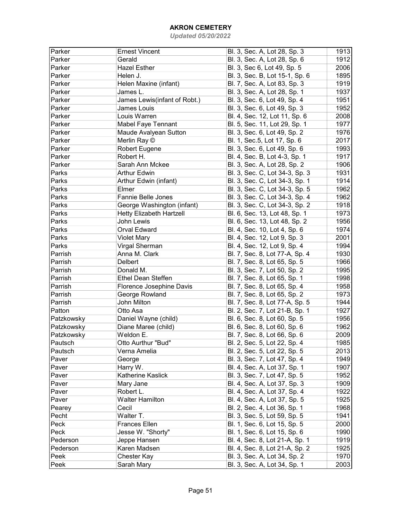| Parker     | <b>Ernest Vincent</b>           | Bl. 3, Sec. A, Lot 28, Sp. 3                                 | 1913         |
|------------|---------------------------------|--------------------------------------------------------------|--------------|
| Parker     | Gerald                          | Bl. 3, Sec. A, Lot 28, Sp. 6                                 | 1912         |
| Parker     | <b>Hazel Esther</b>             | Bl. 3, Sec 6, Lot 49, Sp. 5                                  | 2006         |
| Parker     | Helen J.                        | Bl. 3, Sec. B, Lot 15-1, Sp. 6                               | 1895         |
| Parker     | Helen Maxine (infant)           | Bl. 7, Sec. A, Lot 83, Sp. 3                                 | 1919         |
| Parker     | James L.                        | Bl. 3, Sec. A, Lot 28, Sp. 1                                 | 1937         |
| Parker     | James Lewis(infant of Robt.)    | Bl. 3, Sec. 6, Lot 49, Sp. 4                                 | 1951         |
| Parker     | James Louis                     | Bl. 3, Sec. 6, Lot 49, Sp. 3                                 | 1952         |
| Parker     | Louis Warren                    | Bl. 4, Sec. 12, Lot 11, Sp. 6                                | 2008         |
| Parker     | <b>Mabel Faye Tennant</b>       | Bl. 5, Sec. 11, Lot 29, Sp. 1                                | 1977         |
| Parker     | Maude Avalyean Sutton           | Bl. 3, Sec. 6, Lot 49, Sp. 2                                 | 1976         |
| Parker     | Merlin Ray ©                    | Bl. 1, Sec.5, Lot 17, Sp. 6                                  | 2017         |
| Parker     | Robert Eugene                   | Bl. 3, Sec. 6, Lot 49, Sp. 6                                 | 1993         |
| Parker     | Robert H.                       | Bl. 4, Sec. B, Lot 4-3, Sp. 1                                | 1917         |
| Parker     | Sarah Ann Mckee                 | Bl. 3, Sec. A, Lot 28, Sp. 2                                 | 1906         |
| Parks      | Arthur Edwin                    | Bl. 3, Sec. C, Lot 34-3, Sp. 3                               | 1931         |
| Parks      | Arthur Edwin (infant)           | Bl. 3, Sec. C, Lot 34-3, Sp. 1                               | 1914         |
| Parks      | Elmer                           | Bl. 3, Sec. C, Lot 34-3, Sp. 5                               | 1962         |
| Parks      | <b>Fannie Belle Jones</b>       | Bl. 3, Sec. C, Lot 34-3, Sp. 4                               | 1962         |
| Parks      | George Washington (infant)      | Bl. 3, Sec. C, Lot 34-3, Sp. 2                               | 1918         |
| Parks      | <b>Hetty Elizabeth Hartzell</b> | Bl. 6, Sec. 13, Lot 48, Sp. 1                                | 1973         |
| Parks      | John Lewis                      | Bl. 6, Sec. 13, Lot 48, Sp. 2                                | 1956         |
| Parks      | <b>Orval Edward</b>             | Bl. 4, Sec. 10, Lot 4, Sp. 6                                 | 1974         |
| Parks      | <b>Violet Mary</b>              | Bl. 4, Sec. 12, Lot 9, Sp. 3                                 | 2001         |
| Parks      | Virgal Sherman                  | Bl. 4, Sec. 12, Lot 9, Sp. 4                                 | 1994         |
| Parrish    | Anna M. Clark                   | Bl. 7, Sec. 8, Lot 77-A, Sp. 4                               | 1930         |
| Parrish    | <b>Delbert</b>                  | Bl. 7, Sec. 8, Lot 65, Sp. 5                                 | 1966         |
| Parrish    | Donald M.                       | Bl. 3, Sec. 7, Lot 50, Sp. 2                                 | 1995         |
| Parrish    | <b>Ethel Dean Steffen</b>       | Bl. 7, Sec. 8, Lot 65, Sp. 1                                 | 1998         |
| Parrish    | Florence Josephine Davis        | Bl. 7, Sec. 8, Lot 65, Sp. 4                                 | 1958         |
| Parrish    | George Rowland                  | Bl. 7, Sec. 8, Lot 65, Sp. 2                                 | 1973         |
| Parrish    | John Milton                     | Bl. 7, Sec. 8, Lot 77-A, Sp. 5                               | 1944         |
| Patton     | Otto Asa                        | Bl. 2, Sec. 7, Lot 21-B, Sp. 1                               | 1927         |
| Patzkowsky | Daniel Wayne (child)            | Bl. 6, Sec. 8, Lot 60, Sp. 5                                 | 1956         |
| Patzkowsky | Diane Maree (child)             | Bl. 6, Sec. 8, Lot 60, Sp. 6                                 | 1962         |
| Patzkowsky | Weldon E.                       | Bl. 7, Sec. 8, Lot 66, Sp. 6                                 | 2009         |
| Pautsch    | Otto Aurthur "Bud"              | Bl. 2, Sec. 5, Lot 22, Sp. 4                                 | 1985         |
| Pautsch    | Verna Amelia                    | Bl. 2, Sec. 5, Lot 22, Sp. 5                                 | 2013         |
| Paver      | George                          | Bl. 3, Sec. 7, Lot 47, Sp. 4                                 | 1949         |
| Paver      | Harry W.                        | Bl. 4, Sec. A, Lot 37, Sp. 1                                 | 1907         |
| Paver      | Katherine Kaslick               | Bl. 3, Sec. 7, Lot 47, Sp. 5                                 | 1952         |
| Paver      | Mary Jane                       | Bl. 4, Sec. A, Lot 37, Sp. 3                                 | 1909         |
| Paver      | Robert L.                       | Bl. 4, Sec. A, Lot 37, Sp. 4                                 | 1922         |
| Paver      | <b>Walter Hamilton</b>          | Bl. 4, Sec. A, Lot 37, Sp. 5                                 | 1925         |
| Pearey     | Cecil                           | Bl. 2, Sec. 4, Lot 36, Sp. 1                                 | 1968         |
| Pecht      | Walter T.                       | Bl. 3, Sec. 5, Lot 59, Sp. 5                                 | 1941         |
| Peck       | <b>Frances Ellen</b>            |                                                              |              |
| Peck       | Jesse W. "Shorty"               | Bl. 1, Sec. 6, Lot 15, Sp. 5<br>Bl. 1, Sec. 6, Lot 15, Sp. 6 | 2000<br>1990 |
| Pederson   |                                 |                                                              | 1919         |
|            | Jeppe Hansen                    | Bl. 4, Sec. 8, Lot 21-A, Sp. 1                               |              |
| Pederson   | Karen Madsen                    | Bl. 4, Sec. 8, Lot 21-A, Sp. 2                               | 1925         |
| Peek       | Chester Kay                     | Bl. 3, Sec. A, Lot 34, Sp. 2                                 | 1970         |
| Peek       | Sarah Mary                      | Bl. 3, Sec. A, Lot 34, Sp. 1                                 | 2003         |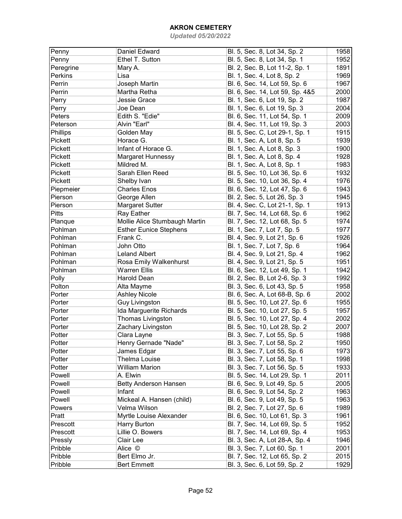| Penny        | Daniel Edward                 | Bl. 5, Sec. 8, Lot 34, Sp. 2    | 1958 |
|--------------|-------------------------------|---------------------------------|------|
| Penny        | Ethel T. Sutton               | Bl. 5, Sec. 8, Lot 34, Sp. 1    | 1952 |
| Peregrine    | Mary A.                       | Bl. 2, Sec. B, Lot 11-2, Sp. 1  | 1891 |
| Perkins      | Lisa                          | Bl. 1, Sec. 4, Lot 8, Sp. 2     | 1969 |
| Perrin       | Joseph Martin                 | Bl. 6, Sec. 14, Lot 59, Sp. 6   | 1967 |
| Perrin       | Martha Retha                  | Bl. 6, Sec. 14, Lot 59, Sp. 4&5 | 2000 |
| Perry        | Jessie Grace                  | Bl. 1, Sec. 6, Lot 19, Sp. 2    | 1987 |
| Perry        | Joe Dean                      | Bl. 1, Sec. 6, Lot 19, Sp. 3    | 2004 |
| Peters       | Edith S. "Edie"               | Bl. 6, Sec. 11, Lot 54, Sp. 1   | 2009 |
| Peterson     | Alvin "Earl"                  | Bl. 4, Sec. 11, Lot 19, Sp. 3   | 2003 |
| Phillips     | Golden May                    | Bl. 5, Sec. C, Lot 29-1, Sp. 1  | 1915 |
| Pickett      | Horace G.                     | Bl. 1, Sec. A, Lot 8, Sp. 5     | 1939 |
| Pickett      | Infant of Horace G.           | Bl. 1, Sec. A, Lot 8, Sp. 3     | 1900 |
| Pickett      | Margaret Hunnessy             | Bl. 1, Sec. A, Lot 8, Sp. 4     | 1928 |
| Pickett      | Mildred M.                    |                                 | 1983 |
|              | Sarah Ellen Reed              | Bl. 1, Sec. A, Lot 8, Sp. 1     |      |
| Pickett      |                               | Bl. 5, Sec. 10, Lot 36, Sp. 6   | 1932 |
| Pickett      | Shelby Ivan                   | Bl. 5, Sec. 10, Lot 36, Sp. 4   | 1976 |
| Piepmeier    | <b>Charles Enos</b>           | Bl. 6, Sec. 12, Lot 47, Sp. 6   | 1943 |
| Pierson      | George Allen                  | Bl. 2, Sec. 5, Lot 26, Sp. 3    | 1945 |
| Pierson      | <b>Margaret Sutter</b>        | Bl. 4, Sec. C, Lot 21-1, Sp. 1  | 1913 |
| <b>Pitts</b> | Ray Eather                    | Bl. 7, Sec. 14, Lot 68, Sp. 6   | 1962 |
| Planque      | Mollie Alice Stumbaugh Martin | Bl. 7, Sec. 12, Lot 68, Sp. 5   | 1974 |
| Pohlman      | <b>Esther Eunice Stephens</b> | Bl. 1, Sec. 7, Lot 7, Sp. 5     | 1977 |
| Pohlman      | Frank C.                      | Bl. 4, Sec. 9, Lot 21, Sp. 6    | 1926 |
| Pohlman      | John Otto                     | Bl. 1, Sec. 7, Lot 7, Sp. 6     | 1964 |
| Pohlman      | <b>Leland Albert</b>          | Bl. 4, Sec. 9, Lot 21, Sp. 4    | 1962 |
| Pohlman      | Rosa Emily Walkenhurst        | Bl. 4, Sec. 9, Lot 21, Sp. 5    | 1951 |
| Pohlman      | <b>Warren Ellis</b>           | Bl. 6, Sec. 12, Lot 49, Sp. 1   | 1942 |
| Polly        | Harold Dean                   | Bl. 2, Sec. B, Lot 2-6, Sp. 3   | 1992 |
| Polton       | Alta Mayme                    | Bl. 3, Sec. 6, Lot 43, Sp. 5    | 1958 |
| Porter       | <b>Ashley Nicole</b>          | Bl. 6, Sec. A, Lot 68-B, Sp. 6  | 2002 |
| Porter       | Guy Livingston                | Bl. 5, Sec. 10, Lot 27, Sp. 6   | 1955 |
| Porter       | Ida Marguerite Richards       | Bl. 5, Sec. 10, Lot 27, Sp. 5   | 1957 |
| Porter       | Thomas Livingston             | Bl. 5, Sec. 10, Lot 27, Sp. 4   | 2002 |
| Porter       | Zachary Livingston            | Bl. 5, Sec. 10, Lot 28, Sp. 2   | 2007 |
| Potter       | Clara Layne                   | Bl. 3, Sec. 7, Lot 55, Sp. 5    | 1988 |
| Potter       | Henry Gernade "Nade"          | Bl. 3, Sec. 7, Lot 58, Sp. 2    | 1950 |
| Potter       | James Edgar                   | Bl. 3, Sec. 7, Lot 55, Sp. 6    | 1973 |
| Potter       | Thelma Louise                 | Bl. 3, Sec. 7, Lot 58, Sp. 1    | 1998 |
| Potter       | <b>William Marion</b>         | Bl. 3, Sec. 7, Lot 56, Sp. 5    | 1933 |
| Powell       | A. Elwin                      | Bl. 5, Sec. 14, Lot 29, Sp. 1   | 2011 |
| Powell       | <b>Betty Anderson Hansen</b>  | Bl. 6, Sec. 9, Lot 49, Sp. 5    | 2005 |
| Powell       | Infant                        | Bl. 6, Sec. 9, Lot 54, Sp. 2    | 1963 |
| Powell       | Mickeal A. Hansen (child)     | Bl. 6, Sec. 9, Lot 49, Sp. 5    | 1963 |
| Powers       | Velma Wilson                  | Bl. 2, Sec. 7, Lot 27, Sp. 6    | 1989 |
| Pratt        | Myrtle Louise Alexander       | Bl. 6, Sec. 10, Lot 61, Sp. 3   | 1961 |
| Prescott     | Harry Burton                  | Bl. 7, Sec. 14, Lot 69, Sp. 5   | 1952 |
| Prescott     | Lillie O. Bowers              | Bl. 7, Sec. 14, Lot 69, Sp. 4   | 1953 |
| Pressly      | Clair Lee                     |                                 | 1946 |
|              |                               | Bl. 3, Sec. A, Lot 28-A, Sp. 4  |      |
| Pribble      | Alice ©                       | Bl. 3, Sec. 7, Lot 60, Sp. 1    | 2001 |
| Pribble      | Bert Elmo Jr.                 | Bl. 7, Sec. 12, Lot 65, Sp. 2   | 2015 |
| Pribble      | <b>Bert Emmett</b>            | Bl. 3, Sec. 6, Lot 59, Sp. 2    | 1929 |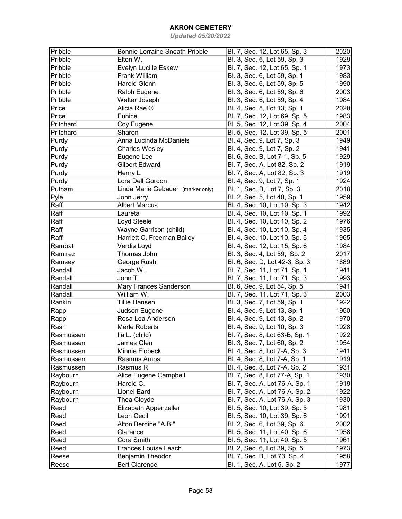| Pribble   | <b>Bonnie Lorraine Sneath Pribble</b> | Bl. 7, Sec. 12, Lot 65, Sp. 3  | 2020 |
|-----------|---------------------------------------|--------------------------------|------|
| Pribble   | Elton W.                              | Bl. 3, Sec. 6, Lot 59, Sp. 3   | 1929 |
| Pribble   | Evelyn Lucille Eskew                  | Bl. 7, Sec. 12, Lot 65, Sp. 1  | 1973 |
| Pribble   | Frank William                         | Bl. 3, Sec. 6, Lot 59, Sp. 1   | 1983 |
| Pribble   | Harold Glenn                          | Bl. 3, Sec. 6, Lot 59, Sp. 5   | 1990 |
| Pribble   | Ralph Eugene                          | Bl. 3, Sec. 6, Lot 59, Sp. 6   | 2003 |
| Pribble   | Walter Joseph                         | Bl. 3, Sec. 6, Lot 59, Sp. 4   | 1984 |
| Price     | Alicia Rae ©                          | Bl. 4, Sec. 8, Lot 13, Sp. 1   | 2020 |
| Price     | Eunice                                | Bl. 7, Sec. 12, Lot 69, Sp. 5  | 1983 |
| Pritchard | Coy Eugene                            | Bl. 5, Sec. 12, Lot 39, Sp. 4  | 2004 |
| Pritchard | Sharon                                | Bl. 5, Sec. 12, Lot 39, Sp. 5  | 2001 |
| Purdy     | Anna Lucinda McDaniels                | Bl. 4, Sec. 9, Lot 7, Sp. 3    | 1949 |
| Purdy     | <b>Charles Wesley</b>                 | Bl. 4, Sec. 9, Lot 7, Sp. 2    | 1941 |
| Purdy     | Eugene Lee                            | Bl. 6, Sec. B, Lot 7-1, Sp. 5  | 1929 |
| Purdy     | <b>Gilbert Edward</b>                 | Bl. 7, Sec. A, Lot 82, Sp. 2   | 1919 |
| Purdy     | Henry L.                              | Bl. 7, Sec. A, Lot 82, Sp. 3   | 1919 |
| Purdy     | Lora Dell Gordon                      | Bl. 4, Sec. 9, Lot 7, Sp. 1    | 1924 |
| Putnam    | Linda Marie Gebauer (marker only)     | Bl. 1, Sec. B, Lot 7, Sp. 3    | 2018 |
| Pyle      | John Jerry                            | Bl. 2, Sec. 5, Lot 40, Sp. 1   | 1959 |
| Raff      | <b>Albert Marcus</b>                  | Bl. 4, Sec. 10, Lot 10, Sp. 3  | 1942 |
| Raff      | Laureta                               | Bl. 4, Sec. 10, Lot 10, Sp. 1  | 1992 |
| Raff      | Loyd Steele                           | Bl. 4, Sec. 10, Lot 10, Sp. 2  | 1976 |
| Raff      | Wayne Garrison (child)                | Bl. 4, Sec. 10, Lot 10, Sp. 4  | 1935 |
| Raff      | Harriett C. Freeman Bailey            | Bl. 4, Sec. 10, Lot 10, Sp. 5  | 1965 |
| Rambat    |                                       | Bl. 4, Sec. 12, Lot 15, Sp. 6  | 1984 |
|           | Verdis Loyd<br>Thomas John            |                                |      |
| Ramirez   |                                       | Bl. 3, Sec. 4, Lot 59, Sp. 2   | 2017 |
| Ramsey    | George Rush<br>Jacob W.               | Bl. 6, Sec. D, Lot 42-3, Sp. 3 | 1889 |
| Randall   |                                       | Bl. 7, Sec. 11, Lot 71, Sp. 1  | 1941 |
| Randall   | John T.                               | Bl. 7, Sec. 11, Lot 71, Sp. 3  | 1993 |
| Randall   | Mary Frances Sanderson<br>William W.  | Bl. 6, Sec. 9, Lot 54, Sp. 5   | 1941 |
| Randall   |                                       | Bl. 7, Sec. 11, Lot 71, Sp. 3  | 2003 |
| Rankin    | <b>Tillie Hansen</b>                  | Bl. 3, Sec. 7, Lot 59, Sp. 1   | 1922 |
| Rapp      | Judson Eugene                         | Bl. 4, Sec. 9, Lot 13, Sp. 1   | 1950 |
| Rapp      | Rosa Lea Anderson                     | Bl. 4, Sec. 9, Lot 13, Sp. 2   | 1970 |
| Rash      | Merle Roberts                         | Bl. 4, Sec. 9, Lot 10, Sp. 3   | 1928 |
| Rasmussen | Ila L. (child)                        | Bl. 7, Sec. 8, Lot 63-B, Sp. 1 | 1922 |
| Rasmussen | James Glen                            | Bl. 3, Sec. 7, Lot 60, Sp. 2   | 1954 |
| Rasmussen | Minnie Flobeck                        | Bl. 4, Sec. 8, Lot 7-A, Sp. 3  | 1941 |
| Rasmussen | Rasmus Amos                           | Bl. 4, Sec. 8, Lot 7-A, Sp. 1  | 1919 |
| Rasmussen | Rasmus R.                             | Bl. 4, Sec. 8, Lot 7-A, Sp. 2  | 1931 |
| Raybourn  | Alice Eugene Campbell                 | Bl. 7, Sec. 8, Lot 77-A, Sp. 1 | 1930 |
| Raybourn  | Harold C.                             | Bl. 7, Sec. A, Lot 76-A, Sp. 1 | 1919 |
| Raybourn  | <b>Lionel Eard</b>                    | Bl. 7, Sec. A, Lot 76-A, Sp. 2 | 1922 |
| Raybourn  | Thea Cloyde                           | Bl. 7, Sec. A, Lot 76-A, Sp. 3 | 1930 |
| Read      | Elizabeth Appenzeller                 | Bl. 5, Sec. 10, Lot 39, Sp. 5  | 1981 |
| Read      | Leon Cecil                            | Bl. 5, Sec. 10, Lot 39, Sp. 6  | 1991 |
| Reed      | Alton Berdine "A.B."                  | Bl. 2, Sec. 6, Lot 39, Sp. 6   | 2002 |
| Reed      | Clarence                              | Bl. 5, Sec. 11, Lot 40, Sp. 6  | 1958 |
| Reed      | Cora Smith                            | Bl. 5, Sec. 11, Lot 40, Sp. 5  | 1961 |
| Reed      | Frances Louise Leach                  | Bl. 2, Sec. 6, Lot 39, Sp. 5   | 1973 |
| Reese     | Benjamin Theodor                      | Bl. 7, Sec. B, Lot 73, Sp. 4   | 1958 |
| Reese     | <b>Bert Clarence</b>                  | Bl. 1, Sec. A, Lot 5, Sp. 2    | 1977 |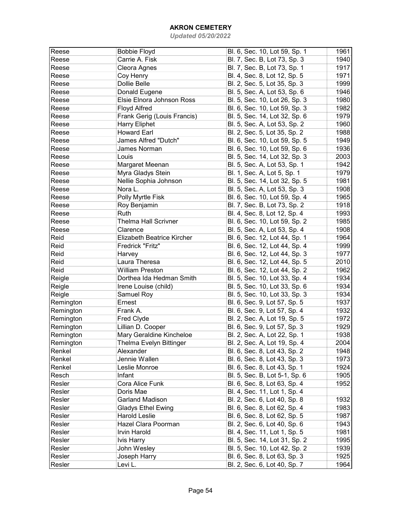| Reese        | <b>Bobbie Floyd</b>         | Bl. 6, Sec. 10, Lot 59, Sp. 1 | 1961 |
|--------------|-----------------------------|-------------------------------|------|
| Reese        | Carrie A. Fisk              | Bl. 7, Sec. B, Lot 73, Sp. 3  | 1940 |
| Reese        | Cleora Agnes                | Bl. 7, Sec. B, Lot 73, Sp. 1  | 1917 |
| Reese        | Coy Henry                   | Bl. 4, Sec. 8, Lot 12, Sp. 5  | 1971 |
| Reese        | Dollie Belle                | Bl. 2, Sec. 5, Lot 35, Sp. 3  | 1999 |
| Reese        | Donald Eugene               | Bl. 5, Sec. A, Lot 53, Sp. 6  | 1946 |
| Reese        | Elsie Elnora Johnson Ross   | Bl. 5, Sec. 10, Lot 26, Sp. 3 | 1980 |
| Reese        | Floyd Alfred                | Bl. 6, Sec. 10, Lot 59, Sp. 3 | 1982 |
| Reese        | Frank Gerig (Louis Francis) | Bl. 5, Sec. 14, Lot 32, Sp. 6 | 1979 |
| Reese        | <b>Harry Eliphet</b>        | Bl. 5, Sec. A, Lot 53, Sp. 2  | 1960 |
| Reese        | <b>Howard Earl</b>          | Bl. 2, Sec. 5, Lot 35, Sp. 2  | 1988 |
| Reese        | James Alfred "Dutch"        | Bl. 6, Sec. 10, Lot 59, Sp. 5 | 1949 |
| Reese        | James Norman                | Bl. 6, Sec. 10, Lot 59, Sp. 6 | 1936 |
| Reese        | Louis                       | Bl. 5, Sec. 14, Lot 32, Sp. 3 | 2003 |
| Reese        | Margaret Meenan             | Bl. 5, Sec. A, Lot 53, Sp. 1  | 1942 |
| Reese        | Myra Gladys Stein           | Bl. 1, Sec. A, Lot 5, Sp. 1   | 1979 |
| Reese        | Nellie Sophia Johnson       | Bl. 5, Sec. 14, Lot 32, Sp. 5 | 1981 |
| Reese        | Nora L.                     | Bl. 5, Sec. A, Lot 53, Sp. 3  | 1908 |
| Reese        | Polly Myrtle Fisk           | Bl. 6, Sec. 10, Lot 59, Sp. 4 | 1965 |
| Reese        | Roy Benjamin                | Bl. 7, Sec. B, Lot 73, Sp. 2  | 1918 |
| Reese        | Ruth                        | Bl. 4, Sec. 8, Lot 12, Sp. 4  | 1993 |
| Reese        | Thelma Hall Scrivner        | Bl. 6, Sec. 10, Lot 59, Sp. 2 | 1985 |
| Reese        | Clarence                    | Bl. 5, Sec. A, Lot 53, Sp. 4  | 1908 |
| Reid         | Elizabeth Beatrice Kircher  | Bl. 6, Sec. 12, Lot 44, Sp. 1 | 1964 |
| Reid         | Fredrick "Fritz"            | Bl. 6, Sec. 12, Lot 44, Sp. 4 | 1999 |
| Reid         |                             | Bl. 6, Sec. 12, Lot 44, Sp. 3 | 1977 |
|              | Harvey                      |                               |      |
| Reid<br>Reid | Laura Theresa               | Bl. 6, Sec. 12, Lot 44, Sp. 5 | 2010 |
|              | <b>William Preston</b>      | Bl. 6, Sec. 12, Lot 44, Sp. 2 | 1962 |
| Reigle       | Dorthea Ida Hedman Smith    | Bl. 5, Sec. 10, Lot 33, Sp. 4 | 1934 |
| Reigle       | Irene Louise (child)        | Bl. 5, Sec. 10, Lot 33, Sp. 6 | 1934 |
| Reigle       | Samuel Roy                  | Bl. 5, Sec. 10, Lot 33, Sp. 3 | 1934 |
| Remington    | Ernest                      | Bl. 6, Sec. 9, Lot 57, Sp. 5  | 1937 |
| Remington    | Frank A.                    | Bl. 6, Sec. 9, Lot 57, Sp. 4  | 1932 |
| Remington    | Fred Clyde                  | Bl. 2, Sec. A, Lot 19, Sp. 5  | 1972 |
| Remington    | Lillian D. Cooper           | Bl. 6, Sec. 9, Lot 57, Sp. 3  | 1929 |
| Remington    | Mary Geraldine Kincheloe    | Bl. 2, Sec. A, Lot 22, Sp. 1  | 1938 |
| Remington    | Thelma Evelyn Bittinger     | Bl. 2, Sec. A, Lot 19, Sp. 4  | 2004 |
| Renkel       | Alexander                   | Bl. 6, Sec. 8, Lot 43, Sp. 2  | 1948 |
| Renkel       | Jennie Wallen               | Bl. 6, Sec. 8, Lot 43, Sp. 3  | 1973 |
| Renkel       | Leslie Monroe               | Bl. 6, Sec. 8, Lot 43, Sp. 1  | 1924 |
| Resch        | Infant                      | Bl. 5, Sec. B, Lot 5-1, Sp. 6 | 1905 |
| Resler       | Cora Alice Funk             | Bl. 6, Sec. 8, Lot 63, Sp. 4  | 1952 |
| Resler       | Doris Mae                   | Bl. 4, Sec. 11, Lot 1, Sp. 4  |      |
| Resler       | <b>Garland Madison</b>      | Bl. 2, Sec. 6, Lot 40, Sp. 8  | 1932 |
| Resler       | <b>Gladys Ethel Ewing</b>   | Bl. 6, Sec. 8, Lot 62, Sp. 4  | 1983 |
| Resler       | <b>Harold Leslie</b>        | Bl. 6, Sec. 8, Lot 62, Sp. 5  | 1987 |
| Resler       | Hazel Clara Poorman         | Bl. 2, Sec. 6, Lot 40, Sp. 6  | 1943 |
| Resler       | <b>Irvin Harold</b>         | Bl. 4, Sec. 11, Lot 1, Sp. 5  | 1981 |
| Resler       | Ivis Harry                  | Bl. 5, Sec. 14, Lot 31, Sp. 2 | 1995 |
| Resler       | John Wesley                 | Bl. 5, Sec. 10, Lot 42, Sp. 2 | 1939 |
| Resler       | Joseph Harry                | Bl. 6, Sec. 8, Lot 63, Sp. 3  | 1925 |
| Resler       | Levi L.                     | Bl. 2, Sec. 6, Lot 40, Sp. 7  | 1964 |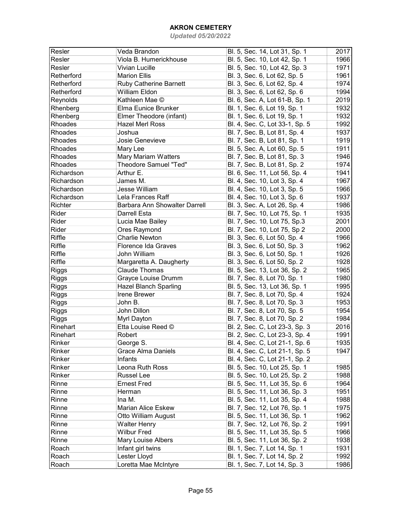| Resler         | Veda Brandon                  | Bl. 5, Sec. 14, Lot 31, Sp. 1  | 2017 |
|----------------|-------------------------------|--------------------------------|------|
| Resler         | Viola B. Humerickhouse        | Bl. 5, Sec. 10, Lot 42, Sp. 1  | 1966 |
| Resler         | <b>Vivian Lucille</b>         | Bl. 5, Sec. 10, Lot 42, Sp. 3  | 1971 |
| Retherford     | <b>Marion Ellis</b>           | Bl. 3, Sec. 6, Lot 62, Sp. 5   | 1961 |
| Retherford     | <b>Ruby Catherine Barnett</b> | Bl. 3, Sec. 6, Lot 62, Sp. 4   | 1974 |
| Retherford     | William Eldon                 | Bl. 3, Sec. 6, Lot 62, Sp. 6   | 1994 |
| Reynolds       | Kathleen Mae ©                | Bl. 6, Sec. A, Lot 61-B, Sp. 1 | 2019 |
| Rhenberg       | Elma Eunice Brunker           | Bl. 1, Sec. 6, Lot 19, Sp. 1   | 1932 |
| Rhenberg       | Elmer Theodore (infant)       | Bl. 1, Sec. 6, Lot 19, Sp. 1   | 1932 |
| Rhoades        | <b>Hazel Merl Ross</b>        | Bl. 4, Sec. C, Lot 33-1, Sp. 5 | 1992 |
| <b>Rhoades</b> | Joshua                        | Bl. 7, Sec. B, Lot 81, Sp. 4   | 1937 |
| Rhoades        | Josie Genevieve               | Bl. 7, Sec. B, Lot 81, Sp. 1   | 1919 |
| Rhoades        | Mary Lee                      | Bl. 5, Sec. A, Lot 60, Sp. 5   | 1911 |
| Rhoades        | <b>Mary Mariam Watters</b>    | Bl. 7, Sec. B, Lot 81, Sp. 3   | 1946 |
| Rhoades        | <b>Theodore Samuel "Ted"</b>  | Bl. 7, Sec. B, Lot 81, Sp. 2   | 1974 |
| Richardson     | Arthur E.                     | Bl. 6, Sec. 11, Lot 56, Sp. 4  | 1941 |
| Richardson     | James M.                      | Bl. 4, Sec. 10, Lot 3, Sp. 4   | 1967 |
| Richardson     | <b>Jesse William</b>          | Bl. 4, Sec. 10, Lot 3, Sp. 5   | 1966 |
| Richardson     | Lela Frances Raff             | Bl. 4, Sec. 10, Lot 3, Sp. 6   | 1937 |
| Richter        | Barbara Ann Showalter Darrell | Bl. 3, Sec. A, Lot 26, Sp. 4   | 1986 |
| Rider          | <b>Darrell Esta</b>           | Bl. 7, Sec. 10, Lot 75, Sp. 1  | 1935 |
| Rider          | Lucia Mae Bailey              | Bl. 7, Sec. 10, Lot 75, Sp.3   | 2001 |
| Rider          | Ores Raymond                  | Bl. 7, Sec. 10, Lot 75, Sp 2   | 2000 |
| Riffle         | <b>Charlie Newton</b>         | Bl. 3, Sec. 6, Lot 50, Sp. 4   | 1966 |
| Riffle         | Florence Ida Graves           | Bl. 3, Sec. 6, Lot 50, Sp. 3   | 1962 |
| Riffle         | John William                  | Bl. 3, Sec. 6, Lot 50, Sp. 1   | 1926 |
| Riffle         | Margaretta A. Daugherty       | Bl. 3, Sec. 6, Lot 50, Sp. 2   | 1928 |
| <b>Riggs</b>   | <b>Claude Thomas</b>          | Bl. 5, Sec. 13, Lot 36, Sp. 2  | 1965 |
| <b>Riggs</b>   | Grayce Louise Drumm           | Bl. 7, Sec. 8, Lot 70, Sp. 1   | 1980 |
| <b>Riggs</b>   | <b>Hazel Blanch Sparling</b>  | Bl. 5, Sec. 13, Lot 36, Sp. 1  | 1995 |
| <b>Riggs</b>   | Irene Brewer                  | Bl. 7, Sec. 8, Lot 70, Sp. 4   | 1924 |
| <b>Riggs</b>   | John B.                       | Bl. 7, Sec. 8, Lot 70, Sp. 3   | 1953 |
| <b>Riggs</b>   | John Dillon                   | Bl. 7, Sec. 8, Lot 70, Sp. 5   | 1954 |
| <b>Riggs</b>   | Myrl Dayton                   | Bl. 7, Sec. 8, Lot 70, Sp. 2   | 1984 |
| Rinehart       | Etta Louise Reed ©            | Bl. 2, Sec. C, Lot 23-3, Sp. 3 | 2016 |
| Rinehart       | Robert                        | Bl. 2, Sec. C, Lot 23-3, Sp. 4 | 1991 |
| Rinker         | George S.                     | Bl. 4, Sec. C, Lot 21-1, Sp. 6 | 1935 |
| Rinker         | Grace Alma Daniels            | Bl. 4, Sec. C, Lot 21-1, Sp. 5 | 1947 |
| Rinker         | Infants                       | Bl. 4, Sec. C, Lot 21-1, Sp. 2 |      |
| Rinker         | Leona Ruth Ross               | Bl. 5, Sec. 10, Lot 25, Sp. 1  | 1985 |
| Rinker         | <b>Russel Lee</b>             | Bl. 5, Sec. 10, Lot 25, Sp. 2  | 1988 |
| Rinne          | <b>Ernest Fred</b>            | Bl. 5, Sec. 11, Lot 35, Sp. 6  | 1964 |
| Rinne          | Herman                        | Bl. 5, Sec. 11, Lot 36, Sp. 3  | 1951 |
| Rinne          | Ina M.                        | Bl. 5, Sec. 11, Lot 35, Sp. 4  | 1988 |
| Rinne          | <b>Marian Alice Eskew</b>     | Bl. 7, Sec. 12, Lot 76, Sp. 1  | 1975 |
| Rinne          | Otto William August           | Bl. 5, Sec. 11, Lot 36, Sp. 1  | 1962 |
| Rinne          | <b>Walter Henry</b>           | Bl. 7, Sec. 12, Lot 76, Sp. 2  | 1991 |
| Rinne          | <b>Wilbur Fred</b>            | Bl. 5, Sec. 11, Lot 35, Sp. 5  | 1966 |
| Rinne          | Mary Louise Albers            | Bl. 5, Sec. 11, Lot 36, Sp. 2  | 1938 |
| Roach          | Infant girl twins             | Bl. 1, Sec. 7, Lot 14, Sp. 1   | 1931 |
| Roach          | Lester Lloyd                  | Bl. 1, Sec. 7, Lot 14, Sp. 2   | 1992 |
| Roach          | Loretta Mae McIntyre          | Bl. 1, Sec. 7, Lot 14, Sp. 3   | 1986 |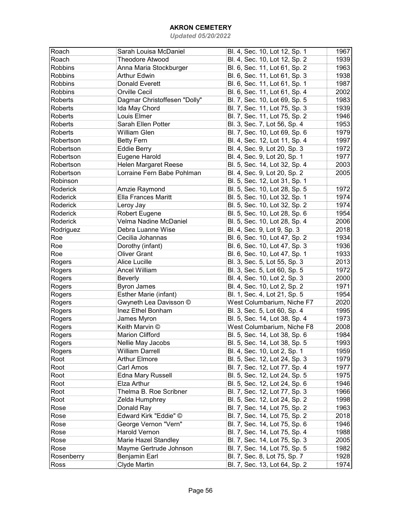| Roach      | Sarah Louisa McDaniel        | Bl. 4, Sec. 10, Lot 12, Sp. 1 | 1967 |
|------------|------------------------------|-------------------------------|------|
| Roach      | <b>Theodore Atwood</b>       | Bl. 4, Sec. 10, Lot 12, Sp. 2 | 1939 |
| Robbins    | Anna Maria Stockburger       | Bl. 6, Sec. 11, Lot 61, Sp. 2 | 1963 |
| Robbins    | <b>Arthur Edwin</b>          | Bl. 6, Sec. 11, Lot 61, Sp. 3 | 1938 |
| Robbins    | <b>Donald Everett</b>        | Bl. 6, Sec. 11, Lot 61, Sp. 1 | 1987 |
| Robbins    | <b>Orville Cecil</b>         | Bl. 6, Sec. 11, Lot 61, Sp. 4 | 2002 |
| Roberts    |                              |                               | 1983 |
|            | Dagmar Christoffesen "Dolly" | Bl. 7, Sec. 10, Lot 69, Sp. 5 |      |
| Roberts    | Ida May Chord                | Bl. 7, Sec. 11, Lot 75, Sp. 3 | 1939 |
| Roberts    | Louis Elmer                  | Bl. 7, Sec. 11, Lot 75, Sp. 2 | 1946 |
| Roberts    | Sarah Ellen Potter           | Bl. 3, Sec. 7, Lot 56, Sp. 4  | 1953 |
| Roberts    | William Glen                 | Bl. 7, Sec. 10, Lot 69, Sp. 6 | 1979 |
| Robertson  | <b>Betty Fern</b>            | Bl. 4, Sec. 12, Lot 11, Sp. 4 | 1997 |
| Robertson  | <b>Eddie Berry</b>           | Bl. 4, Sec. 9, Lot 20, Sp. 3  | 1972 |
| Robertson  | Eugene Harold                | Bl. 4, Sec. 9, Lot 20, Sp. 1  | 1977 |
| Robertson  | Helen Margaret Reese         | Bl. 5, Sec. 14, Lot 32, Sp. 4 | 2003 |
| Robertson  | Lorraine Fern Babe Pohlman   | Bl. 4, Sec. 9, Lot 20, Sp. 2  | 2005 |
| Robinson   |                              | Bl. 5, Sec. 12, Lot 31, Sp. 1 |      |
| Roderick   | Amzie Raymond                | Bl. 5, Sec. 10, Lot 28, Sp. 5 | 1972 |
| Roderick   | <b>Ella Frances Maritt</b>   | Bl. 5, Sec. 10, Lot 32, Sp. 1 | 1974 |
| Roderick   | Leroy Jay                    | Bl. 5, Sec. 10, Lot 32, Sp. 2 | 1974 |
| Roderick   | Robert Eugene                | Bl. 5, Sec. 10, Lot 28, Sp. 6 | 1954 |
| Roderick   | Velma Nadine McDaniel        | Bl. 5, Sec. 10, Lot 28, Sp. 4 | 2006 |
| Rodriguez  | Debra Luanne Wise            | Bl. 4, Sec. 9, Lot 9, Sp. 3   | 2018 |
| Roe        | Cecilia Johannas             | Bl. 6, Sec. 10, Lot 47, Sp. 2 | 1934 |
| Roe        | Dorothy (infant)             | Bl. 6, Sec. 10, Lot 47, Sp. 3 | 1936 |
| Roe        | <b>Oliver Grant</b>          | Bl. 6, Sec. 10, Lot 47, Sp. 1 | 1933 |
| Rogers     | <b>Alice Lucille</b>         | Bl. 3, Sec. 5, Lot 55, Sp. 3  | 2013 |
| Rogers     | <b>Ancel William</b>         | Bl. 3, Sec. 5, Lot 60, Sp. 5  | 1972 |
|            |                              |                               | 2000 |
| Rogers     | Beverly                      | Bl. 4, Sec. 10, Lot 2, Sp. 3  |      |
| Rogers     | <b>Byron James</b>           | Bl. 4, Sec. 10, Lot 2, Sp. 2  | 1971 |
| Rogers     | Esther Marie (infant)        | Bl. 1, Sec. 4, Lot 21, Sp. 5  | 1954 |
| Rogers     | Gwyneth Lea Davisson ©       | West Columbarium, Niche F7    | 2020 |
| Rogers     | Inez Ethel Bonham            | Bl. 3, Sec. 5, Lot 60, Sp. 4  | 1995 |
| Rogers     | James Myron                  | Bl. 5, Sec. 14, Lot 38, Sp. 4 | 1973 |
| Rogers     | Keith Marvin ©               | West Columbarium, Niche F8    | 2008 |
| Rogers     | <b>Marion Clifford</b>       | Bl. 5, Sec. 14, Lot 38, Sp. 6 | 1984 |
| Rogers     | Nellie May Jacobs            | Bl. 5, Sec. 14, Lot 38, Sp. 5 | 1993 |
| Rogers     | William Darrell              | Bl. 4, Sec. 10, Lot 2, Sp. 1  | 1959 |
| Root       | <b>Arthur Elmore</b>         | Bl. 5, Sec. 12, Lot 24, Sp. 3 | 1979 |
| Root       | Carl Amos                    | Bl. 7, Sec. 12, Lot 77, Sp. 4 | 1977 |
| Root       | Edna Mary Russell            | Bl. 5, Sec. 12, Lot 24, Sp. 5 | 1975 |
| Root       | Elza Arthur                  | Bl. 5, Sec. 12, Lot 24, Sp. 6 | 1946 |
| Root       | Thelma B. Roe Scribner       | Bl. 7, Sec. 12, Lot 77, Sp. 3 | 1966 |
| Root       | Zelda Humphrey               | Bl. 5, Sec. 12, Lot 24, Sp. 2 | 1998 |
| Rose       | Donald Ray                   | Bl. 7, Sec. 14, Lot 75, Sp. 2 | 1963 |
| Rose       | Edward Kirk "Eddie" ©        | Bl. 7, Sec. 14, Lot 75, Sp. 2 | 2018 |
| Rose       | George Vernon "Vern"         | Bl. 7, Sec. 14, Lot 75, Sp. 6 | 1946 |
| Rose       | Harold Vernon                | Bl. 7, Sec. 14, Lot 75, Sp. 4 | 1988 |
| Rose       | Marie Hazel Standley         | Bl. 7, Sec. 14, Lot 75, Sp. 3 | 2005 |
| Rose       | Mayme Gertrude Johnson       | Bl. 7, Sec. 14, Lot 75, Sp. 5 | 1982 |
| Rosenberry | Benjamin Earl                | Bl. 7, Sec. 8, Lot 75, Sp. 7  | 1928 |
| Ross       | Clyde Martin                 | Bl. 7, Sec. 13, Lot 64, Sp. 2 | 1974 |
|            |                              |                               |      |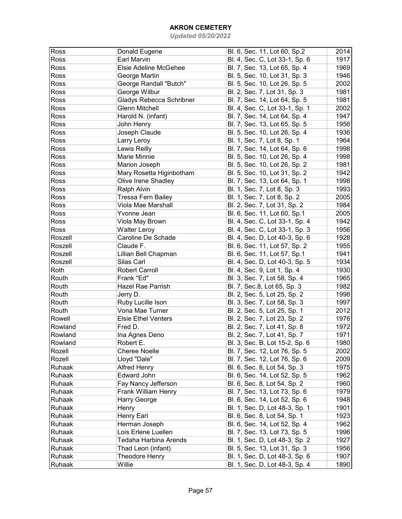| Ross    | Donald Eugene              | Bl. 6, Sec. 11, Lot 60, Sp.2   | 2014 |
|---------|----------------------------|--------------------------------|------|
| Ross    | Earl Marvin                | Bl. 4, Sec. C, Lot 33-1, Sp. 6 | 1917 |
| Ross    | Elsie Adeline McGehee      | Bl. 7, Sec. 13, Lot 65, Sp. 4  | 1969 |
| Ross    | George Martin              | Bl. 5, Sec. 10, Lot 31, Sp. 3  | 1946 |
| Ross    | George Randall "Butch"     | Bl. 5, Sec. 10, Lot 26, Sp. 5  | 2002 |
| Ross    | George Wilbur              | Bl. 2, Sec. 7, Lot 31, Sp. 3   | 1981 |
| Ross    | Gladys Rebecca Schribner   | Bl. 7, Sec. 14, Lot 64, Sp. 5  | 1981 |
| Ross    | <b>Glenn Mitchell</b>      | Bl. 4, Sec. C, Lot 33-1, Sp. 1 | 2002 |
| Ross    | Harold N. (infant)         | Bl. 7, Sec. 14, Lot 64, Sp. 4  | 1947 |
| Ross    | John Henry                 | Bl. 7, Sec. 13, Lot 65, Sp. 5  | 1956 |
| Ross    | Joseph Claude              | Bl. 5, Sec. 10, Lot 26, Sp. 4  | 1936 |
| Ross    | Larry Leroy                | Bl. 1, Sec. 7, Lot 8, Sp. 1    | 1964 |
| Ross    | Lewis Reilly               | Bl. 7, Sec. 14, Lot 64, Sp. 6  | 1998 |
| Ross    | Marie Minnie               |                                | 1998 |
|         |                            | Bl. 5, Sec. 10, Lot 26, Sp. 4  |      |
| Ross    | Marion Joseph              | Bl. 5, Sec. 10, Lot 26, Sp. 2  | 1981 |
| Ross    | Mary Rosetta Higinbotham   | Bl. 5, Sec. 10, Lot 31, Sp. 2  | 1942 |
| Ross    | Olive Irene Shadley        | Bl. 7, Sec. 13, Lot 64, Sp. 1  | 1998 |
| Ross    | Ralph Alvin                | Bl. 1, Sec. 7, Lot 8, Sp. 3    | 1993 |
| Ross    | <b>Tressa Fern Bailey</b>  | Bl. 1, Sec. 7, Lot 8, Sp. 2    | 2005 |
| Ross    | Viola Mae Marshall         | Bl. 2, Sec. 7, Lot 31, Sp. 2   | 1984 |
| Ross    | Yvonne Jean                | Bl. 6, Sec. 11, Lot 60, Sp.1   | 2005 |
| Ross    | Viola May Brown            | Bl. 4, Sec. C, Lot 33-1, Sp. 4 | 1942 |
| Ross    | <b>Walter Leroy</b>        | Bl. 4, Sec. C, Lot 33-1, Sp. 3 | 1956 |
| Roszell | Caroline De Schade         | Bl. 4, Sec. D, Lot 40-3, Sp. 6 | 1928 |
| Roszell | Claude F.                  | Bl. 6, Sec. 11, Lot 57, Sp. 2  | 1955 |
| Roszell | Lillian Bell Chapman       | Bl. 6, Sec. 11, Lot 57, Sp.1   | 1941 |
| Roszell | Silas Carl                 | Bl. 4, Sec. D, Lot 40-3, Sp. 5 | 1934 |
| Roth    | <b>Robert Carroll</b>      | Bl. 4, Sec. 9, Lot 1, Sp. 4    | 1930 |
| Routh   | Frank "Ed"                 | Bl. 3, Sec. 7, Lot 58, Sp. 4   | 1965 |
| Routh   | Hazel Rae Parrish          | Bl. 7, Sec.8, Lot 65, Sp. 3    | 1982 |
| Routh   | Jerry D.                   | Bl. 2, Sec. 5, Lot 25, Sp. 2   | 1998 |
| Routh   | Ruby Lucille Ison          | Bl. 3, Sec. 7, Lot 58, Sp. 3   | 1997 |
| Routh   | Vona Mae Turner            | Bl. 2, Sec. 5, Lot 25, Sp. 1   | 2012 |
| Rowell  | <b>Elsie Ethel Venters</b> | Bl. 2, Sec. 7, Lot 23, Sp. 2   | 1976 |
| Rowland | Fred D.                    | Bl. 2, Sec. 7, Lot 41, Sp. 8   | 1972 |
| Rowland | Ina Agnes Deno             | Bl. 2, Sec. 7, Lot 41, Sp. 7   | 1971 |
| Rowland | Robert E.                  | Bl. 3, Sec. B, Lot 15-2, Sp. 6 | 1980 |
| Rozell  | <b>Cheree Noelle</b>       | Bl. 7, Sec. 12, Lot 76, Sp. 5  | 2002 |
| Rozell  | Lloyd "Dale"               | Bl. 7, Sec. 12, Lot 76, Sp. 6  | 2009 |
| Ruhaak  | <b>Alfred Henry</b>        | Bl. 6, Sec. 8, Lot 54, Sp. 3   | 1975 |
| Ruhaak  | <b>Edward John</b>         | Bl. 6, Sec. 14, Lot 52, Sp. 5  | 1962 |
|         |                            |                                |      |
| Ruhaak  | Fay Nancy Jefferson        | Bl. 6, Sec. 8, Lot 54, Sp. 2   | 1960 |
| Ruhaak  | Frank William Henry        | Bl. 7, Sec. 13, Lot 73, Sp. 6  | 1979 |
| Ruhaak  | Harry George               | Bl. 6, Sec. 14, Lot 52, Sp. 6  | 1948 |
| Ruhaak  | Henry                      | Bl. 1, Sec. D, Lot 48-3, Sp. 1 | 1901 |
| Ruhaak  | Henry Earl                 | Bl. 6, Sec. 8, Lot 54, Sp. 1   | 1923 |
| Ruhaak  | Herman Joseph              | Bl. 6, Sec. 14, Lot 52, Sp. 4  | 1962 |
| Ruhaak  | Lois Erlene Luellen        | Bl. 7, Sec. 13, Lot 73, Sp. 5  | 1996 |
| Ruhaak  | Tedaha Harbina Arends      | Bl. 1, Sec. D, Lot 48-3, Sp. 2 | 1927 |
| Ruhaak  | Thad Leon (infant)         | Bl. 5, Sec. 13, Lot 31, Sp. 3  | 1956 |
| Ruhaak  | Theodore Henry             | Bl. 1, Sec. D, Lot 48-3, Sp. 6 | 1907 |
| Ruhaak  | Willie                     | Bl. 1, Sec. D, Lot 48-3, Sp. 4 | 1890 |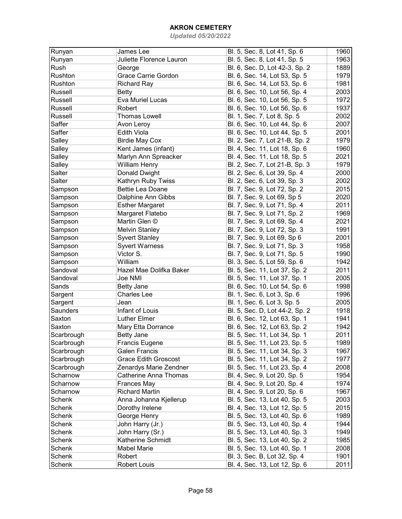| Runyan          | James Lee                               | Bl. 5, Sec. 8, Lot 41, Sp. 6   | 1960 |
|-----------------|-----------------------------------------|--------------------------------|------|
| Runyan          | Juliette Florence Lauron                | Bl. 5, Sec. 8, Lot 41, Sp. 5   | 1963 |
| Rush            | George                                  | Bl. 6, Sec. D, Lot 42-3, Sp. 2 | 1889 |
| Rushton         | Grace Carrie Gordon                     | Bl. 6, Sec. 14, Lot 53, Sp. 5  | 1979 |
| Rushton         | <b>Richard Ray</b>                      | Bl. 6, Sec. 14, Lot 53, Sp. 6  | 1981 |
| Russell         | <b>Betty</b>                            | Bl. 6, Sec. 10, Lot 56, Sp. 4  | 2003 |
|                 |                                         |                                |      |
| Russell         | Eva Muriel Lucas                        | Bl. 6, Sec. 10, Lot 56, Sp. 5  | 1972 |
| Russell         | Robert                                  | Bl. 6, Sec. 10, Lot 56, Sp. 6  | 1937 |
| Russell         | <b>Thomas Lowell</b>                    | Bl. 1, Sec. 7, Lot 8, Sp. 5    | 2002 |
| Saffer          | Avon Leroy                              | Bl. 6, Sec. 10, Lot 44, Sp. 6  | 2007 |
| Saffer          | <b>Edith Viola</b>                      | Bl. 6, Sec. 10, Lot 44, Sp. 5  | 2001 |
| Salley          | <b>Birdie May Cox</b>                   | Bl. 2, Sec. 7, Lot 21-B, Sp. 2 | 1979 |
| Salley          | Kent James (infant)                     | Bl. 4, Sec. 11, Lot 18, Sp. 6  | 1960 |
| Salley          | Marlyn Ann Spreacker                    | Bl. 4, Sec. 11, Lot 18, Sp. 5  | 2021 |
| Salley          | <b>William Henry</b>                    | Bl. 2, Sec. 7, Lot 21-B, Sp. 3 | 1979 |
| Salter          | Donald Dwight                           | Bl. 2, Sec. 6, Lot 39, Sp. 4   | 2000 |
| Salter          | Kathryn Ruby Twiss                      | Bl. 2, Sec. 6, Lot 39, Sp. 3   | 2002 |
| Sampson         | <b>Bettie Lea Doane</b>                 | Bl. 7, Sec. 9, Lot 72, Sp. 2   | 2015 |
| Sampson         | Dalphine Ann Gibbs                      | Bl. 7, Sec. 9, Lot 69, Sp 5    | 2020 |
| Sampson         | <b>Esther Margaret</b>                  | Bl. 7, Sec. 9, Lot 71, Sp. 4   | 2011 |
| Sampson         | Margaret Flatebo                        | Bl. 7, Sec. 9, Lot 71, Sp. 2   | 1969 |
| Sampson         | Martin Glen ©                           | Bl. 7, Sec. 9, Lot 69, Sp. 4   | 2021 |
| Sampson         | <b>Melvin Stanley</b>                   | Bl. 7, Sec. 9, Lot 72, Sp. 3   | 1991 |
| Sampson         | <b>Syvert Stanley</b>                   | Bl. 7, Sec. 9, Lot 69, Sp 6    | 2001 |
| Sampson         | <b>Syvert Warness</b>                   | Bl. 7, Sec. 9, Lot 71, Sp. 3   | 1958 |
| Sampson         | Victor S.                               | Bl. 7, Sec. 9, Lot 71, Sp. 5   | 1990 |
| Sampson         | William                                 | Bl. 3, Sec. 5, Lot 59, Sp. 6   | 1942 |
| Sandoval        | Hazel Mae Dolifka Baker                 | Bl. 5, Sec. 11, Lot 37, Sp. 2  | 2011 |
| Sandoval        | Joe NMI                                 | Bl. 5, Sec. 11, Lot 37, Sp. 1  | 2005 |
| Sands           |                                         |                                | 1998 |
|                 | <b>Betty Jane</b><br><b>Charles Lee</b> | Bl. 6, Sec. 10, Lot 54, Sp. 6  |      |
| Sargent         |                                         | Bl. 1, Sec. 6, Lot 3, Sp. 6    | 1996 |
| Sargent         | Jean                                    | Bl. 1, Sec. 6, Lot 3, Sp. 5    | 2005 |
| <b>Saunders</b> | Infant of Louis                         | Bl. 5, Sec. D, Lot 44-2, Sp. 2 | 1918 |
| Saxton          | <b>Luther Elmer</b>                     | Bl. 6, Sec. 12, Lot 63, Sp. 1  | 1941 |
| Saxton          | Mary Etta Dorrance                      | Bl. 6, Sec. 12, Lot 63, Sp. 2  | 1942 |
| Scarbrough      | <b>Betty Jane</b>                       | Bl. 5, Sec. 11, Lot 34, Sp. 1  | 2011 |
| Scarbrough      | Francis Eugene                          | Bl. 5, Sec. 11, Lot 23, Sp. 5  | 1989 |
| Scarbrough      | Galen Francis                           | Bl. 5, Sec. 11, Lot 34, Sp. 3  | 1967 |
| Scarbrough      | <b>Grace Edith Groscost</b>             | Bl. 5, Sec. 11, Lot 34, Sp. 2  | 1977 |
| Scarbrough      | Zenardys Marie Zendner                  | Bl. 5, Sec. 11, Lot 23, Sp. 4  | 2008 |
| Scharnow        | Catherine Anna Thomas                   | Bl. 4, Sec. 9, Lot 20, Sp. 5   | 1954 |
| Scharnow        | Frances May                             | Bl. 4, Sec. 9, Lot 20, Sp. 4   | 1974 |
| Scharnow        | <b>Richard Martin</b>                   | Bl. 4, Sec. 9, Lot 20, Sp. 6   | 1967 |
| Schenk          | Anna Johanna Kjellerup                  | Bl. 5, Sec. 13, Lot 40, Sp. 5  | 2003 |
| Schenk          | Dorothy Irelene                         | Bl. 4, Sec. 13, Lot 12, Sp. 5  | 2015 |
| Schenk          | George Henry                            | Bl. 5, Sec. 13, Lot 40, Sp. 6  | 1989 |
| Schenk          | John Harry (Jr.)                        | Bl. 5, Sec. 13, Lot 40, Sp. 4  | 1944 |
| Schenk          | John Harry (Sr.)                        | Bl. 5, Sec. 13, Lot 40, Sp. 3  | 1949 |
| Schenk          | Katherine Schmidt                       | Bl. 5, Sec. 13, Lot 40, Sp. 2  | 1985 |
| Schenk          | <b>Mabel Marie</b>                      | Bl. 5, Sec. 13, Lot 40, Sp. 1  | 2008 |
| Schenk          | Robert                                  | Bl. 3, Sec. B, Lot 32, Sp. 4   | 1901 |
| Schenk          | Robert Louis                            | Bl. 4, Sec. 13, Lot 12, Sp. 6  | 2011 |
|                 |                                         |                                |      |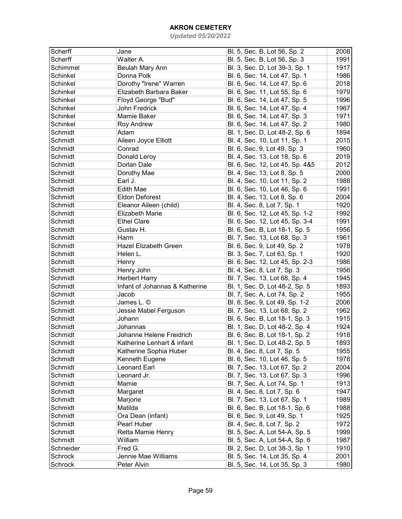| Scherff        | Jane                           | Bl. 5, Sec. B, Lot 56, Sp. 2                                   | 2008 |
|----------------|--------------------------------|----------------------------------------------------------------|------|
| Scherff        | Walter A.                      | Bl. 5, Sec. B, Lot 56, Sp. 3                                   | 1991 |
| Schimmel       | Beulah Mary Ann                | Bl. 3, Sec. D, Lot 39-3, Sp. 1                                 | 1917 |
| Schinkel       | Donna Polk                     | Bl. 6, Sec. 14, Lot 47, Sp. 1                                  | 1986 |
| Schinkel       | Dorothy "Irene" Warren         | Bl. 6, Sec. 14, Lot 47, Sp. 6                                  | 2018 |
| Schinkel       | Elizabeth Barbara Baker        | Bl. 6, Sec. 11, Lot 55, Sp. 6                                  | 1979 |
| Schinkel       | Floyd George "Bud"             | Bl. 6, Sec. 14, Lot 47, Sp. 5                                  | 1996 |
| Schinkel       | John Fredrick                  | Bl. 6, Sec. 14, Lot 47, Sp. 4                                  | 1967 |
| Schinkel       | Mamie Baker                    | Bl. 6, Sec. 14, Lot 47, Sp. 3                                  | 1971 |
| Schinkel       | <b>Roy Andrew</b>              | Bl. 6, Sec. 14, Lot 47, Sp. 2                                  | 1980 |
| Schmidt        | Adam                           | Bl. 1, Sec. D, Lot 48-2, Sp. 6                                 | 1894 |
| Schmidt        | Aileen Joyce Elliott           | Bl. 4, Sec. 10, Lot 11, Sp. 1                                  | 2015 |
| Schmidt        | Conrad                         | Bl. 6, Sec. 9, Lot 49, Sp. 3                                   | 1960 |
| Schmidt        | Donald Leroy                   | Bl. 4, Sec. 13, Lot 18, Sp. 6                                  | 2019 |
| Schmidt        | Dorlan Dale                    | Bl. 6, Sec. 12, Lot 45, Sp. 4&5                                | 2012 |
| Schmidt        | Dorothy Mae                    | Bl. 4, Sec. 13, Lot 8, Sp. 5                                   | 2000 |
| Schmidt        | Earl J.                        | Bl. 4, Sec. 10, Lot 11, Sp. 2                                  | 1988 |
| Schmidt        | <b>Edith Mae</b>               | Bl. 6, Sec. 10, Lot 46, Sp. 6                                  | 1991 |
| Schmidt        | <b>Eldon Deforest</b>          | Bl. 4, Sec. 13, Lot 8, Sp. 6                                   | 2004 |
| Schmidt        | Eleanor Aileen (child)         | Bl. 4, Sec. 8, Lot 7, Sp. 1                                    | 1920 |
| Schmidt        | <b>Elizabeth Marie</b>         | Bl. 6, Sec. 12, Lot 45, Sp. 1-2                                | 1992 |
| Schmidt        | <b>Ethel Clare</b>             | Bl. 6, Sec. 12, Lot 45, Sp. 3-4                                | 1991 |
| Schmidt        | Gustav H.                      | Bl. 6, Sec. B, Lot 18-1, Sp. 5                                 | 1956 |
| Schmidt        | Harm                           | Bl. 7, Sec. 13, Lot 68, Sp. 3                                  | 1961 |
| Schmidt        | <b>Hazel Elizabeth Green</b>   | Bl. 6, Sec. 9, Lot 49, Sp. 2                                   | 1978 |
| Schmidt        | Helen L.                       | Bl. 3, Sec. 7, Lot 63, Sp. 1                                   | 1920 |
| Schmidt        | Henry                          | Bl. 6, Sec. 12, Lot 45, Sp. 2-3                                | 1986 |
| Schmidt        | Henry John                     | Bl. 4, Sec. 8, Lot 7, Sp. 3                                    | 1956 |
| Schmidt        | <b>Herbert Harry</b>           | Bl. 7, Sec. 13, Lot 68, Sp. 4                                  | 1945 |
| Schmidt        | Infant of Johannas & Katherine | Bl. 1, Sec. D, Lot 48-2, Sp. 5                                 | 1893 |
| Schmidt        | Jacob                          | Bl. 7, Sec. A, Lot 74, Sp. 2                                   | 1955 |
| Schmidt        | James L. ©                     | Bl. 6, Sec. 9, Lot 49, Sp. 1-2                                 | 2006 |
| Schmidt        | Jessie Mabel Ferguson          | Bl. 7, Sec. 13, Lot 68, Sp. 2                                  | 1962 |
| Schmidt        | Johann                         | Bl. 6, Sec. B, Lot 18-1, Sp. 3                                 | 1915 |
| Schmidt        | Johannas                       | Bl. 1, Sec. D, Lot 48-2, Sp. 4                                 | 1924 |
| Schmidt        | Johanne Helene Freidrich       | Bl. 6, Sec. B, Lot 18-1, Sp. 2                                 | 1918 |
| Schmidt        | Katherine Lenhart & infant     | Bl. 1, Sec. D, Lot 48-2, Sp. 5                                 | 1893 |
| Schmidt        | Katherine Sophia Huber         | Bl. 4, Sec. 8, Lot 7, Sp. 5                                    | 1955 |
| Schmidt        | Kenneth Eugene                 | Bl. 6, Sec. 10, Lot 46, Sp. 5                                  | 1978 |
| Schmidt        | Leonard Earl                   | Bl. 7, Sec. 13, Lot 67, Sp. 2                                  | 2004 |
| Schmidt        | Leonard Jr.                    | Bl. 7, Sec. 13, Lot 67, Sp. 3                                  | 1996 |
| Schmidt        | Mamie                          | Bl. 7, Sec. A, Lot 74, Sp. 1                                   | 1913 |
| Schmidt        | Margaret                       | Bl. 4, Sec. 8, Lot 7, Sp. 6                                    | 1947 |
| Schmidt        | Marjorie                       | Bl. 7, Sec. 13, Lot 67, Sp. 1                                  | 1989 |
| Schmidt        | Matilda                        | Bl. 6, Sec. B, Lot 18-1, Sp. 6                                 | 1988 |
| Schmidt        | Ora Dean (infant)              | Bl. 6, Sec. 9, Lot 49, Sp. 1                                   | 1925 |
| Schmidt        | Pearl Huber                    | Bl. 4, Sec. 8, Lot 7, Sp. 2                                    | 1972 |
| Schmidt        | Retta Mamie Henry              | Bl. 5, Sec. A, Lot 54-A, Sp. 5                                 | 1999 |
| Schmidt        | William                        | Bl. 5, Sec. A, Lot 54-A, Sp. 6                                 | 1987 |
| Schneider      | Fred G.                        |                                                                | 1910 |
| <b>Schrock</b> | Jennie Mae Williams            | Bl. 2, Sec. D, Lot 38-3, Sp. 1                                 | 2001 |
| Schrock        | Peter Alvin                    | Bl. 5, Sec. 14, Lot 35, Sp. 4<br>Bl. 5, Sec. 14, Lot 35, Sp. 3 | 1980 |
|                |                                |                                                                |      |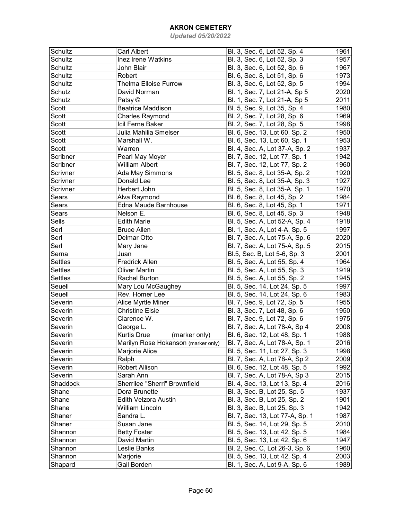| Schultz        | <b>Carl Albert</b>                           | Bl. 3, Sec. 6, Lot 52, Sp. 4    | 1961 |
|----------------|----------------------------------------------|---------------------------------|------|
| <b>Schultz</b> | Inez Irene Watkins                           | Bl. 3, Sec. 6, Lot 52, Sp. 3    | 1957 |
| <b>Schultz</b> | John Blair                                   | Bl. 3, Sec. 6, Lot 52, Sp. 6    | 1967 |
| <b>Schultz</b> | Robert                                       | Bl. 6, Sec. 8, Lot 51, Sp. 6    | 1973 |
| <b>Schultz</b> | <b>Thelma Elloise Furrow</b>                 | Bl. 3, Sec. 6, Lot 52, Sp. 5    | 1994 |
| Schutz         | David Norman                                 | Bl. 1, Sec. 7, Lot 21-A, Sp 5   | 2020 |
| Schutz         |                                              |                                 | 2011 |
|                | Patsy ©                                      | Bl. 1, Sec. 7, Lot 21-A, Sp 5   |      |
| Scott          | <b>Beatrice Maddison</b>                     | Bl. 5, Sec. 9, Lot 35, Sp. 4    | 1980 |
| Scott          | <b>Charles Raymond</b>                       | Bl. 2, Sec. 7, Lot 28, Sp. 6    | 1969 |
| Scott          | Icil Ferne Baker                             | Bl. 2, Sec. 7, Lot 28, Sp. 5    | 1998 |
| Scott          | Julia Mahilia Smelser                        | Bl. 6, Sec. 13, Lot 60, Sp. 2   | 1950 |
| Scott          | Marshall W.                                  | Bl. 6, Sec. 13, Lot 60, Sp. 1   | 1953 |
| Scott          | Warren                                       | Bl. 4, Sec. A, Lot 37-A, Sp. 2  | 1937 |
| Scribner       | Pearl May Moyer                              | Bl. 7, Sec. 12, Lot 77, Sp. 1   | 1942 |
| Scribner       | <b>William Albert</b>                        | Bl. 7, Sec. 12, Lot 77, Sp. 2   | 1960 |
| Scrivner       | Ada May Simmons                              | Bl. 5, Sec. 8, Lot 35-A, Sp. 2  | 1920 |
| Scrivner       | Donald Lee                                   | Bl. 5, Sec. 8, Lot 35-A, Sp. 3  | 1927 |
| Scrivner       | Herbert John                                 | Bl. 5, Sec. 8, Lot 35-A, Sp. 1  | 1970 |
| Sears          | Alva Raymond                                 | Bl. 6, Sec. 8, Lot 45, Sp. 2    | 1984 |
| Sears          | Edna Maude Barnhouse                         | Bl. 6, Sec. 8, Lot 45, Sp. 1    | 1971 |
| Sears          | Nelson E.                                    | Bl. 6, Sec. 8, Lot 45, Sp. 3    | 1948 |
| Sells          | <b>Edith Marie</b>                           | Bl. 5, Sec. A, Lot 52-A, Sp. 4  | 1918 |
| Serl           | <b>Bruce Allen</b>                           | Bl. 1, Sec. A, Lot 4-A, Sp. 5   | 1997 |
| Serl           | Delmar Otto                                  | Bl. 7, Sec. A, Lot 75-A, Sp. 6  | 2020 |
| Serl           | Mary Jane                                    | Bl. 7, Sec. A, Lot 75-A, Sp. 5  | 2015 |
| Serna          | Juan                                         | Bl.5, Sec. B, Lot 5-6, Sp. 3    | 2001 |
| <b>Settles</b> | <b>Fredrick Allen</b>                        | Bl. 5, Sec. A, Lot 55, Sp. 4    | 1964 |
| <b>Settles</b> | <b>Oliver Martin</b>                         | Bl. 5, Sec. A, Lot 55, Sp. 3    | 1919 |
| <b>Settles</b> | Rachel Burton                                | Bl. 5, Sec. A, Lot 55, Sp. 2    | 1945 |
| Seuell         | Mary Lou McGaughey                           | Bl. 5, Sec. 14, Lot 24, Sp. 5   | 1997 |
| Seuell         | Rev. Homer Lee                               | Bl. 5, Sec. 14, Lot 24, Sp. 6   | 1983 |
| Severin        |                                              | Bl. 7, Sec. 9, Lot 72, Sp. 5    | 1955 |
|                | Alice Myrtle Miner<br><b>Christine Elsie</b> |                                 |      |
| Severin        |                                              | Bl. 3, Sec. 7, Lot 48, Sp. 6    | 1950 |
| Severin        | Clarence W.                                  | Bl. 7, Sec. 9, Lot 72, Sp. 6    | 1975 |
| Severin        | George L.                                    | Bl. 7, Sec. A, Lot 78-A, Sp 4   | 2008 |
| Severin        | <b>Kurtis Drue</b><br>(marker only)          | Bl. 6, Sec. 12, Lot 48, Sp. 1   | 1988 |
| Severin        | Marilyn Rose Hokanson (marker only)          | Bl. 7, Sec. A, Lot 78-A, Sp. 1  | 2016 |
| Severin        | Marjorie Alice                               | Bl. 5, Sec. 11, Lot 27, Sp. 3   | 1998 |
| Severin        | Ralph                                        | Bl. 7, Sec. A, Lot 78-A, Sp 2   | 2009 |
| Severin        | Robert Allison                               | Bl. 6, Sec. 12, Lot 48, Sp. 5   | 1992 |
| Severin        | Sarah Ann                                    | Bl. 7, Sec. A, Lot 78-A, Sp 3   | 2015 |
| Shaddock       | Sherrilee "Sherri" Brownfield                | Bl. 4, Sec. 13, Lot 13, Sp. 4   | 2016 |
| Shane          | Dora Brunette                                | Bl. 3, Sec. B, Lot 25, Sp. 5    | 1937 |
| Shane          | Edith Velzora Austin                         | Bl. 3, Sec. B, Lot 25, Sp. 2    | 1901 |
| Shane          | William Lincoln                              | Bl. 3, Sec. B, Lot 25, Sp. 3    | 1942 |
| Shaner         | Sandra L.                                    | Bl. 7, Sec. 13, Lot 77-A, Sp. 1 | 1987 |
| Shaner         | Susan Jane                                   | Bl. 5, Sec. 14, Lot 29, Sp. 5   | 2010 |
| Shannon        | <b>Betty Foster</b>                          | Bl. 5, Sec. 13, Lot 42, Sp. 5   | 1984 |
| Shannon        | David Martin                                 | Bl. 5, Sec. 13, Lot 42, Sp. 6   | 1947 |
| Shannon        | Leslie Banks                                 | Bl. 2, Sec. C, Lot 26-3, Sp. 6  | 1960 |
| Shannon        | Marjorie                                     | Bl. 5, Sec. 13, Lot 42, Sp. 4   | 2003 |
| Shapard        | Gail Borden                                  | Bl. 1, Sec. A, Lot 9-A, Sp. 6   | 1989 |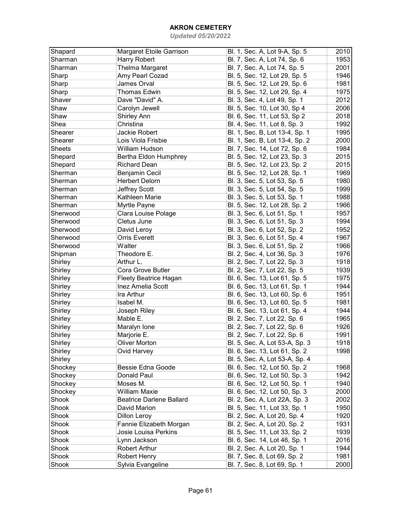| Shapard       | Margaret Etoile Garrison        | Bl. 1, Sec. A, Lot 9-A, Sp. 5  | 2010 |
|---------------|---------------------------------|--------------------------------|------|
| Sharman       | Harry Robert                    | Bl. 7, Sec. A, Lot 74, Sp. 6   | 1953 |
| Sharman       | Thelma Margaret                 | Bl. 7, Sec. A, Lot 74, Sp. 5   | 2001 |
| Sharp         | Amy Pearl Cozad                 | Bl. 5, Sec. 12, Lot 29, Sp. 5  | 1946 |
| Sharp         | James Orval                     | Bl. 5, Sec. 12, Lot 29, Sp. 6  | 1981 |
| Sharp         | <b>Thomas Edwin</b>             | Bl. 5, Sec. 12, Lot 29, Sp. 4  | 1975 |
| Shaver        | Dave "David" A.                 | Bl. 3, Sec. 4, Lot 49, Sp. 1   | 2012 |
| Shaw          | Carolyn Jewell                  | Bl. 5, Sec. 10, Lot 30, Sp 4   | 2006 |
| Shaw          | Shirley Ann                     | Bl. 6, Sec. 11, Lot 53, Sp 2   | 2018 |
| Shea          | Christina                       | Bl. 4, Sec. 11, Lot 8, Sp. 3   | 1992 |
| Shearer       | Jackie Robert                   | Bl. 1, Sec. B, Lot 13-4, Sp. 1 | 1995 |
| Shearer       | Lois Viola Frisbie              | Bl. 1, Sec. B, Lot 13-4, Sp. 2 | 2000 |
| <b>Sheets</b> | William Hudson                  | Bl. 7, Sec. 14, Lot 72, Sp. 6  | 1984 |
| Shepard       | Bertha Eldon Humphrey           | Bl. 5, Sec. 12, Lot 23, Sp. 3  | 2015 |
| Shepard       | <b>Richard Dean</b>             | Bl. 5, Sec. 12, Lot 23, Sp. 2  | 2015 |
| Sherman       | Benjamin Cecil                  | Bl. 5, Sec. 12, Lot 28, Sp. 1  | 1969 |
| Sherman       | <b>Herbert Delorn</b>           | Bl. 3, Sec. 5, Lot 53, Sp. 5   | 1980 |
| Sherman       | Jeffrey Scott                   | Bl. 3, Sec. 5, Lot 54, Sp. 5   | 1999 |
| Sherman       | Kathleen Marie                  | Bl. 3, Sec. 5, Lot 53, Sp. 1   | 1988 |
|               |                                 |                                |      |
| Sherman       | Myrtle Payne                    | Bl. 5, Sec. 12, Lot 28, Sp. 2  | 1966 |
| Sherwood      | Clara Louise Polage             | Bl. 3, Sec. 6, Lot 51, Sp. 1   | 1957 |
| Sherwood      | Cletus June                     | Bl. 3, Sec. 6, Lot 51, Sp. 3   | 1994 |
| Sherwood      | David Leroy                     | Bl. 3, Sec. 6, Lot 52, Sp. 2   | 1952 |
| Sherwood      | <b>Orris Everett</b>            | Bl. 3, Sec. 6, Lot 51, Sp. 4   | 1967 |
| Sherwood      | Walter                          | Bl. 3, Sec. 6, Lot 51, Sp. 2   | 1966 |
| Shipman       | Theodore E.                     | Bl. 2, Sec. 4, Lot 36, Sp. 3   | 1976 |
| Shirley       | Arthur L.                       | Bl. 2, Sec. 7, Lot 22, Sp. 3   | 1918 |
| Shirley       | Cora Grove Butler               | Bl. 2, Sec. 7, Lot 22, Sp. 5   | 1939 |
| Shirley       | <b>Fleety Beatrice Hagan</b>    | Bl. 6, Sec. 13, Lot 61, Sp. 5  | 1975 |
| Shirley       | Inez Amelia Scott               | Bl. 6, Sec. 13, Lot 61, Sp. 1  | 1944 |
| Shirley       | Ira Arthur                      | Bl. 6, Sec. 13, Lot 60, Sp. 6  | 1951 |
| Shirley       | Isabel M.                       | Bl. 6, Sec. 13, Lot 60, Sp. 5  | 1981 |
| Shirley       | Joseph Riley                    | Bl. 6, Sec. 13, Lot 61, Sp. 4  | 1944 |
| Shirley       | Mable E.                        | Bl. 2, Sec. 7, Lot 22, Sp. 6   | 1965 |
| Shirley       | Maralyn Ione                    | Bl. 2, Sec. 7, Lot 22, Sp. 6   | 1926 |
| Shirley       | Marjorie E.                     | Bl. 2, Sec. 7, Lot 22, Sp. 6   | 1991 |
| Shirley       | <b>Oliver Morton</b>            | Bl. 5, Sec. A, Lot 53-A, Sp. 3 | 1918 |
| Shirley       | Ovid Harvey                     | Bl. 6, Sec. 13, Lot 61, Sp. 2  | 1998 |
| Shirley       |                                 | Bl. 5, Sec. A, Lot 53-A, Sp. 4 |      |
| Shockey       | Bessie Edna Goode               | Bl. 6, Sec. 12, Lot 50, Sp. 2  | 1968 |
| Shockey       | Donald Paul                     | Bl. 6, Sec. 12, Lot 50, Sp. 3  | 1942 |
| Shockey       | Moses M.                        | Bl. 6, Sec. 12, Lot 50, Sp. 1  | 1940 |
| Shockey       | William Maxie                   | Bl. 6, Sec. 12, Lot 50, Sp. 3  | 2000 |
| Shook         | <b>Beatrice Darlene Ballard</b> | Bl. 2, Sec. A, Lot 22A, Sp. 3  | 2002 |
| Shook         | David Marion                    | Bl. 5, Sec. 11, Lot 33, Sp. 1  | 1950 |
| Shook         | Dillon Leroy                    | Bl. 2, Sec. A, Lot 20, Sp. 4   | 1920 |
| Shook         | Fannie Elizabeth Morgan         | Bl. 2, Sec. A, Lot 20, Sp. 2   | 1931 |
| Shook         | Josie Louisa Perkins            | Bl. 5, Sec. 11, Lot 33, Sp. 2  | 1939 |
| Shook         | Lynn Jackson                    | Bl. 6, Sec. 14, Lot 46, Sp. 1  | 2016 |
| Shook         | <b>Robert Arthur</b>            | Bl. 2, Sec. A, Lot 20, Sp. 1   | 1944 |
| Shook         | Robert Henry                    | Bl. 7, Sec. 8, Lot 69, Sp. 2   | 1981 |
| Shook         | Sylvia Evangeline               | Bl. 7, Sec. 8, Lot 69, Sp. 1   | 2000 |
|               |                                 |                                |      |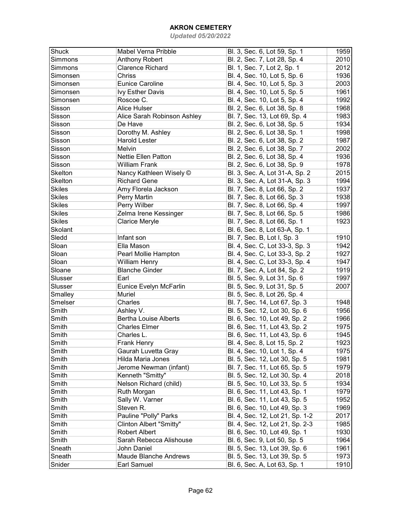| Shuck          | Mabel Verna Pribble          | Bl. 3, Sec. 6, Lot 59, Sp. 1    | 1959 |
|----------------|------------------------------|---------------------------------|------|
| Simmons        | <b>Anthony Robert</b>        | Bl. 2, Sec. 7, Lot 28, Sp. 4    | 2010 |
| Simmons        | <b>Clarence Richard</b>      | Bl. 1, Sec. 7, Lot 2, Sp. 1     | 2012 |
| Simonsen       | Chriss                       | Bl. 4, Sec. 10, Lot 5, Sp. 6    | 1936 |
| Simonsen       | <b>Eunice Caroline</b>       | Bl. 4, Sec. 10, Lot 5, Sp. 3    | 2003 |
| Simonsen       | <b>Ivy Esther Davis</b>      | Bl. 4, Sec. 10, Lot 5, Sp. 5    | 1961 |
| Simonsen       | Roscoe C.                    | Bl. 4, Sec. 10, Lot 5, Sp. 4    | 1992 |
| Sisson         | Alice Hulser                 | Bl. 2, Sec. 6, Lot 38, Sp. 8    | 1968 |
| Sisson         | Alice Sarah Robinson Ashley  | Bl. 7, Sec. 13, Lot 69, Sp. 4   | 1983 |
| Sisson         | De Have                      | Bl. 2, Sec. 6, Lot 38, Sp. 5    | 1934 |
| Sisson         | Dorothy M. Ashley            | Bl. 2, Sec. 6, Lot 38, Sp. 1    | 1998 |
| Sisson         | <b>Harold Lester</b>         | Bl. 2, Sec. 6, Lot 38, Sp. 2    | 1987 |
| Sisson         | Melvin                       | Bl. 2, Sec. 6, Lot 38, Sp. 7    | 2002 |
| Sisson         | <b>Nettie Ellen Patton</b>   | Bl. 2, Sec. 6, Lot 38, Sp. 4    | 1936 |
| Sisson         | <b>William Frank</b>         | Bl. 2, Sec. 6, Lot 38, Sp. 9    | 1978 |
| <b>Skelton</b> | Nancy Kathleen Wisely ©      | Bl. 3, Sec. A, Lot 31-A, Sp. 2  | 2015 |
| <b>Skelton</b> | <b>Richard Gene</b>          | Bl. 3, Sec. A, Lot 31-A, Sp. 3  | 1994 |
| <b>Skiles</b>  | Amy Florela Jackson          | Bl. 7, Sec. 8, Lot 66, Sp. 2    | 1937 |
| <b>Skiles</b>  | Perry Martin                 | Bl. 7, Sec. 8, Lot 66, Sp. 3    | 1938 |
| <b>Skiles</b>  | Perry Wilber                 | Bl. 7, Sec. 8, Lot 66, Sp. 4    | 1997 |
| <b>Skiles</b>  | Zelma Irene Kessinger        | Bl. 7, Sec. 8, Lot 66, Sp. 5    | 1986 |
| <b>Skiles</b>  | Clarice Meryle               | Bl. 7, Sec. 8, Lot 66, Sp. 1    | 1923 |
| <b>Skolant</b> |                              | Bl. 6, Sec. 8, Lot 63-A, Sp. 1  |      |
| Sledd          | Infant son                   | Bl. 7, Sec. B, Lot I, Sp. 3     | 1910 |
| Sloan          | Ella Mason                   | Bl. 4, Sec. C, Lot 33-3, Sp. 3  | 1942 |
| Sloan          | Pearl Mollie Hampton         | Bl. 4, Sec. C, Lot 33-3, Sp. 2  | 1927 |
| Sloan          | <b>William Henry</b>         | Bl. 4, Sec. C, Lot 33-3, Sp. 4  | 1947 |
| Sloane         | <b>Blanche Ginder</b>        | Bl. 7, Sec. A, Lot 84, Sp. 2    | 1919 |
| Slusser        | Earl                         | Bl. 5, Sec. 9, Lot 31, Sp. 6    | 1997 |
| Slusser        | Eunice Evelyn McFarlin       | Bl. 5, Sec. 9, Lot 31, Sp. 5    | 2007 |
| Smalley        | Muriel                       | Bl. 5, Sec. 8, Lot 26, Sp. 4    |      |
| Smelser        | Charles                      | Bl. 7, Sec. 14, Lot 67, Sp. 3   | 1948 |
| Smith          | Ashley V.                    | Bl. 5, Sec. 12, Lot 30, Sp. 6   | 1956 |
| Smith          | <b>Bertha Louise Alberts</b> | Bl. 6, Sec. 10, Lot 49, Sp. 2   | 1966 |
| Smith          | <b>Charles Elmer</b>         | Bl. 6, Sec. 11, Lot 43, Sp. 2   | 1975 |
| Smith          | Charles L.                   | Bl. 6, Sec. 11, Lot 43, Sp. 6   | 1945 |
| Smith          | Frank Henry                  | Bl. 4, Sec. 8, Lot 15, Sp. 2    | 1923 |
| Smith          | Gaurah Luvetta Gray          | Bl. 4, Sec. 10, Lot 1, Sp. 4    | 1975 |
| Smith          | Hilda Maria Jones            | Bl. 5, Sec. 12, Lot 30, Sp. 5   | 1981 |
| Smith          | Jerome Newman (infant)       | Bl. 7, Sec. 11, Lot 65, Sp. 5   | 1979 |
| Smith          | Kenneth "Smitty"             | Bl. 5, Sec. 12, Lot 30, Sp. 4   | 2018 |
| Smith          | Nelson Richard (child)       | Bl. 5, Sec. 10, Lot 33, Sp. 5   | 1934 |
| Smith          | Ruth Morgan                  | Bl. 6, Sec. 11, Lot 43, Sp. 1   | 1979 |
| Smith          | Sally W. Varner              | Bl. 6, Sec. 11, Lot 43, Sp. 5   | 1952 |
| Smith          | Steven R.                    | Bl. 6, Sec. 10, Lot 49, Sp. 3   | 1969 |
| Smith          | Pauline "Polly" Parks        | Bl. 4, Sec. 12, Lot 21, Sp. 1-2 | 2017 |
| Smith          | Clinton Albert "Smitty"      | Bl. 4, Sec. 12, Lot 21, Sp. 2-3 | 1985 |
| Smith          | <b>Robert Albert</b>         | Bl. 6, Sec. 10, Lot 49, Sp. 1   | 1930 |
| Smith          | Sarah Rebecca Alishouse      | Bl. 6, Sec. 9, Lot 50, Sp. 5    | 1964 |
| Sneath         | John Daniel                  | Bl. 5, Sec. 13, Lot 39, Sp. 6   | 1961 |
| Sneath         | <b>Maude Blanche Andrews</b> | Bl. 5, Sec. 13, Lot 39, Sp. 5   | 1973 |
| Snider         | Earl Samuel                  | Bl. 6, Sec. A, Lot 63, Sp. 1    | 1910 |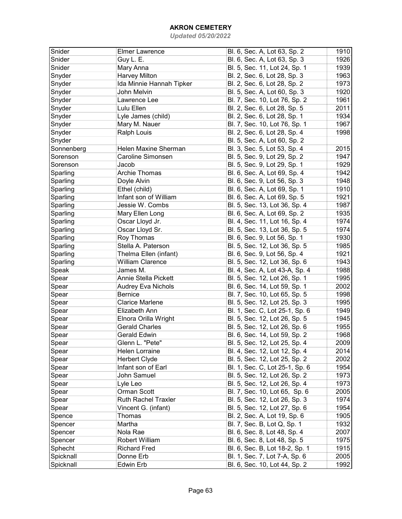| Snider     | <b>Elmer Lawrence</b>         | Bl. 6, Sec. A, Lot 63, Sp. 2   | 1910 |
|------------|-------------------------------|--------------------------------|------|
| Snider     | Guy L. E.                     | Bl. 6, Sec. A, Lot 63, Sp. 3   | 1926 |
| Snider     | Mary Anna                     | Bl. 5, Sec. 11, Lot 24, Sp. 1  | 1939 |
| Snyder     | <b>Harvey Milton</b>          | Bl. 2, Sec. 6, Lot 28, Sp. 3   | 1963 |
| Snyder     | Ida Minnie Hannah Tipker      | Bl. 2, Sec. 6, Lot 28, Sp. 2   | 1973 |
| Snyder     | John Melvin                   | Bl. 5, Sec. A, Lot 60, Sp. 3   | 1920 |
| Snyder     | Lawrence Lee                  | Bl. 7, Sec. 10, Lot 76, Sp. 2  | 1961 |
| Snyder     | Lulu Ellen                    | Bl. 2, Sec. 6, Lot 28, Sp. 5   | 2011 |
| Snyder     | Lyle James (child)            | Bl. 2, Sec. 6, Lot 28, Sp. 1   | 1934 |
| Snyder     | Mary M. Nauer                 | Bl. 7, Sec. 10, Lot 76, Sp. 1  | 1967 |
| Snyder     | Ralph Louis                   | Bl. 2, Sec. 6, Lot 28, Sp. 4   | 1998 |
| Snyder     |                               | Bl. 5, Sec. A, Lot 60, Sp. 2   |      |
| Sonnenberg | Helen Maxine Sherman          | Bl. 3, Sec. 5, Lot 53, Sp. 4   | 2015 |
| Sorenson   | Caroline Simonsen             | Bl. 5, Sec. 9, Lot 29, Sp. 2   | 1947 |
| Sorenson   |                               |                                | 1929 |
|            | Jacob<br><b>Archie Thomas</b> | Bl. 5, Sec. 9, Lot 29, Sp. 1   |      |
| Sparling   |                               | Bl. 6, Sec. A, Lot 69, Sp. 4   | 1942 |
| Sparling   | Doyle Alvin                   | Bl. 6, Sec. 9, Lot 56, Sp. 3   | 1948 |
| Sparling   | Ethel (child)                 | Bl. 6, Sec. A, Lot 69, Sp. 1   | 1910 |
| Sparling   | Infant son of William         | Bl. 6, Sec. A, Lot 69, Sp. 5   | 1921 |
| Sparling   | Jessie W. Combs               | Bl. 5, Sec. 13, Lot 36, Sp. 4  | 1987 |
| Sparling   | Mary Ellen Long               | Bl. 6, Sec. A, Lot 69, Sp. 2   | 1935 |
| Sparling   | Oscar Lloyd Jr.               | Bl. 4, Sec. 11, Lot 16, Sp. 4  | 1974 |
| Sparling   | Oscar Lloyd Sr.               | Bl. 5, Sec. 13, Lot 36, Sp. 5  | 1974 |
| Sparling   | Roy Thomas                    | Bl. 6, Sec. 9, Lot 56, Sp. 1   | 1930 |
| Sparling   | Stella A. Paterson            | Bl. 5, Sec. 12, Lot 36, Sp. 5  | 1985 |
| Sparling   | Thelma Ellen (infant)         | Bl. 6, Sec. 9, Lot 56, Sp. 4   | 1921 |
| Sparling   | <b>William Clarence</b>       | Bl. 5, Sec. 12, Lot 36, Sp. 6  | 1943 |
| Speak      | James M.                      | Bl. 4, Sec. A, Lot 43-A, Sp. 4 | 1988 |
| Spear      | Annie Stella Pickett          | Bl. 5, Sec. 12, Lot 26, Sp. 1  | 1995 |
| Spear      | Audrey Eva Nichols            | Bl. 6, Sec. 14, Lot 59, Sp. 1  | 2002 |
| Spear      | <b>Bernice</b>                | Bl. 7, Sec. 10, Lot 65, Sp. 5  | 1998 |
| Spear      | <b>Clarice Marlene</b>        | Bl. 5, Sec. 12, Lot 25, Sp. 3  | 1995 |
| Spear      | Elizabeth Ann                 | Bl. 1, Sec. C, Lot 25-1, Sp. 6 | 1949 |
| Spear      | Elnora Orilla Wright          | Bl. 5, Sec. 12, Lot 26, Sp. 5  | 1945 |
| Spear      | <b>Gerald Charles</b>         | Bl. 5, Sec. 12, Lot 26, Sp. 6  | 1955 |
| Spear      | <b>Gerald Edwin</b>           | Bl. 6, Sec. 14, Lot 59, Sp. 2  | 1968 |
| Spear      | Glenn L. "Pete"               | Bl. 5, Sec. 12, Lot 25, Sp. 4  | 2009 |
| Spear      | <b>Helen Lorraine</b>         | Bl. 4, Sec. 12, Lot 12, Sp. 4  | 2014 |
| Spear      | Herbert Clyde                 | Bl. 5, Sec. 12, Lot 25, Sp. 2  | 2002 |
| Spear      | Infant son of Earl            | Bl. 1, Sec. C, Lot 25-1, Sp. 6 | 1954 |
| Spear      | John Samuel                   | Bl. 5, Sec. 12, Lot 26, Sp. 2  | 1973 |
| Spear      | Lyle Leo                      | Bl. 5, Sec. 12, Lot 26, Sp. 4  | 1973 |
| Spear      | Orman Scott                   | Bl. 7, Sec. 10, Lot 65, Sp. 6  | 2005 |
| Spear      | <b>Ruth Rachel Traxler</b>    | Bl. 5, Sec. 12, Lot 26, Sp. 3  | 1974 |
| Spear      | Vincent G. (infant)           | Bl. 5, Sec. 12, Lot 27, Sp. 6  | 1954 |
| Spence     | Thomas                        | Bl. 2, Sec. A, Lot 19, Sp. 6   | 1905 |
| Spencer    | Martha                        | Bl. 7, Sec. B, Lot Q, Sp. 1    | 1932 |
| Spencer    | Nola Rae                      | Bl. 6, Sec. 8, Lot 48, Sp. 4   | 2007 |
| Spencer    | Robert William                | Bl. 6, Sec. 8, Lot 48, Sp. 5   | 1975 |
| Sphecht    | <b>Richard Fred</b>           | Bl. 6, Sec. B, Lot 18-2, Sp. 1 | 1915 |
| Spicknall  | Donne Erb                     | Bl. 1, Sec. 7, Lot 7-A, Sp. 6  | 2005 |
| Spicknall  | Edwin Erb                     | Bl. 6, Sec. 10, Lot 44, Sp. 2  | 1992 |
|            |                               |                                |      |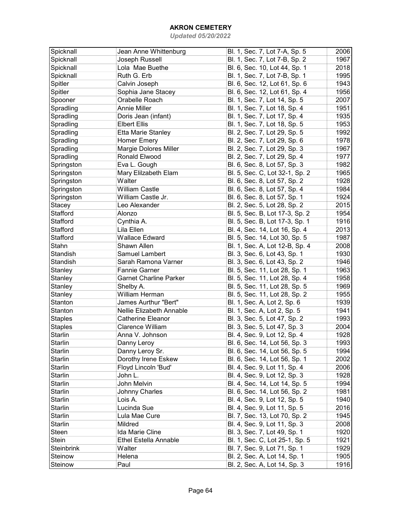| Spicknall       | Jean Anne Whittenburg        | Bl. 1, Sec. 7, Lot 7-A, Sp. 5  | 2006 |
|-----------------|------------------------------|--------------------------------|------|
| Spicknall       | Joseph Russell               | Bl. 1, Sec. 7, Lot 7-B, Sp. 2  | 1967 |
| Spicknall       | Lola Mae Buethe              | Bl. 6, Sec. 10, Lot 44, Sp. 1  | 2018 |
| Spicknall       | Ruth G. Erb                  | Bl. 1, Sec. 7, Lot 7-B, Sp. 1  | 1995 |
| Spitler         | Calvin Joseph                | Bl. 6, Sec. 12, Lot 61, Sp. 6  | 1943 |
| Spitler         | Sophia Jane Stacey           | Bl. 6, Sec. 12, Lot 61, Sp. 4  | 1956 |
| Spooner         | Orabelle Roach               | Bl. 1, Sec. 7, Lot 14, Sp. 5   | 2007 |
| Spradling       | <b>Annie Miller</b>          | Bl. 1, Sec. 7, Lot 18, Sp. 4   | 1951 |
| Spradling       | Doris Jean (infant)          | Bl. 1, Sec. 7, Lot 17, Sp. 4   | 1935 |
| Spradling       | <b>Elbert Ellis</b>          | Bl. 1, Sec. 7, Lot 18, Sp. 5   | 1953 |
| Spradling       | Etta Marie Stanley           | Bl. 2, Sec. 7, Lot 29, Sp. 5   | 1992 |
| Spradling       | <b>Homer Emery</b>           | Bl. 2, Sec. 7, Lot 29, Sp. 6   | 1978 |
| Spradling       | Margie Dolores Miller        | Bl. 2, Sec. 7, Lot 29, Sp. 3   | 1967 |
| Spradling       | Ronald Elwood                | Bl. 2, Sec. 7, Lot 29, Sp. 4   | 1977 |
|                 | Eva L. Gough                 |                                | 1982 |
| Springston      |                              | Bl. 6, Sec. 8, Lot 57, Sp. 3   |      |
| Springston      | Mary Elilzabeth Elam         | Bl. 5, Sec. C, Lot 32-1, Sp. 2 | 1965 |
| Springston      | Walter                       | Bl. 6, Sec. 8, Lot 57, Sp. 2   | 1928 |
| Springston      | <b>William Castle</b>        | Bl. 6, Sec. 8, Lot 57, Sp. 4   | 1984 |
| Springston      | William Castle Jr.           | Bl. 6, Sec. 8, Lot 57, Sp. 1   | 1924 |
| Stacey          | Leo Alexander                | Bl. 2, Sec. 5, Lot 28, Sp. 2   | 2015 |
| Stafford        | Alonzo                       | Bl. 5, Sec. B, Lot 17-3, Sp. 2 | 1954 |
| <b>Stafford</b> | Cynthia A.                   | Bl. 5, Sec. B, Lot 17-3, Sp. 1 | 1916 |
| Stafford        | Lila Ellen                   | Bl. 4, Sec. 14, Lot 16, Sp. 4  | 2013 |
| Stafford        | <b>Wallace Edward</b>        | Bl. 5, Sec. 14, Lot 30, Sp. 5  | 1987 |
| Stahn           | Shawn Allen                  | Bl. 1, Sec. A, Lot 12-B, Sp. 4 | 2008 |
| Standish        | Samuel Lambert               | Bl. 3, Sec. 6, Lot 43, Sp. 1   | 1930 |
| Standish        | Sarah Ramona Varner          | Bl. 3, Sec. 6, Lot 43, Sp. 2   | 1946 |
| Stanley         | <b>Fannie Garner</b>         | Bl. 5, Sec. 11, Lot 28, Sp. 1  | 1963 |
| Stanley         | Garnet Charline Parker       | Bl. 5, Sec. 11, Lot 28, Sp. 4  | 1958 |
| Stanley         | Shelby A.                    | Bl. 5, Sec. 11, Lot 28, Sp. 5  | 1969 |
| Stanley         | William Herman               | Bl. 5, Sec. 11, Lot 28, Sp. 2  | 1955 |
| Stanton         | James Aurthur "Bert"         | Bl. 1, Sec. A, Lot 2, Sp. 6    | 1939 |
| Stanton         | Nellie Elizabeth Annable     | Bl. 1, Sec. A, Lot 2, Sp. 5    | 1941 |
| <b>Staples</b>  | <b>Catherine Eleanor</b>     | Bl. 3, Sec. 5, Lot 47, Sp. 2   | 1993 |
| <b>Staples</b>  | <b>Clarence William</b>      | Bl. 3, Sec. 5, Lot 47, Sp. 3   | 2004 |
| Starlin         | Anna V. Johnson              | Bl. 4, Sec. 9, Lot 12, Sp. 4   | 1928 |
| Starlin         | Danny Leroy                  | Bl. 6, Sec. 14, Lot 56, Sp. 3  | 1993 |
| Starlin         | Danny Leroy Sr.              | Bl. 6, Sec. 14, Lot 56, Sp. 5  | 1994 |
| <b>Starlin</b>  | Dorothy Irene Eskew          | Bl. 6, Sec. 14, Lot 56, Sp. 1  | 2002 |
| Starlin         | Floyd Lincoln 'Bud'          | Bl. 4, Sec. 9, Lot 11, Sp. 4   | 2006 |
| <b>Starlin</b>  | John L.                      | Bl. 4, Sec. 9, Lot 12, Sp. 3   | 1928 |
| <b>Starlin</b>  | John Melvin                  | Bl. 4, Sec. 14, Lot 14, Sp. 5  | 1994 |
| <b>Starlin</b>  | Johnny Charles               | Bl. 6, Sec. 14, Lot 56, Sp. 2  | 1981 |
| Starlin         | Lois A.                      | Bl. 4, Sec. 9, Lot 12, Sp. 5   | 1940 |
| <b>Starlin</b>  | Lucinda Sue                  | Bl. 4, Sec. 9, Lot 11, Sp. 5   | 2016 |
| <b>Starlin</b>  | Lula Mae Cure                | Bl. 7, Sec. 13, Lot 70, Sp. 2  | 1945 |
| <b>Starlin</b>  | Mildred                      | Bl. 4, Sec. 9, Lot 11, Sp. 3   | 2008 |
| Steen           | Ida Marie Cline              | Bl. 3, Sec. 7, Lot 49, Sp. 1   | 1920 |
| Stein           | <b>Ethel Estella Annable</b> |                                | 1921 |
|                 |                              | Bl. 1, Sec. C, Lot 25-1, Sp. 5 |      |
| Steinbrink      | Walter                       | Bl. 7, Sec. 9, Lot 71, Sp. 1   | 1929 |
| Steinow         | Helena                       | Bl. 2, Sec. A, Lot 14, Sp. 1   | 1905 |
| Steinow         | Paul                         | Bl. 2, Sec. A, Lot 14, Sp. 3   | 1916 |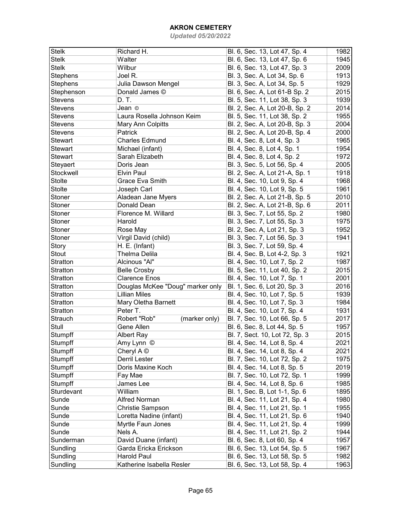| Stelk          | Richard H.                       | Bl. 6, Sec. 13, Lot 47, Sp. 4  | 1982 |
|----------------|----------------------------------|--------------------------------|------|
| <b>Stelk</b>   | Walter                           | Bl. 6, Sec. 13, Lot 47, Sp. 6  | 1945 |
| <b>Stelk</b>   | Wilbur                           | Bl. 6, Sec. 13, Lot 47, Sp. 3  | 2009 |
| Stephens       | Joel R.                          | Bl. 3, Sec. A, Lot 34, Sp. 6   | 1913 |
| Stephens       | Julia Dawson Mengel              | Bl. 3, Sec. A, Lot 34, Sp. 5   | 1929 |
| Stephenson     | Donald James ©                   | Bl. 6, Sec. A, Lot 61-B Sp. 2  | 2015 |
| <b>Stevens</b> | D. T.                            |                                | 1939 |
|                |                                  | Bl. 5, Sec. 11, Lot 38, Sp. 3  |      |
| <b>Stevens</b> | Jean ©                           | Bl. 2, Sec. A, Lot 20-B, Sp. 2 | 2014 |
| <b>Stevens</b> | Laura Rosella Johnson Keim       | Bl. 5, Sec. 11, Lot 38, Sp. 2  | 1955 |
| <b>Stevens</b> | Mary Ann Colpitts                | Bl. 2, Sec. A, Lot 20-B, Sp. 3 | 2004 |
| <b>Stevens</b> | Patrick                          | Bl. 2, Sec. A, Lot 20-B, Sp. 4 | 2000 |
| <b>Stewart</b> | <b>Charles Edmund</b>            | Bl. 4, Sec. 8, Lot 4, Sp. 3    | 1965 |
| <b>Stewart</b> | Michael (infant)                 | Bl. 4, Sec. 8, Lot 4, Sp. 1    | 1954 |
| <b>Stewart</b> | Sarah Elizabeth                  | Bl. 4, Sec. 8, Lot 4, Sp. 2    | 1972 |
| Steyaert       | Doris Jean                       | Bl. 3, Sec. 5, Lot 56, Sp. 4   | 2005 |
| Stockwell      | <b>Elvin Paul</b>                | Bl. 2, Sec. A, Lot 21-A, Sp. 1 | 1918 |
| <b>Stolte</b>  | <b>Grace Eva Smith</b>           | Bl. 4, Sec. 10, Lot 9, Sp. 4   | 1968 |
| <b>Stolte</b>  | Joseph Carl                      | Bl. 4, Sec. 10, Lot 9, Sp. 5   | 1961 |
| Stoner         | Aladean Jane Myers               | Bl. 2, Sec. A, Lot 21-B, Sp. 5 | 2010 |
| Stoner         | Donald Dean                      | Bl. 2, Sec. A, Lot 21-B, Sp. 6 | 2011 |
| Stoner         | Florence M. Willard              | Bl. 3, Sec. 7, Lot 55, Sp. 2   | 1980 |
| Stoner         | Harold                           | Bl. 3, Sec. 7, Lot 55, Sp. 3   | 1975 |
| Stoner         | Rose May                         | Bl. 2, Sec. A, Lot 21, Sp. 3   | 1952 |
| Stoner         | Virgil David (child)             | Bl. 3, Sec. 7, Lot 56, Sp. 3   | 1941 |
| Story          | H. E. (Infant)                   | Bl. 3, Sec. 7, Lot 59, Sp. 4   |      |
| <b>Stout</b>   | Thelma Delila                    | Bl. 4, Sec. B, Lot 4-2, Sp. 3  | 1921 |
| Stratton       | Alcinous "Al"                    | Bl. 4, Sec. 10, Lot 7, Sp. 2   | 1987 |
| Stratton       | <b>Belle Crosby</b>              | Bl. 5, Sec. 11, Lot 40, Sp. 2  | 2015 |
| Stratton       | <b>Clarence Enos</b>             | Bl. 4, Sec. 10, Lot 7, Sp. 1   | 2001 |
| Stratton       | Douglas McKee "Doug" marker only | Bl. 1, Sec. 6, Lot 20, Sp. 3   | 2016 |
| Stratton       | <b>Lillian Miles</b>             | Bl. 4, Sec. 10, Lot 7, Sp. 5   | 1939 |
| Stratton       | Mary Oletha Barnett              | Bl. 4, Sec. 10, Lot 7, Sp. 3   | 1984 |
|                |                                  |                                |      |
| Stratton       | Peter T.                         | Bl. 4, Sec. 10, Lot 7, Sp. 4   | 1931 |
| Strauch        | Robert "Rob"<br>(marker only)    | Bl. 7, Sec. 10, Lot 66, Sp. 5  | 2017 |
| Stull          | Gene Allen                       | Bl. 6, Sec. 8, Lot 44, Sp. 5   | 1957 |
| Stumpff        | Albert Ray                       | Bl. 7, Sect. 10, Lot 72, Sp. 3 | 2015 |
| Stumpff        | Amy Lynn ©                       | Bl. 4, Sec. 14, Lot 8, Sp. 4   | 2021 |
| Stumpff        | Cheryl $A \odot$                 | Bl. 4, Sec. 14, Lot 8, Sp. 4   | 2021 |
| Stumpff        | Derril Lester                    | Bl. 7, Sec. 10, Lot 72, Sp. 2  | 1975 |
| Stumpff        | Doris Maxine Koch                | Bl. 4, Sec. 14, Lot 8, Sp. 5   | 2019 |
| Stumpff        | Fay Mae                          | Bl. 7, Sec. 10, Lot 72, Sp. 1  | 1999 |
| Stumpff        | James Lee                        | Bl. 4, Sec. 14, Lot 8, Sp. 6   | 1985 |
| Sturdevant     | William                          | Bl. 1, Sec. B, Lot 1-1, Sp. 6  | 1895 |
| Sunde          | Alfred Norman                    | Bl. 4, Sec. 11, Lot 21, Sp. 4  | 1980 |
| Sunde          | Christie Sampson                 | Bl. 4, Sec. 11, Lot 21, Sp. 1  | 1955 |
| Sunde          | Loretta Nadine (infant)          | Bl. 4, Sec. 11, Lot 21, Sp. 6  | 1940 |
| Sunde          | Myrtle Faun Jones                | Bl. 4, Sec. 11, Lot 21, Sp. 4  | 1999 |
| Sunde          | Nels A.                          | Bl. 4, Sec. 11, Lot 21, Sp. 2  | 1944 |
| Sunderman      | David Duane (infant)             | Bl. 6, Sec. 8, Lot 60, Sp. 4   | 1957 |
| Sundling       | Garda Ericka Erickson            | Bl. 6, Sec. 13, Lot 54, Sp. 5  | 1967 |
| Sundling       | <b>Harold Paul</b>               | Bl. 6, Sec. 13, Lot 58, Sp. 5  | 1982 |
| Sundling       | Katherine Isabella Resler        | Bl. 6, Sec. 13, Lot 58, Sp. 4  | 1963 |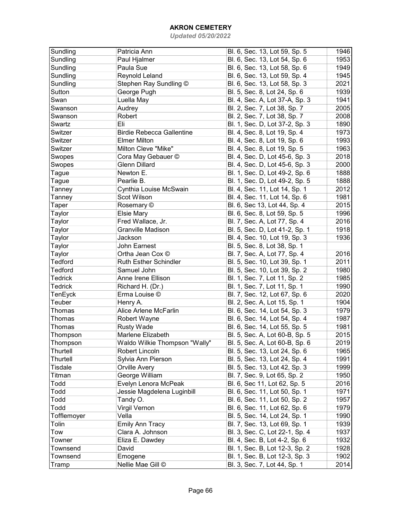| Sundling       | Patricia Ann                     | Bl. 6, Sec. 13, Lot 59, Sp. 5  | 1946 |
|----------------|----------------------------------|--------------------------------|------|
| Sundling       | Paul Hjalmer                     | Bl. 6, Sec. 13, Lot 54, Sp. 6  | 1953 |
| Sundling       | Paula Sue                        | Bl. 6, Sec. 13, Lot 58, Sp. 6  | 1949 |
| Sundling       | Reynold Leland                   | Bl. 6, Sec. 13, Lot 59, Sp. 4  | 1945 |
| Sundling       | Stephen Ray Sundling ©           | Bl. 6, Sec. 13, Lot 58, Sp. 3  | 2021 |
| Sutton         | George Pugh                      | Bl. 5, Sec. 8, Lot 24, Sp. 6   | 1939 |
| Swan           | Luella May                       | Bl. 4, Sec. A, Lot 37-A, Sp. 3 | 1941 |
| Swanson        | Audrey                           | Bl. 2, Sec. 7, Lot 38, Sp. 7   | 2005 |
| Swanson        | Robert                           | Bl. 2, Sec. 7, Lot 38, Sp. 7   | 2008 |
| Swartz         | Eli                              | Bl. 1, Sec. D, Lot 37-2, Sp. 3 | 1890 |
| Switzer        | <b>Birdie Rebecca Gallentine</b> | Bl. 4, Sec. 8, Lot 19, Sp. 4   | 1973 |
| Switzer        | <b>Elmer Milton</b>              | Bl. 4, Sec. 8, Lot 19, Sp. 6   | 1993 |
| Switzer        | Milton Cleve "Mike"              | Bl. 4, Sec. 8, Lot 19, Sp. 5   | 1963 |
| Swopes         | Cora May Gebauer ©               | Bl. 4, Sec. D, Lot 45-6, Sp. 3 | 2018 |
| Swopes         | <b>Glenn Dillard</b>             | Bl. 4, Sec. D, Lot 45-6, Sp. 3 | 2000 |
| Tague          | Newton E.                        | Bl. 1, Sec. D, Lot 49-2, Sp. 6 | 1888 |
| Tague          | Pearlie B.                       | Bl. 1, Sec. D, Lot 49-2, Sp. 5 | 1888 |
| Tanney         | Cynthia Louise McSwain           | Bl. 4, Sec. 11, Lot 14, Sp. 1  | 2012 |
| Tanney         | Scot Wilson                      | Bl. 4, Sec. 11, Lot 14, Sp. 6  | 1981 |
| Taper          | Rosemary ©                       | Bl. 6, Sec 13, Lot 44, Sp. 4   | 2015 |
| Taylor         | <b>Elsie Mary</b>                | Bl. 6, Sec. 8, Lot 59, Sp. 5   | 1996 |
| Taylor         | Fred Wallace, Jr.                | Bl. 7, Sec. A, Lot 77, Sp. 4   | 2016 |
| Taylor         | Granville Madison                | Bl. 5, Sec. D, Lot 41-2, Sp. 1 | 1918 |
| Taylor         | Jackson                          | Bl. 4, Sec. 10, Lot 19, Sp. 3  | 1936 |
| Taylor         | John Earnest                     | Bl. 5, Sec. 8, Lot 38, Sp. 1   |      |
| Taylor         | Ortha Jean Cox ©                 | Bl. 7, Sec. A, Lot 77, Sp. 4   | 2016 |
| Tedford        | <b>Ruth Esther Schindler</b>     | Bl. 5, Sec. 10, Lot 39, Sp. 1  | 2011 |
| Tedford        | Samuel John                      | Bl. 5, Sec. 10, Lot 39, Sp. 2  | 1980 |
| <b>Tedrick</b> | Anne Irene Ellison               | Bl. 1, Sec. 7, Lot 11, Sp. 2   | 1985 |
| <b>Tedrick</b> | Richard H. (Dr.)                 | Bl. 1, Sec. 7, Lot 11, Sp. 1   | 1990 |
| TenEyck        | Erma Louise ©                    | Bl. 7, Sec. 12, Lot 67, Sp. 6  | 2020 |
| Teuber         | Henry A.                         | Bl. 2, Sec. A, Lot 15, Sp. 1   | 1904 |
| Thomas         | Alice Arlene McFarlin            | Bl. 6, Sec. 14, Lot 54, Sp. 3  | 1979 |
| <b>Thomas</b>  | Robert Wayne                     | Bl. 6, Sec. 14, Lot 54, Sp. 4  | 1987 |
| Thomas         | <b>Rusty Wade</b>                | Bl. 6, Sec. 14, Lot 55, Sp. 5  | 1981 |
| Thompson       | Marlene Elizabeth                | Bl. 5, Sec. A, Lot 60-B, Sp. 5 | 2015 |
| Thompson       | Waldo Wilkie Thompson "Wally"    | Bl. 5, Sec. A, Lot 60-B, Sp. 6 | 2019 |
| Thurtell       | Robert Lincoln                   | Bl. 5, Sec. 13, Lot 24, Sp. 6  | 1965 |
| Thurtell       | Sylvia Ann Pierson               | Bl. 5, Sec. 13, Lot 24, Sp. 4  | 1991 |
| <b>Tisdale</b> | Orville Avery                    | Bl. 5, Sec. 13, Lot 42, Sp. 3  | 1999 |
| Titman         | George William                   | Bl. 7, Sec. 9, Lot 65, Sp. 2   | 1950 |
| Todd           | Evelyn Lenora McPeak             | Bl. 6, Sec 11, Lot 62, Sp. 5   | 2016 |
| Todd           | Jessie Magdelena Luginbill       | Bl. 6, Sec. 11, Lot 50, Sp. 1  | 1971 |
| Todd           | Tandy O.                         | Bl. 6, Sec. 11, Lot 50, Sp. 2  | 1957 |
| Todd           | Virgil Vernon                    | Bl. 6, Sec. 11, Lot 62, Sp. 6  | 1979 |
| Tofflemoyer    | Vella                            | Bl. 5, Sec. 14, Lot 24, Sp. 1  | 1990 |
| Tolin          | <b>Emily Ann Tracy</b>           | Bl. 7, Sec. 13, Lot 69, Sp. 1  | 1939 |
| Tow            | Clara A. Johnson                 | Bl. 3, Sec. C, Lot 22-1, Sp. 4 | 1937 |
| Towner         | Eliza E. Dawdey                  | Bl. 4, Sec. B, Lot 4-2, Sp. 6  | 1932 |
| Townsend       | David                            | Bl. 1, Sec. B, Lot 12-3, Sp. 2 | 1928 |
| Townsend       | Emogene                          | Bl. 1, Sec. B, Lot 12-3, Sp. 3 | 1902 |
| Tramp          | Nellie Mae Gill ©                | Bl. 3, Sec. 7, Lot 44, Sp. 1   | 2014 |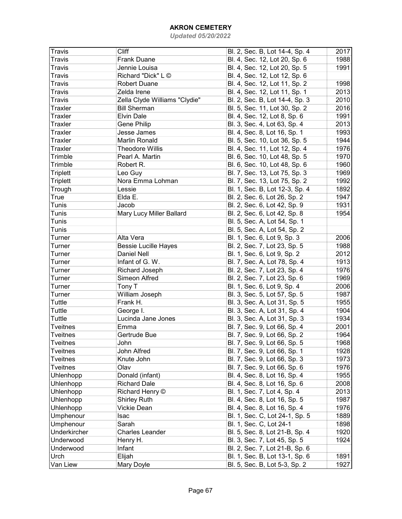| Travis           | Cliff                         | Bl. 2, Sec. B, Lot 14-4, Sp. 4 | 2017 |
|------------------|-------------------------------|--------------------------------|------|
| <b>Travis</b>    | <b>Frank Duane</b>            | Bl. 4, Sec. 12, Lot 20, Sp. 6  | 1988 |
| Travis           | Jennie Louisa                 | Bl. 4, Sec. 12, Lot 20, Sp. 5  | 1991 |
| Travis           | Richard "Dick" L ©            | Bl. 4, Sec. 12, Lot 12, Sp. 6  |      |
| <b>Travis</b>    | <b>Robert Duane</b>           | Bl. 4, Sec. 12, Lot 11, Sp. 2  | 1998 |
| <b>Travis</b>    | Zelda Irene                   | Bl. 4, Sec. 12, Lot 11, Sp. 1  | 2013 |
| <b>Travis</b>    | Zella Clyde Williams "Clydie" | Bl. 2, Sec. B, Lot 14-4, Sp. 3 | 2010 |
| Traxler          | <b>Bill Sherman</b>           | Bl. 5, Sec. 11, Lot 30, Sp. 2  | 2016 |
| Traxler          | <b>Elvin Dale</b>             | Bl. 4, Sec. 12, Lot 8, Sp. 6   | 1991 |
| Traxler          | Gene Philip                   | Bl. 3, Sec. 4, Lot 63, Sp. 4   | 2013 |
| <b>Traxler</b>   | Jesse James                   | Bl. 4, Sec. 8, Lot 16, Sp. 1   | 1993 |
| <b>Traxler</b>   | Marlin Ronald                 | Bl. 5, Sec. 10, Lot 36, Sp. 5  | 1944 |
| Traxler          | <b>Theodore Willis</b>        | Bl. 4, Sec. 11, Lot 12, Sp. 4  | 1976 |
| Trimble          | Pearl A. Martin               | Bl. 6, Sec. 10, Lot 48, Sp. 5  | 1970 |
| Trimble          | Robert R.                     | Bl. 6, Sec. 10, Lot 48, Sp. 6  | 1960 |
| <b>Triplett</b>  | Leo Guy                       | Bl. 7, Sec. 13, Lot 75, Sp. 3  | 1969 |
| <b>Triplett</b>  | Nora Emma Lohman              | Bl. 7, Sec. 13, Lot 75, Sp. 2  | 1992 |
| Trough           | Lessie                        | Bl. 1, Sec. B, Lot 12-3, Sp. 4 | 1892 |
| True             | Elda E.                       | Bl. 2, Sec. 6, Lot 26, Sp. 2   | 1947 |
| Tunis            | Jacob                         | Bl. 2, Sec. 6, Lot 42, Sp. 9   | 1931 |
| Tunis            | Mary Lucy Miller Ballard      | Bl. 2, Sec. 6, Lot 42, Sp. 8   | 1954 |
| Tunis            |                               | Bl. 5, Sec. A, Lot 54, Sp. 1   |      |
| Tunis            |                               | Bl. 5, Sec. A, Lot 54, Sp. 2   |      |
| Turner           | Alta Vera                     | Bl. 1, Sec. 6, Lot 9, Sp. 3    | 2006 |
| Turner           | <b>Bessie Lucille Hayes</b>   | Bl. 2, Sec. 7, Lot 23, Sp. 5   | 1988 |
| Turner           | <b>Daniel Nell</b>            | Bl. 1, Sec. 6, Lot 9, Sp. 2    | 2012 |
| Turner           | Infant of G. W.               | Bl. 7, Sec. A, Lot 78, Sp. 4   | 1913 |
| Turner           | Richard Joseph                | Bl. 2, Sec. 7, Lot 23, Sp. 4   | 1976 |
| Turner           | Simeon Alfred                 | Bl. 2, Sec. 7, Lot 23, Sp. 6   | 1969 |
| Turner           | Tony T                        | Bl. 1, Sec. 6, Lot 9, Sp. 4    | 2006 |
| Turner           | William Joseph                | Bl. 3, Sec. 5, Lot 57, Sp. 5   | 1987 |
| Tuttle           | Frank H.                      | Bl. 3, Sec. A, Lot 31, Sp. 5   | 1955 |
| Tuttle           | George I.                     | Bl. 3, Sec. A, Lot 31, Sp. 4   | 1904 |
| Tuttle           | Lucinda Jane Jones            | Bl. 3, Sec. A, Lot 31, Sp. 3   | 1934 |
| <b>Tveitnes</b>  | Emma                          | Bl. 7, Sec. 9, Lot 66, Sp. 4   | 2001 |
| <b>Tveitnes</b>  | Gertrude Bue                  |                                | 1964 |
|                  |                               | Bl. 7, Sec. 9, Lot 66, Sp. 2   |      |
| Tveitnes         | John                          | Bl. 7, Sec. 9, Lot 66, Sp. 5   | 1968 |
| <b>Tveitnes</b>  | John Alfred                   | Bl. 7, Sec. 9, Lot 66, Sp. 1   | 1928 |
| <b>Tveitnes</b>  | Knute John                    | Bl. 7, Sec. 9, Lot 66, Sp. 3   | 1973 |
| <b>Tveitnes</b>  | Olav                          | Bl. 7, Sec. 9, Lot 66, Sp. 6   | 1976 |
| Uhlenhopp        | Donald (infant)               | Bl. 4, Sec. 8, Lot 16, Sp. 4   | 1955 |
| Uhlenhopp        | <b>Richard Dale</b>           | Bl. 4, Sec. 8, Lot 16, Sp. 6   | 2008 |
| Uhlenhopp        | Richard Henry ©               | Bl. 1, Sec. 7, Lot 4, Sp. 4    | 2013 |
| Uhlenhopp        | <b>Shirley Ruth</b>           | Bl. 4, Sec. 8, Lot 16, Sp. 5   | 1987 |
| <b>Uhlenhopp</b> | Vickie Dean                   | Bl. 4, Sec. 8, Lot 16, Sp. 4   | 1976 |
| Umphenour        | Isac                          | Bl. 1, Sec. C, Lot 24-1, Sp. 5 | 1889 |
| Umphenour        | Sarah                         | Bl. 1, Sec. C, Lot 24-1        | 1898 |
| Underkircher     | <b>Charles Leander</b>        | Bl. 5, Sec. 8, Lot 21-B, Sp. 4 | 1920 |
| Underwood        | Henry H.                      | Bl. 3, Sec. 7, Lot 45, Sp. 5   | 1924 |
| Underwood        | Infant                        | Bl. 2, Sec. 7, Lot 21-B, Sp. 6 |      |
| Urch             | Elijah                        | Bl. 1, Sec. B, Lot 13-1, Sp. 6 | 1891 |
| Van Liew         | Mary Doyle                    | Bl. 5, Sec. B, Lot 5-3, Sp. 2  | 1927 |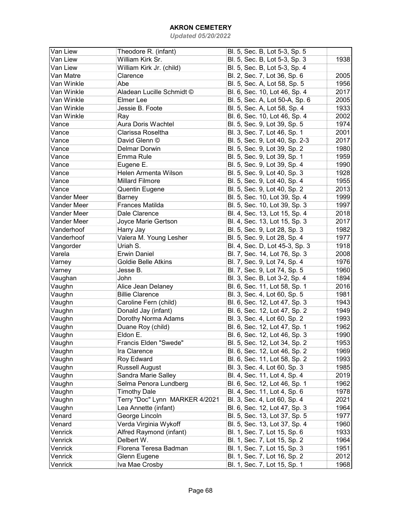| Van Liew    | Theodore R. (infant)           | Bl. 5, Sec. B, Lot 5-3, Sp. 5  |      |
|-------------|--------------------------------|--------------------------------|------|
| Van Liew    | William Kirk Sr.               | Bl. 5, Sec. B, Lot 5-3, Sp. 3  | 1938 |
| Van Liew    | William Kirk Jr. (child)       | Bl. 5, Sec. B, Lot 5-3, Sp. 4  |      |
| Van Matre   | Clarence                       | Bl. 2, Sec. 7, Lot 36, Sp. 6   | 2005 |
| Van Winkle  | Abe                            | Bl. 5, Sec. A, Lot 58, Sp. 5   | 1956 |
| Van Winkle  | Aladean Lucille Schmidt ©      | Bl. 6, Sec. 10, Lot 46, Sp. 4  | 2017 |
| Van Winkle  | Elmer Lee                      | Bl. 5, Sec. A, Lot 50-A, Sp. 6 | 2005 |
| Van Winkle  | Jessie B. Foote                | Bl. 5, Sec. A, Lot 58, Sp. 4   | 1933 |
| Van Winkle  | Ray                            | Bl. 6, Sec. 10, Lot 46, Sp. 4  | 2002 |
| Vance       | Aura Doris Wachtel             | Bl. 5, Sec. 9, Lot 39, Sp. 5   | 1974 |
| Vance       | Clarissa Roseltha              | Bl. 3, Sec. 7, Lot 46, Sp. 1   | 2001 |
| Vance       | David Glenn ©                  | Bl. 5, Sec. 9, Lot 40, Sp. 2-3 | 2017 |
| Vance       | <b>Delmar Dorwin</b>           | Bl. 5, Sec. 9, Lot 39, Sp. 2   | 1980 |
| Vance       | Emma Rule                      | Bl. 5, Sec. 9, Lot 39, Sp. 1   | 1959 |
| Vance       | Eugene E.                      | Bl. 5, Sec. 9, Lot 39, Sp. 4   | 1990 |
| Vance       | Helen Armenta Wilson           | Bl. 5, Sec. 9, Lot 40, Sp. 3   | 1928 |
| Vance       | <b>Millard Filmore</b>         | Bl. 5, Sec. 9, Lot 40, Sp. 4   | 1955 |
| Vance       | Quentin Eugene                 | Bl. 5, Sec. 9, Lot 40, Sp. 2   | 2013 |
| Vander Meer | Barney                         | Bl. 5, Sec. 10, Lot 39, Sp. 4  | 1999 |
| Vander Meer | <b>Frances Matilda</b>         | Bl. 5, Sec. 10, Lot 39, Sp. 3  | 1997 |
| Vander Meer | Dale Clarence                  | Bl. 4, Sec. 13, Lot 15, Sp. 4  | 2018 |
| Vander Meer | Joyce Marie Gertson            | Bl. 4, Sec. 13, Lot 15, Sp. 3  | 2017 |
| Vanderhoof  | Harry Jay                      | Bl. 5, Sec. 9, Lot 28, Sp. 3   | 1982 |
| Vanderhoof  | Valera M. Young Lesher         | Bl. 5, Sec. 9, Lot 28, Sp. 4   | 1977 |
| Vangorder   | Uriah S.                       | Bl. 4, Sec. D, Lot 45-3, Sp. 3 | 1918 |
| Varela      | <b>Erwin Daniel</b>            | Bl. 7, Sec. 14, Lot 76, Sp. 3  | 2008 |
| Varney      | <b>Goldie Belle Atkins</b>     | Bl. 7, Sec. 9, Lot 74, Sp. 4   | 1976 |
| Varney      | Jesse B.                       | Bl. 7, Sec. 9, Lot 74, Sp. 5   | 1960 |
| Vaughan     | John                           | Bl. 3, Sec. B, Lot 3-2, Sp. 4  | 1894 |
| Vaughn      | Alice Jean Delaney             | Bl. 6, Sec. 11, Lot 58, Sp. 1  | 2016 |
| Vaughn      | <b>Billie Clarence</b>         | Bl. 3, Sec. 4, Lot 60, Sp. 5   | 1981 |
| Vaughn      | Caroline Fern (child)          | Bl. 6, Sec. 12, Lot 47, Sp. 3  | 1943 |
| Vaughn      | Donald Jay (infant)            | Bl. 6, Sec. 12, Lot 47, Sp. 2  | 1949 |
| Vaughn      | Dorothy Norma Adams            | Bl. 3, Sec. 4, Lot 60, Sp. 2   | 1993 |
| Vaughn      | Duane Roy (child)              | Bl. 6, Sec. 12, Lot 47, Sp. 1  | 1962 |
| Vaughn      | Eldon E.                       | Bl. 6, Sec. 12, Lot 46, Sp. 3  | 1990 |
| Vaughn      | Francis Elden "Swede"          | Bl. 5, Sec. 12, Lot 34, Sp. 2  | 1953 |
| Vaughn      | Ira Clarence                   | Bl. 6, Sec. 12, Lot 46, Sp. 2  | 1969 |
| Vaughn      | Roy Edward                     | Bl. 6, Sec. 11, Lot 58, Sp. 2  | 1993 |
| Vaughn      | <b>Russell August</b>          | Bl. 3, Sec. 4, Lot 60, Sp. 3   | 1985 |
| Vaughn      | Sandra Marie Salley            | Bl. 4, Sec. 11, Lot 4, Sp. 4   | 2019 |
| Vaughn      | Selma Penora Lundberg          | Bl. 6, Sec. 12, Lot 46, Sp. 1  | 1962 |
| Vaughn      | <b>Timothy Dale</b>            | Bl. 4, Sec. 11, Lot 4, Sp. 6   | 1978 |
| Vaughn      | Terry "Doc" Lynn MARKER 4/2021 | Bl. 3, Sec. 4, Lot 60, Sp. 4   | 2021 |
| Vaughn      | Lea Annette (infant)           | Bl. 6, Sec. 12, Lot 47, Sp. 3  | 1964 |
| Venard      | George Lincoln                 | Bl. 5, Sec. 13, Lot 37, Sp. 5  | 1977 |
| Venard      | Verda Virginia Wykoff          | Bl. 5, Sec. 13, Lot 37, Sp. 4  | 1960 |
| Venrick     | Alfred Raymond (infant)        | Bl. 1, Sec. 7, Lot 15, Sp. 6   | 1933 |
| Venrick     | Delbert W.                     | Bl. 1, Sec. 7, Lot 15, Sp. 2   | 1964 |
| Venrick     | Florena Teresa Badman          | Bl. 1, Sec. 7, Lot 15, Sp. 3   | 1951 |
| Venrick     | Glenn Eugene                   | Bl. 1, Sec. 7, Lot 16, Sp. 2   | 2012 |
| Venrick     | Iva Mae Crosby                 | Bl. 1, Sec. 7, Lot 15, Sp. 1   | 1968 |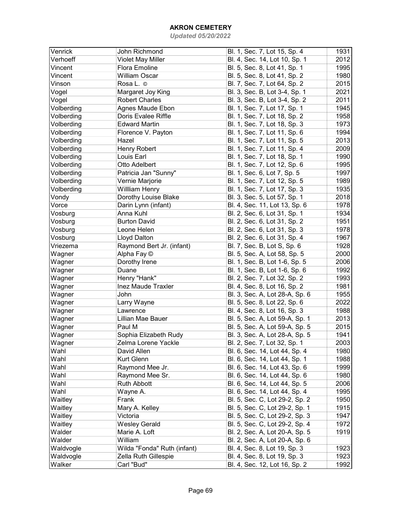| Venrick    | John Richmond               | Bl. 1, Sec. 7, Lot 15, Sp. 4   | 1931 |
|------------|-----------------------------|--------------------------------|------|
| Verhoeff   | <b>Violet May Miller</b>    | Bl. 4, Sec. 14, Lot 10, Sp. 1  | 2012 |
| Vincent    | Flora Emoline               | Bl. 5, Sec. 8, Lot 41, Sp. 1   | 1995 |
| Vincent    | <b>William Oscar</b>        | Bl. 5, Sec. 8, Lot 41, Sp. 2   | 1980 |
| Vinson     | Rosa L. ©                   | Bl. 7, Sec. 7, Lot 64, Sp. 2   | 2015 |
| Vogel      | Margaret Joy King           | Bl. 3, Sec. B, Lot 3-4, Sp. 1  | 2021 |
| Vogel      | <b>Robert Charles</b>       | Bl. 3, Sec. B, Lot 3-4, Sp. 2  | 2011 |
| Volberding | Agnes Maude Ebon            | Bl. 1, Sec. 7, Lot 17, Sp. 1   | 1945 |
| Volberding | Doris Evalee Riffle         | Bl. 1, Sec. 7, Lot 18, Sp. 2   | 1958 |
| Volberding | <b>Edward Martin</b>        | Bl. 1, Sec. 7, Lot 18, Sp. 3   | 1973 |
| Volberding | Florence V. Payton          | Bl. 1, Sec. 7, Lot 11, Sp. 6   | 1994 |
| Volberding | Hazel                       | Bl. 1, Sec. 7, Lot 11, Sp. 5   | 2013 |
| Volberding | Henry Robert                | Bl. 1, Sec. 7, Lot 11, Sp. 4   | 2009 |
| Volberding | Louis Earl                  | Bl. 1, Sec. 7, Lot 18, Sp. 1   | 1990 |
| Volberding | Otto Adelbert               | Bl. 1, Sec. 7, Lot 12, Sp. 6   | 1995 |
| Volberding | Patricia Jan "Sunny"        | Bl. 1, Sec. 6, Lot 7, Sp. 5    | 1997 |
| Volberding | Vernie Marjorie             | Bl. 1, Sec. 7, Lot 12, Sp. 5   | 1989 |
| Volberding | <b>Willliam Henry</b>       | Bl. 1, Sec. 7, Lot 17, Sp. 3   | 1935 |
| Vondy      | Dorothy Louise Blake        | Bl. 3, Sec. 5, Lot 57, Sp. 1   | 2018 |
| Vorce      | Darin Lynn (infant)         | Bl. 4, Sec. 11, Lot 13, Sp. 6  | 1978 |
| Vosburg    | Anna Kuhl                   | Bl. 2, Sec. 6, Lot 31, Sp. 1   | 1934 |
| Vosburg    | <b>Burton David</b>         | Bl. 2, Sec. 6, Lot 31, Sp. 2   | 1951 |
| Vosburg    | Leone Helen                 | Bl. 2, Sec. 6, Lot 31, Sp. 3   | 1978 |
| Vosburg    | Lloyd Dalton                | Bl. 2, Sec. 6, Lot 31, Sp. 4   | 1967 |
| Vriezema   | Raymond Bert Jr. (infant)   | Bl. 7, Sec. B, Lot S, Sp. 6    | 1928 |
|            | Alpha Fay ©                 |                                | 2000 |
| Wagner     |                             | Bl. 5, Sec. A, Lot 58, Sp. 5   | 2006 |
| Wagner     | Dorothy Irene               | Bl. 1, Sec. B, Lot 1-6, Sp. 5  |      |
| Wagner     | Duane                       | Bl. 1, Sec. B, Lot 1-6, Sp. 6  | 1992 |
| Wagner     | Henry "Hank"                | Bl. 2, Sec. 7, Lot 32, Sp. 2   | 1993 |
| Wagner     | <b>Inez Maude Traxler</b>   | Bl. 4, Sec. 8, Lot 16, Sp. 2   | 1981 |
| Wagner     | John                        | Bl. 3, Sec. A, Lot 28-A, Sp. 6 | 1955 |
| Wagner     | Larry Wayne                 | Bl. 5, Sec. 8, Lot 22, Sp. 6   | 2022 |
| Wagner     | Lawrence                    | Bl. 4, Sec. 8, Lot 16, Sp. 3   | 1988 |
| Wagner     | Lillian Mae Bauer           | Bl. 5, Sec. A, Lot 59-A, Sp. 1 | 2013 |
| Wagner     | Paul M                      | Bl. 5, Sec. A, Lot 59-A, Sp. 5 | 2015 |
| Wagner     | Sophia Elizabeth Rudy       | Bl. 3, Sec. A, Lot 28-A, Sp. 5 | 1941 |
| Wagner     | Zelma Lorene Yackle         | Bl. 2, Sec. 7, Lot 32, Sp. 1   | 2003 |
| Wahl       | David Allen                 | Bl. 6, Sec. 14, Lot 44, Sp. 4  | 1980 |
| Wahl       | Kurt Glenn                  | Bl. 6, Sec. 14, Lot 44, Sp. 1  | 1988 |
| Wahl       | Raymond Mee Jr.             | Bl. 6, Sec. 14, Lot 43, Sp. 6  | 1999 |
| Wahl       | Raymond Mee Sr.             | Bl. 6, Sec. 14, Lot 44, Sp. 6  | 1980 |
| Wahl       | <b>Ruth Abbott</b>          | Bl. 6, Sec. 14, Lot 44, Sp. 5  | 2006 |
| Wahl       | Wayne A.                    | Bl. 6, Sec. 14, Lot 44, Sp. 4  | 1995 |
| Waitley    | Frank                       | Bl. 5, Sec. C, Lot 29-2, Sp. 2 | 1950 |
| Waitley    | Mary A. Kelley              | Bl. 5, Sec. C, Lot 29-2, Sp. 1 | 1915 |
| Waitley    | Victoria                    | Bl. 5, Sec. C, Lot 29-2, Sp. 3 | 1947 |
| Waitley    | <b>Wesley Gerald</b>        | Bl. 5, Sec. C, Lot 29-2, Sp. 4 | 1972 |
| Walder     | Marie A. Loft               | Bl. 2, Sec. A, Lot 20-A, Sp. 5 | 1919 |
| Walder     | William                     | Bl. 2, Sec. A, Lot 20-A, Sp. 6 |      |
| Waldvogle  | Wilda "Fonda" Ruth (infant) | Bl. 4, Sec. 8, Lot 19, Sp. 3   | 1923 |
| Waldvogle  | Zella Ruth Gillespie        | Bl. 4, Sec. 8, Lot 19, Sp. 3   | 1923 |
| Walker     | Carl "Bud"                  | Bl. 4, Sec. 12, Lot 16, Sp. 2  | 1992 |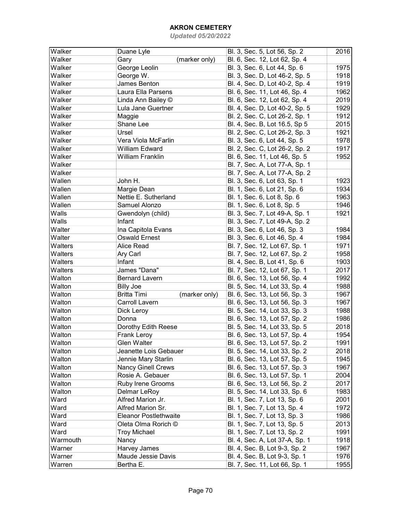| Walker   | Duane Lyle                          | Bl. 3, Sec. 5, Lot 56, Sp. 2   | 2016 |
|----------|-------------------------------------|--------------------------------|------|
| Walker   | Gary<br>(marker only)               | Bl. 6, Sec. 12, Lot 62, Sp. 4  |      |
| Walker   | George Leolin                       | Bl. 3, Sec. 6, Lot 44, Sp. 6   | 1975 |
| Walker   | George W.                           | Bl. 3, Sec. D, Lot 46-2, Sp. 5 | 1918 |
| Walker   | James Benton                        | Bl. 4, Sec. D, Lot 40-2, Sp. 4 | 1919 |
| Walker   | Laura Ella Parsens                  | Bl. 6, Sec. 11, Lot 46, Sp. 4  | 1962 |
| Walker   | Linda Ann Bailey ©                  | Bl. 6, Sec. 12, Lot 62, Sp. 4  | 2019 |
| Walker   | Lula Jane Guertner                  | Bl. 4, Sec. D, Lot 40-2, Sp. 5 | 1929 |
| Walker   | Maggie                              | Bl. 2, Sec. C, Lot 26-2, Sp. 1 | 1912 |
| Walker   | Shane Lee                           | Bl. 4, Sec. B, Lot 16.5, Sp 5  | 2015 |
| Walker   | Ursel                               | Bl. 2, Sec. C, Lot 26-2, Sp. 3 | 1921 |
| Walker   | Vera Viola McFarlin                 | Bl. 3, Sec. 6, Lot 44, Sp. 5   | 1978 |
| Walker   | <b>William Edward</b>               | Bl. 2, Sec. C, Lot 26-2, Sp. 2 | 1917 |
| Walker   | <b>William Franklin</b>             | Bl. 6, Sec. 11, Lot 46, Sp. 5  | 1952 |
| Walker   |                                     | Bl. 7, Sec. A, Lot 77-A, Sp. 1 |      |
| Walker   |                                     | Bl. 7, Sec. A, Lot 77-A, Sp. 2 |      |
| Wallen   | John H.                             | Bl. 3, Sec. 6, Lot 63, Sp. 1   | 1923 |
| Wallen   | Margie Dean                         |                                | 1934 |
| Wallen   | Nettie E. Sutherland                | Bl. 1, Sec. 6, Lot 21, Sp. 6   | 1963 |
| Wallen   |                                     | Bl. 1, Sec. 6, Lot 8, Sp. 6    |      |
|          | Samuel Alonzo                       | Bl. 1, Sec. 6, Lot 8, Sp. 5    | 1946 |
| Walls    | Gwendolyn (child)                   | Bl. 3, Sec. 7, Lot 49-A, Sp. 1 | 1921 |
| Walls    | Infant                              | Bl. 3, Sec. 7, Lot 49-A, Sp. 2 |      |
| Walter   | Ina Capitola Evans                  | Bl. 3, Sec. 6, Lot 46, Sp. 3   | 1984 |
| Walter   | <b>Oswald Ernest</b>                | Bl. 3, Sec. 6, Lot 46, Sp. 4   | 1984 |
| Walters  | Alice Read                          | Bl. 7, Sec. 12, Lot 67, Sp. 1  | 1971 |
| Walters  | Ary Carl                            | Bl. 7, Sec. 12, Lot 67, Sp. 2  | 1958 |
| Walters  | Infant                              | Bl. 4, Sec. B, Lot 41, Sp. 6   | 1903 |
| Walters  | James "Dana"                        | Bl. 7, Sec. 12, Lot 67, Sp. 1  | 2017 |
| Walton   | <b>Bernard Lavern</b>               | Bl. 6, Sec. 13, Lot 56, Sp. 4  | 1992 |
| Walton   | <b>Billy Joe</b>                    | Bl. 5, Sec. 14, Lot 33, Sp. 4  | 1988 |
| Walton   | <b>Britta Timi</b><br>(marker only) | Bl. 6, Sec. 13, Lot 56, Sp. 3  | 1967 |
| Walton   | Carroll Lavern                      | Bl. 6, Sec. 13, Lot 56, Sp. 3  | 1967 |
| Walton   | Dick Leroy                          | Bl. 5, Sec. 14, Lot 33, Sp. 3  | 1988 |
| Walton   | Donna                               | Bl. 6, Sec. 13, Lot 57, Sp. 2  | 1986 |
| Walton   | Dorothy Edith Reese                 | Bl. 5, Sec. 14, Lot 33, Sp. 5  | 2018 |
| Walton   | Frank Leroy                         | Bl. 6, Sec. 13, Lot 57, Sp. 4  | 1954 |
| Walton   | <b>Glen Walter</b>                  | Bl. 6, Sec. 13, Lot 57, Sp. 2  | 1991 |
| Walton   | Jeanette Lois Gebauer               | Bl. 5, Sec. 14, Lot 33, Sp. 2  | 2018 |
| Walton   | Jennie Mary Starlin                 | Bl. 6, Sec. 13, Lot 57, Sp. 5  | 1945 |
| Walton   | <b>Nancy Ginell Crews</b>           | Bl. 6, Sec. 13, Lot 57, Sp. 3  | 1967 |
| Walton   | Rosie A. Gebauer                    | Bl. 6, Sec. 13, Lot 57, Sp. 1  | 2004 |
| Walton   | Ruby Irene Grooms                   | Bl. 6, Sec. 13, Lot 56, Sp. 2  | 2017 |
| Walton   | Delmar LeRoy                        | Bl. 5, Sec. 14, Lot 33, Sp. 6  | 1983 |
| Ward     | Alfred Marion Jr.                   | Bl. 1, Sec. 7, Lot 13, Sp. 6   | 2001 |
| Ward     | Alfred Marion Sr.                   | Bl. 1, Sec. 7, Lot 13, Sp. 4   | 1972 |
| Ward     | <b>Eleanor Postlethwaite</b>        | Bl. 1, Sec. 7, Lot 13, Sp. 3   | 1986 |
| Ward     | Oleta Olma Rorich ©                 | Bl. 1, Sec. 7, Lot 13, Sp. 5   | 2013 |
| Ward     | <b>Troy Michael</b>                 | Bl. 1, Sec. 7, Lot 13, Sp. 2   | 1991 |
| Warmouth | Nancy                               | Bl. 4, Sec. A, Lot 37-A, Sp. 1 | 1918 |
| Warner   | Harvey James                        | Bl. 4, Sec. B, Lot 9-3, Sp. 2  | 1967 |
| Warner   | Maude Jessie Davis                  | Bl. 4, Sec. B, Lot 9-3, Sp. 1  | 1976 |
| Warren   | Bertha E.                           |                                | 1955 |
|          |                                     | Bl. 7, Sec. 11, Lot 66, Sp. 1  |      |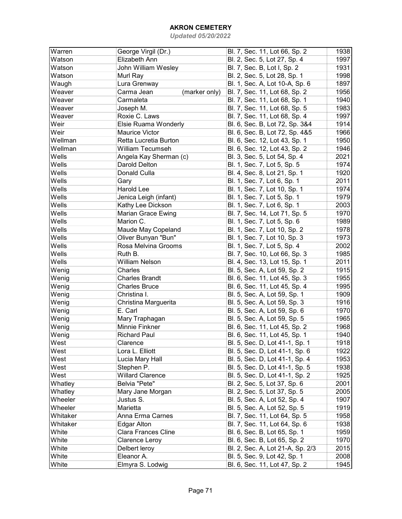| Warren                        | George Virgil (Dr.)         | Bl. 7, Sec. 11, Lot 66, Sp. 2    | 1938 |
|-------------------------------|-----------------------------|----------------------------------|------|
| Watson                        | Elizabeth Ann               | Bl. 2, Sec. 5, Lot 27, Sp. 4     | 1997 |
| Watson                        | John William Wesley         | Bl. 7, Sec. B, Lot I, Sp. 2      | 1931 |
| Watson                        | Murl Ray                    | Bl. 2, Sec. 5, Lot 28, Sp. 1     | 1998 |
| Waugh                         | Lura Grenway                | Bl. 1, Sec. A, Lot 10-A, Sp. 6   | 1897 |
| Weaver                        | Carma Jean<br>(marker only) | Bl. 7, Sec. 11, Lot 68, Sp. 2    | 1956 |
| $\overline{\mathsf{W}}$ eaver | Carmaleta                   | Bl. 7, Sec. 11, Lot 68, Sp. 1    | 1940 |
| Weaver                        | Joseph M.                   | Bl. 7, Sec. 11, Lot 68, Sp. 5    | 1983 |
| Weaver                        | Roxie C. Laws               | Bl. 7, Sec. 11, Lot 68, Sp. 4    | 1997 |
| Weir                          | Elsie Ruama Wonderly        | Bl. 6, Sec. B, Lot 72, Sp. 3&4   | 1914 |
| Weir                          | <b>Maurice Victor</b>       | Bl. 6, Sec. B, Lot 72, Sp. 4&5   | 1966 |
| Wellman                       | Retta Lucretia Burton       | Bl. 6, Sec. 12, Lot 43, Sp. 1    | 1950 |
| Wellman                       | <b>William Tecumseh</b>     | Bl. 6, Sec. 12, Lot 43, Sp. 2    | 1946 |
| Wells                         | Angela Kay Sherman (c)      | Bl. 3, Sec. 5, Lot 54, Sp. 4     | 2021 |
| Wells                         | Darold Delton               | Bl. 1, Sec. 7, Lot 5, Sp. 5      | 1974 |
| Wells                         | Donald Culla                | Bl. 4, Sec. 8, Lot 21, Sp. 1     | 1920 |
| Wells                         | Gary                        | Bl. 1, Sec. 7, Lot 6, Sp. 1      | 2011 |
| Wells                         | Harold Lee                  | Bl. 1, Sec. 7, Lot 10, Sp. 1     | 1974 |
| Wells                         | Jenica Leigh (infant)       | Bl. 1, Sec. 7, Lot 5, Sp. 1      | 1979 |
| Wells                         | Kathy Lee Dickson           | Bl. 1, Sec. 7, Lot 6, Sp. 1      | 2003 |
| Wells                         | <b>Marian Grace Ewing</b>   | Bl. 7, Sec. 14, Lot 71, Sp. 5    | 1970 |
| Wells                         | Marion C.                   | Bl. 1, Sec. 7, Lot 5, Sp. 6      | 1989 |
| Wells                         | Maude May Copeland          | Bl. 1, Sec. 7, Lot 10, Sp. 2     | 1978 |
| Wells                         | Oliver Bunyan "Bun"         | Bl. 1, Sec. 7, Lot 10, Sp. 3     | 1973 |
| Wells                         | Rosa Melvina Grooms         | Bl. 1, Sec. 7, Lot 5, Sp. 4      | 2002 |
| Wells                         | Ruth B.                     | Bl. 7, Sec. 10, Lot 66, Sp. 3    | 1985 |
| Wells                         | <b>William Nelson</b>       | Bl. 4, Sec. 13, Lot 15, Sp. 1    | 2011 |
| Wenig                         | Charles                     | Bl. 5, Sec. A, Lot 59, Sp. 2     | 1915 |
| Wenig                         | <b>Charles Brandt</b>       | Bl. 6, Sec. 11, Lot 45, Sp. 3    | 1955 |
| Wenig                         | <b>Charles Bruce</b>        | Bl. 6, Sec. 11, Lot 45, Sp. 4    | 1995 |
| Wenig                         | Christina I.                | Bl. 5, Sec. A, Lot 59, Sp. 1     | 1909 |
| Wenig                         | Christina Marguerita        | Bl. 5, Sec. A, Lot 59, Sp. 3     | 1916 |
| Wenig                         | E. Carl                     | Bl. 5, Sec. A, Lot 59, Sp. 6     | 1970 |
| Wenig                         | Mary Traphagan              | Bl. 5, Sec. A, Lot 59, Sp. 5     | 1965 |
| Wenig                         | Minnie Finkner              | Bl. 6, Sec. 11, Lot 45, Sp. 2    | 1968 |
| Wenig                         | <b>Richard Paul</b>         | Bl. 6, Sec. 11, Lot 45, Sp. 1    | 1940 |
| West                          | Clarence                    | Bl. 5, Sec. D, Lot 41-1, Sp. 1   | 1918 |
| West                          | Lora L. Elliott             | Bl. 5, Sec. D, Lot 41-1, Sp. 6   | 1922 |
| West                          | Lucia Mary Hall             | Bl. 5, Sec. D, Lot 41-1, Sp. 4   | 1953 |
| West                          | Stephen P.                  | Bl. 5, Sec. D, Lot 41-1, Sp. 5   | 1938 |
| West                          | <b>Willard Clarence</b>     | Bl. 5, Sec. D, Lot 41-1, Sp. 2   | 1925 |
| Whatley                       | Belvia "Pete"               | Bl. 2, Sec. 5, Lot 37, Sp. 6     | 2001 |
| Whatley                       | Mary Jane Morgan            | Bl. 2, Sec. 5, Lot 37, Sp. 5     | 2005 |
| Wheeler                       | Justus S.                   | Bl. 5, Sec. A, Lot 52, Sp. 4     | 1907 |
| Wheeler                       | Marietta                    | Bl. 5, Sec. A, Lot 52, Sp. 5     | 1919 |
| Whitaker                      | Anna Erma Carnes            | Bl. 7, Sec. 11, Lot 64, Sp. 5    | 1958 |
| Whitaker                      | Edgar Alton                 | Bl. 7, Sec. 11, Lot 64, Sp. 6    | 1938 |
| White                         | <b>Clara Frances Cline</b>  | Bl. 6, Sec. B, Lot 65, Sp. 1     | 1959 |
| White                         | Clarence Leroy              | Bl. 6, Sec. B, Lot 65, Sp. 2     | 1970 |
| White                         | Delbert leroy               | Bl. 2, Sec. A, Lot 21-A, Sp. 2/3 | 2015 |
| White                         | Eleanor A.                  | Bl. 5, Sec. 9, Lot 42, Sp. 1     | 2008 |
| White                         | Elmyra S. Lodwig            | Bl. 6, Sec. 11, Lot 47, Sp. 2    | 1945 |
|                               |                             |                                  |      |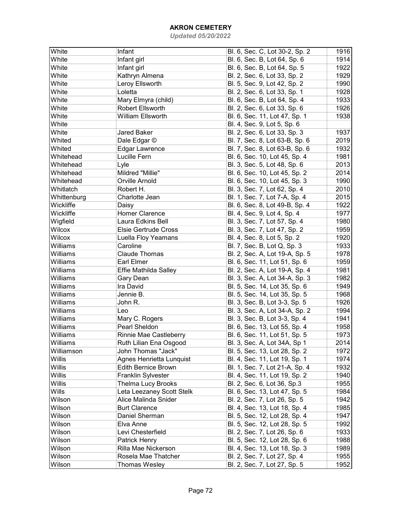| White         | Infant                      | Bl. 6, Sec. C, Lot 30-2, Sp. 2 | 1916 |
|---------------|-----------------------------|--------------------------------|------|
| White         | Infant girl                 | Bl. 6, Sec. B, Lot 64, Sp. 6   | 1914 |
| White         | Infant girl                 | Bl. 6, Sec. B, Lot 64, Sp. 5   | 1922 |
| White         | Kathryn Almena              | Bl. 2, Sec. 6, Lot 33, Sp. 2   | 1929 |
| White         | Leroy Ellsworth             | Bl. 5, Sec. 9, Lot 42, Sp. 2   | 1990 |
| White         | Loletta                     | Bl. 2, Sec. 6, Lot 33, Sp. 1   | 1928 |
| White         |                             |                                | 1933 |
|               | Mary Elmyra (child)         | Bl. 6, Sec. B, Lot 64, Sp. 4   |      |
| White         | Robert Ellsworth            | Bl. 2, Sec. 6, Lot 33, Sp. 6   | 1926 |
| White         | William Ellsworth           | Bl. 6, Sec. 11, Lot 47, Sp. 1  | 1938 |
| White         |                             | Bl. 4, Sec. 9, Lot 5, Sp. 6    |      |
| White         | Jared Baker                 | Bl. 2, Sec. 6, Lot 33, Sp. 3   | 1937 |
| Whited        | Dale Edgar ©                | Bl. 7, Sec. 8, Lot 63-B, Sp. 6 | 2019 |
| Whited        | <b>Edgar Lawrence</b>       | Bl. 7, Sec. 8, Lot 63-B, Sp. 6 | 1932 |
| Whitehead     | Lucille Fern                | Bl. 6, Sec. 10, Lot 45, Sp. 4  | 1981 |
| Whitehead     | Lyle                        | Bl. 3, Sec. 5, Lot 48, Sp. 6   | 2013 |
| Whitehead     | Mildred "Millie"            | Bl. 6, Sec. 10, Lot 45, Sp. 2  | 2014 |
| Whitehead     | Orville Arnold              | Bl. 6, Sec. 10, Lot 45, Sp. 3  | 1990 |
| Whitlatch     | Robert H.                   | Bl. 3, Sec. 7, Lot 62, Sp. 4   | 2010 |
| Whittenburg   | Charlotte Jean              | Bl. 1, Sec. 7, Lot 7-A, Sp. 4  | 2015 |
| Wickliffe     | Daisy                       | Bl. 6, Sec. 8, Lot 49-B, Sp. 4 | 1922 |
| Wickliffe     | Homer Clarence              | Bl. 4, Sec. 9, Lot 4, Sp. 4    | 1977 |
| Wigfield      | Laura Edkins Bell           | Bl. 3, Sec. 7, Lot 57, Sp. 4   | 1980 |
| Wilcox        | <b>Elsie Gertrude Cross</b> | Bl. 3, Sec. 7, Lot 47, Sp. 2   | 1959 |
| <b>Wilcox</b> | Luella Floy Yeamans         | Bl. 4, Sec. 8, Lot 5, Sp. 2    | 1920 |
| Williams      | Caroline                    | Bl. 7, Sec. B, Lot Q, Sp. 3    | 1933 |
| Williams      | <b>Claude Thomas</b>        | Bl. 2, Sec. A, Lot 19-A, Sp. 5 | 1978 |
| Williams      | Earl Elmer                  | Bl. 6, Sec. 11, Lot 51, Sp. 6  | 1959 |
| Williams      | Effie Mathilda Salley       | Bl. 2, Sec. A, Lot 19-A, Sp. 4 | 1981 |
| Williams      | Gary Dean                   | Bl. 3, Sec. A, Lot 34-A, Sp. 3 | 1982 |
| Williams      | Ira David                   | Bl. 5, Sec. 14, Lot 35, Sp. 6  | 1949 |
| Williams      | Jennie B.                   | Bl. 5, Sec. 14, Lot 35, Sp. 5  | 1968 |
| Williams      | John R.                     | Bl. 3, Sec. B, Lot 3-3, Sp. 5  | 1926 |
| Williams      | Leo                         |                                | 1994 |
| Williams      |                             | Bl. 3, Sec. A, Lot 34-A, Sp. 2 |      |
|               | Mary C. Rogers              | Bl. 3, Sec. B, Lot 3-3, Sp. 4  | 1941 |
| Williams      | Pearl Sheldon               | Bl. 6, Sec. 13, Lot 55, Sp. 4  | 1958 |
| Williams      | Rinnie Mae Castleberry      | Bl. 6, Sec. 11, Lot 51, Sp. 5  | 1973 |
| Williams      | Ruth Lilian Ena Osgood      | Bl. 3, Sec. A, Lot 34A, Sp 1   | 2014 |
| Williamson    | John Thomas "Jack"          | Bl. 5, Sec. 13, Lot 28, Sp. 2  | 1972 |
| Willis        | Agnes Henrietta Lunquist    | Bl. 4, Sec. 11, Lot 19, Sp. 1  | 1974 |
| Willis        | Edith Bernice Brown         | Bl. 1, Sec. 7, Lot 21-A, Sp. 4 | 1932 |
| Willis        | Franklin Sylvester          | Bl. 4, Sec. 11, Lot 19, Sp. 2  | 1940 |
| Willis        | <b>Thelma Lucy Brooks</b>   | Bl. 2, Sec. 6, Lot 36, Sp.3    | 1955 |
| Wills         | Leta Leezaney Scott Stelk   | Bl. 6, Sec. 13, Lot 47, Sp. 5  | 1984 |
| Wilson        | Alice Malinda Snider        | Bl. 2, Sec. 7, Lot 26, Sp. 5   | 1942 |
| Wilson        | <b>Burt Clarence</b>        | Bl. 4, Sec. 13, Lot 18, Sp. 4  | 1985 |
| Wilson        | Daniel Sherman              | Bl. 5, Sec. 12, Lot 28, Sp. 4  | 1947 |
| Wilson        | Elva Anne                   | Bl. 5, Sec. 12, Lot 28, Sp. 5  | 1992 |
| Wilson        | Levi Chesterfield           | Bl. 2, Sec. 7, Lot 26, Sp. 6   | 1933 |
| Wilson        | Patrick Henry               | Bl. 5, Sec. 12, Lot 28, Sp. 6  | 1988 |
| Wilson        | Rilla Mae Nickerson         | Bl. 4, Sec. 13, Lot 18, Sp. 3  | 1989 |
| Wilson        | Rosela Mae Thatcher         | Bl. 2, Sec. 7, Lot 27, Sp. 4   | 1955 |
| Wilson        | <b>Thomas Wesley</b>        | Bl. 2, Sec. 7, Lot 27, Sp. 5   | 1952 |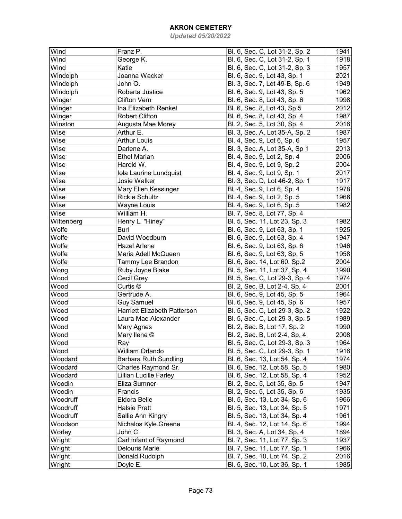## AKRON CEMETERY

Updated 05/20/2022

| Wind       | Franz P.                            | Bl. 6, Sec. C, Lot 31-2, Sp. 2 | 1941 |
|------------|-------------------------------------|--------------------------------|------|
| Wind       | George K.                           | Bl. 6, Sec. C, Lot 31-2, Sp. 1 | 1918 |
| Wind       | Katie                               | Bl. 6, Sec. C, Lot 31-2, Sp. 3 | 1957 |
| Windolph   | Joanna Wacker                       | Bl. 6, Sec. 9, Lot 43, Sp. 1   | 2021 |
| Windolph   | John O.                             | Bl. 3, Sec. 7, Lot 49-B, Sp. 6 | 1949 |
| Windolph   | Roberta Justice                     | Bl. 6, Sec. 9, Lot 43, Sp. 5   | 1962 |
| Winger     | <b>Clifton Vern</b>                 | Bl. 6, Sec. 8, Lot 43, Sp. 6   | 1998 |
| Winger     | Ina Elizabeth Renkel                | Bl. 6, Sec. 8, Lot 43, Sp.5    | 2012 |
| Winger     | <b>Robert Clifton</b>               | Bl. 6, Sec. 8, Lot 43, Sp. 4   | 1987 |
| Winston    | Augusta Mae Morey                   | Bl. 2, Sec. 5, Lot 30, Sp. 4   | 2016 |
| Wise       | Arthur E.                           | Bl. 3, Sec. A, Lot 35-A, Sp. 2 | 1987 |
| Wise       | <b>Arthur Louis</b>                 | Bl. 4, Sec. 9, Lot 6, Sp. 6    | 1957 |
| Wise       | Darlene A.                          | Bl. 3, Sec. A, Lot 35-A, Sp 1  | 2013 |
| Wise       | <b>Ethel Marian</b>                 | Bl. 4, Sec. 9, Lot 2, Sp. 4    | 2006 |
| Wise       | Harold W.                           | Bl. 4, Sec. 9, Lot 9, Sp. 2    | 2004 |
| Wise       | Iola Laurine Lundquist              | Bl. 4, Sec. 9, Lot 9, Sp. 1    | 2017 |
| Wise       | Josie Walker                        | Bl. 3, Sec. D, Lot 46-2, Sp. 1 | 1917 |
| Wise       | Mary Ellen Kessinger                | Bl. 4, Sec. 9, Lot 6, Sp. 4    | 1978 |
| Wise       | <b>Rickie Schultz</b>               | Bl. 4, Sec. 9, Lot 2, Sp. 5    | 1966 |
| Wise       | Wayne Louis                         | Bl. 4, Sec. 9, Lot 6, Sp. 5    | 1982 |
| Wise       | William H.                          | Bl. 7, Sec. 8, Lot 77, Sp. 4   |      |
| Wittenberg | Henry L. "Hiney"                    | Bl. 5, Sec. 11, Lot 23, Sp. 3  | 1982 |
| Wolfe      | <b>Burl</b>                         | Bl. 6, Sec. 9, Lot 63, Sp. 1   | 1925 |
| Wolfe      | David Woodburn                      | Bl. 6, Sec. 9, Lot 63, Sp. 4   | 1947 |
| Wolfe      | <b>Hazel Arlene</b>                 | Bl. 6, Sec. 9, Lot 63, Sp. 6   | 1946 |
| Wolfe      | Maria Adell McQueen                 | Bl. 6, Sec. 9, Lot 63, Sp. 5   | 1958 |
| Wolfe      | Tammy Lee Brandon                   | Bl. 6, Sec. 14, Lot 60, Sp.2   | 2004 |
| Wong       | Ruby Joyce Blake                    | Bl. 5, Sec. 11, Lot 37, Sp. 4  | 1990 |
| Wood       | Cecil Grey                          | Bl. 5, Sec. C, Lot 29-3, Sp. 4 | 1974 |
| Wood       | Curtis ©                            | Bl. 2, Sec. B, Lot 2-4, Sp. 4  | 2001 |
| Wood       | Gertrude A.                         | Bl. 6, Sec. 9, Lot 45, Sp. 5   | 1964 |
| Wood       | <b>Guy Samuel</b>                   | Bl. 6, Sec. 9, Lot 45, Sp. 6   | 1957 |
| Wood       | <b>Harriett Elizabeth Patterson</b> | Bl. 5, Sec. C, Lot 29-3, Sp. 2 | 1922 |
| Wood       | Laura Mae Alexander                 | Bl. 5, Sec. C, Lot 29-3, Sp. 5 | 1989 |
| Wood       | <b>Mary Agnes</b>                   | Bl. 2, Sec. B, Lot 17, Sp. 2   | 1990 |
| Wood       | Mary Ilene ©                        | Bl. 2, Sec. B, Lot 2-4, Sp. 4  | 2008 |
| Wood       | Ray                                 | Bl. 5, Sec. C, Lot 29-3, Sp. 3 | 1964 |
| Wood       | William Orlando                     | Bl. 5, Sec. C, Lot 29-3, Sp. 1 | 1916 |
| Woodard    | <b>Barbara Ruth Sundling</b>        | Bl. 6, Sec. 13, Lot 54, Sp. 4  | 1974 |
| Woodard    | Charles Raymond Sr.                 | Bl. 6, Sec. 12, Lot 58, Sp. 5  | 1980 |
| Woodard    | Lillian Lucille Farley              | Bl. 6, Sec. 12, Lot 58, Sp. 4  | 1952 |
| Woodin     | Eliza Sumner                        | Bl. 2, Sec. 5, Lot 35, Sp. 5   | 1947 |
| Woodin     | Francis                             | Bl. 2, Sec. 5, Lot 35, Sp. 6   | 1935 |
| Woodruff   | Eldora Belle                        | Bl. 5, Sec. 13, Lot 34, Sp. 6  | 1966 |
| Woodruff   | <b>Halsie Pratt</b>                 | Bl. 5, Sec. 13, Lot 34, Sp. 5  | 1971 |
| Woodruff   | Sallie Ann Kingry                   | Bl. 5, Sec. 13, Lot 34, Sp. 4  | 1961 |
| Woodson    | Nichalos Kyle Greene                | Bl. 4, Sec. 12, Lot 14, Sp. 6  | 1994 |
| Worley     | John C.                             | Bl. 3, Sec. A, Lot 34, Sp. 4   | 1894 |
| Wright     | Carl infant of Raymond              | Bl. 7, Sec. 11, Lot 77, Sp. 3  | 1937 |
| Wright     | Delouris Marie                      | Bl. 7, Sec. 11, Lot 77, Sp. 1  | 1966 |
| Wright     | Donald Rudolph                      | Bl. 7, Sec. 10, Lot 74, Sp. 2  | 2016 |
| Wright     | Doyle E.                            | Bl. 5, Sec. 10, Lot 36, Sp. 1  | 1985 |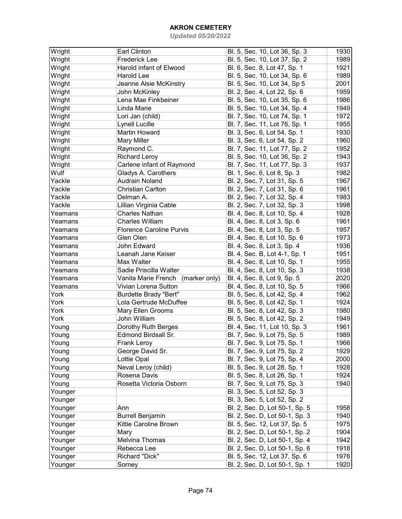## AKRON CEMETERY

Updated 05/20/2022

| Wright  | <b>Earl Clinton</b>                  | Bl. 5, Sec. 10, Lot 36, Sp. 3  | 1930 |
|---------|--------------------------------------|--------------------------------|------|
| Wright  | <b>Frederick Lee</b>                 | Bl. 5, Sec. 10, Lot 37, Sp. 2  | 1989 |
| Wright  | Harold infant of Elwood              | Bl. 6, Sec. 8, Lot 47, Sp. 1   | 1921 |
| Wright  | Harold Lee                           | Bl. 5, Sec. 10, Lot 34, Sp. 6  | 1989 |
| Wright  | Jeanne Alsie McKinstry               | Bl. 5, Sec. 10, Lot 34, Sp 5   | 2001 |
| Wright  | John McKinley                        | Bl. 2, Sec. 4, Lot 22, Sp. 6   | 1959 |
| Wright  | Lena Mae Finkbeiner                  | Bl. 5, Sec. 10, Lot 35, Sp. 6  | 1986 |
| Wright  | Linda Marie                          | Bl. 5, Sec. 10, Lot 34, Sp. 4  | 1949 |
| Wright  | Lori Jan (child)                     | Bl. 7, Sec. 10, Lot 74, Sp. 1  | 1972 |
| Wright  | Lynell Lucille                       | Bl. 7, Sec. 11, Lot 76, Sp. 1  | 1955 |
| Wright  | Martin Howard                        | Bl. 3, Sec. 6, Lot 54, Sp. 1   | 1930 |
| Wright  | <b>Mary Miller</b>                   | Bl. 3, Sec. 6, Lot 54, Sp. 2   | 1960 |
| Wright  | Raymond C.                           | Bl. 7, Sec. 11, Lot 77, Sp. 2  | 1952 |
| Wright  | <b>Richard Leroy</b>                 | Bl. 5, Sec. 10, Lot 36, Sp. 2  | 1943 |
| Wright  | Carlene infant of Raymond            | Bl. 7, Sec. 11, Lot 77, Sp. 3  | 1937 |
| Wulf    | Gladys A. Carothers                  | Bl. 1, Sec. 6, Lot 8, Sp. 3    | 1982 |
| Yackle  | <b>Audrain Noland</b>                | Bl. 2, Sec. 7, Lot 31, Sp. 5   | 1967 |
| Yackle  | <b>Christian Carlton</b>             | Bl. 2, Sec. 7, Lot 31, Sp. 6   | 1961 |
| Yackle  | Delman A.                            | Bl. 2, Sec. 7, Lot 32, Sp. 4   | 1983 |
| Yackle  | Lillian Virginia Cable               | Bl. 2, Sec. 7, Lot 32, Sp. 3   | 1998 |
| Yeamans | <b>Charles Nathan</b>                | Bl. 4, Sec. 8, Lot 10, Sp. 4   | 1928 |
| Yeamans | <b>Charles William</b>               | Bl. 4, Sec. 8, Lot 3, Sp. 6    | 1961 |
| Yeamans | <b>Florence Caroline Purvis</b>      | Bl. 4, Sec. 8, Lot 3, Sp. 5    | 1957 |
| Yeamans | Glen Olen                            | Bl. 4, Sec. 8, Lot 10, Sp. 6   | 1973 |
| Yeamans | John Edward                          | Bl. 4, Sec. 8, Lot 3, Sp. 4    | 1936 |
| Yeamans | Leanah Jane Keiser                   | Bl. 4, Sec. B, Lot 4-1, Sp. 1  | 1951 |
| Yeamans | Max Walter                           | Bl. 4, Sec. 8, Lot 10, Sp. 1   | 1955 |
| Yeamans | Sadie Priscilla Walter               | Bl. 4, Sec. 8, Lot 10, Sp. 3   | 1938 |
| Yeamans | Vanita Marie French<br>(marker only) | Bl. 4, Sec. 8, Lot 9, Sp. 5    | 2020 |
| Yeamans | Vivian Lorena Sutton                 | Bl. 4, Sec. 8, Lot 10, Sp. 5   | 1966 |
| York    | <b>Burdette Brady "Bert"</b>         | Bl. 5, Sec. 8, Lot 42, Sp. 4   | 1962 |
| York    | Lola Gertrude McDuffee               | Bl. 5, Sec. 8, Lot 42, Sp. 1   | 1924 |
| York    |                                      | Bl. 5, Sec. 8, Lot 42, Sp. 3   |      |
|         | Mary Ellen Grooms                    |                                | 1980 |
| York    | John William                         | Bl. 5, Sec. 8, Lot 42, Sp. 2   | 1949 |
| Young   | Dorothy Ruth Berges                  | Bl. 4, Sec. 11, Lot 10, Sp. 3  | 1961 |
| Young   | Edmond Birdsall Sr.                  | Bl. 7, Sec. 9, Lot 75, Sp. 5   | 1989 |
| Young   | Frank Leroy                          | Bl. 7, Sec. 9, Lot 75, Sp. 1   | 1966 |
| Young   | George David Sr.                     | Bl. 7, Sec. 9, Lot 75, Sp. 2   | 1929 |
| Young   | Lottie Opal                          | Bl. 7, Sec. 9, Lot 75, Sp. 4   | 2000 |
| Young   | Neval Leroy (child)                  | Bl. 5, Sec. 9, Lot 28, Sp. 1   | 1928 |
| Young   | Rosena Davis                         | Bl. 5, Sec. 8, Lot 26, Sp. 1   | 1924 |
| Young   | Rosetta Victoria Osborn              | Bl. 7, Sec. 9, Lot 75, Sp. 3   | 1940 |
| Younger |                                      | Bl. 3, Sec. 5, Lot 52, Sp. 3   |      |
| Younger |                                      | Bl. 3, Sec. 5, Lot 52, Sp. 2   |      |
| Younger | Ann                                  | Bl. 2, Sec. D, Lot 50-1, Sp. 5 | 1958 |
| Younger | <b>Burrell Benjamin</b>              | Bl. 2, Sec. D, Lot 50-1, Sp. 3 | 1940 |
| Younger | Kittie Caroline Brown                | Bl. 5, Sec. 12, Lot 37, Sp. 5  | 1975 |
| Younger | Mary                                 | Bl. 2, Sec. D, Lot 50-1, Sp. 2 | 1904 |
| Younger | Melvina Thomas                       | Bl. 2, Sec. D, Lot 50-1, Sp. 4 | 1942 |
| Younger | Rebecca Lee                          | Bl. 2, Sec. D, Lot 50-1, Sp. 6 | 1918 |
| Younger | Richard "Dick"                       | Bl. 5, Sec. 12, Lot 37, Sp. 6  | 1976 |
| Younger | Sorney                               | Bl. 2, Sec. D, Lot 50-1, Sp. 1 | 1920 |